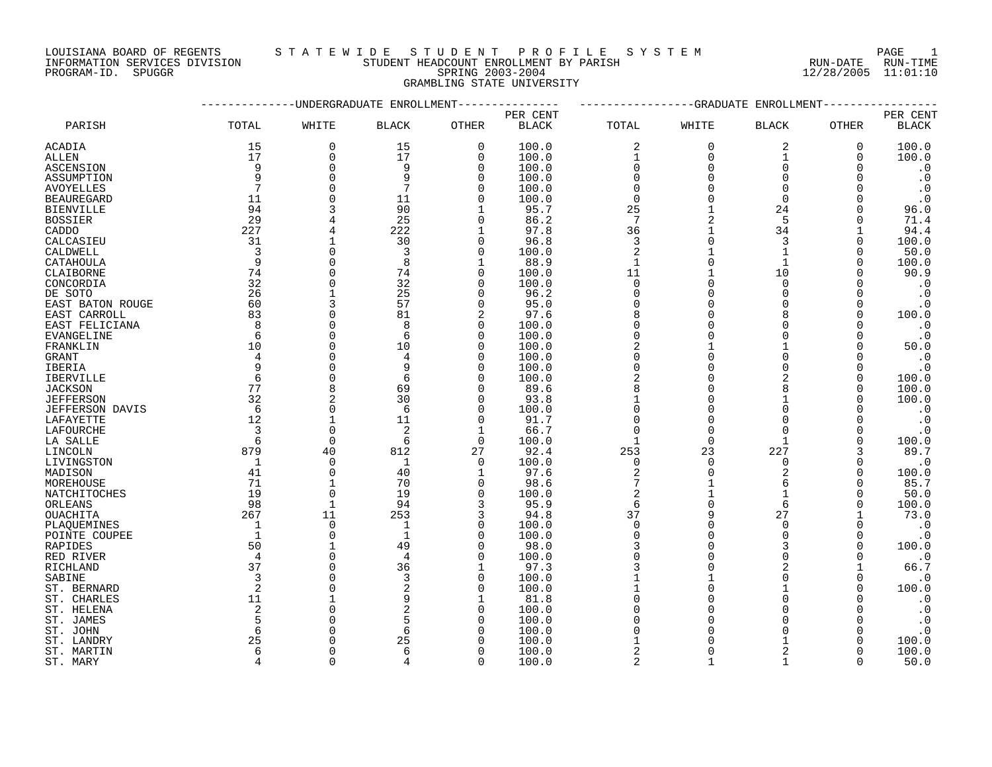#### LOUISIANA BOARD OF REGENTS S T A T E W I D E S T U D E N T P R O F I L E S Y S T E M PAGE 1 INFORMATION SERVICES DIVISION STUDENT HEADCOUNT ENROLLMENT BY PARISH RUN-DATE RUN-TIME DOULSIANA BOARD OF REGENIS<br>INFORMATION SERVICES DIVISION STUDENT HEADCOUNT ENROLLMENT BY PARISH<br>PROGRAM-ID. SPUGGR 11:01:10<br>PROGRAM-ID. SPUGGR

GRAMBLING STATE UNIVERSITY

|                   |                |               | -UNDERGRADUATE ENROLLMENT |              |              |                  | $-$ GRADUATE | ENROLLMENT     |             |                        |
|-------------------|----------------|---------------|---------------------------|--------------|--------------|------------------|--------------|----------------|-------------|------------------------|
|                   |                |               |                           |              | PER CENT     |                  |              |                |             | PER CENT               |
| PARISH            | TOTAL          | WHITE         | <b>BLACK</b>              | OTHER        | <b>BLACK</b> | TOTAL            | WHITE        | <b>BLACK</b>   | OTHER       | $\operatorname{BLACK}$ |
| ACADIA            | 15             | 0             | 15                        | $\mathbf 0$  | 100.0        | 2                | $\mathbf 0$  | $\overline{2}$ | $\mathbf 0$ | 100.0                  |
| ALLEN             | 17             | 0             | 17                        | $\mathsf{O}$ | 100.0        | $\mathbf{1}$     | $\mathbf 0$  | $\mathbf 1$    | 0           | 100.0                  |
| ASCENSION         | 9              | $\Omega$      | 9                         | $\mathbf 0$  | 100.0        | $\mathbf 0$      | $\Omega$     | $\Omega$       | $\Omega$    | $\cdot$ 0              |
| ASSUMPTION        | 9              | $\Omega$      | 9                         | $\Omega$     | 100.0        | $\Omega$         | $\Omega$     | $\Omega$       | $\Omega$    | $\cdot$ 0              |
| <b>AVOYELLES</b>  | 7              | $\Omega$      | 7                         | $\mathbf 0$  | 100.0        | $\mathbf 0$      | $\Omega$     | $\Omega$       | $\Omega$    | $\cdot$ 0              |
| <b>BEAUREGARD</b> | 11             | $\Omega$      | 11                        | $\Omega$     | 100.0        | $\mathbf 0$      | $\Omega$     | $\Omega$       | $\Omega$    | $\cdot$ 0              |
| <b>BIENVILLE</b>  | 94             | २             | 90                        | 1            | 95.7         | 25               |              | 24             | $\Omega$    | 96.0                   |
| <b>BOSSIER</b>    | 29             |               | 25                        | $\mathbf 0$  | 86.2         | 7                | 2            | 5              | $\Omega$    | 71.4                   |
| CADDO             | 227            |               | 222                       | 1            | 97.8         | 36               | 1            | 34             |             | 94.4                   |
| CALCASIEU         | 31             |               | 30                        | $\mathbf 0$  | 96.8         | $\mathbf{3}$     | $\Omega$     | 3              | $\Omega$    | 100.0                  |
| CALDWELL          | $\overline{3}$ | $\Omega$      | 3                         | $\mathbf 0$  | 100.0        | $\overline{2}$   |              | $\mathbf{1}$   | 0           | 50.0                   |
| CATAHOULA         | 9              | $\Omega$      | 8                         | $\mathbf{1}$ | 88.9         | $\mathbf{1}$     | $\Omega$     | $\mathbf{1}$   | $\Omega$    | 100.0                  |
| CLAIBORNE         | 74             | $\Omega$      | 74                        | $\mathbf 0$  | 100.0        | 11               | 1            | 10             | $\Omega$    | 90.9                   |
|                   | 32             | O             | 32                        | $\mathbf 0$  | 100.0        | $\Omega$         | $\Omega$     | $\Omega$       | $\Omega$    | $\cdot$ 0              |
| CONCORDIA         | 26             |               | 25                        | $\Omega$     |              | $\Omega$         | $\Omega$     | $\Omega$       |             |                        |
| DE SOTO           |                |               | 57                        |              | 96.2         |                  | $\Omega$     | $\cap$         | $\Omega$    | $\cdot$ 0              |
| EAST BATON ROUGE  | 60             | 3<br>$\Omega$ |                           | $\mathbf 0$  | 95.0         | $\mathbf 0$<br>8 | $\Omega$     | $\mathsf{R}$   | $\Omega$    | $\cdot$ 0              |
| EAST CARROLL      | 83             |               | 81                        | 2            | 97.6         |                  |              |                | $\Omega$    | 100.0                  |
| EAST FELICIANA    | 8              | $\Omega$      | 8                         | $\mathbf 0$  | 100.0        | $\mathbf 0$      | $\Omega$     | $\Omega$       | $\Omega$    | $\cdot$ 0              |
| EVANGELINE        | 6              | $\Omega$      | 6                         | $\mathbf 0$  | 100.0        | $\Omega$         | $\Omega$     | $\Omega$       | 0           | $\cdot$ 0              |
| FRANKLIN          | 10             | $\Omega$      | 10                        | $\mathbf 0$  | 100.0        | $\overline{2}$   |              |                | $\Omega$    | 50.0                   |
| GRANT             | 4              | $\Omega$      | $\overline{4}$            | $\mathbf 0$  | 100.0        | $\Omega$         | $\Omega$     | $\cap$         | $\Omega$    | $\cdot$ 0              |
| IBERIA            | 9              | $\Omega$      | 9                         | $\Omega$     | 100.0        | $\Omega$         | $\Omega$     | $\Omega$       | $\Omega$    | $\cdot$ 0              |
| <b>IBERVILLE</b>  | 6              | $\Omega$      | 6                         | $\Omega$     | 100.0        |                  | $\Omega$     |                | $\Omega$    | 100.0                  |
| <b>JACKSON</b>    | 77             | 8             | 69                        | 0            | 89.6         | 8                | $\Omega$     |                | 0           | 100.0                  |
| <b>JEFFERSON</b>  | 32             | 2             | 30                        | 0            | 93.8         |                  | $\Omega$     |                | $\Omega$    | 100.0                  |
| JEFFERSON DAVIS   | 6              | $\Omega$      | 6                         | $\mathbf 0$  | 100.0        | $\Omega$         | $\Omega$     | $\Omega$       |             | $\cdot$ 0              |
| LAFAYETTE         | 12             |               | 11                        | $\mathbf 0$  | 91.7         | $\Omega$         | $\Omega$     | $\cap$         | $\Omega$    | $\cdot$ 0              |
| LAFOURCHE         | 3              | $\Omega$      | $\overline{2}$            | $\mathbf{1}$ | 66.7         | $\Omega$         | $\Omega$     | $\Omega$       | $\Omega$    | $\cdot$ 0              |
| LA SALLE          | 6              | $\mathbf 0$   | 6                         | 0            | 100.0        | $\mathbf 1$      | $\mathbf 0$  | $\mathbf{1}$   | 0           | 100.0                  |
| LINCOLN           | 879            | 40            | 812                       | 27           | 92.4         | 253              | 23           | 227            | 3           | 89.7                   |
| LIVINGSTON        | 1              | $\Omega$      | 1                         | $\mathbf 0$  | 100.0        | $\mathbf 0$      | $\Omega$     | $\Omega$       | 0           | $\cdot$ 0              |
| MADISON           | 41             | $\Omega$      | 40                        | 1            | 97.6         | $\sqrt{2}$       | $\Omega$     | $\overline{2}$ | 0           | 100.0                  |
| MOREHOUSE         | 71             | $\mathbf{1}$  | 70                        | $\mathbf 0$  | 98.6         | $7\phantom{.0}$  |              | $\sqrt{2}$     | $\Omega$    | 85.7                   |
| NATCHITOCHES      | 19             | $\mathbf 0$   | 19                        | 0            | 100.0        | $\sqrt{2}$       | $\mathbf{1}$ | $\mathbf{1}$   | 0           | 50.0                   |
| ORLEANS           | 98             | $\mathbf{1}$  | 94                        | 3            | 95.9         | 6                | $\Omega$     | 6              | $\Omega$    | 100.0                  |
| OUACHITA          | 267            | 11            | 253                       | 3            | 94.8         | 37               | 9            | 27             |             | 73.0                   |
| PLAQUEMINES       | $\overline{1}$ | $\Omega$      | 1                         | $\mathbf 0$  | 100.0        | $\Omega$         | $\Omega$     | $\Omega$       | $\Omega$    | $\cdot$ 0              |
| POINTE COUPEE     | $\overline{1}$ | $\Omega$      | 1                         | $\Omega$     | 100.0        | $\Omega$         | $\Omega$     | $\Omega$       | $\Omega$    | $\cdot$ 0              |
| RAPIDES           | 50             | $\mathbf{1}$  | 49                        | $\mathbf 0$  | 98.0         | 3                | $\Omega$     | 3              | $\Omega$    | 100.0                  |
| RED RIVER         | $\overline{4}$ | $\Omega$      | $\overline{4}$            | $\mathbf 0$  | 100.0        | $\Omega$         | $\Omega$     | $\Omega$       | $\Omega$    | $\cdot$ 0              |
| RICHLAND          | 37             |               | 36                        | 1            | 97.3         |                  | $\Omega$     | 2              |             | 66.7                   |
| SABINE            | 3              |               | 3                         | $\mathbf 0$  | 100.0        |                  |              | $\Omega$       | 0           | $\cdot$ 0              |
| ST. BERNARD       | $\overline{2}$ |               | $\overline{a}$            | $\Omega$     | 100.0        |                  | $\Omega$     |                | $\Omega$    | 100.0                  |
| ST. CHARLES       | 11             |               | 9                         | 1            | 81.8         | $\Omega$         | $\Omega$     |                |             | $\cdot$ 0              |
| ST. HELENA        | $\overline{2}$ | $\Omega$      | $\overline{a}$            | $\mathbf 0$  | 100.0        | $\Omega$         | $\Omega$     |                | $\Omega$    | $\cdot$ 0              |
| ST. JAMES         | 5              |               | 5                         | 0            | 100.0        | $\Omega$         | $\Omega$     |                | $\Omega$    | $\cdot$ 0              |
| ST. JOHN          | 6              |               | 6                         | 0            | 100.0        | $\Omega$         | $\Omega$     |                | $\Omega$    | $\cdot$ 0              |
| ST. LANDRY        | 25             |               | 25                        | $\Omega$     | 100.0        |                  |              |                |             | 100.0                  |
| ST. MARTIN        | 6              | ∩             | 6                         | $\Omega$     | 100.0        | $\overline{c}$   | $\Omega$     | 2              | $\Omega$    | 100.0                  |
| ST. MARY          | 4              | $\cap$        | 4                         | $\Omega$     | 100.0        | $\overline{2}$   | $\mathbf{1}$ | $\mathbf{1}$   | $\Omega$    | 50.0                   |
|                   |                |               |                           |              |              |                  |              |                |             |                        |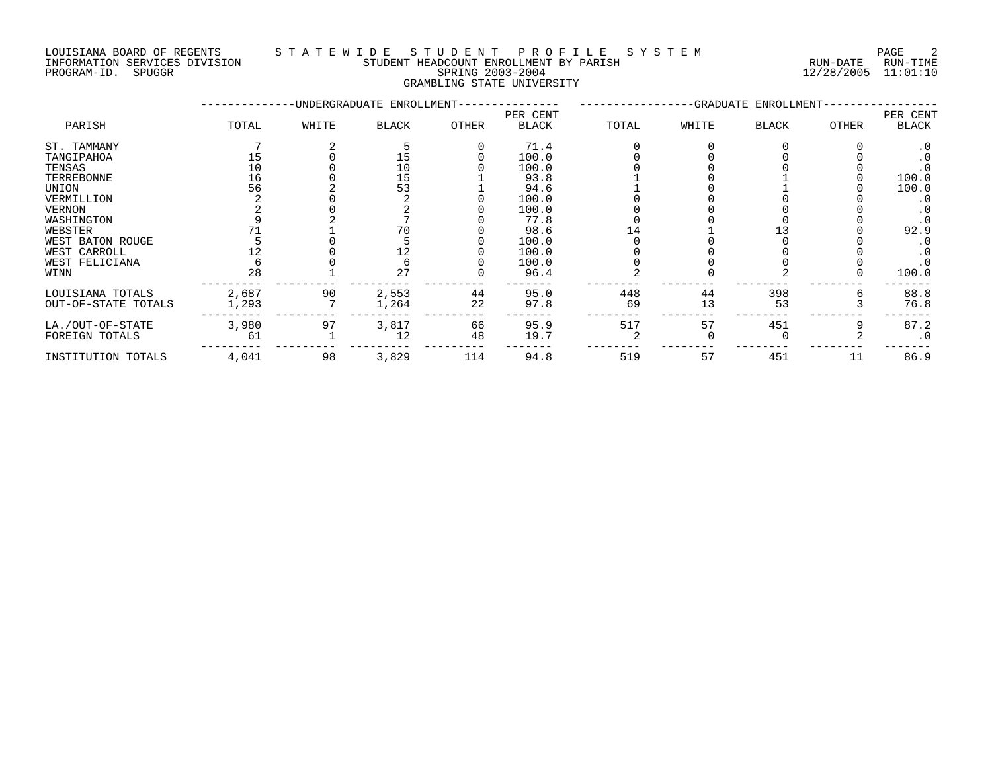# LOUISIANA BOARD OF REGENTS STATEWIDE STUDENT PROFILE SYSTEM PAGE 2<br>TNFORMATION SERVICES DIVISION STUDENT HEADCOUNT ENROLLMENT BY PARISH INFORMATION SERVICES DIVISION STUDENT HEADCOUNT ENROLLMENT BY PARISH PROGRAM-ID. SPUGGR SPRING 2003-2004 12/28/2005 11:01:10

# GRAMBLING STATE UNIVERSITY

WEST FELICIANA 6 0 6 0 100.0 0 0 0 0 .0 WINN 28 1 27 0 96.4 2 0 2 0 100.0 --------- --------- --------- --------- ------- -------- -------- -------- -------- ------- LOUISIANA TOTALS 2,687 90 2,553 44 95.0 448 44 398 6 88.8 OUT-OF-STATE TOTALS 1,293 7 1,264 22 97.8 69 13 53 3 76.8

LA./OUT-OF-STATE 3,980 97 3,817 66 95.9 517 57 451 9 87.2 FOREIGN TOTALS 61 1 12 48 19.7 2 0 0 2 .0 --------- --------- --------- --------- ------- -------- -------- -------- -------- ------- INSTITUTION TOTALS 4,041 98 3,829 114 94.8 519 57 451 11 86.9

--------- --------- --------- --------- ------- -------- -------- -------- -------- -------

--------------UNDERGRADUATE ENROLLMENT--------------- -----------------GRADUATE ENROLLMENT----------------- PER CENT PER CENT PARISH TOTAL WHITE BLACK OTHER BLACK TOTAL WHITE BLACK OTHER BLACK ST. TAMMANY 7 2 5 0 71.4 0 0 0 0 .0 TANGIPAHOA 15 0 15 0 100.0 0 0 0 0 .0 TENSAS 10 0 10 0 100.0 0 0 0 0 .0 TERREBONNE 16 0 15 1 93.8 1 0 1 0 100.0 UNION 56 2 53 1 94.6 1 0 1 0 100.0 VERMILLION 2 0 2 0 100.0 0 0 0 0 .0 VERNON 2 0 2 0 100.0 0 0 0 0 .0 WASHINGTON 9 2 7 0 77.8 0 0 0 0 .0 WEBSTER 71 1 70 0 98.6 14 1 13 0 92.9 WEST BATON ROUGE 5 0 5 0 100.0 0 0 0 0 .0 WEST CARROLL 12 0 12 0 100.0 0 0 0 0 .0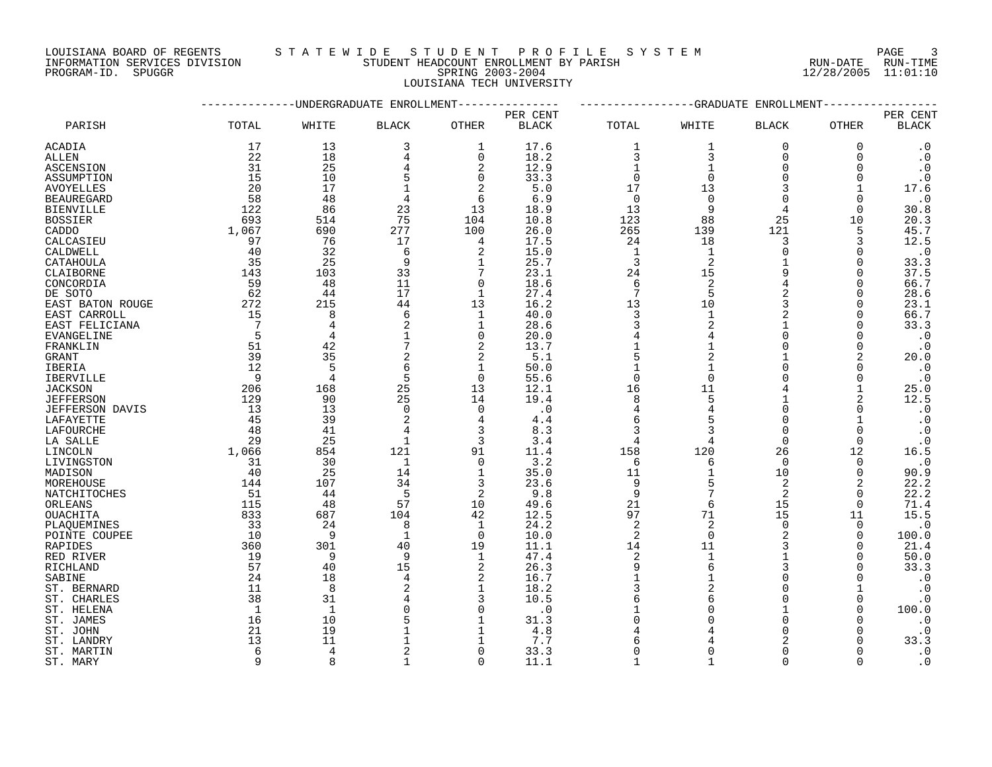#### LOUISIANA BOARD OF REGENTS S T A T E W I D E S T U D E N T P R O F I L E S Y S T E M PAGE 3 INFORMATION SERVICES DIVISION STUDENT HEADCOUNT ENROLLMENT BY PARISH RUN-DATE RUN-TIME DOUSTANA BOARD OF REGENTS<br>INFORMATION SERVICES DIVISION TRANSMITIC SERING 2003-2004 SPRING 2003-2004 12/28/2005 11:01:10

LOUISIANA TECH UNIVERSITY

|                   |                |                | -UNDERGRADUATE ENROLLMENT |              |              |                 |                 | -GRADUATE ENROLLMENT |                |                        |
|-------------------|----------------|----------------|---------------------------|--------------|--------------|-----------------|-----------------|----------------------|----------------|------------------------|
|                   |                |                |                           |              | PER CENT     |                 |                 |                      |                | PER CENT               |
| PARISH            | TOTAL          | WHITE          | <b>BLACK</b>              | OTHER        | <b>BLACK</b> | TOTAL           | WHITE           | <b>BLACK</b>         | OTHER          | <b>BLACK</b>           |
| ACADIA            | 17             | 13             | 3                         | 1            | 17.6         | 1               | 1               | $\mathbf 0$          | 0              | $\cdot$ 0              |
| <b>ALLEN</b>      | 22             | 18             | 4                         | $\Omega$     | 18.2         | 3               | 3               | $\Omega$             | $\Omega$       | $\cdot$ 0              |
| <b>ASCENSION</b>  | 31             | 25             |                           | 2            | 12.9         | $\mathbf{1}$    | 1               | $\Omega$             | $\Omega$       | $\cdot$ 0              |
| ASSUMPTION        | 15             | 10             | 5                         | $\Omega$     | 33.3         | $\Omega$        | $\Omega$        | $\cap$               | $\Omega$       | $\boldsymbol{\cdot}$ 0 |
| AVOYELLES         | 20             | 17             | 1                         | 2            | 5.0          | 17              | 13              |                      | 1              | 17.6                   |
| <b>BEAUREGARD</b> | 58             | 48             | 4                         | 6            | 6.9          | $\overline{0}$  | $\mathbf 0$     |                      | $\Omega$       | $\cdot$ 0              |
| <b>BIENVILLE</b>  | 122            | 86             | 23                        | 13           | 18.9         | 13              | 9               |                      | $\Omega$       | 30.8                   |
| <b>BOSSIER</b>    | 693            | 514            | 75                        | 104          | 10.8         | 123             | 88              | 25                   | 10             | 20.3                   |
| CADDO             | 1,067          | 690            | 277                       | 100          | 26.0         | 265             | 139             | 121                  | 5              | 45.7                   |
|                   |                | 76             | 17                        |              | 17.5         | 24              | 18              | 3                    |                | 12.5                   |
| CALCASIEU         | 97             |                |                           | 4            |              |                 |                 | $\Omega$             | 3              |                        |
| CALDWELL          | 40             | 32             | 6                         | 2            | 15.0         | <sup>1</sup>    | 1               |                      | $\Omega$       | $\cdot$ 0              |
| CATAHOULA         | 35             | 25             | 9                         | 1            | 25.7         | $\overline{3}$  | 2               |                      | 0              | 33.3                   |
| CLAIBORNE         | 143            | 103            | 33                        | 7            | 23.1         | 24              | 15              | 9                    | $\Omega$       | 37.5                   |
| CONCORDIA         | 59             | 48             | 11                        | $\Omega$     | 18.6         | 6               | 2               |                      | $\Omega$       | 66.7                   |
| DE SOTO           | 62             | 44             | 17                        | $\mathbf{1}$ | 27.4         | $7\phantom{.0}$ | 5               |                      | $\Omega$       | 28.6                   |
| EAST BATON ROUGE  | 272            | 215            | 44                        | 13           | 16.2         | 13              | 10              |                      | $\Omega$       | 23.1                   |
| EAST CARROLL      | 15             | 8              | 6                         | 1            | 40.0         | 3               | $\mathbf{1}$    |                      | $\Omega$       | 66.7                   |
| EAST FELICIANA    | $\overline{7}$ | 4              | 2                         | $\mathbf{1}$ | 28.6         | 3               | $\overline{2}$  |                      | $\Omega$       | 33.3                   |
| EVANGELINE        | 5              |                | $\mathbf{1}$              | $\Omega$     | 20.0         |                 | 4               | $\cap$               | $\Omega$       | $\cdot$ 0              |
| FRANKLIN          | 51             | 42             | 7                         | 2            | 13.7         |                 | 1               |                      | $\Omega$       | $\cdot$ 0              |
| GRANT             | 39             | 35             | 2                         | 2            | 5.1          | 5               | 2               |                      | 2              | 20.0                   |
| IBERIA            | 12             | 5              | 6                         | $\mathbf{1}$ | 50.0         |                 | $\mathbf{1}$    |                      | $\Omega$       | $\cdot$ 0              |
| <b>IBERVILLE</b>  | - 9            | 4              | 5                         | $\Omega$     | 55.6         | $\Omega$        | $\Omega$        |                      | $\Omega$       | $\cdot$ 0              |
|                   | 206            |                | 25                        | 13           |              | 16              | 11              |                      |                | 25.0                   |
| <b>JACKSON</b>    |                | 168            |                           |              | 12.1         |                 |                 |                      |                |                        |
| <b>JEFFERSON</b>  | 129            | 90             | 25                        | 14           | 19.4         | 8               | 5               |                      | $\overline{a}$ | 12.5                   |
| JEFFERSON DAVIS   | 13             | 13             | $\Omega$                  | $\Omega$     | $\cdot$ 0    | 4               | $\overline{4}$  | $\Omega$             | 0              | $\cdot$ 0              |
| LAFAYETTE         | 45             | 39             | 2                         | 4            | 4.4          | 6               |                 | $\Omega$             |                | $\boldsymbol{\cdot}$ 0 |
| LAFOURCHE         | 48             | 41             | 4                         | 3            | 8.3          | 3               | 3               | $\Omega$             | $\Omega$       | $\cdot$ 0              |
| LA SALLE          | 29             | 25             | 1                         | 3            | 3.4          | 4               | 4               | $\Omega$             | 0              | $\cdot$ 0              |
| LINCOLN           | 1,066          | 854            | 121                       | 91           | 11.4         | 158             | 120             | 26                   | 12             | 16.5                   |
| LIVINGSTON        | 31             | 30             | 1                         | $\mathbf 0$  | 3.2          | 6               | 6               | $\Omega$             | 0              | $\cdot$ 0              |
| MADISON           | 40             | 25             | 14                        | $\mathbf{1}$ | 35.0         | 11              | $\mathbf 1$     | 10                   | $\Omega$       | 90.9                   |
| MOREHOUSE         | 144            | 107            | 34                        | 3            | 23.6         | 9               | 5               | $\overline{2}$       | 2              | 22.2                   |
| NATCHITOCHES      | 51             | 44             | 5                         | 2            | 9.8          | 9               | 7               | $\overline{2}$       | $\Omega$       | 22.2                   |
| ORLEANS           | 115            | 48             | 57                        | 10           | 49.6         | 21              | 6               | 15                   | $\mathbf 0$    | 71.4                   |
| <b>OUACHITA</b>   | 833            | 687            | 104                       | 42           | 12.5         | 97              | 71              | 15                   | 11             | 15.5                   |
| PLAOUEMINES       | 33             | 24             | 8                         | 1            | 24.2         | 2               | 2               | $\Omega$             | 0              | $\cdot$ 0              |
|                   | 10             | - 9            | $\mathbf{1}$              | $\mathbf 0$  | 10.0         | 2               | $\mathbf 0$     |                      | $\Omega$       | 100.0                  |
| POINTE COUPEE     | 360            | 301            |                           |              |              | 14              |                 |                      |                | 21.4                   |
| RAPIDES           |                |                | 40                        | 19           | 11.1         |                 | 11              |                      | $\Omega$       |                        |
| RED RIVER         | 19             | 9              | 9                         | 1            | 47.4         | 2               | $\mathbf{1}$    |                      | $\Omega$       | 50.0                   |
| RICHLAND          | 57             | 40             | 15                        | 2            | 26.3         | 9               | $6\overline{6}$ |                      | $\Omega$       | 33.3                   |
| SABINE            | 24             | 18             | 4                         | 2            | 16.7         | $\overline{1}$  | $\mathbf{1}$    |                      | <sup>n</sup>   | $\cdot$ 0              |
| ST. BERNARD       | 11             | 8              | 2                         | $\mathbf{1}$ | 18.2         |                 |                 |                      |                | $\cdot$ 0              |
| ST. CHARLES       | 38             | 31             |                           | 3            | 10.5         | 6               | 6               |                      | 0              | $\cdot$ 0              |
| ST. HELENA        | - 1            | $\mathbf{1}$   | $\Omega$                  | $\Omega$     | $\cdot$ 0    |                 | $\Omega$        |                      | <sup>n</sup>   | 100.0                  |
| ST. JAMES         | 16             | 10             |                           |              | 31.3         |                 | $\Omega$        |                      |                | $\cdot$ 0              |
| ST. JOHN          | 21             | 19             |                           |              | 4.8          |                 |                 |                      |                | $\cdot$ 0              |
| ST. LANDRY        | 13             | 11             |                           |              | 7.7          |                 |                 |                      |                | 33.3                   |
| ST. MARTIN        | 6              | $\overline{4}$ |                           | $\Omega$     | 33.3         | $\Omega$        | ∩               |                      |                | $\cdot$ 0              |
| ST. MARY          | Q              |                |                           | $\Omega$     | 11.1         |                 |                 |                      |                | $\Omega$               |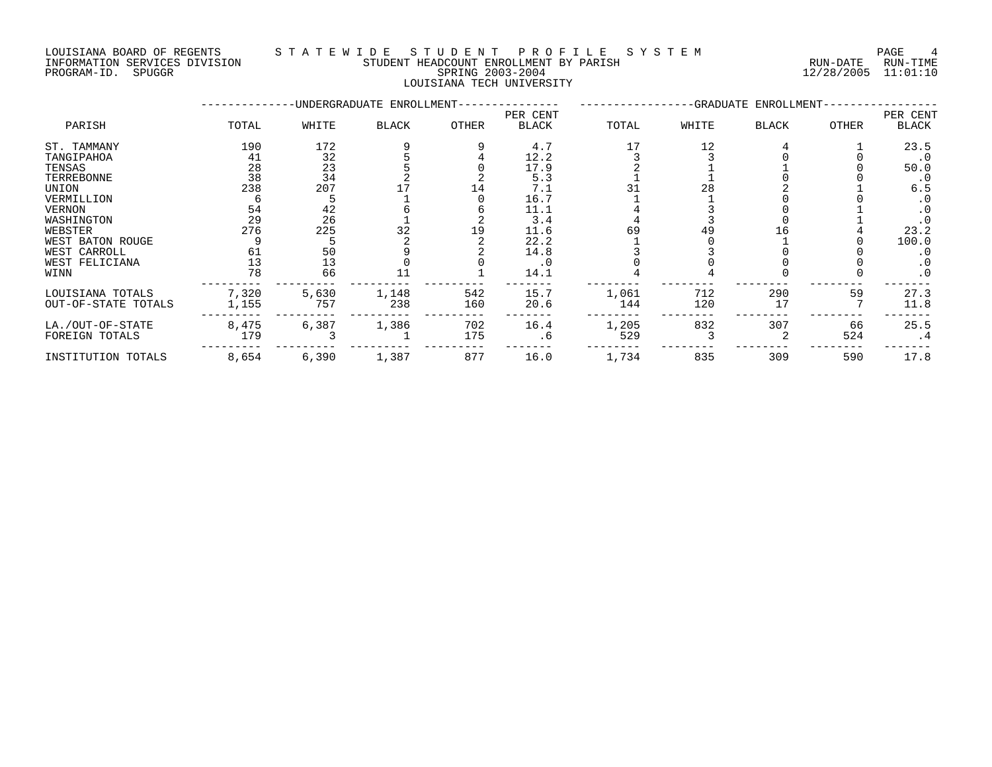## LOUISIANA BOARD OF REGENTS STATEWIDE STUDE NT PROFILE SYSTEM PAGE 4<br>INFORMATION SERVICES DIVISION STUDENT HEADCOUNT ENROLLMENT BY PARISH STORMATION SERVICES DIVISION INFORMATION SERVICES DIVISION STUDENT HEADCOUNT ENROLLMENT BY PARISH PROGRAM-ID. SPUGGR SPRING 2003-2004 12/28/2005 11:01:10

# LOUISIANA TECH UNIVERSITY

|                     |       |       | -UNDERGRADUATE ENROLLMENT- |              |              |       |       | -GRADUATE ENROLLMENT- |       |              |
|---------------------|-------|-------|----------------------------|--------------|--------------|-------|-------|-----------------------|-------|--------------|
|                     |       |       |                            |              | PER CENT     |       |       |                       |       | PER CENT     |
| PARISH              | TOTAL | WHITE | <b>BLACK</b>               | <b>OTHER</b> | <b>BLACK</b> | TOTAL | WHITE | <b>BLACK</b>          | OTHER | <b>BLACK</b> |
| ST. TAMMANY         | 190   | 172   |                            |              | 4.7          |       | 12    |                       |       | 23.5         |
| TANGIPAHOA          | 41    | 32    |                            |              | 12.2         |       |       |                       |       | $\cdot$ 0    |
| TENSAS              | 28    | 23    |                            |              | 17.9         |       |       |                       |       | 50.0         |
| TERREBONNE          | 38    | 34    |                            |              | 5.3          |       |       |                       |       | $\cdot$ 0    |
| UNION               | 238   | 207   |                            | 14           | 7.1          |       | 28    |                       |       | 6.5          |
| VERMILLION          |       |       |                            |              | 16.7         |       |       |                       |       |              |
| VERNON              | 54    | 42    |                            |              | 11.1         |       |       |                       |       | $\cdot$ 0    |
| WASHINGTON          | 29    | 26    |                            |              | 3.4          |       |       |                       |       | $\cdot$ 0    |
| WEBSTER             | 276   | 225   | 32                         | 19           | 11.6         | 69    | 49    | I h                   |       | 23.2         |
| WEST BATON ROUGE    |       |       |                            |              | 22.2         |       |       |                       |       | 100.0        |
| WEST CARROLL        | 61    | 50    |                            |              | 14.8         |       |       |                       |       | $\cdot$ 0    |
| WEST FELICIANA      | 13    | 13    |                            |              | . 0          |       |       |                       |       | $\cdot$ 0    |
| WINN                | 78    | 66    |                            |              | 14.1         |       |       |                       |       | $\cdot$ 0    |
| LOUISIANA TOTALS    | 7,320 | 5,630 | 1,148                      | 542          | 15.7         | 1,061 | 712   | 290                   | 59    | 27.3         |
| OUT-OF-STATE TOTALS | 1,155 | 757   | 238                        | 160          | 20.6         | 144   | 120   | 17                    |       | 11.8         |
| LA./OUT-OF-STATE    | 8,475 | 6,387 | 1,386                      | 702          | 16.4         | 1,205 | 832   | 307                   | 66    | 25.5         |
| FOREIGN TOTALS      | 179   |       |                            | 175          | . 6          | 529   |       |                       | 524   | . 4          |
| INSTITUTION TOTALS  | 8,654 | 6,390 | 1,387                      | 877          | 16.0         | 1,734 | 835   | 309                   | 590   | 17.8         |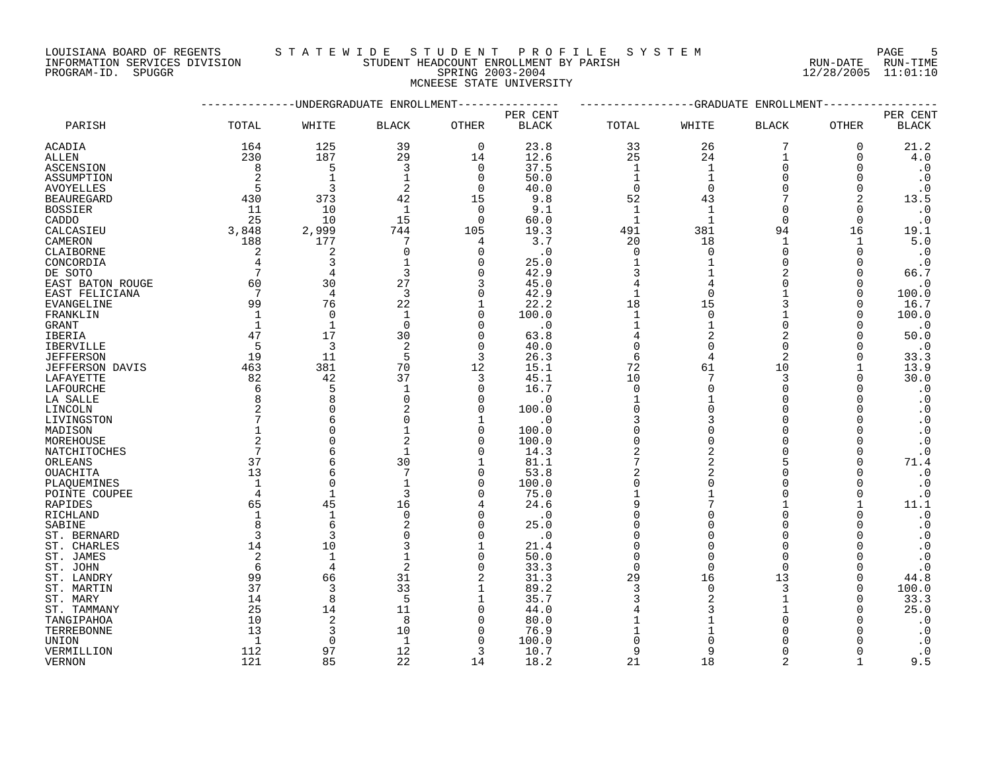LOUISIANA BOARD OF REGENTS STATEWIDE STUDENT PROFILE SYSTEM NAGE 5 INFORMATION SERVICES DIVISION STUDENT HEADCOUNT ENROLLMENT BY PARISH RUN-DATE RUN-TIME

# PROGRAM-ID. SPUGGR SPRING 2003-2004 12/28/2005 11:01:10 MCNEESE STATE UNIVERSITY

|                   |                 |                | -UNDERGRADUATE ENROLLMENT |                |              |                |                | -GRADUATE ENROLLMENT |              |                        |
|-------------------|-----------------|----------------|---------------------------|----------------|--------------|----------------|----------------|----------------------|--------------|------------------------|
|                   |                 |                |                           |                | PER CENT     |                |                |                      |              | PER CENT               |
| PARISH            | TOTAL           | WHITE          | <b>BLACK</b>              | <b>OTHER</b>   | <b>BLACK</b> | TOTAL          | WHITE          | BLACK                | <b>OTHER</b> | <b>BLACK</b>           |
| ACADIA            | 164             | 125            | 39                        | $\mathbf 0$    | 23.8         | 33             | 26             | 7                    | $\mathbf 0$  | 21.2                   |
| ALLEN             | 230             | 187            | 29                        | 14             | 12.6         | 25             | 24             | 1                    | 0            | 4.0                    |
| ASCENSION         | 8               | 5              | 3                         | $\mathbf 0$    | 37.5         | 1              | $\mathbf{1}$   | $\Omega$             | O            | $\cdot$ 0              |
| ASSUMPTION        | 2               | $\mathbf{1}$   | $\mathbf{1}$              | $\Omega$       | 50.0         | $\mathbf{1}$   | $\mathbf{1}$   | ∩                    | $\Omega$     | $\cdot$ 0              |
| <b>AVOYELLES</b>  | 5               | 3              | 2                         | $\Omega$       | 40.0         | $\mathbf 0$    | $\Omega$       | $\Omega$             | $\Omega$     | $\cdot$ 0              |
| <b>BEAUREGARD</b> | 430             | 373            | 42                        | 15             | 9.8          | 52             | 43             |                      | 2            | 13.5                   |
| <b>BOSSIER</b>    | 11              | 10             | $\mathbf 1$               | 0              | 9.1          | 1              |                | $\Omega$             | O            | $\cdot$ 0              |
| CADDO             | 25              | 10             | 15                        | $\overline{0}$ | 60.0         | $\mathbf 1$    | $\mathbf{1}$   | $\Omega$             | $\Omega$     | $\cdot$ 0              |
| CALCASIEU         | 3,848           | 2,999          | 744                       | 105            | 19.3         | 491            | 381            | 94                   | 16           | 19.1                   |
| CAMERON           | 188             | 177            | 7                         | 4              | 3.7          | 20             | 18             | $\mathbf{1}$         | $\mathbf{1}$ | 5.0                    |
| CLAIBORNE         | 2               | $\overline{2}$ | $\mathbf 0$               | $\mathbf 0$    | $\cdot$ 0    | $\mathbf 0$    | $\Omega$       | $\Omega$             | 0            | $\cdot$ 0              |
| CONCORDIA         | 4               | 3              |                           | 0              | 25.0         | 1              |                | ∩                    | ∩            | $\cdot$ 0              |
| DE SOTO           | 7               | 4              | 3                         | $\Omega$       | 42.9         | 3              |                |                      | ∩            | 66.7                   |
| EAST BATON ROUGE  | 60              | 30             | 27                        | 3              | 45.0         | 4              |                | $\Omega$             | $\Omega$     | $\cdot$ 0              |
| EAST FELICIANA    | $7\phantom{.0}$ | $\overline{4}$ | 3                         | $\Omega$       | 42.9         | $\mathbf{1}$   | $\Omega$       |                      | $\Omega$     | 100.0                  |
| EVANGELINE        | 99              | 76             | 22                        | 1              | 22.2         | 18             | 15             | 3                    | 0            | 16.7                   |
| FRANKLIN          | 1               | $\Omega$       | $\mathbf 1$               | $\Omega$       | 100.0        | 1              | $\Omega$       |                      | 0            | 100.0                  |
| GRANT             | 1               | $\mathbf{1}$   | $\Omega$                  | $\mathbf 0$    | $\cdot$ 0    | $\mathbf{1}$   |                | $\Omega$             | $\Omega$     | $\cdot$ 0              |
| IBERIA            | 47              | 17             | 30                        | $\mathbf 0$    | 63.8         | 4              | 2              | $\overline{2}$       | $\Omega$     | 50.0                   |
| <b>IBERVILLE</b>  | 5               | 3              | $\mathfrak{D}$            | $\Omega$       | 40.0         | $\Omega$       |                | $\Omega$             |              | $\cdot$ 0              |
| <b>JEFFERSON</b>  | 19              | 11             | 5                         | 3              | 26.3         | 6              | 4              | $\overline{2}$       | $\Omega$     | 33.3                   |
| JEFFERSON DAVIS   | 463             | 381            | 70                        | 12             | 15.1         | 72             | 61             | 10                   |              | 13.9                   |
| LAFAYETTE         | 82              | 42             | 37                        | 3              | 45.1         | 10             | 7              | 3                    | $\Omega$     | 30.0                   |
| LAFOURCHE         | 6               | 5              | $\mathbf{1}$              | $\mathbf 0$    | 16.7         | $\mathbf 0$    | $\Omega$       | $\Omega$             | ∩            | $\cdot$ 0              |
| LA SALLE          | 8               | 8              | $\Omega$                  | $\Omega$       | $\cdot$ 0    | 1              |                | $\Omega$             |              | $\cdot$ 0              |
| LINCOLN           | 2               | $\Omega$       |                           | $\mathbf 0$    | 100.0        | $\Omega$       | $\Omega$       | $\Omega$             |              | $\boldsymbol{\cdot}$ 0 |
| LIVINGSTON        |                 | 6              | O                         | 1              | . 0          | 3              |                | $\Omega$             | O            | $\cdot$ 0              |
| MADISON           |                 | $\Omega$       |                           | 0              | 100.0        | $\Omega$       |                | $\Omega$             |              | $\cdot$ 0              |
| MOREHOUSE         | $\overline{2}$  | $\Omega$       | 2                         | $\mathbf 0$    | 100.0        | $\Omega$       | $\Omega$       | $\Omega$             | $\Omega$     | $\cdot$ 0              |
| NATCHITOCHES      | 7               | 6              | $\mathbf{1}$              | $\Omega$       | 14.3         | $\overline{2}$ | $\overline{2}$ |                      | ∩            | $\cdot$ 0              |
| ORLEANS           | 37              | 6              | 30                        | $\mathbf 1$    | 81.1         | 7              | $\overline{2}$ | 5                    | $\Omega$     | 71.4                   |
| OUACHITA          | 13              | 6              | 7                         | 0              | 53.8         | 2              | 2              | $\Omega$             | O            | $\cdot$ 0              |
| PLAQUEMINES       |                 | $\Omega$       |                           | $\Omega$       | 100.0        | $\Omega$       |                | $\Omega$             |              | $\cdot$ 0              |
| POINTE COUPEE     | 4               | $\mathbf{1}$   | 3                         | 0              | 75.0         |                |                | ∩                    | $\Omega$     | $\cdot$ 0              |
| RAPIDES           | 65              | 45             | 16                        | 4              | 24.6         | 9              |                |                      |              | 11.1                   |
| RICHLAND          | $\mathbf{1}$    | $\mathbf{1}$   | $\mathbf 0$               | $\mathbf 0$    | $\cdot$ 0    | $\Omega$       |                | $\Omega$             | $\Omega$     | $\cdot$ 0              |
| SABINE            | 8               | 6              |                           | $\mathbf 0$    | 25.0         | $\Omega$       |                | $\Omega$             | ∩            | $\cdot$ 0              |
| ST. BERNARD       | 3               | 3              |                           | $\Omega$       | $\cdot$ 0    | $\Omega$       |                | ∩                    |              | $\cdot$ 0              |
| ST. CHARLES       | 14              | 10             |                           | $\mathbf 1$    | 21.4         | $\Omega$       |                | ∩                    |              | $\cdot$ 0              |
| ST. JAMES         | 2               | $\mathbf{1}$   |                           | $\Omega$       | 50.0         | $\Omega$       |                | $\Omega$             |              | $\cdot$ 0              |
| ST. JOHN          | 6               | 4              | $\overline{2}$            | $\mathbf 0$    | 33.3         | $\mathbf 0$    | $\Omega$       | $\Omega$             |              | $\cdot$ 0              |
| ST. LANDRY        | 99              | 66             | 31                        | 2              | 31.3         | 29             | 16             | 13                   | O            | 44.8                   |
| ST. MARTIN        | 37              | 3              | 33                        | 1              | 89.2         | 3              | $\Omega$       | 3                    | $\Omega$     | 100.0                  |
| ST. MARY          | 14              | 8              | 5                         | 1              | 35.7         | 3              |                |                      | ∩            | 33.3                   |
| ST. TAMMANY       | 25              | 14             | 11                        | $\Omega$       | 44.0         |                |                |                      | ∩            | 25.0                   |
| TANGIPAHOA        | 10              | 2              | 8                         | $\Omega$       | 80.0         |                |                |                      |              | $\cdot$ 0              |
| TERREBONNE        | 13              | 3              | 10                        | 0              | 76.9         |                |                |                      |              | $\cdot$ 0              |
| UNION             | $\mathbf{1}$    | $\Omega$       | $\mathbf{1}$              | $\Omega$       | 100.0        | $\Omega$       |                |                      |              | $\cdot$ 0              |
| VERMILLION        | 112             | 97             | 12                        | 3              | 10.7         | 9              | 9              | $\Omega$             |              | $\cdot$ 0              |
| <b>VERNON</b>     | 121             | 85             | 22                        | 14             | 18.2         | 21             | 18             | $\mathfrak{D}$       |              | 9.5                    |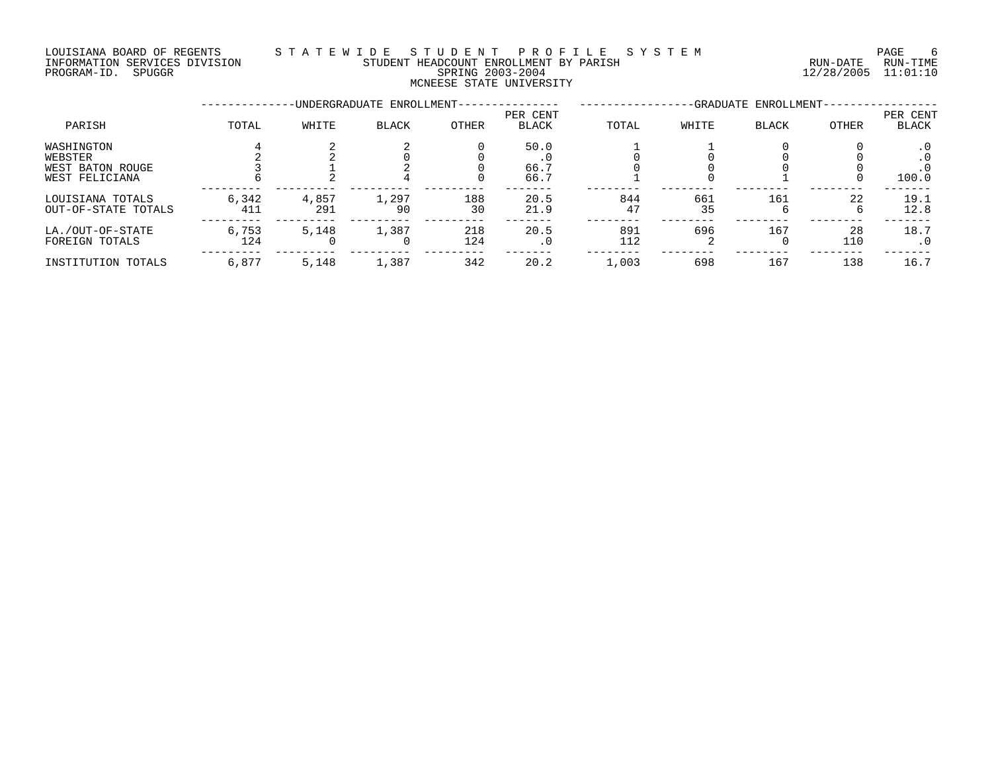### LOUISIANA BOARD OF REGENTS S T A T E W I D E S T U D E N T P R O F I L E S Y S T E M PAGE 6 INFORMATION SERVICES DIVISION STUDENT HEADCOUNT ENROLLMENT BY PARISH RUN-DATE RUN-TIME NOUSLAM SOURCES DIVISION CONTROLLER INFORMATION SERVICES DIVISION CONTRACTORY TREADCOUNT ENROLLMENT BY PARISH THAT THE THE RUN-DATE RUN-TIME RUN-TIME (2003-2004 12/28/2005 11:01:10 MCNEESE STATE UNIVERSITY

|                                                             |              |              | -UNDERGRADUATE ENROLLMENT- |            |                      |            |           | -GRADUATE ENROLLMENT- |           |                          |
|-------------------------------------------------------------|--------------|--------------|----------------------------|------------|----------------------|------------|-----------|-----------------------|-----------|--------------------------|
| PARISH                                                      | TOTAL        | WHITE        | <b>BLACK</b>               | OTHER      | PER CENT<br>BLACK    | TOTAL      | WHITE     | <b>BLACK</b>          | OTHER     | PER CENT<br><b>BLACK</b> |
| WASHINGTON<br>WEBSTER<br>WEST BATON ROUGE<br>WEST FELICIANA |              |              |                            |            | 50.0<br>66.7<br>66.7 |            |           |                       |           | . 0<br>100.0             |
| LOUISIANA TOTALS<br>OUT-OF-STATE TOTALS                     | 6,342<br>411 | 4,857<br>291 | 1,297<br>90                | 188<br>30  | 20.5<br>21.9         | 844<br>47  | 661<br>35 | 161<br>b              | 22        | 19.1<br>12.8             |
| LA./OUT-OF-STATE<br>FOREIGN TOTALS                          | 6,753<br>124 | 5,148        | 1,387                      | 218<br>124 | 20.5<br>$\cdot$ 0    | 891<br>112 | 696       | 167<br>U              | 28<br>110 | 18.7<br>. 0              |
| INSTITUTION TOTALS                                          | 6,877        | 5,148        | 1,387                      | 342        | 20.2                 | 1,003      | 698       | 167                   | 138       | 16.7                     |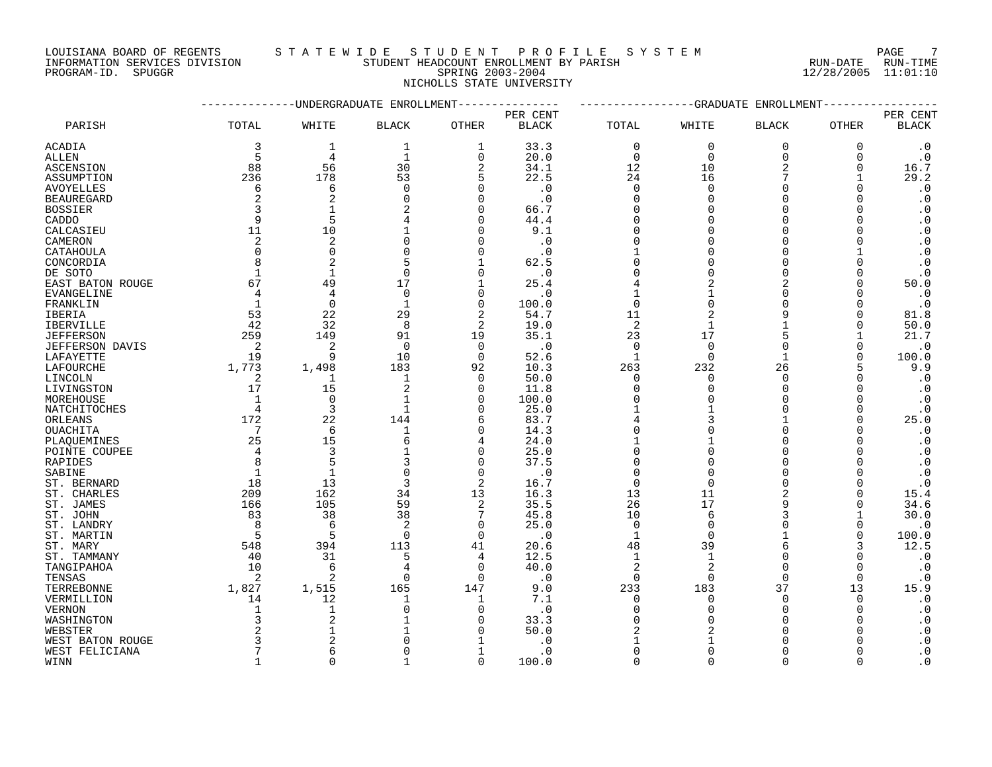# LOUISIANA BOARD OF REGENTS STA T E W I D E S T U D E N T P R O F I L E S Y S T E M T AGE 7 INFORMATION SERVICES DIVISION STUDENT HEADCOUNT ENROLLMENT BY PARISH RUN-DATE RUN-TIME

NICHOLLS STATE UNIVERSITY

PROGRAM-ID. SPUGGR SPRING 2003-2004 12/28/2005 11:01:10

|                   |                | ----------UNDERGRADUATE ENROLLMENT- |                |                |              |                |                | ------------GRADUATE ENROLLMENT |              |                        |
|-------------------|----------------|-------------------------------------|----------------|----------------|--------------|----------------|----------------|---------------------------------|--------------|------------------------|
|                   |                |                                     |                |                | PER CENT     |                |                |                                 |              | PER CENT               |
| PARISH            | TOTAL          | WHITE                               | <b>BLACK</b>   | OTHER          | <b>BLACK</b> | TOTAL          | WHITE          | <b>BLACK</b>                    | OTHER        | <b>BLACK</b>           |
| ACADIA            | 3              | 1                                   | 1              | 1              | 33.3         | $\mathbf 0$    | $\mathbf 0$    | $\mathbf 0$                     | 0            | $\cdot$ 0              |
| $\verb ALLEN $    | 5              | $\overline{4}$                      | $\mathbf 1$    | $\mathbf 0$    | 20.0         | $\mathbf 0$    | $\mathbf 0$    | $\overline{0}$                  | 0            | $\boldsymbol{\cdot}$ 0 |
| ASCENSION         | 88             | 56                                  | 30             | 2              | 34.1         | 12             | 10             | 2                               | 0            | 16.7                   |
| ASSUMPTION        | 236            | 178                                 | 53             | 5              | 22.5         | 24             | 16             |                                 |              | 29.2                   |
| <b>AVOYELLES</b>  | 6              | 6                                   | $\Omega$       | $\mathbf 0$    | $\cdot$ 0    | $\mathbf 0$    | $\cap$         | $\Omega$                        | 0            | $\boldsymbol{\cdot}$ 0 |
| <b>BEAUREGARD</b> | $\overline{2}$ | 2                                   | U              | $\Omega$       | . 0          | $\Omega$       | O              | $\Omega$                        | ∩            | $\boldsymbol{\cdot}$ 0 |
| <b>BOSSIER</b>    | 3              | $\mathbf{1}$                        |                | $\Omega$       | 66.7         | $\Omega$       |                | $\Omega$                        | ∩            | $\cdot$ 0              |
| CADDO             | 9              | 5                                   |                | $\Omega$       | 44.4         | $\Omega$       |                | $\Omega$                        | $\Omega$     | $\boldsymbol{\cdot}$ 0 |
| CALCASIEU         | 11             | 10                                  |                | $\Omega$       | 9.1          | $\Omega$       | ∩              | $\Omega$                        | ∩            | $\boldsymbol{\cdot}$ 0 |
| CAMERON           | 2              | $\overline{2}$                      |                | $\Omega$       | $\cdot$ 0    | $\Omega$       |                | $\Omega$                        |              | $\boldsymbol{\cdot}$ 0 |
| CATAHOULA         | $\Omega$       | $\Omega$                            | U              | $\Omega$       | $\cdot$ 0    |                | O              | $\Omega$                        |              | $\boldsymbol{\cdot}$ 0 |
| CONCORDIA         | 8              | 2                                   |                |                | 62.5         | ∩              |                | $\Omega$                        | $\Omega$     | $\cdot$ 0              |
| DE SOTO           | $\mathbf 1$    | $\mathbf{1}$                        | $\Omega$       | $\Omega$       | $\cdot$ 0    | $\Omega$       | O              | $\Omega$                        | $\Omega$     | $\cdot$ 0              |
| EAST BATON ROUGE  | 67             | 49                                  | 17             | -1             | 25.4         | $\overline{4}$ | 2              | $\overline{2}$                  | $\Omega$     | 50.0                   |
| EVANGELINE        | 4              | $\overline{4}$                      | $\mathbf 0$    | $\mathbf 0$    | $\cdot$ 0    |                |                | $\Omega$                        | $\Omega$     | $\cdot$ 0              |
| FRANKLIN          | 1              | $\overline{0}$                      | -1             | $\mathbf 0$    | 100.0        | $\Omega$       | $\Omega$       | $\Omega$                        | $\Omega$     | $\cdot$ 0              |
| <b>IBERIA</b>     | 53             | 22                                  | 29             | $\overline{2}$ | 54.7         | 11             |                | q                               | $\Omega$     | 81.8                   |
| <b>IBERVILLE</b>  | 42             | 32                                  | 8              | 2              | 19.0         | $\overline{2}$ | -1             |                                 | $\Omega$     | 50.0                   |
| <b>JEFFERSON</b>  | 259            | 149                                 | 91             | 19             | 35.1         | 23             | 17             | 5                               |              | 21.7                   |
| JEFFERSON DAVIS   | 2              | $\overline{2}$                      | $\Omega$       | $\Omega$       | $\cdot$ 0    | $\Omega$       | $\Omega$       | $\Omega$                        | $\Omega$     | $\cdot$ 0              |
| LAFAYETTE         | 19             | 9                                   | 10             | $\overline{0}$ | 52.6         | $\mathbf{1}$   | $\Omega$       | 1                               | 0            | 100.0                  |
| LAFOURCHE         | 1,773          | 1,498                               | 183            | 92             | 10.3         | 263            | 232            | 26                              | 5            | 9.9                    |
| LINCOLN           | $\overline{2}$ | $\mathbf{1}$                        | $\mathbf{1}$   | $\Omega$       | 50.0         | $\Omega$       | $\Omega$       | $\Omega$                        | $\Omega$     | $\cdot$ 0              |
| LIVINGSTON        | 17             | 15                                  | $\overline{2}$ | $\mathbf 0$    | 11.8         | $\Omega$       | $\Omega$       | $\Omega$                        | $\Omega$     | $\cdot$ 0              |
| MOREHOUSE         | $\mathbf 1$    | $\mathbf 0$                         |                | $\Omega$       | 100.0        | $\Omega$       |                | $\Omega$                        | $\Omega$     | $\cdot$ 0              |
| NATCHITOCHES      | 4              | 3                                   | $\mathbf{1}$   | $\Omega$       | 25.0         |                |                | $\cap$                          | $\Omega$     | $\cdot$ 0              |
| ORLEANS           | 172            | 22                                  | 144            | 6              | 83.7         | 4              | 3              |                                 | $\Omega$     | 25.0                   |
| OUACHITA          | 7              | 6                                   | -1             | $\Omega$       | 14.3         | $\Omega$       |                | $\Omega$                        | <sup>0</sup> | $\cdot$ 0              |
| PLAOUEMINES       | 25             | 15                                  | 6              | 4              | 24.0         |                |                | $\Omega$                        | $\Omega$     | $\cdot$ 0              |
| POINTE COUPEE     | 4              | 3                                   |                | $\Omega$       | 25.0         | $\Omega$       |                | $\Omega$                        | <sup>0</sup> | $\cdot$ 0              |
| RAPIDES           | 8              | 5                                   |                | $\Omega$       | 37.5         | $\cap$         |                | $\Omega$                        | ∩            | $\boldsymbol{\cdot}$ 0 |
| SABINE            | $\mathbf{1}$   | $\mathbf{1}$                        | U              | $\Omega$       | $\cdot$ 0    | $\Omega$       |                | $\Omega$                        | $\Omega$     | $\cdot$ 0              |
| ST. BERNARD       | 18             | 13                                  | 3              | 2              | 16.7         | $\Omega$       |                | $\Omega$                        | $\Omega$     | $\boldsymbol{\cdot}$ 0 |
| ST. CHARLES       | 209            | 162                                 | 34             | 13             | 16.3         | 13             | 11             | 2                               | <sup>0</sup> | 15.4                   |
| ST. JAMES         | 166            | 105                                 | 59             | $\overline{2}$ | 35.5         | 26             | 17             | q                               | $\Omega$     | 34.6                   |
| ST. JOHN          | 83             | 38                                  | 38             | 7              | 45.8         | 10             | 6              | 3                               |              | 30.0                   |
| ST. LANDRY        | 8              | 6                                   | 2              | $\Omega$       | 25.0         | $\Omega$       | $\Omega$       | $\Omega$                        | $\Omega$     | $\cdot$ 0              |
| ST. MARTIN        | 5              | 5                                   | $\Omega$       | $\Omega$       | $\cdot$ 0    | $\mathbf{1}$   | $\cap$         |                                 | $\Omega$     | 100.0                  |
| ST. MARY          | 548            | 394                                 | 113            | 41             | 20.6         | 48             | 39             | 6                               | 3            | 12.5                   |
| ST. TAMMANY       | 40             | 31                                  | 5              | 4              | 12.5         | $\mathbf{1}$   | $\mathbf{1}$   | $\Omega$                        | $\Omega$     | $\boldsymbol{\cdot}$ 0 |
| TANGIPAHOA        | 10             | 6                                   | 4              | $\Omega$       | 40.0         | $\overline{2}$ | $\overline{c}$ | $\Omega$                        | $\Omega$     | $\cdot$ 0              |
| TENSAS            | 2              | $\overline{2}$                      | $\Omega$       | $\Omega$       | $\cdot$ 0    | 0              | $\Omega$       | $\Omega$                        | 0            | $\cdot$ 0              |
| TERREBONNE        | 1,827          | 1,515                               | 165            | 147            | 9.0          | 233            | 183            | 37                              | 13           | 15.9                   |
| VERMILLION        | 14             | 12                                  | -1             | $\mathbf{1}$   | 7.1          | $\Omega$       | $\Omega$       | $\Omega$                        | $\Omega$     | $\cdot$ 0              |
| <b>VERNON</b>     | 1              | 1                                   | $\Omega$       | 0              | . 0          | $\mathbf 0$    | O              | $\Omega$                        | $\Omega$     | $\cdot$ 0              |
| WASHINGTON        | 3              | $\overline{2}$                      |                | $\Omega$       | 33.3         | $\Omega$       |                | $\Omega$                        | $\Omega$     | $\boldsymbol{\cdot}$ 0 |
| WEBSTER           | 2              | -1                                  |                | $\cap$         | 50.0         | 2              | $\overline{c}$ | $\Omega$                        |              | $\cdot$ 0              |
| WEST BATON ROUGE  | 3              | $\overline{2}$                      |                |                | . 0          | 1              |                | $\Omega$                        |              | $\boldsymbol{\cdot}$ 0 |
| WEST FELICIANA    | 7              | 6                                   |                | -1             | $\cdot$ 0    | $\Omega$       | $\Omega$       | $\Omega$                        |              | $\boldsymbol{\cdot}$ 0 |
| WINN              | $\mathbf{1}$   | $\Omega$                            |                | $\Omega$       | 100.0        | $\Omega$       | $\Omega$       | $\Omega$                        | $\Omega$     | $\cdot$ 0              |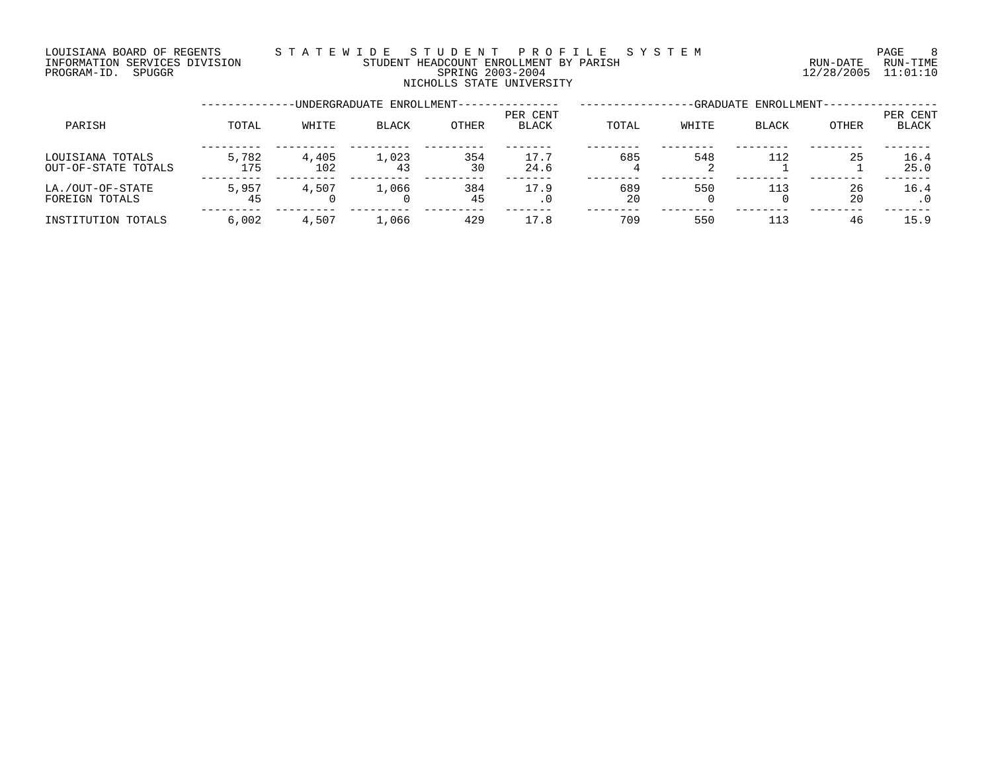### LOUISIANA BOARD OF REGENTS S T A T E W I D E S T U D E N T P R O F I L E S Y S T E M PAGE 8 INFORMATION SERVICES DIVISION STUDENT HEADCOUNT ENROLLMENT BY PARISH RUN-DATE RUN-TIME PROGRAM-ID. SPUGGR SPRING 2003-2004 12/28/2005 11:01:10 NICHOLLS STATE UNIVERSITY

|                                         |              |              | -UNDERGRADUATE ENROLLMENT-- |              | -GRADUATE ENROLLMENT-    |           |       |              |          |                   |
|-----------------------------------------|--------------|--------------|-----------------------------|--------------|--------------------------|-----------|-------|--------------|----------|-------------------|
| PARISH                                  | TOTAL        | WHITE        | <b>BLACK</b>                | <b>OTHER</b> | PER CENT<br><b>BLACK</b> | TOTAL     | WHITE | <b>BLACK</b> | OTHER    | PER CENT<br>BLACK |
| LOUISIANA TOTALS<br>OUT-OF-STATE TOTALS | 5,782<br>175 | 4,405<br>102 | 1,023<br>43                 | 354<br>30    | 17.7<br>24.6             | 685       | 548   | 112          | 25       | 16.4<br>25.0      |
| LA./OUT-OF-STATE<br>FOREIGN TOTALS      | 5,957<br>45  | 4,507        | 1,066                       | 384<br>45    | 17.9<br>$\cdot$ 0        | 689<br>20 | 550   | 113          | 26<br>20 | 16.4              |
| INSTITUTION TOTALS                      | 6.002        | 4,507        | 1,066                       | 429          | 17.8                     | 709       | 550   | 113          | 46       | 15.9              |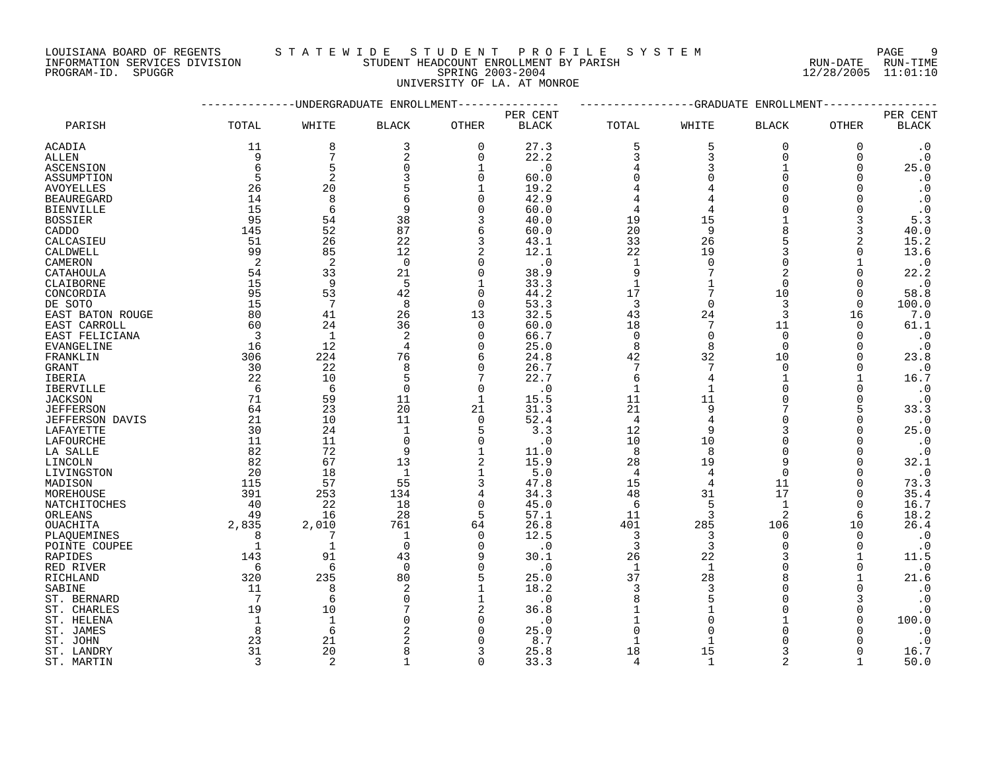LOUISIANA BOARD OF REGENTS S T A T E W I D E S T U D E N T P R O F I L E S Y S T E M PAGE 9 INFORMATION SERVICES DIVISION STUDENT HEADCOUNT ENROLLMENT BY PARISH RUN-DATE RUN-TIME

# PROGRAM-ID. SPUGGR SPRING 2003-2004 12/28/2005 11:01:10 UNIVERSITY OF LA. AT MONROE

|                        |                |                | -UNDERGRADUATE ENROLLMENT |                |              |                | -GRADUATE      | ENROLLMENT                     |             |                        |
|------------------------|----------------|----------------|---------------------------|----------------|--------------|----------------|----------------|--------------------------------|-------------|------------------------|
|                        |                |                |                           |                | PER CENT     |                |                |                                |             | PER CENT               |
| PARISH                 | TOTAL          | WHITE          | <b>BLACK</b>              | <b>OTHER</b>   | <b>BLACK</b> | TOTAL          | WHITE          | <b>BLACK</b>                   | OTHER       | $\operatorname{BLACK}$ |
| ACADIA                 | 11             | 8              | 3                         | $\Omega$       | 27.3         | 5              | 5              | $\overline{0}$                 | $\Omega$    | $\cdot$ 0              |
| ALLEN                  | 9              | 7              | 2                         | $\mathbf 0$    | 22.2         | 3              | 3              | $\mathbf 0$                    | 0           | $\cdot$ 0              |
| ASCENSION              | 6              | 5              | 0                         | -1             | $\cdot$ 0    | 4              | 3              | $\mathbf{1}$                   | $\Omega$    | 25.0                   |
| ASSUMPTION             | 5              | $\overline{2}$ | ζ                         | $\Omega$       | 60.0         | $\Omega$       | ∩              | $\Omega$                       | $\Omega$    | $\cdot$ 0              |
| AVOYELLES              | 26             | 20             |                           |                | 19.2         |                |                | $\Omega$                       | $\Omega$    | $\cdot$ 0              |
| <b>BEAUREGARD</b>      | 14             | 8              | 6                         | ∩              | 42.9         |                |                | $\Omega$                       |             | $\cdot$ 0              |
| <b>BIENVILLE</b>       | 15             | 6              | 9                         | $\cap$         | 60.0         | $\overline{4}$ |                |                                | ∩           | $\cdot$ 0              |
| <b>BOSSIER</b>         | 95             | 54             | 38                        | 3              | 40.0         | 19             | 15             |                                | 3           | 5.3                    |
| CADDO                  | 145            | 52             | 87                        | 6              | 60.0         | 20             | 9              |                                | 3           | 40.0                   |
| CALCASIEU              | 51             | 26             | 22                        | 3              | 43.1         | 33             | 26             |                                | 2           | 15.2                   |
| CALDWELL               | 99             | 85             | 12                        | $\overline{2}$ | 12.1         | 22             | 19             | 3                              | $\Omega$    | 13.6                   |
| CAMERON                | 2              | $\overline{2}$ | $\Omega$                  | ∩              | $\cdot$ 0    | $\mathbf{1}$   | $\cap$         | $\Omega$                       |             | $\cdot$ 0              |
| CATAHOULA              | 54             | 33             | 21                        | $\mathbf 0$    | 38.9         | 9              |                | $\overline{2}$                 | $\Omega$    | 22.2                   |
| CLAIBORNE              | 15             | 9              | 5                         | 1              | 33.3         | $\mathbf{1}$   |                | $\Omega$                       | $\Omega$    | $\cdot$ 0              |
| CONCORDIA              | 95             | 53             | 42                        | $\Omega$       | 44.2         | 17             |                | 10                             | $\Omega$    | 58.8                   |
| DE SOTO                | 15             | 7              | 8                         | $\Omega$       | 53.3         | 3              | $\Omega$       | 3                              | $\Omega$    | 100.0                  |
| EAST BATON ROUGE       | 80             | 41             | 26                        | 13             | 32.5         | 43             | 24             | 3                              | 16          | 7.0                    |
| EAST CARROLL           | 60             | 24             | 36                        | $\mathbf 0$    | 60.0         | 18             | 7              | 11                             | $\mathbf 0$ | 61.1                   |
| EAST FELICIANA         | $\overline{3}$ | $\mathbf{1}$   | 2                         | $\Omega$       | 66.7         | $\mathbf 0$    | $\Omega$       | $\Omega$                       | 0           | $\cdot$ 0              |
| <b>EVANGELINE</b>      | 16             | 12             | 4                         | $\Omega$       | 25.0         | 8              | 8              | $\Omega$                       | $\Omega$    | $\cdot$ 0              |
| FRANKLIN               | 306            | 224            | 76                        | 6              | 24.8         | 42             | 32             | 10                             | $\Omega$    | 23.8                   |
| <b>GRANT</b>           | 30             | 22             | 8                         | $\Omega$       | 26.7         | 7              | 7              | $\Omega$                       | $\Omega$    | $\cdot$ 0              |
| IBERIA                 | 22             | 10             | 5                         | 7              | 22.7         | 6              | 4              | $\mathbf{1}$                   |             | 16.7                   |
| <b>IBERVILLE</b>       | 6              | 6              | $\mathbf 0$               | $\mathbf 0$    | $\cdot$ 0    | 1              | $\mathbf{1}$   | $\Omega$                       | 0           | $\cdot$ 0              |
| <b>JACKSON</b>         | 71             | 59             | 11                        | $\mathbf{1}$   | 15.5         | 11             | 11             | $\Omega$                       | $\Omega$    | $\cdot$ 0              |
| <b>JEFFERSON</b>       | 64             | 23             | 20                        | 21             | 31.3         | 21             | 9              |                                | 5           | 33.3                   |
| <b>JEFFERSON DAVIS</b> | 21             | 10             | 11                        | $\Omega$       | 52.4         | $\overline{4}$ |                | $\Omega$                       | $\Omega$    | $\cdot$ 0              |
| LAFAYETTE              | 30             | 24             | $\mathbf{1}$              | 5              | 3.3          | 12             | q              | 3                              | $\Omega$    | 25.0                   |
| LAFOURCHE              | 11             | 11             | $\mathbf 0$               | $\mathbf 0$    | $\cdot$ 0    | 10             | 10             | $\Omega$                       | 0           | $\cdot$ 0              |
| LA SALLE               | 82             | 72             | 9                         |                | 11.0         | 8              | 8              | $\cap$                         | $\Omega$    | $\cdot$ 0              |
| LINCOLN                | 82             | 67             | 13                        | $\overline{2}$ | 15.9         | 28             | 19             |                                | $\Omega$    | 32.1                   |
| LIVINGSTON             | 20             | 18             | $\mathbf{1}$              | $\mathbf{1}$   | 5.0          | $\overline{4}$ | 4              | $\Omega$                       | $\Omega$    | $\cdot$ 0              |
| MADISON                | 115            | 57             | 55                        |                | 47.8         | 15             | $\overline{4}$ | 11                             | $\Omega$    | 73.3                   |
| MOREHOUSE              | 391            | 253            | 134                       |                | 34.3         | 48             | 31             | 17                             | 0           | 35.4                   |
| NATCHITOCHES           | 40             | 22             | 18                        | $\Omega$       | 45.0         | 6              | 5              | $\mathbf{1}$<br>$\overline{2}$ | $\Omega$    | 16.7                   |
| ORLEANS<br>OUACHITA    | 49<br>2,835    | 16<br>2,010    | 28<br>761                 | 5<br>64        | 57.1<br>26.8 | 11<br>401      | 3<br>285       | 106                            | 6<br>10     | 18.2<br>26.4           |
| PLAOUEMINES            | 8              | 7              | 1                         | $\Omega$       | 12.5         | 3              | 3              | $\Omega$                       | $\Omega$    |                        |
| POINTE COUPEE          | $\mathbf{1}$   | $\mathbf{1}$   | $\Omega$                  | $\Omega$       | $\cdot$ 0    | 3              | 3              | $\Omega$                       | $\Omega$    | $\cdot$ 0<br>$\cdot$ 0 |
| RAPIDES                | 143            | 91             | 43                        | 9              | 30.1         | 26             | 22             | 3                              |             | 11.5                   |
| RED RIVER              | 6              | 6              | $\mathbf 0$               | $\Omega$       | $\cdot$ 0    | 1              | 1              | $\Omega$                       | $\Omega$    | $\cdot$ 0              |
| RICHLAND               | 320            | 235            | 80                        | 5              | 25.0         | 37             | 28             |                                |             | 21.6                   |
| SABINE                 | 11             | 8              | $\overline{c}$            |                | 18.2         | 3              | 3              |                                | U           | $\cdot$ 0              |
| ST. BERNARD            | 7              | 6              | $\Omega$                  | 1              | $\cdot$ 0    | 8              |                |                                | 3           | $\cdot$ 0              |
| ST. CHARLES            | 19             | 10             |                           | $\overline{2}$ | 36.8         | $\mathbf{1}$   |                | $\Omega$                       | 0           | $\cdot$ 0              |
| ST. HELENA             | 1              | $\mathbf{1}$   |                           | $\Omega$       | $\cdot$ 0    |                |                |                                | $\Omega$    | 100.0                  |
| ST. JAMES              | 8              | 6              |                           | n              | 25.0         | $\Omega$       |                |                                |             | $\cdot$ 0              |
| ST. JOHN               | 23             | 21             |                           |                | 8.7          |                |                |                                |             | $\cdot$ 0              |
| ST. LANDRY             | 31             | 20             | 8                         | 3              | 25.8         | 18             | 15             | 3                              |             | 16.7                   |
| ST. MARTIN             | 3              | 2              |                           | $\Omega$       | 33.3         | $\overline{4}$ | $\mathbf{1}$   | $\mathfrak{D}$                 |             | 50.0                   |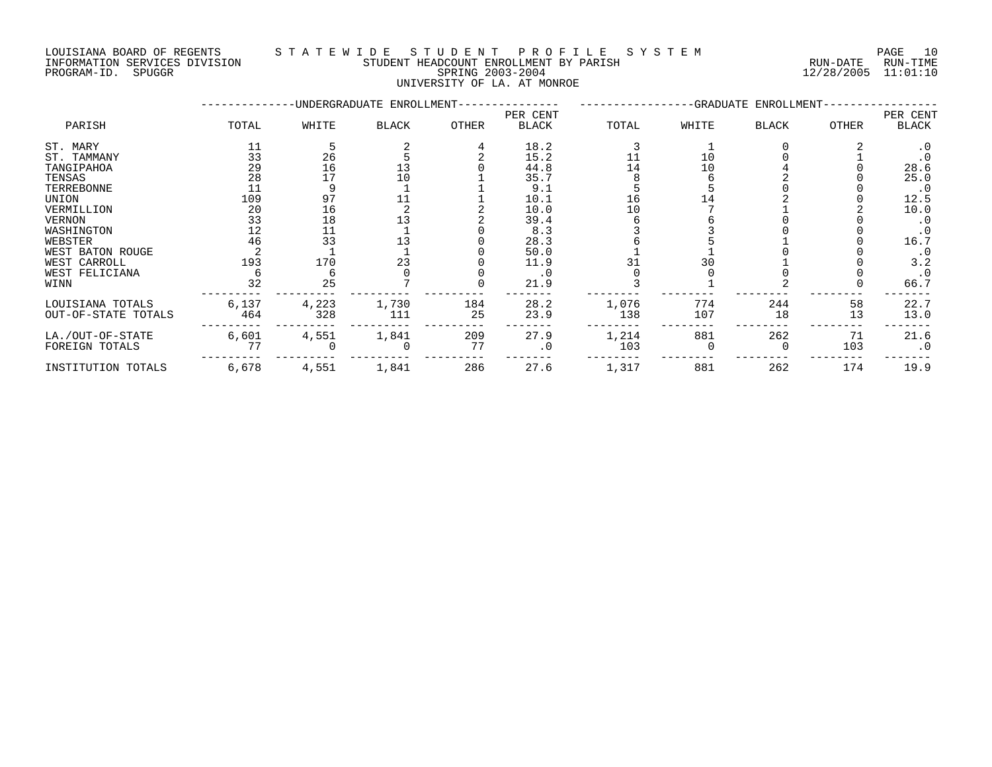#### LOUISIANA BOARD OF REGENTS S T A T E W I D E S T U D E N T P R O F I L E S Y S T E M PAGE 10 INFORMATION SERVICES DIVISION STUDENT HEADCOUNT ENROLLMENT BY PARISH RUN-DATE RUN-TIME PROGRAM-ID. SPUGGR SPRING 2003-2004 12/28/2005 11:01:10

UNIVERSITY OF LA. AT MONROE

|                     |       |       | -UNDERGRADUATE ENROLLMENT- |       |                          |       |       | -GRADUATE ENROLLMENT |              |                   |
|---------------------|-------|-------|----------------------------|-------|--------------------------|-------|-------|----------------------|--------------|-------------------|
| PARISH              | TOTAL | WHITE | <b>BLACK</b>               | OTHER | PER CENT<br><b>BLACK</b> | TOTAL | WHITE | <b>BLACK</b>         | <b>OTHER</b> | PER CENT<br>BLACK |
| ST. MARY            | 11    |       |                            |       | 18.2                     |       |       |                      |              | $\cdot$ 0         |
| ST. TAMMANY         | 33    | 26    |                            |       | 15.2                     |       | 10    |                      |              |                   |
| TANGIPAHOA          | 29    | 16    |                            |       | 44.8                     | 14    | 10    |                      |              | 28.6              |
| TENSAS              | 28    | 17    | 10                         |       | 35.7                     |       |       |                      |              | 25.0              |
| TERREBONNE          |       |       |                            |       | 9.1                      |       |       |                      |              | $\cdot$ 0         |
| UNION               | 109   | 97    |                            |       | 10.1                     | 16    |       |                      |              | 12.5              |
| VERMILLION          | 20    | 16    |                            |       | 10.0                     |       |       |                      |              | 10.0              |
| VERNON              | 33    | 18    |                            |       | 39.4                     |       |       |                      |              | $\cdot$ 0         |
| WASHINGTON          | 12    |       |                            |       | 8.3                      |       |       |                      |              |                   |
| WEBSTER             | 46    | 33    |                            |       | 28.3                     |       |       |                      |              | 16.7              |
| WEST BATON ROUGE    |       |       |                            |       | 50.0                     |       |       |                      |              | . 0               |
| WEST CARROLL        | 193   | 170   | 23                         |       | 11.9                     |       | 30    |                      |              | 3.2               |
| WEST FELICIANA      |       |       |                            |       | . 0                      |       |       |                      |              | $\cdot$ 0         |
| WINN                | 32    | 25    |                            |       | 21.9                     |       |       |                      |              | 66.7              |
| LOUISIANA TOTALS    | 6,137 | 4,223 | 1,730                      | 184   | 28.2                     | 1,076 | 774   | 244                  | 58           | 22.7              |
| OUT-OF-STATE TOTALS | 464   | 328   | 111                        | 25    | 23.9                     | 138   | 107   | 18                   | 13           | 13.0              |
| LA./OUT-OF-STATE    | 6,601 | 4,551 | 1,841                      | 209   | 27.9                     | 1,214 | 881   | 262                  | 71           | 21.6              |
| FOREIGN TOTALS      | 77    |       |                            | 77    | . 0                      | 103   |       | 0                    | 103          | $\cdot$ 0         |
| INSTITUTION TOTALS  | 6,678 | 4,551 | 1,841                      | 286   | 27.6                     | 1,317 | 881   | 262                  | 174          | 19.9              |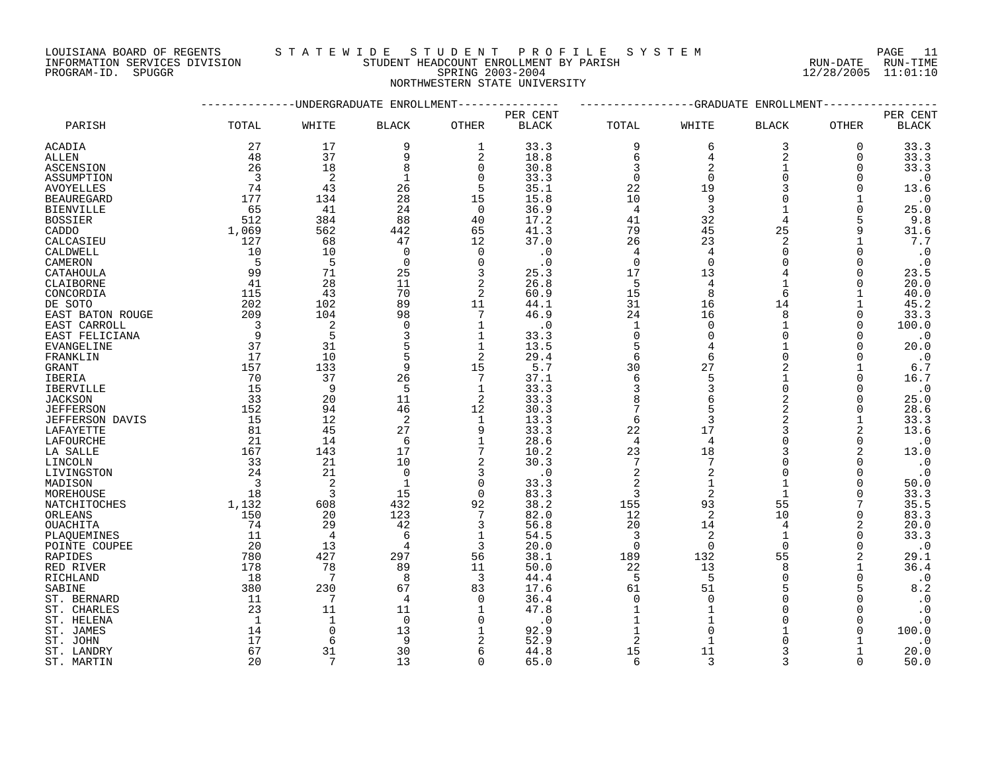LOUISIANA BOARD OF REGENTS STA TEWIDE STUDENT PROFILE SYSTEM NATIONAL PAGE 11

INFORMATION SERVICES DIVISION STUDENT HEADCOUNT ENROLLMENT BY PARISH RUN-DATE RUN-TIME

# PROGRAM-ID. SPUGGR SPRING 2003-2004 12/28/2005 11:01:10 NORTHWESTERN STATE UNIVERSITY

|                        |                          |                | -UNDERGRADUATE ENROLLMENT |                 |              |                 |                | -GRADUATE ENROLLMENT |                |              |
|------------------------|--------------------------|----------------|---------------------------|-----------------|--------------|-----------------|----------------|----------------------|----------------|--------------|
|                        |                          |                |                           |                 | PER CENT     |                 |                |                      |                | PER CENT     |
| PARISH                 | TOTAL                    | WHITE          | <b>BLACK</b>              | <b>OTHER</b>    | <b>BLACK</b> | TOTAL           | WHITE          | <b>BLACK</b>         | <b>OTHER</b>   | <b>BLACK</b> |
| ACADIA                 | 27                       | 17             | 9                         | 1               | 33.3         | 9               | 6              | 3                    | 0              | 33.3         |
| ALLEN                  | 48                       | 37             | 9                         | 2               | 18.8         | 6               | 4              | $\overline{2}$       | $\Omega$       | 33.3         |
|                        |                          |                |                           |                 |              |                 |                | $\mathbf{1}$         |                |              |
| <b>ASCENSION</b>       | 26                       | 18             | 8                         | $\mathbf 0$     | 30.8         | 3               | $\overline{2}$ |                      | 0              | 33.3         |
| ASSUMPTION             | $\overline{3}$           | 2              | 1                         | $\Omega$        | 33.3         | $\Omega$        | $\Omega$       | $\Omega$             | $\Omega$       | $\cdot$ 0    |
| <b>AVOYELLES</b>       | 74                       | 43             | 26                        | 5               | 35.1         | 22              | 19             | $\mathbf{3}$         | $\Omega$       | 13.6         |
| <b>BEAUREGARD</b>      | 177                      | 134            | 28                        | 15              | 15.8         | 10              | 9              | $\Omega$             | 1              | $\cdot$ 0    |
| <b>BIENVILLE</b>       | 65                       | 41             | 24                        | $\Omega$        | 36.9         | 4               | 3              | $\mathbf{1}$         | $\Omega$       | 25.0         |
| <b>BOSSIER</b>         | 512                      | 384            | 88                        | 40              | 17.2         | 41              | 32             | 4                    | 5              | 9.8          |
| CADDO                  | 1,069                    | 562            | 442                       | 65              | 41.3         | 79              | 45             | 25                   | 9              | 31.6         |
| CALCASIEU              | 127                      | 68             | 47                        | 12              | 37.0         | 26              | 23             | $\overline{2}$       |                | 7.7          |
|                        | 10                       | 10             | $\mathbf 0$               | $\Omega$        | $\cdot$ 0    | 4               | $\overline{4}$ | $\Omega$             | $\Omega$       | $\cdot$ 0    |
| CALDWELL               |                          |                |                           |                 |              |                 | $\Omega$       | $\Omega$             |                |              |
| CAMERON                | 5                        | .5             | $\Omega$                  | $\Omega$        | $\cdot$ 0    | $\Omega$        |                |                      | $\Omega$       | $\cdot$ 0    |
| CATAHOULA              | 99                       | 71             | 25                        | 3               | 25.3         | 17              | 13             |                      | $\Omega$       | 23.5         |
| CLAIBORNE              | 41                       | 28             | 11                        | 2               | 26.8         | 5               | 4              | $\mathbf{1}$         | $\Omega$       | 20.0         |
| CONCORDIA              | 115                      | 43             | 70                        | 2               | 60.9         | 15              | 8              | 6                    | $\mathbf{1}$   | 40.0         |
| DE SOTO                | 202                      | 102            | 89                        | 11              | 44.1         | 31              | 16             | 14                   | 1              | 45.2         |
| EAST BATON ROUGE       | 209                      | 104            | 98                        | $7\phantom{.0}$ | 46.9         | 24              | 16             | 8                    | 0              | 33.3         |
| EAST CARROLL           | $\overline{\phantom{a}}$ | 2              | $\Omega$                  | $\mathbf 1$     | $\cdot$ 0    | $\mathbf{1}$    | $\Omega$       |                      | $\Omega$       | 100.0        |
| EAST FELICIANA         | $\overline{9}$           | 5              | 3                         | 1               | 33.3         | $\mathbf 0$     | $\Omega$       | $\Omega$             | $\Omega$       | $\cdot$ 0    |
| EVANGELINE             | 37                       | 31             | 5                         | 1               | 13.5         | 5               | 4              |                      | <sup>n</sup>   | 20.0         |
| FRANKLIN               | 17                       | 10             | 5                         | 2               | 29.4         | 6               | 6              | $\Omega$             | $\Omega$       | $\cdot$ 0    |
|                        | 157                      | 133            | 9                         | 15              | 5.7          | 30              | 27             | 2                    | 1              | $6.7$        |
| GRANT                  |                          |                |                           |                 |              |                 |                |                      |                |              |
| IBERIA                 | 70                       | 37             | 26                        | $7\phantom{.0}$ | 37.1         | 6               | 5              |                      | $\Omega$       | 16.7         |
| IBERVILLE              | 15                       | 9              | 5                         | $\mathbf{1}$    | 33.3         | 3               | 3              | $\Omega$             | $\Omega$       | $\cdot$ 0    |
| <b>JACKSON</b>         | 33                       | 20             | 11                        | 2               | 33.3         | 8               | 6              | $\overline{2}$       | $\Omega$       | 25.0         |
| <b>JEFFERSON</b>       | 152                      | 94             | 46                        | 12              | 30.3         | 7               |                | 2                    | $\Omega$       | 28.6         |
| <b>JEFFERSON DAVIS</b> | 15                       | 12             | 2                         | 1               | 13.3         | 6               | 3              | $\overline{2}$       | 1              | 33.3         |
| LAFAYETTE              | 81                       | 45             | 27                        | 9               | 33.3         | 22              | 17             | 3                    | $\overline{a}$ | 13.6         |
| LAFOURCHE              | -21                      | 14             | 6                         | 1               | 28.6         | $\overline{4}$  | 4              | $\Omega$             | 0              | $\cdot$ 0    |
| LA SALLE               | 167                      | 143            | 17                        | 7               | 10.2         | 23              | 18             | 3                    | 2              | 13.0         |
| LINCOLN                | 33                       | 21             | 10                        | $\overline{a}$  | 30.3         | $7\phantom{.0}$ | 7              | $\Omega$             | $\Omega$       | $\cdot$ 0    |
| LIVINGSTON             | 24                       | 21             | $\Omega$                  | 3               | $\cdot$ 0    | 2               | $\overline{2}$ | $\Omega$             | $\Omega$       | $\cdot$ 0    |
| MADISON                | $\overline{\mathbf{3}}$  | 2              | $\mathbf{1}$              | $\Omega$        | 33.3         | 2               | $\mathbf{1}$   |                      | $\Omega$       | 50.0         |
| MOREHOUSE              | 18                       | 3              | 15                        | $\Omega$        | 83.3         | 3               | 2              |                      | $\Omega$       | 33.3         |
|                        |                          |                | 432                       |                 | 38.2         | 155             | 93             | 55                   |                | 35.5         |
| NATCHITOCHES           | 1,132                    | 608            |                           | 92              |              |                 |                |                      |                |              |
| ORLEANS                | 150                      | 20             | 123                       | 7               | 82.0         | 12              | 2              | 10                   | $\Omega$       | 83.3         |
| <b>OUACHITA</b>        | 74                       | 29             | 42                        | 3               | 56.8         | 20              | 14             | 4                    | 2              | 20.0         |
| PLAQUEMINES            | 11                       | $\overline{4}$ | 6                         | 1               | 54.5         | $\overline{3}$  | 2              | $\mathbf{1}$         | 0              | 33.3         |
| POINTE COUPEE          | 20                       | 13             | 4                         | 3               | 20.0         | $\overline{0}$  | $\Omega$       | $\Omega$             | $\Omega$       | $\cdot$ 0    |
| RAPIDES                | 780                      | 427            | 297                       | 56              | 38.1         | 189             | 132            | 55                   | 2              | 29.1         |
| RED RIVER              | 178                      | 78             | 89                        | 11              | 50.0         | 22              | 13             | 8                    | 1              | 36.4         |
| RICHLAND               | 18                       | -7             | 8                         | 3               | 44.4         | 5               | - 5            | $\Omega$             | $\Omega$       | $\cdot$ 0    |
| SABINE                 | 380                      | 230            | 67                        | 83              | 17.6         | 61              | 51             | 5                    |                | 8.2          |
| ST. BERNARD            | -11                      | 7              | 4                         | $\Omega$        | 36.4         | $\Omega$        | $\Omega$       | $\Omega$             |                | $\cdot$ 0    |
| ST. CHARLES            | 23                       | 11             | 11                        | 1               | 47.8         | $\mathbf{1}$    | $\mathbf{1}$   | $\Omega$             | $\Omega$       | $\cdot$ 0    |
| ST. HELENA             | 1                        |                | $\Omega$                  | $\Omega$        | $\cdot$ 0    |                 |                | $\Omega$             | $\Omega$       | $\cdot$ 0    |
| ST. JAMES              | 14                       | $\Omega$       | 13                        |                 | 92.9         |                 |                |                      | $\Omega$       | 100.0        |
| ST. JOHN               | 17                       |                | 9                         | 2               | 52.9         | 2               | 1              | $\Omega$             |                | $\cdot$ 0    |
|                        | 67                       | 31             | 30                        | 6               | 44.8         | 15              | 11             | 3                    | 1              | 20.0         |
| ST. LANDRY             | 20                       |                | 13                        | $\Omega$        |              | 6               | 3              | 3                    | $\Omega$       | 50.0         |
| ST. MARTIN             |                          | 7              |                           |                 | 65.0         |                 |                |                      |                |              |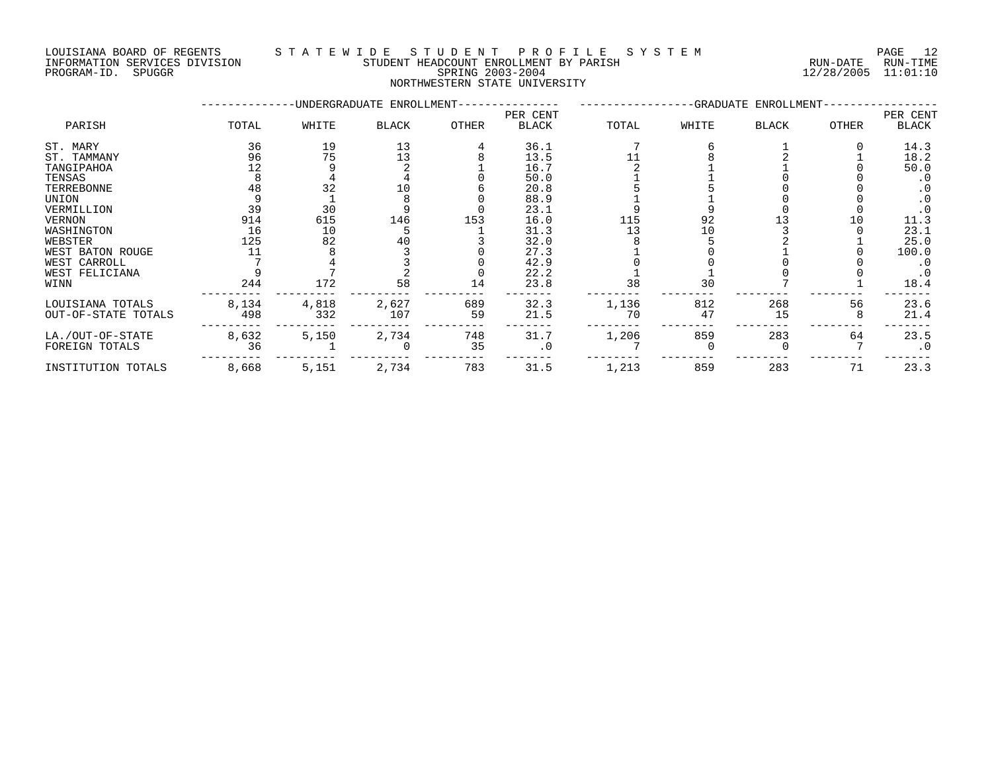LOUISIANA BOARD OF REGENTS S T A T E W I D E S T U D E N T P R O F I L E S Y S T E M PAGE 12 INFORMATION SERVICES DIVISION STUDENT HEADCOUNT ENROLLMENT BY PARISH RUN-DATE RUN-TIME DOUISIANA BOARD OF REGENIS (SUITE A LE ROUL ME ROULD ME ROULD ME ROULD ME ROULD ME ROULD ME RUN-DATE RUN-TIME<br>INFORMATION SERVICES DIVISION STUDENT HEADCOUNT ENROLLMENT BY PARISH (RUN-DATE RUN-TIME SPRING 2003-2004) (12/2

# NORTHWESTERN STATE UNIVERSITY

|                     |       |       | -UNDERGRADUATE ENROLLMENT- |       |              |       |       | -GRADUATE ENROLLMENT- |       |           |
|---------------------|-------|-------|----------------------------|-------|--------------|-------|-------|-----------------------|-------|-----------|
|                     |       |       |                            |       | PER CENT     |       |       |                       |       | PER CENT  |
| PARISH              | TOTAL | WHITE | <b>BLACK</b>               | OTHER | <b>BLACK</b> | TOTAL | WHITE | <b>BLACK</b>          | OTHER | BLACK     |
| ST. MARY            | 36    | 19    | 13                         |       | 36.1         |       |       |                       |       | 14.3      |
| ST. TAMMANY         | 96    | 75    | 13                         |       | 13.5         |       |       |                       |       | 18.2      |
| TANGIPAHOA          | 12    |       |                            |       | 16.7         |       |       |                       |       | 50.0      |
| TENSAS              |       |       |                            |       | 50.0         |       |       |                       |       | . 0       |
| TERREBONNE          | 48    | 32    | 10                         |       | 20.8         |       |       |                       |       | $\cdot$ 0 |
| UNION               |       |       |                            |       | 88.9         |       |       |                       |       | $\cdot$ 0 |
| VERMILLION          | 39    | 30    |                            |       | 23.1         |       |       |                       |       |           |
| VERNON              | 914   | 615   | 146                        | 153   | 16.0         | 115   | 92    |                       | 10    | 11.3      |
| WASHINGTON          | 16    | 10    |                            |       | 31.3         | 13    | 10    |                       |       | 23.1      |
| WEBSTER             | 125   | 82    | 40                         |       | 32.0         |       |       |                       |       | 25.0      |
| WEST BATON ROUGE    |       |       |                            |       | 27.3         |       |       |                       |       | 100.0     |
| WEST CARROLL        |       |       |                            |       | 42.9         |       |       |                       |       | $\cdot$ 0 |
| WEST FELICIANA      |       |       |                            |       | 22.2         |       |       |                       |       | $\cdot$ 0 |
| WINN                | 244   | 172   | 58                         | 14    | 23.8         | 38    | 30    |                       |       | 18.4      |
| LOUISIANA TOTALS    | 8,134 | 4,818 | 2,627                      | 689   | 32.3         | 1,136 | 812   | 268                   | 56    | 23.6      |
| OUT-OF-STATE TOTALS | 498   | 332   | 107                        | 59    | 21.5         | 70    | 47    | 15                    |       | 21.4      |
| LA./OUT-OF-STATE    | 8,632 | 5,150 | 2,734                      | 748   | 31.7         | 1,206 | 859   | 283                   | 64    | 23.5      |
| FOREIGN TOTALS      | 36    |       |                            | 35    | . 0          |       |       |                       |       | $\cdot$ 0 |
| INSTITUTION TOTALS  | 8,668 | 5,151 | 2,734                      | 783   | 31.5         | 1,213 | 859   | 283                   | 71    | 23.3      |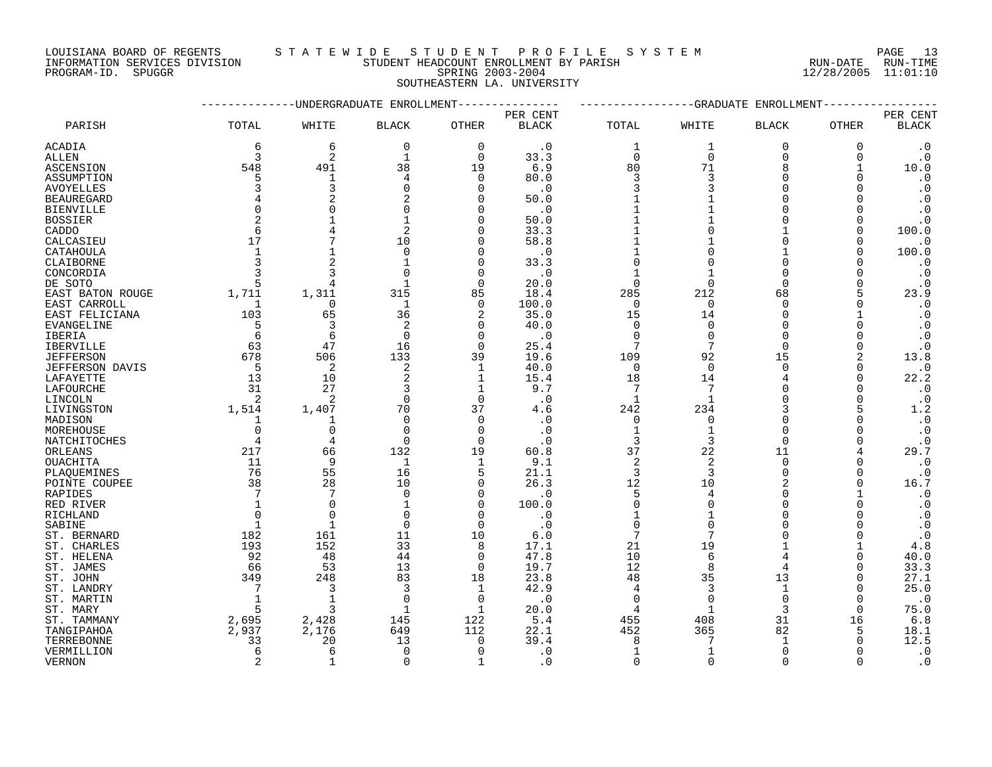LOUISIANA BOARD OF REGENTS S T A T E W I D E S T U D E N T P R O F I L E S Y S T E M PAGE 13 DOUISIANA BOARD OF REGENIS SIALE WIDE SIOURN HEADCOUNT ENROLLMENT BY PARISH<br>INFORMATION SERVICES DIVISION STUDENT HEADCOUNT ENROLLMENT BY PARISH RUN-DATE RUN-TIME<br>PROGRAM-ID. SPUGGR 11:01:10

INFORMATION SERVICES DIVISION STUDENT HEADCOUNT ENROLLMENT BY PARISH RUN-DATE RUN-TIME

SOUTHEASTERN LA. UNIVERSITY

|                           |                |                | -UNDERGRADUATE ENROLLMENT |              |              |                  | -GRADUATE      | ENROLLMENT   |          |                  |
|---------------------------|----------------|----------------|---------------------------|--------------|--------------|------------------|----------------|--------------|----------|------------------|
|                           |                |                |                           |              | PER CENT     |                  |                |              |          | PER CENT         |
| PARISH                    | TOTAL          | WHITE          | <b>BLACK</b>              | OTHER        | <b>BLACK</b> | TOTAL            | WHITE          | <b>BLACK</b> | OTHER    | <b>BLACK</b>     |
| ACADIA                    | 6              | 6              | 0                         | 0            | $\cdot$ 0    | 1                | 1              | $\Omega$     | 0        | $\cdot$ 0        |
| ALLEN                     | 3              | $\overline{2}$ | 1                         | $\Omega$     | 33.3         | $\Omega$         | $\Omega$       | $\Omega$     | $\Omega$ | $\cdot$ 0        |
| ASCENSION                 | 548            | 491            | 38                        | 19           | 6.9          | 80               | 71             | 8            |          | 10.0             |
| ASSUMPTION                |                | 1              | 4                         | 0            | 80.0         | 3                | 3              | <sup>n</sup> | ∩        | $\cdot$ 0        |
| <b>AVOYELLES</b>          |                | 3              | $\Omega$                  | $\Omega$     | $\cdot$ 0    | 3                |                | U            |          | $\cdot$ 0        |
| <b>BEAUREGARD</b>         |                | $\overline{2}$ |                           | O            | 50.0         |                  |                | <sup>n</sup> |          | $\cdot$ 0        |
| <b>BIENVILLE</b>          |                | $\Omega$       |                           | U            | $\cdot$ 0    |                  |                | <sup>n</sup> |          | $\cdot$ 0        |
| <b>BOSSIER</b>            |                | $\mathbf{1}$   | 1                         | U            | 50.0         |                  |                | <sup>n</sup> | $\Omega$ | $\cdot$ 0        |
| CADDO                     | 6              |                | 2                         | U            | 33.3         |                  |                |              | ∩        | 100.0            |
| CALCASIEU                 | 17             |                | 10                        | U            | 58.8         |                  |                | $\Omega$     |          | $\cdot$ 0        |
| CATAHOULA                 | $\overline{1}$ | $\mathbf{1}$   | $\Omega$                  | U            | $\cdot$ 0    |                  |                |              |          | 100.0            |
| CLAIBORNE                 |                |                | $\mathbf{1}$              | U            | 33.3         | $\Omega$         |                | $\Omega$     |          | $\cdot$ 0        |
| CONCORDIA                 |                | 3              | $\cap$                    | O            | $\cdot$ 0    |                  |                | $\Omega$     |          | $\cdot$ 0        |
| DE SOTO                   |                | 4              | $\mathbf{1}$              | $\Omega$     | 20.0         | $\Omega$         | $\Omega$       | $\Omega$     |          | $\cdot$ 0        |
| EAST BATON ROUGE          | 1,711          | 1,311          | 315                       | 85           | 18.4         | 285              | 212            | 68           |          | 23.9             |
| EAST CARROLL              | 1              | 0              | 1                         | 0            | 100.0        | 0                | $\Omega$       | $\Omega$     |          | $\cdot$ 0        |
| EAST FELICIANA            | 103            | 65             | 36                        | 2            | 35.0         | 15               | 14             | $\Omega$     |          | $\cdot$ 0        |
| EVANGELINE                | 5              | 3              | 2                         | 0            | 40.0         | 0                | 0              | $\Omega$     | O        | $\cdot$ 0        |
| IBERIA                    | 6              | 6              | $\Omega$                  | 0            | . 0          | 0                | $\Omega$       | $\Omega$     |          | $\cdot$ 0        |
| <b>IBERVILLE</b>          | 63             | 47             | 16                        | $\Omega$     | 25.4         | 7                | 7              | $\Omega$     |          | $\cdot$ 0        |
| <b>JEFFERSON</b>          | 678            | 506            | 133                       | 39           | 19.6         | 109              | 92             | 15           | 2        | 13.8             |
| JEFFERSON DAVIS           | - 5            | 2              | 2                         | 1            | 40.0         | $\mathbf 0$      | $\Omega$       | $\Omega$     | $\Omega$ | $\cdot$ 0        |
| LAFAYETTE                 | 13             | 10             |                           | 1            | 15.4         | 18               | 14             |              | $\Omega$ | 22.2             |
| LAFOURCHE                 | 31             | 27             | 3                         | 1            | 9.7          | 7                | 7              |              |          | $\cdot$ 0        |
| LINCOLN                   | 2              | 2              | $\Omega$                  | $\Omega$     | $\cdot$ 0    | 1                | $\mathbf{1}$   | <sup>n</sup> |          | $\cdot$ 0        |
| LIVINGSTON                | 1,514          | 1,407          | 70                        | 37           | 4.6          | 242              | 234            |              | 5        | 1.2              |
| MADISON                   | $\mathbf{1}$   | 1              | $\Omega$                  | $\Omega$     | . 0          | 0                | $\Omega$       | <sup>n</sup> |          | $\cdot$ 0        |
| MOREHOUSE                 | $\Omega$       | 0              | $\Omega$                  | 0            | $\cdot$ 0    | $\mathbf{1}$     |                | $\Omega$     |          | $\cdot$ 0        |
| NATCHITOCHES              | $\overline{4}$ | 4              | $\Omega$                  | $\Omega$     | $\cdot$ 0    | 3                | 3              | $\Omega$     |          | $\cdot$ 0        |
| ORLEANS                   | 217            | 66             | 132                       | 19           | 60.8         | 37               | 22             | 11           |          | 29.7             |
| OUACHITA                  | 11             | 9              | 1                         | 1            | 9.1          | $\overline{2}$   | $\overline{2}$ | $\Omega$     |          | $\cdot$ 0        |
| PLAOUEMINES               | 76             | 55             | 16                        | 5            | 21.1         | 3                | 3              | $\Omega$     | ∩        | $\cdot$ 0        |
| POINTE COUPEE             | 38             | 28             | 10                        | 0            | 26.3         | 12               | 10             |              |          | 16.7             |
| RAPIDES                   |                | 7              | $\Omega$                  | 0            | . 0          | 5                | 4              | $\Omega$     |          | $\cdot$ 0        |
| RED RIVER                 | -1             | $\Omega$       | -1                        | O            | 100.0        | $\Omega$         |                | <sup>n</sup> |          | $\cdot$ 0        |
| RICHLAND                  | $\Omega$       | $\Omega$       | $\Omega$                  | $\Omega$     | . 0          | 1                |                | <sup>n</sup> |          | $\cdot$ 0        |
| SABINE                    | 1              | 1              | $\Omega$                  | 0            | $\cdot$ 0    | $\mathbf 0$<br>7 | O              |              |          | $\cdot$ 0        |
| ST. BERNARD               | 182<br>193     | 161<br>152     | 11<br>33                  | 10           | 6.0<br>17.1  | 21               | 19             |              |          | $\cdot$ 0<br>4.8 |
| ST. CHARLES<br>ST. HELENA | 92             | 48             | 44                        | 8<br>0       | 47.8         | 10               | 6              |              | O        | 40.0             |
| ST. JAMES                 | 66             | 53             | 13                        | $\Omega$     | 19.7         | 12               | 8              | 4            | ∩        | 33.3             |
| ST. JOHN                  | 349            | 248            | 83                        | 18           | 23.8         | 48               | 35             | 13           | O        | 27.1             |
| ST. LANDRY                | 7              | 3              | 3                         | 1            | 42.9         | 4                | 3              | $\mathbf{1}$ | ∩        | 25.0             |
| ST. MARTIN                | $\overline{1}$ | $\mathbf{1}$   | $\Omega$                  | 0            | $\cdot$ 0    | $\mathbf 0$      | $\Omega$       | $\Omega$     | $\Omega$ | $\cdot$ 0        |
| ST. MARY                  |                | ζ              | -1                        | $\mathbf{1}$ | 20.0         | 4                |                | 3            | ∩        | 75.0             |
| ST. TAMMANY               | 2,695          | 2,428          | 145                       | 122          | 5.4          | 455              | 408            | 31           | 16       | 6.8              |
| TANGIPAHOA                | 2,937          | 2,176          | 649                       | 112          | 22.1         | 452              | 365            | 82           | 5        | 18.1             |
| TERREBONNE                | 33             | 20             | 13                        | $\Omega$     | 39.4         | 8                |                |              |          | 12.5             |
| VERMILLION                | 6              | 6              | $\Omega$                  | $\Omega$     | . 0          | 1                |                | $\Omega$     |          | $\cdot$ 0        |
| <b>VERNON</b>             |                |                | $\Omega$                  |              | $\Omega$     | $\cap$           |                |              |          | $\Omega$         |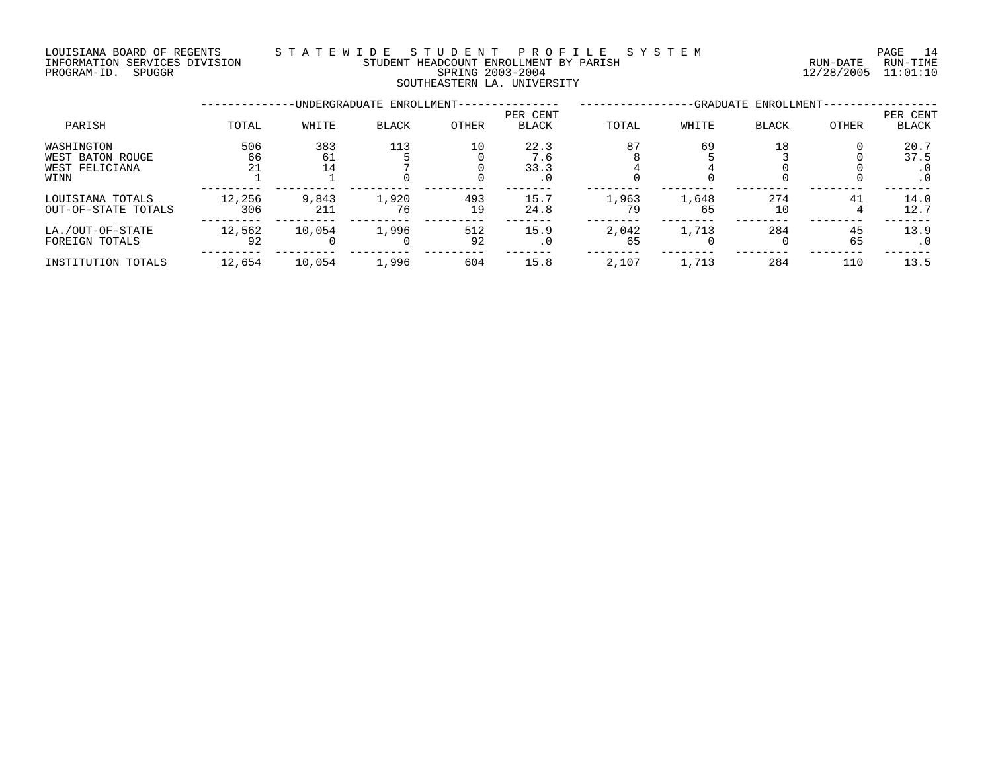### LOUISIANA BOARD OF REGENTS S T A T E W I D E S T U D E N T P R O F I L E S Y S T E M PAGE 14 INFORMATION SERVICES DIVISION STUDENT HEADCOUNT ENROLLMENT BY PARISH RUN-DATE RUN-TIME DOULSIANA BOARD OF REGENIS<br>INFORMATION SERVICES DIVISION STUDENT HEADCOUNT ENROLLMENT BY PARISH<br>PROGRAM-ID. SPUGGR 11:01:10<br>PROGRAM-ID. SPUGGR SOUTHEASTERN LA. UNIVERSITY

|                                                          |                 |                 | -UNDERGRADUATE ENROLLMENT- |           | -GRADUATE ENROLLMENT-      |             |             |              |          |                                  |
|----------------------------------------------------------|-----------------|-----------------|----------------------------|-----------|----------------------------|-------------|-------------|--------------|----------|----------------------------------|
| PARISH                                                   | TOTAL           | WHITE           | <b>BLACK</b>               | OTHER     | PER CENT<br><b>BLACK</b>   | TOTAL       | WHITE       | <b>BLACK</b> | OTHER    | PER CENT<br><b>BLACK</b>         |
| WASHINGTON<br>WEST BATON ROUGE<br>WEST FELICIANA<br>WINN | 506<br>66<br>21 | 383<br>61<br>14 | 113                        | 10        | 22.3<br>7.6<br>33.3<br>. 0 | 87          | 69          | 18           |          | 20.7<br>37.5<br>. 0<br>$\cdot$ 0 |
| LOUISIANA TOTALS<br>OUT-OF-STATE TOTALS                  | 12,256<br>306   | 9,843<br>211    | 1,920<br>76                | 493<br>19 | 15.7<br>24.8               | 1,963<br>79 | 1,648<br>65 | 274<br>10    | 41       | 14.0<br>12.7                     |
| LA./OUT-OF-STATE<br>FOREIGN TOTALS                       | 12,562<br>92    | 10,054          | 1,996<br>$\Omega$          | 512<br>92 | 15.9<br>. 0                | 2,042<br>65 | 1,713       | 284          | 45<br>65 | 13.9<br>$\cdot$ 0                |
| INSTITUTION TOTALS                                       | 12,654          | 10,054          | 1,996                      | 604       | 15.8                       | 2,107       | 1,713       | 284          | 110      | 13.5                             |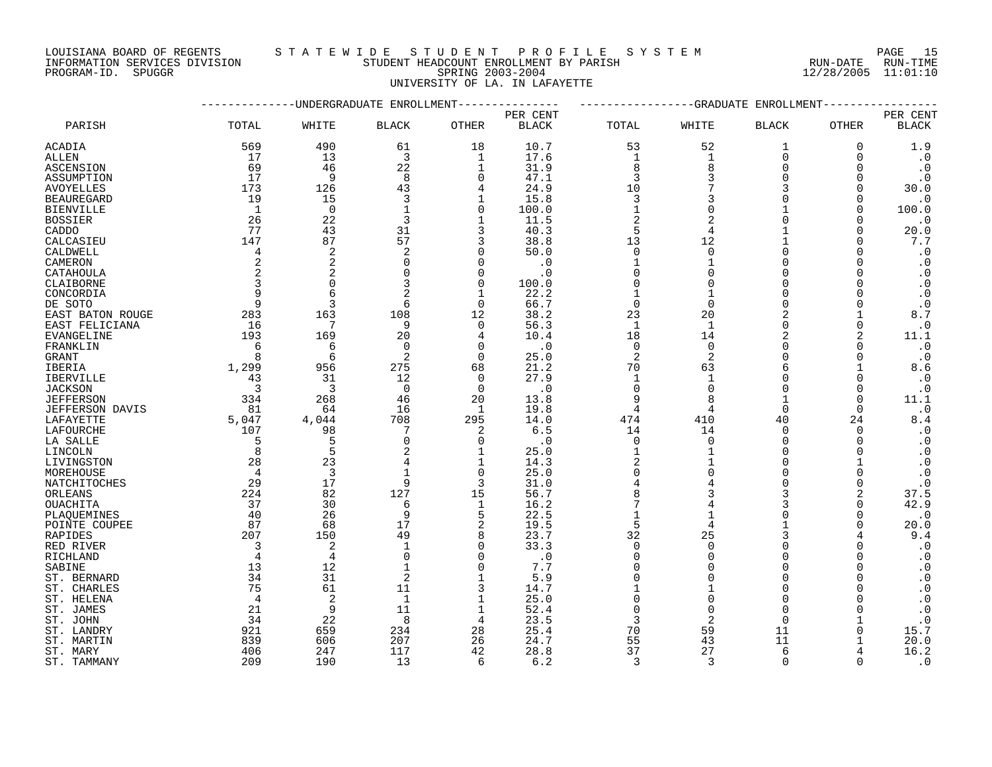PROGRAM-ID. SPUGGR SPRING 2003-2004 12/28/2005 11:01:10

# LOUISIANA BOARD OF REGENTS STATEWIDE STUDE NT PROFILE SYSTEM PAGE 15<br>INFORMATION SERVICES DIVISION STUDENT HEADCOUNT ENROLLMENT BY PARISH NUN-DATE RUN-TIME STUDENT HEADCOUNT ENROLLMENT BY PARISH

UNIVERSITY OF LA. IN LAFAYETTE

| ---------UNDERGRADUATE ENROLLMENT------------- |                |                |                   | ------------GRADUATE ENROLLMENT- |              |                      |                |                      |              |                                     |
|------------------------------------------------|----------------|----------------|-------------------|----------------------------------|--------------|----------------------|----------------|----------------------|--------------|-------------------------------------|
|                                                |                |                |                   |                                  | PER CENT     |                      |                |                      |              | PER CENT                            |
| PARISH                                         | TOTAL          | WHITE          | <b>BLACK</b>      | OTHER                            | <b>BLACK</b> | TOTAL                | WHITE          | <b>BLACK</b>         | <b>OTHER</b> | <b>BLACK</b>                        |
| ACADIA                                         | 569            | 490            | 61                | 18                               | 10.7         | 53                   | 52             | 1                    | 0            | 1.9                                 |
| ALLEN                                          | 17             | 13             | 3                 | 1                                | 17.6         | 1                    | 1              | $\mathbf 0$          | 0            | $\cdot$ 0                           |
| ASCENSION                                      | 69             | 46             | 22                | 1                                | 31.9         | 8                    | $\mathsf{R}$   | $\Omega$             | $\Omega$     | $\cdot$ 0                           |
| ASSUMPTION                                     | 17             | 9              | 8                 | $\mathbf 0$                      | 47.1         | 3                    | 3              | $\Omega$             | $\Omega$     | $\cdot$ 0                           |
| AVOYELLES                                      | 173            | 126            | 43                | 4                                | 24.9         | 10                   | 7              | 3                    | $\Omega$     | 30.0                                |
| <b>BEAUREGARD</b>                              | 19             | 15             | 3                 | 1                                | 15.8         | 3                    | 3              | $\Omega$             | $\Omega$     | $\cdot$ 0                           |
| <b>BIENVILLE</b>                               | $\overline{1}$ | $\overline{0}$ | $\mathbf{1}$      | $\Omega$                         | 100.0        | $\mathbf{1}$         | $\Omega$       |                      | $\Omega$     | 100.0                               |
| <b>BOSSIER</b>                                 | 26             | 22             | 3                 | $\mathbf 1$                      | 11.5         | $\sqrt{2}$           | $\overline{2}$ | $\Omega$             | 0            | $\cdot$ 0                           |
| CADDO                                          | 77             | 43             | 31                | 3                                | 40.3         | 5                    | $\overline{4}$ |                      | $\Omega$     | 20.0                                |
| CALCASIEU                                      | 147            | 87             | 57                | 3                                | 38.8         | 13                   | 12             |                      | $\Omega$     | $7\,.7$                             |
| CALDWELL                                       | $\overline{4}$ | 2              | 2                 | $\Omega$                         | 50.0         | $\mathbf 0$          | $\Omega$       | $\Omega$             | $\Omega$     | $\cdot$ 0                           |
| CAMERON                                        | 2              | $\overline{c}$ | $\mathbf 0$       | $\Omega$                         | $\cdot$ 0    | $\mathbf{1}$         |                | $\Omega$             | $\Omega$     | $\cdot$ 0                           |
| CATAHOULA                                      | 2              | 2              | $\mathbf 0$       | $\Omega$                         | $\cdot$ 0    | $\mathbf 0$          |                | $\Omega$             | $\Omega$     | $\cdot$ 0                           |
| CLAIBORNE                                      | 3              | $\Omega$       | 3                 | $\Omega$                         | 100.0        | $\Omega$             | $\Omega$       | $\Omega$             |              | $\cdot$ 0                           |
| CONCORDIA                                      | 9              | 6              | 2                 | $\mathbf{1}$                     | 22.2         | $\mathbf{1}$         |                | $\Omega$             | $\Omega$     | $\cdot$ 0                           |
| DE SOTO                                        | 9              | 3              | 6                 | $\Omega$                         | 66.7         | $\mathbf 0$          | $\Omega$       | $\Omega$             | $\Omega$     | $\cdot$ 0                           |
| EAST BATON ROUGE                               | 283            | 163            | 108               | 12                               | 38.2         | 23                   | 20             | 2                    |              | 8.7                                 |
| EAST FELICIANA                                 | 16             | 7              | 9                 | $\Omega$                         | 56.3         | $\mathbf{1}$         | $\overline{1}$ | $\Omega$             | $\Omega$     | $\cdot$ 0                           |
| EVANGELINE                                     | 193            | 169            | 20                | 4                                | 10.4         | 18                   | 14             | $\overline{2}$       | 2            | 11.1                                |
| FRANKLIN                                       | 6              | 6              | $\mathbf 0$       | $\Omega$                         | $\cdot$ 0    | 0                    | $\Omega$       | $\Omega$             | $\Omega$     | $\cdot$ 0                           |
| GRANT                                          | 8              | 6              | 2                 | $\Omega$                         | 25.0         | 2                    | 2              | $\Omega$             | $\Omega$     | $\cdot$ 0                           |
| IBERIA                                         | 1,299          | 956            | 275               | 68                               | 21.2         | 70                   | 63             | $\epsilon$           |              | 8.6                                 |
| <b>IBERVILLE</b>                               | 43             | 31             | 12                | $\Omega$                         | 27.9         | $\mathbf{1}$         | $\mathbf{1}$   | $\Omega$             | $\Omega$     | $\cdot$ 0                           |
| <b>JACKSON</b>                                 | 3              | $\overline{3}$ | $\overline{0}$    | $\Omega$                         | $\cdot$ 0    | $\mathbf 0$          | $\Omega$       | $\Omega$             | 0            | $\cdot$ 0                           |
| <b>JEFFERSON</b>                               | 334            | 268            | 46                | 20                               | 13.8         | 9                    |                |                      | $\Omega$     | 11.1                                |
| <b>JEFFERSON DAVIS</b>                         | 81             | 64             | 16                | 1                                | 19.8         | 4                    | 4              | $\Omega$             | $\Omega$     | $\cdot$ 0                           |
| LAFAYETTE                                      | 5,047          | 4,044          | 708               | 295                              | 14.0         | 474                  | 410            | 40                   | 24           | $8.4$                               |
| LAFOURCHE                                      | 107            | 98             | 7                 | 2                                | 6.5          | 14                   | 14             | $\Omega$             | $\Omega$     | $\cdot$ 0                           |
|                                                | -5             | 5              | $\Omega$          | $\Omega$                         | $\cdot$ 0    | $\mathbf 0$          | $\Omega$       | $\Omega$             | $\Omega$     | $\cdot$ 0                           |
| LA SALLE<br>LINCOLN                            | 8              | 5              |                   | 1                                | 25.0         | $\mathbf{1}$         |                | $\Omega$             | $\Omega$     |                                     |
| LIVINGSTON                                     | 28             | 23             |                   | $\mathbf 1$                      | 14.3         | $\overline{c}$       |                | $\Omega$             |              | $\cdot$ 0<br>$\boldsymbol{\cdot}$ 0 |
| MOREHOUSE                                      | 4              | 3              |                   | $\Omega$                         | 25.0         | $\mathbf 0$          |                | $\Omega$             | $\Omega$     | $\cdot$ 0                           |
|                                                | 29             | 17             | 9                 | 3                                | 31.0         |                      |                | $\Omega$             | $\Omega$     | $\cdot$ 0                           |
| NATCHITOCHES<br>ORLEANS                        | 224            | 82             | 127               | 15                               | 56.7         | 8                    |                | 3                    | 2            | 37.5                                |
| <b>OUACHITA</b>                                | 37             | 30             | 6                 |                                  | 16.2         | 7                    |                |                      | $\Omega$     | 42.9                                |
|                                                | 40             | 26             | 9                 | 1<br>5                           | 22.5         | $\mathbf{1}$         | $\mathbf{1}$   | $\Omega$             | $\Omega$     | $\cdot$ 0                           |
| PLAQUEMINES                                    | 87             | 68             | 17                | 2                                | 19.5         | 5                    | $\overline{4}$ |                      | $\Omega$     | 20.0                                |
| POINTE COUPEE                                  | 207            | 150            | 49                | 8                                | 23.7         | 32                   | 25             | 3                    |              | 9.4                                 |
| RAPIDES                                        | $\overline{3}$ |                | $\mathbf{1}$      | $\overline{0}$                   |              | $\mathbf 0$          | $\Omega$       | $\Omega$             | $\Omega$     |                                     |
| RED RIVER                                      |                | $\overline{c}$ |                   |                                  | 33.3         |                      | $\Omega$       | $\Omega$             |              | $\cdot$ 0                           |
| RICHLAND                                       | $\overline{4}$ | $\overline{4}$ | $\Omega$          | $\Omega$                         | $\cdot$ 0    | $\Omega$             | $\Omega$       | $\Omega$             |              | $\cdot$ 0                           |
| SABINE                                         | 13<br>34       | 12<br>31       | $\mathbf{1}$<br>2 | $\Omega$<br>$\mathbf{1}$         | 7.7<br>5.9   | $\Omega$<br>$\Omega$ |                | $\Omega$             | $\Omega$     | $\cdot$ 0                           |
| ST. BERNARD                                    |                |                |                   |                                  |              |                      |                |                      |              | $\cdot$ 0                           |
| ST. CHARLES                                    | 75             | 61             | 11                | 3                                | 14.7         | $\Omega$             | ∩              | $\Omega$<br>$\Omega$ |              | $\cdot$ 0                           |
| ST. HELENA                                     | $\overline{4}$ | 2              | 1                 | 1                                | 25.0         |                      |                |                      |              | $\boldsymbol{\cdot}$ 0              |
| ST. JAMES                                      | 21             | 9              | 11                | 1                                | 52.4         | $\Omega$             | $\Omega$       | $\Omega$             | $\Omega$     | $\cdot$ 0                           |
| ST. JOHN                                       | 34             | 22             | 8                 | $\overline{4}$                   | 23.5         | 3                    | $\overline{2}$ | $\Omega$             |              | $\cdot$ 0                           |
| ST. LANDRY                                     | 921            | 659            | 234               | 28                               | 25.4         | 70                   | 59             | 11                   | 0            | 15.7                                |
| ST. MARTIN                                     | 839            | 606            | 207               | 26                               | 24.7         | 55                   | 43             | 11                   |              | 20.0                                |
| ST. MARY                                       | 406            | 247            | 117               | 42                               | 28.8         | 37                   | 27             | 6                    |              | 16.2                                |
| ST. TAMMANY                                    | 209            | 190            | 13                | 6                                | 6.2          | $\mathbf{3}$         | 3              | $\Omega$             | $\Omega$     | $\cdot$ 0                           |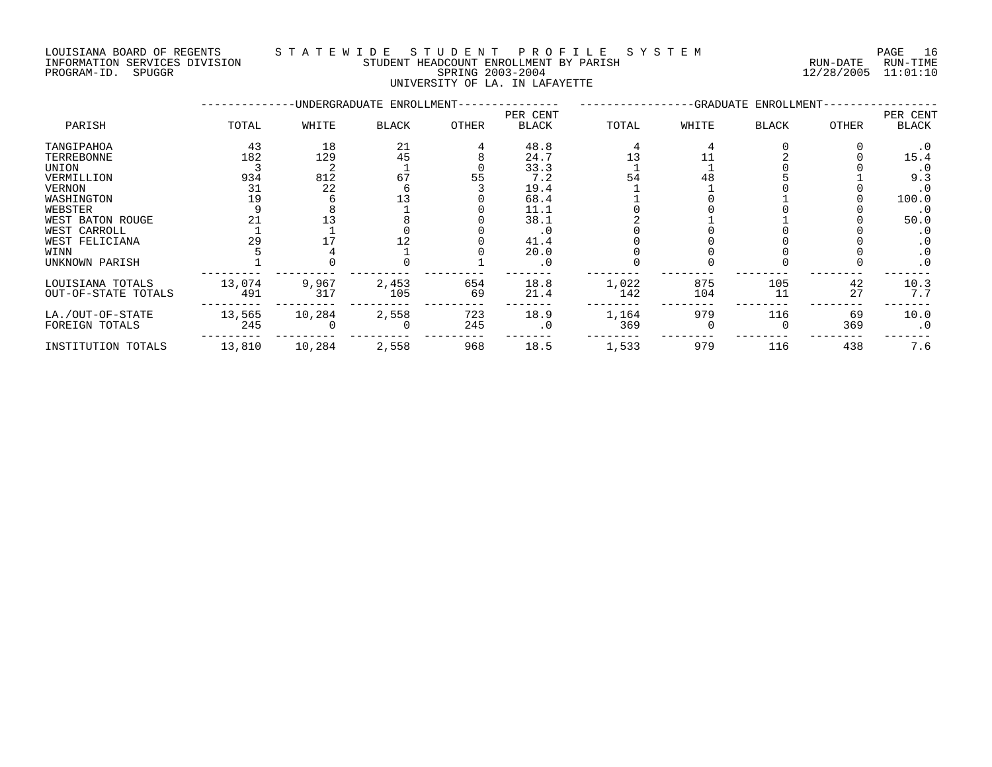# LOUISIANA BOARD OF REGENTS S T A T E W I D E S T U D E N T P R O F I L E S Y S T E M PAGE 16 INFORMATION SERVICES DIVISION STUDENT HEADCOUNT ENROLLMENT BY PARISH RUN-DATE RUN-TIME

# PROGRAM-ID. SPUGGR SPRING 2003-2004 12/28/2005 11:01:10 UNIVERSITY OF LA. IN LAFAYETTE

|                     |        |        | -UNDERGRADUATE ENROLLMENT- |              |                          |       | -GRADUATE ENROLLMENT- |              |              |                   |
|---------------------|--------|--------|----------------------------|--------------|--------------------------|-------|-----------------------|--------------|--------------|-------------------|
| PARISH              | TOTAL  | WHITE  | <b>BLACK</b>               | <b>OTHER</b> | PER CENT<br><b>BLACK</b> | TOTAL | WHITE                 | <b>BLACK</b> | <b>OTHER</b> | PER CENT<br>BLACK |
| TANGIPAHOA          | 43     | 18     | 21                         |              | 48.8                     |       |                       |              |              | . 0               |
| TERREBONNE          | 182    | 129    | 45                         |              | 24.7                     |       |                       |              |              | 15.4              |
| UNION               |        |        |                            |              | 33.3                     |       |                       |              |              |                   |
| VERMILLION          | 934    | 812    | 67                         |              | 7.2                      | 54    |                       |              |              | 9.3               |
| <b>VERNON</b>       | 31     | 22     |                            |              | 19.4                     |       |                       |              |              | . 0               |
| WASHINGTON          | 19     |        |                            |              | 68.4                     |       |                       |              |              | 100.0             |
| WEBSTER             |        |        |                            |              | 11.1                     |       |                       |              |              | . 0               |
| WEST BATON ROUGE    | 21     |        |                            |              | 38.1                     |       |                       |              |              | 50.0              |
| WEST CARROLL        |        |        |                            |              | . 0                      |       |                       |              |              |                   |
| WEST FELICIANA      | 29     |        |                            |              | 41.4                     |       |                       |              |              |                   |
| WINN                |        |        |                            |              | 20.0                     |       |                       |              |              | . 0               |
| UNKNOWN PARISH      |        |        |                            |              | $\cdot$ 0                |       |                       |              |              | $\cdot$ 0         |
| LOUISIANA TOTALS    | 13,074 | 9,967  | 2,453                      | 654          | 18.8                     | 1,022 | 875                   | 105          | 42           | 10.3              |
| OUT-OF-STATE TOTALS | 491    | 317    | 105                        | 69           | 21.4                     | 142   | 104                   | 11           | 27           | 7.7               |
| LA./OUT-OF-STATE    | 13,565 | 10,284 | 2,558                      | 723          | 18.9                     | 1,164 | 979                   | 116          | 69           | 10.0              |
| FOREIGN TOTALS      | 245    |        |                            | 245          | $\cdot$ 0                | 369   |                       |              | 369          | $\cdot$ 0         |
| INSTITUTION TOTALS  | 13,810 | 10,284 | 2,558                      | 968          | 18.5                     | 1,533 | 979                   | 116          | 438          | 7.6               |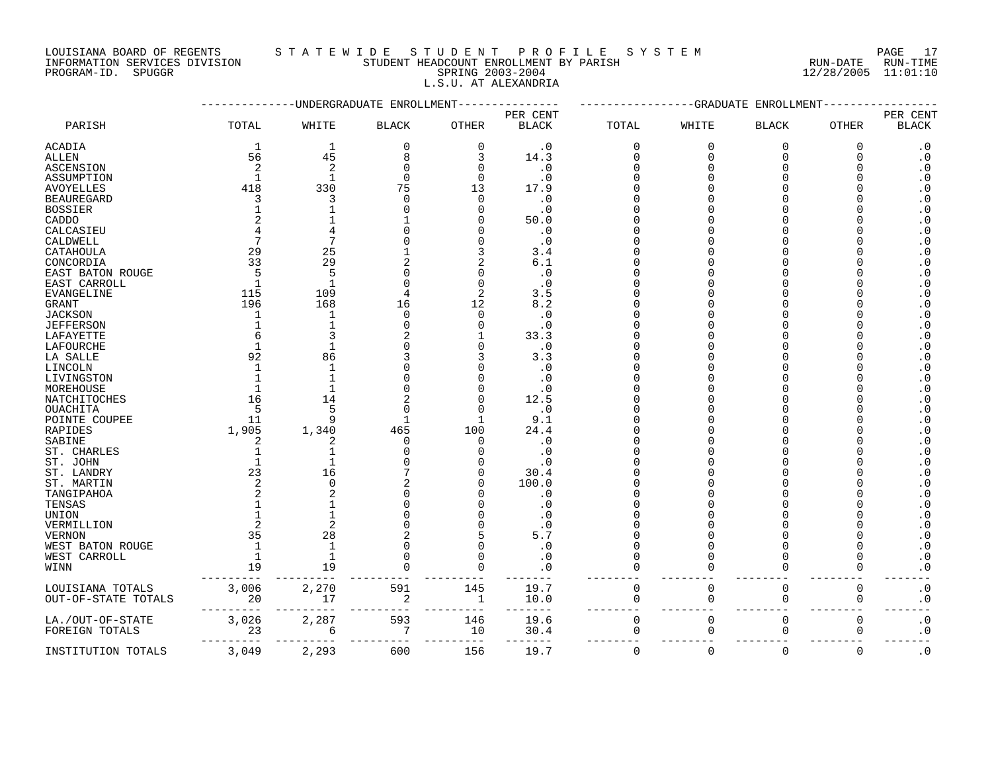LOUISIANA BOARD OF REGENTS STATEWIDE STUDE NT PROFILE SYSTEM PAGE 17<br>INFORMATION SERVICES DIVISION STUDENT HEADCOUNT ENROLLMENT BY PARISH NUN-DATE RUN-TIME INFORMATION SERVICES DIVISION STUDENT HEADCOUNT ENROLLMENT BY PARISH RUN-DATE RUN-TIME

L.S.U. AT ALEXANDRIA

PROGRAM-ID. SPUGGR SPRING 2003-2004 12/28/2005 11:01:10

|                     |                |                | UNDERGRADUATE ENROLLMEN |             |              |             | GRADUATE | ENROLLMEN      |             |                            |
|---------------------|----------------|----------------|-------------------------|-------------|--------------|-------------|----------|----------------|-------------|----------------------------|
|                     |                |                |                         |             | PER CENT     |             |          |                |             | PER CENT                   |
| PARISH              | TOTAL          | WHITE          | <b>BLACK</b>            | OTHER       | <b>BLACK</b> | TOTAL       | WHITE    | <b>BLACK</b>   | OTHER       | $\operatorname{BLACK}$     |
| <b>ACADIA</b>       | 1              | $\mathbf{1}$   | 0                       | $\mathbf 0$ | $\cdot$ 0    | $\mathbf 0$ | $\Omega$ | 0              | 0           | $\cdot$ 0                  |
| ALLEN               | 56             | 45             | 8                       | 3           | 14.3         | $\mathbf 0$ | $\Omega$ | $\Omega$       | $\Omega$    | $\cdot$ 0                  |
| ASCENSION           | $\overline{2}$ | $\overline{c}$ |                         | $\Omega$    | $\cdot$ 0    |             |          |                |             | $\cdot$ 0                  |
| ASSUMPTION          | $\mathbf{1}$   | $\mathbf{1}$   | $\Omega$                | $\Omega$    | $\cdot$ 0    |             |          |                |             | $\overline{0}$             |
| <b>AVOYELLES</b>    | 418            | 330            | 75                      | 13          | 17.9         |             |          |                |             | $\cdot$ 0                  |
| <b>BEAUREGARD</b>   | 3              | 3              | $\Omega$                |             | $\cdot$ 0    |             |          |                |             | . $\boldsymbol{0}$         |
| <b>BOSSIER</b>      |                |                |                         |             | $\cdot$ 0    |             |          |                |             | $\boldsymbol{\cdot}$ 0     |
|                     | $\overline{2}$ |                |                         |             | 50.0         |             |          |                |             | $\boldsymbol{\cdot}$ 0     |
| $\texttt{CADDO}{}$  |                |                |                         |             |              |             |          |                |             | $\boldsymbol{\cdot}$ 0     |
| CALCASIEU           | 7              | 7              |                         |             | $\cdot$ 0    |             |          |                |             |                            |
| CALDWELL            |                |                |                         |             | $\cdot$ 0    |             |          |                |             | $\cdot$ 0                  |
| CATAHOULA           | 29             | 25             |                         |             | 3.4          |             |          |                |             | $\overline{0}$             |
| CONCORDIA           | 33             | 29             |                         |             | 6.1          |             |          |                |             | $\boldsymbol{\cdot}$ 0     |
| EAST BATON ROUGE    | 5              | 5              |                         |             | .0           |             |          |                |             | $\cdot$ 0                  |
| EAST CARROLL        |                |                |                         |             | $\cdot$ 0    |             |          |                |             | $\ddot{0}$                 |
| <b>EVANGELINE</b>   | 115            | 109            |                         | 2           | 3.5          |             |          |                |             | $\cdot$ 0                  |
| <b>GRANT</b>        | 196            | 168            | 16                      | 12          | 8.2          |             |          |                |             | $\cdot$ 0                  |
| <b>JACKSON</b>      | 1              | $\mathbf{1}$   | $\Omega$                | $\Omega$    | $\cdot$ 0    |             |          |                |             | $\cdot$ 0                  |
| <b>JEFFERSON</b>    |                |                |                         |             | $\cdot$ 0    |             |          |                |             | $\cdot$ 0                  |
| LAFAYETTE           | 6              |                |                         |             | 33.3         |             |          |                |             | $\boldsymbol{\cdot}$ 0     |
| LAFOURCHE           |                |                |                         |             | $\cdot$ 0    |             |          |                |             | $\boldsymbol{\cdot}$ 0     |
| LA SALLE            | 92             | 86             |                         |             | 3.3          |             |          |                |             | $\cdot$ 0                  |
| LINCOLN             | $\mathbf{1}$   |                |                         |             | $\cdot$ 0    |             |          |                |             | $\overline{0}$             |
| LIVINGSTON          |                |                |                         |             | $\cdot$ 0    |             |          |                |             | $\boldsymbol{\cdot}$ 0     |
| MOREHOUSE           |                |                |                         |             | $\cdot$ 0    |             |          |                |             | $\cdot$ 0                  |
| NATCHITOCHES        | 16             | 14             |                         |             | 12.5         |             |          |                |             | $\boldsymbol{\cdot}$ 0     |
| OUACHITA            | 5              | 5              | $\Omega$                |             | $\cdot$ 0    |             |          |                |             | $\cdot$ 0                  |
| POINTE COUPEE       | 11             | 9              | $\mathbf{1}$            |             | 9.1          |             |          |                |             | $\cdot$ 0                  |
| RAPIDES             | 1,905          | 1,340          | 465                     | 100         | 24.4         |             |          |                |             | $\boldsymbol{\cdot}$ 0     |
| SABINE              | 2              | 2              | $\mathbf 0$             | $\cap$      | $\cdot$ 0    |             |          |                |             | $\overline{0}$             |
| ST. CHARLES         |                |                |                         |             | $\cdot$ 0    |             |          |                |             | $\cdot$ 0                  |
| ST. JOHN            |                |                |                         |             | $\cdot$ 0    |             |          |                |             | $\boldsymbol{\cdot}$ 0     |
| ST. LANDRY          | 23             | 16             |                         |             | 30.4         |             |          |                |             | $\ddot{0}$                 |
| ST. MARTIN          | 2              | $\Omega$       |                         |             | 100.0        |             |          |                |             | $\cdot$ 0                  |
| TANGIPAHOA          | $\overline{a}$ |                |                         |             | . 0          |             |          |                |             | $\ddot{0}$                 |
| TENSAS              |                |                |                         |             | . 0          |             |          |                |             | $\ddot{0}$                 |
| UNION               |                |                |                         |             |              |             |          |                |             | $\cdot$ 0                  |
| VERMILLION          | $\overline{2}$ | 2              |                         |             | . 0          |             |          |                |             | $\cdot$ 0                  |
| <b>VERNON</b>       | 35             | 28             |                         |             | 5.7          |             |          |                |             | $\boldsymbol{\cdot}$ 0     |
| WEST BATON ROUGE    | 1              | $\mathbf{1}$   |                         |             | $\cdot$ 0    |             |          |                |             | $\cdot$ 0                  |
| WEST CARROLL        | $\mathbf{1}$   |                |                         |             | . 0          |             |          |                |             | $\boldsymbol{\cdot}$ 0     |
| WINN                | 19             | 19             |                         |             | . 0          |             |          | $\Omega$       |             | $\overline{\phantom{0}}$ . |
|                     |                |                |                         |             |              |             |          |                |             |                            |
| LOUISIANA TOTALS    | 3,006          | 2,270          | 591                     | 145         | 19.7         | $\mathbf 0$ | $\Omega$ | $\mathbf 0$    | 0           | $\boldsymbol{\cdot}$ 0     |
| OUT-OF-STATE TOTALS | 20             | 17             | 2                       | 1           | 10.0         | $\mathbf 0$ | 0        | 0              | 0           | $\boldsymbol{\cdot}$ 0     |
|                     |                |                |                         |             |              |             |          |                |             |                            |
| LA./OUT-OF-STATE    | 3,026          | 2,287          | 593                     | 146         | 19.6         | $\mathbf 0$ | $\Omega$ | $\Omega$       | $\Omega$    | $\boldsymbol{\cdot}$ 0     |
| FOREIGN TOTALS      | 23             | 6              | 7                       | 10          | 30.4         | $\Omega$    | ∩        | $\Omega$       | $\Omega$    | $\overline{0}$             |
|                     |                |                |                         |             |              |             |          |                |             |                            |
| INSTITUTION TOTALS  | 3,049          | 2,293          | 600                     | 156         | 19.7         | $\mathbf 0$ | $\Omega$ | $\overline{0}$ | $\mathbf 0$ | $\boldsymbol{\cdot}$ 0     |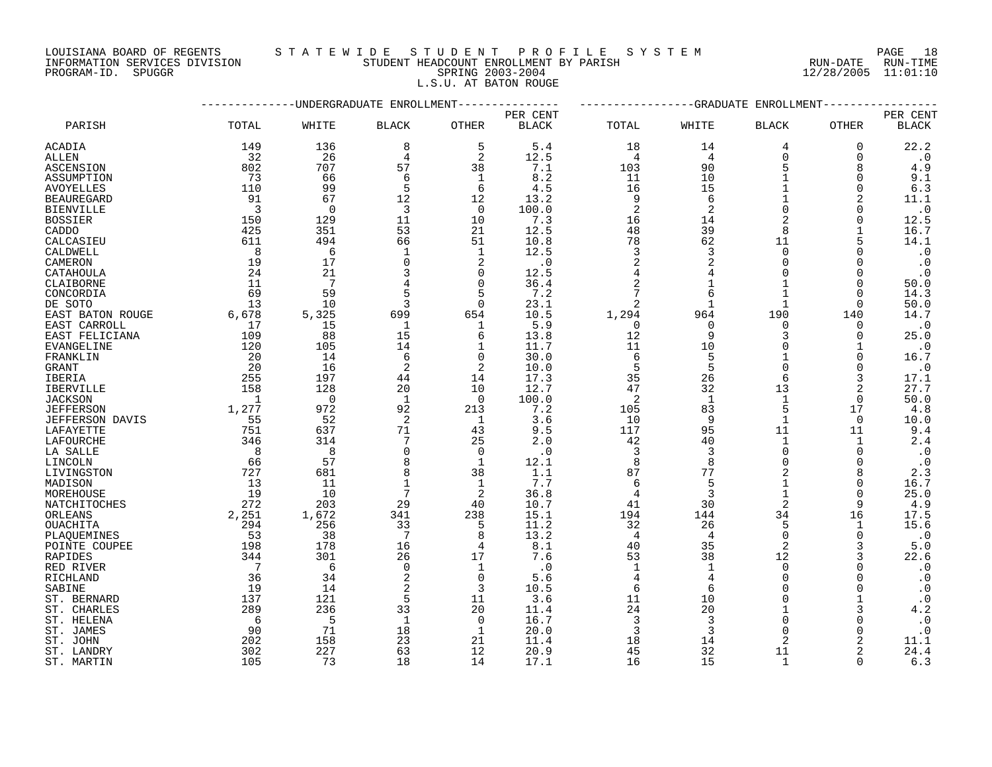LOUISIANA BOARD OF REGENTS S T A T E W I D E S T U D E N T P R O F I L E S Y S T E M PAGE 18

# INFORMATION SERVICES DIVISION STUDENT HEADCOUNT ENROLLMENT BY PARISH RUN-DATE RUN-TIME PROGRAM-ID. SPUGGR SPRING 2003-2004 12/28/2005 11:01:10 L.S.U. AT BATON ROUGE

|                  | ---------      |            | -UNDERGRADUATE ENROLLMENT |                  | ----------------GRADUATE ENROLLMENT |                |                      |                |                |                        |
|------------------|----------------|------------|---------------------------|------------------|-------------------------------------|----------------|----------------------|----------------|----------------|------------------------|
|                  |                |            |                           |                  | PER CENT                            |                |                      |                |                | PER CENT               |
| PARISH           | TOTAL          | WHITE      | <b>BLACK</b>              | <b>OTHER</b>     | <b>BLACK</b>                        | TOTAL          | WHITE                | <b>BLACK</b>   | <b>OTHER</b>   | <b>BLACK</b>           |
| ACADIA           | 149            | 136        | 8                         | 5                | 5.4                                 | 18             | 14                   | 4              | 0              | 22.2                   |
| ALLEN            | 32             | 26         | 4                         | 2                | 12.5                                | 4              | 4                    | $\Omega$       | $\Omega$       | $\cdot$ 0              |
| ASCENSION        | 802            | 707        | 57                        | 38               | 7.1                                 | 103            | 90                   | 5              | 8              | 4.9                    |
| ASSUMPTION       | 73             | 66         | 6                         | 1                | 8.2                                 | 11             | 10                   |                | $\Omega$       | 9.1                    |
| AVOYELLES        | 110            | 99         | 5                         | 6                | 4.5                                 | 16             | 15                   | 1              | $\Omega$       | 6.3                    |
| BEAUREGARD       | 91             | 67         | 12                        | 12               | 13.2                                | 9              | 6                    |                | 2              | 11.1                   |
| BIENVILLE        | $\overline{3}$ | 0          | 3                         | $\mathbf 0$      | 100.0                               | $\overline{2}$ | 2                    | $\Omega$       | ∩              | $\cdot$ 0              |
| BOSSIER          | 150            | 129        | 11                        | 10               | 7.3                                 | 16             | 14                   | 2              | O              | 12.5                   |
| CADDO            | 425            | 351        | 53                        | 21               | 12.5                                | 48             | 39                   | 8              |                | 16.7                   |
| CALCASIEU        | 611            | 494        | 66                        | 51               | 10.8                                | 78             | 62                   | 11             | 5              | 14.1                   |
| CALDWELL         | 8              | 6          | $\mathbf{1}$              | 1                | 12.5                                | 3              | 3                    | $\Omega$       | $\Omega$       | $\cdot$ 0              |
| CAMERON          | 19             | 17         | $\Omega$                  | 2                | $\cdot$ 0                           | $\overline{c}$ |                      | $\Omega$       | ∩              | $\cdot$ 0              |
| CATAHOULA        | 24             | 21         | 3                         | $\mathbf 0$      | 12.5                                | 4              |                      | $\Omega$       | O              | $\cdot$ 0              |
| CLAIBORNE        | 11             | 7          |                           | 0                | 36.4                                | $\overline{2}$ |                      | 1              | 0              | 50.0                   |
| CONCORDIA        | 69             | 59         | 5                         | 5                | 7.2                                 | 7              | 6                    | 1              | $\Omega$       | 14.3                   |
| DE SOTO          | 13             | 10         | 3                         | 0                | 23.1                                | $\overline{2}$ | $\mathbf{1}$         | $\mathbf{1}$   | $\Omega$       | 50.0                   |
| EAST BATON ROUGE | 6,678          | 5,325      | 699                       | 654              | 10.5                                | 1,294          | 964                  | 190            | 140            | 14.7                   |
| EAST CARROLL     | 17             | 15         | $\mathbf{1}$              | 1                | 5.9                                 | 0              | $\mathbf 0$          | $\mathbf 0$    | $\mathbf 0$    | $\cdot$ 0              |
| EAST FELICIANA   | 109            | 88         | 15                        | 6                | 13.8                                | 12             | 9                    | 3              | 0              | 25.0                   |
| EVANGELINE       | 120            | 105        | 14                        | 1                | 11.7                                | 11             | 10                   | $\Omega$       |                | $\cdot$ 0              |
| FRANKLIN         | 20             | 14         | 6                         | 0                | 30.0                                | 6              | 5                    | $\mathbf{1}$   | ∩              | 16.7                   |
| GRANT            | 20             | 16         | 2                         | 2                | 10.0                                | 5              | 5                    | $\Omega$       | $\Omega$       | $\cdot$ 0              |
| IBERIA           | 255            | 197        | 44                        | 14               | 17.3                                | 35             | 26                   | 6              |                | 17.1                   |
| IBERVILLE        | 158            | 128        | 20                        | 10               | 12.7                                | 47             | 32                   | 13             | 2              | 27.7                   |
| JACKSON          | -1             | 0          | -1                        | 0                | 100.0                               | 2              | 1                    | 1              | $\Omega$       | 50.0                   |
| <b>JEFFERSON</b> | 1,277          | 972        | 92                        | 213              | 7.2                                 | 105            | 83                   | 5              | 17             | 4.8                    |
| JEFFERSON DAVIS  | 55             | 52         | 2                         | 1                | 3.6                                 | 10             | 9                    | $\mathbf 1$    | $\mathbf 0$    | 10.0                   |
| LAFAYETTE        | 751            | 637        | 71                        | 43               | 9.5                                 | 117            | 95                   | 11             | 11             | 9.4                    |
| LAFOURCHE        | 346            | 314        | 7                         | 25               | 2.0                                 | 42             | 40                   | $\mathbf 1$    | 1              | 2.4                    |
| LA SALLE         | - 8            | 8          | $\Omega$                  | 0                | $\cdot$ 0                           | 3              | 3                    | $\Omega$       | $\Omega$       | $\cdot$ 0              |
| LINCOLN          | 66             | 57         | 8                         | 1                | 12.1                                | 8              | 8                    | $\Omega$       | $\Omega$       | $\cdot$ 0              |
| LIVINGSTON       | 727            | 681        | 8                         | 38               | 1.1                                 | 87             | 77                   | 2              | 8              | 2.3                    |
| MADISON          | 13             | 11         |                           | $\mathbf{1}$     | 7.7                                 | 6              | 5                    |                | $\Omega$       | 16.7                   |
| MOREHOUSE        | 19             | 10         | 7                         | 2                | 36.8                                | 4              | 3                    | $\mathbf{1}$   | 0              | 25.0                   |
| NATCHITOCHES     | 272            | 203        | 29                        | 40               | 10.7                                | 41             | 30                   | 2              | 9              | 4.9                    |
| ORLEANS          | 2,251          | 1,672      | 341                       | 238              | 15.1                                | 194            | 144                  | 34             | 16             | 17.5                   |
| OUACHITA         | 294            | 256        | 33<br>7                   | 5                | 11.2                                | 32             | 26<br>$\overline{4}$ | 5              | 1<br>$\Omega$  | 15.6                   |
| PLAOUEMINES      | 53             | 38         |                           | 8                | 13.2<br>8.1                         | 4              |                      | $\Omega$       |                | $\cdot$ 0              |
| POINTE COUPEE    | 198            | 178        | 16                        | 4<br>17          | 7.6                                 | 40             | 35<br>38             | 2<br>12        | 3              | $5.0$                  |
| RAPIDES          | 344            | 301        | 26<br>$\mathbf 0$         |                  |                                     | 53             |                      |                | 3<br>O         | 22.6                   |
| RED RIVER        | - 7<br>36      | 6<br>34    | 2                         | 1<br>$\mathbf 0$ | . 0<br>5.6                          | 1<br>4         | 1<br>$\overline{4}$  | 0<br>$\Omega$  | O              | $\cdot$ 0              |
| RICHLAND         | 19             | 14         | 2                         | 3                |                                     | 6              | 6                    | $\Omega$       |                | $\cdot$ 0<br>$\cdot$ 0 |
| SABINE           | 137            | 121        | 5                         | 11               | 10.5<br>3.6                         | 11             | 10                   | $\Omega$       |                | $\cdot$ 0              |
| ST. BERNARD      |                |            |                           |                  |                                     |                |                      | 1              |                | 4.2                    |
| ST. CHARLES      | 289<br>-6      | 236<br>5   | 33<br>-1                  | 20<br>0          | 11.4                                | 24<br>3        | 20<br>3              | O              |                |                        |
| ST. HELENA       | 90             | 71         | 18                        | 1                | 16.7<br>20.0                        | 3              | 3                    | $\mathbf 0$    | O              | $\cdot$ 0<br>$\cdot$ 0 |
| ST. JAMES        |                |            |                           |                  |                                     |                |                      | $\mathfrak{D}$ | 2              |                        |
| ST. JOHN         | 202<br>302     | 158<br>227 | 23<br>63                  | 21<br>12         | 11.4<br>20.9                        | 18<br>45       | 14<br>32             | 11             | $\overline{2}$ | 11.1<br>24.4           |
| ST. LANDRY       | 105            | 73         | 18                        | 14               | 17.1                                | 16             | 15                   | $\mathbf{1}$   | <sup>n</sup>   | 6.3                    |
| ST. MARTIN       |                |            |                           |                  |                                     |                |                      |                |                |                        |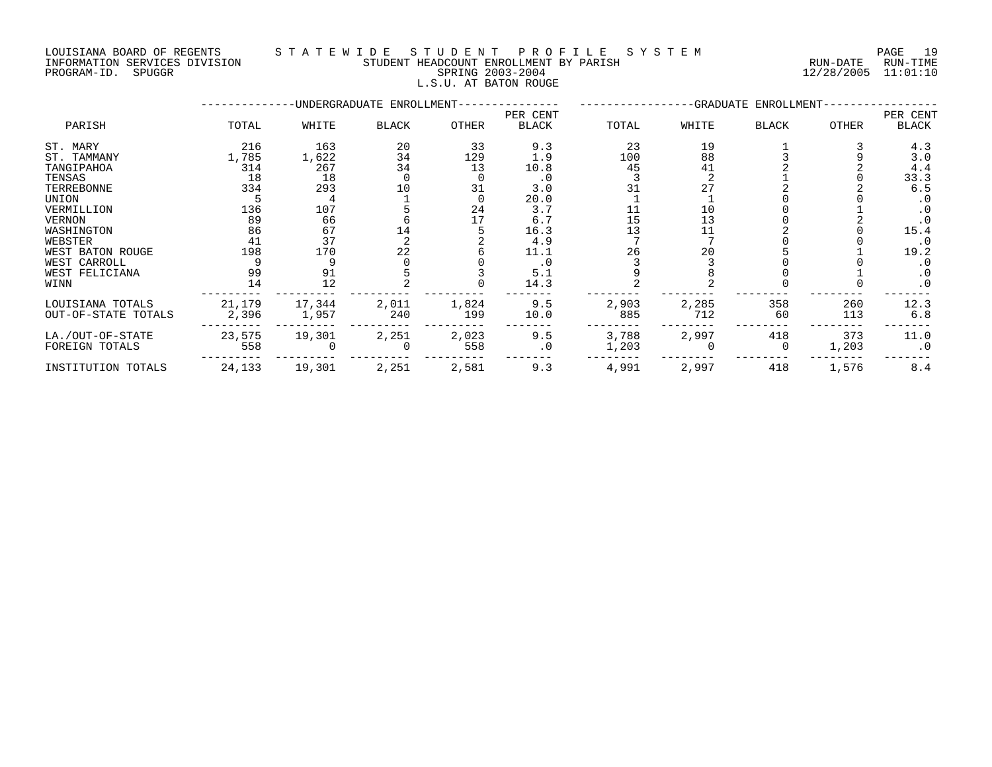## LOUISIANA BOARD OF REGENTS STATEWIDE STUDENT PROFILE SYSTEM PAGE 19<br>INFORMATION SERVICES DIVISION STUDENT HEADCOUNT ENROLLMENT BY PARISH NUN-DATE RUN-TIME STUDENT HEADCOUNT ENROLLMENT BY PARISH **ENROLLMENT BY PARISH RUN-DATE** RUN-TIME PROGRAM-ID. SPUGGR SPRING 2003-2004 12/28/2005 11:01:10 L.S.U. AT BATON ROUGE

|                                         |                 |                 | -UNDERGRADUATE ENROLLMENT- |              |                          |                |              | -GRADUATE ENROLLMENT- |              |                          |
|-----------------------------------------|-----------------|-----------------|----------------------------|--------------|--------------------------|----------------|--------------|-----------------------|--------------|--------------------------|
| PARISH                                  | TOTAL           | WHITE           | <b>BLACK</b>               | OTHER        | PER CENT<br><b>BLACK</b> | TOTAL          | WHITE        | BLACK                 | OTHER        | PER CENT<br><b>BLACK</b> |
| ST. MARY                                | 216             | 163             | 20                         | 33           | 9.3                      | 23             | 19           |                       |              | 4.3                      |
| ST. TAMMANY                             | 1,785           | 1,622           | 34                         | 129          | 1.9                      | 100            | 88           |                       |              | 3.0                      |
| TANGIPAHOA                              | 314             | 267             | 34                         | 13           | 10.8                     | 45             | 41           |                       |              | 4.4                      |
| TENSAS                                  | 18              | 18              |                            |              | . 0                      |                |              |                       |              | 33.3                     |
| TERREBONNE                              | 334             | 293             | 10                         | 31           | 3.0                      |                | 27           |                       |              | 6.5                      |
| UNION                                   |                 |                 |                            |              | 20.0                     |                |              |                       |              | $\cdot$ 0                |
| VERMILLION                              | 136             | 107             |                            | 24           | 3.7                      |                | 10           |                       |              | $\cdot$ 0                |
| <b>VERNON</b>                           | 89              | 66              |                            |              | 6.7                      | 15             | 13           |                       |              | $\cdot$ 0                |
| WASHINGTON                              | 86              | 67              | 14                         |              | 16.3                     | 13             |              |                       |              | 15.4                     |
| WEBSTER                                 | 41              | 37              |                            |              | 4.9                      |                |              |                       |              | $\cdot$ 0                |
| WEST BATON ROUGE                        | 198             | 170             | 22                         |              | 11.1                     | 26             | 20           |                       |              | 19.2                     |
| WEST CARROLL                            |                 |                 |                            |              | . 0                      |                |              |                       |              | $\cdot$ 0                |
| WEST FELICIANA                          | 99              | 91              |                            |              | 5.1                      |                |              |                       |              | $\cdot$ 0                |
| WINN                                    | 14              | 12              |                            |              | 14.3                     |                |              |                       |              | $\cdot$ 0                |
| LOUISIANA TOTALS<br>OUT-OF-STATE TOTALS | 21,179<br>2,396 | 17,344<br>1,957 | 2,011<br>240               | 1,824<br>199 | 9.5<br>10.0              | 2,903<br>885   | 2,285<br>712 | 358<br>60             | 260<br>113   | 12.3<br>6.8              |
| LA./OUT-OF-STATE<br>FOREIGN TOTALS      | 23,575<br>558   | 19,301          | 2,251                      | 2,023<br>558 | 9.5<br>$\cdot$ 0         | 3,788<br>1,203 | 2,997        | 418<br>0              | 373<br>1,203 | 11.0<br>$\cdot$ 0        |
| INSTITUTION TOTALS                      | 24,133          | 19,301          | 2,251                      | 2,581        | 9.3                      | 4,991          | 2,997        | 418                   | 1,576        | 8.4                      |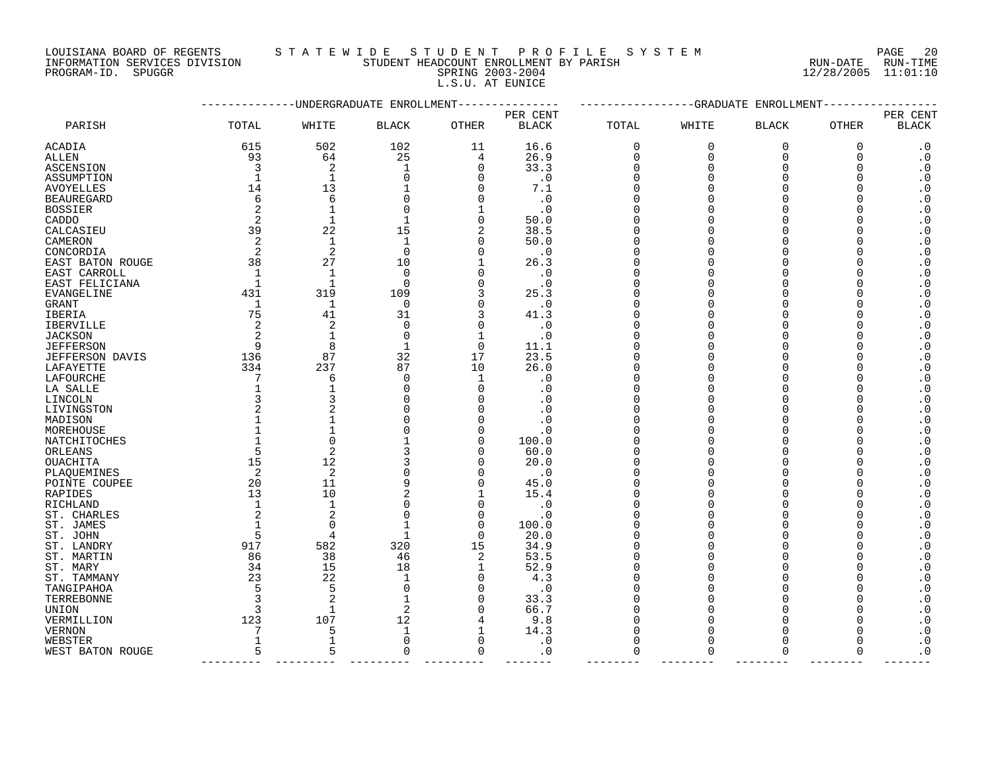# LOUISIANA BOARD OF REGENTS S T A T E W I D E S T U D E N T P R O F I L E S Y S T E M PAGE 20

INFORMATION SERVICES DIVISION STUDENT HEADCOUNT ENROLLMENT BY PARISH RUN-DATE RUN-TIME PROGRAM-ID. SPUGGR SPRING 2003-2004 12/28/2005 11:01:10 L.S.U. AT EUNICE

|                   | -UNDERGRADUATE ENROLLMENT |                |                |              |              | -GRADUATE<br>ENROLLMENT |             |                |              |                        |
|-------------------|---------------------------|----------------|----------------|--------------|--------------|-------------------------|-------------|----------------|--------------|------------------------|
|                   |                           |                |                |              | PER CENT     |                         |             |                |              | PER CENT               |
| PARISH            | TOTAL                     | WHITE          | <b>BLACK</b>   | <b>OTHER</b> | <b>BLACK</b> | <b>TOTAL</b>            | WHITE       | <b>BLACK</b>   | <b>OTHER</b> | <b>BLACK</b>           |
| <b>ACADIA</b>     | 615                       | 502            | 102            | 11           | 16.6         | $\mathbf 0$             | $\mathbf 0$ | 0              | $\mathbf 0$  | $\cdot$ 0              |
| ALLEN             | 93                        | 64             | 25             | 4            | 26.9         | 0                       | $\mathbf 0$ | $\overline{0}$ | 0            | $\boldsymbol{\cdot}$ 0 |
| ASCENSION         | 3                         | 2              | $\mathbf{1}$   | 0            | 33.3         | $\Omega$                | $\Omega$    | $\Omega$       | $\Omega$     | $\boldsymbol{\cdot}$ 0 |
| ASSUMPTION        |                           | $\mathbf{1}$   | $\Omega$       | $\Omega$     | $\cdot$ 0    | $\Omega$                | $\Omega$    | $\Omega$       | ∩            | $\cdot$ 0              |
| <b>AVOYELLES</b>  | 14                        | 13             |                | $\mathbf 0$  | 7.1          | $\Omega$                | $\Omega$    | $\Omega$       | ∩            | $\boldsymbol{\cdot}$ 0 |
| <b>BEAUREGARD</b> | 6                         | 6              | ∩              | $\Omega$     | $\cdot$ 0    | $\Omega$                |             | $\Omega$       |              | $\boldsymbol{\cdot}$ 0 |
| <b>BOSSIER</b>    | 2                         | $\mathbf{1}$   | $\Omega$       | $\mathbf 1$  | $\cdot$ 0    | $\Omega$                |             | $\Omega$       | ∩            | $\boldsymbol{\cdot}$ 0 |
| CADDO             | 2                         | $\mathbf{1}$   | $\mathbf{1}$   | 0            | 50.0         | $\Omega$                |             | $\Omega$       |              | $\cdot$ 0              |
| CALCASIEU         | 39                        | 22             | 15             | 2            | 38.5         | $\Omega$                |             | $\Omega$       |              | $\cdot$ 0              |
| CAMERON           | $\overline{c}$            | $\mathbf{1}$   | $\mathbf{1}$   | 0            | 50.0         | $\Omega$                |             | $\Omega$       |              | $\boldsymbol{\cdot}$ 0 |
| CONCORDIA         | 2                         | 2              | $\Omega$       | $\Omega$     | $\cdot$ 0    | $\Omega$                |             | ∩              |              | $\boldsymbol{\cdot}$ 0 |
| EAST BATON ROUGE  | 38                        | 27             | 10             | $\mathbf 1$  | 26.3         | $\Omega$                |             | $\Omega$       |              | $\boldsymbol{\cdot}$ 0 |
| EAST CARROLL      | $\overline{1}$            | $\mathbf{1}$   | $\Omega$       | $\Omega$     | $\cdot$ 0    | $\Omega$                |             | $\Omega$       |              | $\cdot$ 0              |
| EAST FELICIANA    |                           | $\mathbf{1}$   | $\Omega$       | $\mathbf 0$  | $\cdot$ 0    | $\Omega$                |             | $\Omega$       |              | $\boldsymbol{\cdot}$ 0 |
| EVANGELINE        | 431                       | 319            | 109            | 3            | 25.3         | $\Omega$                |             | ∩              |              | $\boldsymbol{\cdot}$ 0 |
| <b>GRANT</b>      | -1                        | $\mathbf{1}$   | $\Omega$       | $\mathbf 0$  | $\cdot$ 0    | $\Omega$                |             | $\Omega$       |              | $\cdot$ 0              |
| IBERIA            | 75                        | 41             | 31             | 3            | 41.3         | $\Omega$                |             | $\Omega$       |              | $\boldsymbol{\cdot}$ 0 |
| <b>IBERVILLE</b>  | 2                         | 2              | $\Omega$       | 0            | $\cdot$ 0    | $\Omega$                |             | $\Omega$       |              | $\boldsymbol{\cdot}$ 0 |
| <b>JACKSON</b>    | 2                         | $\mathbf{1}$   | $\Omega$       | $\mathbf 1$  | $\cdot$ 0    | ∩                       |             | ∩              |              | $\boldsymbol{\cdot}$ 0 |
| <b>JEFFERSON</b>  | 9                         | 8              | 1              | $\mathbf 0$  | 11.1         | $\Omega$                |             | $\Omega$       |              | $\cdot$ 0              |
| JEFFERSON DAVIS   | 136                       | 87             | 32             | 17           | 23.5         | $\Omega$                | O           | $\Omega$       | O            | $\cdot$ 0              |
| LAFAYETTE         | 334                       | 237            | 87             | 10           | 26.0         | $\Omega$                |             | $\Omega$       |              | $\boldsymbol{\cdot}$ 0 |
| LAFOURCHE         | 7                         | 6              | $\Omega$       | 1            | $\cdot$ 0    | $\Omega$                |             | $\Omega$       |              | $\boldsymbol{\cdot}$ 0 |
| LA SALLE          |                           | $\mathbf{1}$   | ∩              | $\Omega$     | . 0          | $\Omega$                |             | $\Omega$       |              | $\boldsymbol{\cdot}$ 0 |
| LINCOLN           | 3                         | 3              |                | $\Omega$     | $\cdot$ 0    | $\Omega$                |             | $\Omega$       |              | $\cdot$ 0              |
| LIVINGSTON        | $\overline{2}$            | $\overline{c}$ |                | $\mathbf 0$  | . 0          | $\Omega$                |             | $\Omega$       |              | $\cdot$ 0              |
| MADISON           |                           | $\mathbf{1}$   |                | $\Omega$     | . 0          | $\Omega$                |             | $\Omega$       |              | $\cdot$ 0              |
| MOREHOUSE         |                           | $\mathbf{1}$   |                | $\mathbf 0$  | . 0          | $\Omega$                |             | $\Omega$       |              | $\boldsymbol{\cdot}$ 0 |
| NATCHITOCHES      |                           | $\Omega$       |                | $\Omega$     | 100.0        | ∩                       |             | ∩              |              | $\boldsymbol{\cdot}$ 0 |
| ORLEANS           | 5                         | $\overline{2}$ |                | $\Omega$     | 60.0         | $\Omega$                |             | $\Omega$       |              | $\boldsymbol{\cdot}$ 0 |
| OUACHITA          | 15                        | 12             |                | $\Omega$     | 20.0         | $\Omega$                |             | $\Omega$       |              | $\boldsymbol{\cdot}$ 0 |
| PLAQUEMINES       | 2                         | $\overline{2}$ |                | $\mathbf 0$  | $\cdot$ 0    | $\Omega$                |             | $\Omega$       |              | $\boldsymbol{\cdot}$ 0 |
| POINTE COUPEE     | 20                        | 11             | 9              | $\mathbf 0$  | 45.0         | $\Omega$                |             | ∩              |              | $\boldsymbol{\cdot}$ 0 |
| RAPIDES           | 13                        | 10             | $\overline{2}$ | $\mathbf 1$  | 15.4         | $\Omega$                |             | $\Omega$       |              | $\boldsymbol{\cdot}$ 0 |
| RICHLAND          |                           | $\mathbf{1}$   | $\mathbf 0$    | $\mathbf 0$  | $\cdot$ 0    | $\Omega$                |             | $\Omega$       |              | $\boldsymbol{\cdot}$ 0 |
| ST. CHARLES       |                           | $\overline{2}$ | $\Omega$       | 0            | $\cdot$ 0    | $\Omega$                |             | $\Omega$       |              | $\boldsymbol{\cdot}$ 0 |
| ST. JAMES         |                           | $\Omega$       |                | $\Omega$     | 100.0        |                         |             | ∩              |              | $\boldsymbol{\cdot}$ 0 |
| ST. JOHN          | 5                         | 4              | $\mathbf{1}$   | $\Omega$     | 20.0         | $\Omega$                |             | $\Omega$       |              | $\cdot$ 0              |
| ST. LANDRY        | 917                       | 582            | 320            | 15           | 34.9         | $\Omega$                | O           | $\Omega$       | ∩            | $\cdot$ 0              |
| ST. MARTIN        | 86                        | 38             | 46             | 2            | 53.5         | $\Omega$                |             | $\Omega$       |              | $\boldsymbol{\cdot}$ 0 |
| ST. MARY          | 34                        | 15             | 18             | 1            | 52.9         | $\Omega$                |             | $\Omega$       |              | $\cdot$ 0              |
| ST. TAMMANY       | 23                        | 22             | -1             | $\Omega$     | 4.3          | $\Omega$                |             | $\Omega$       |              | $\boldsymbol{\cdot}$ 0 |
| TANGIPAHOA        | 5                         | 5              | $\Omega$       | $\Omega$     | $\cdot$ 0    | $\Omega$                |             | $\Omega$       |              | $\boldsymbol{\cdot}$ 0 |
| TERREBONNE        |                           | $\overline{c}$ |                | $\mathbf 0$  | 33.3         | $\Omega$                |             | $\Omega$       |              | $\cdot$ 0              |
| UNION             | 3                         | 1              |                | $\Omega$     | 66.7         | $\Omega$                |             | $\Omega$       |              | $\boldsymbol{\cdot}$ 0 |
| VERMILLION        | 123                       | 107            | 12             | 4            | 9.8          | $\Omega$                |             | ∩              |              | $\boldsymbol{\cdot}$ 0 |
| <b>VERNON</b>     |                           | 5              | $\mathbf{1}$   | 1            | 14.3         | $\Omega$                |             | ∩              |              | $\boldsymbol{\cdot}$ 0 |
| WEBSTER           | $\mathbf{1}$              | $\mathbf{1}$   | $\Omega$       | $\Omega$     | $\cdot$ 0    | $\Omega$                | $\Omega$    | $\Omega$       |              | $\boldsymbol{\cdot}$ 0 |
| WEST BATON ROUGE  | 5                         | 5              | ∩              | $\mathbf 0$  | $\cdot$ 0    | 0                       | $\Omega$    | $\Omega$       | $\Omega$     | $\cdot$ 0              |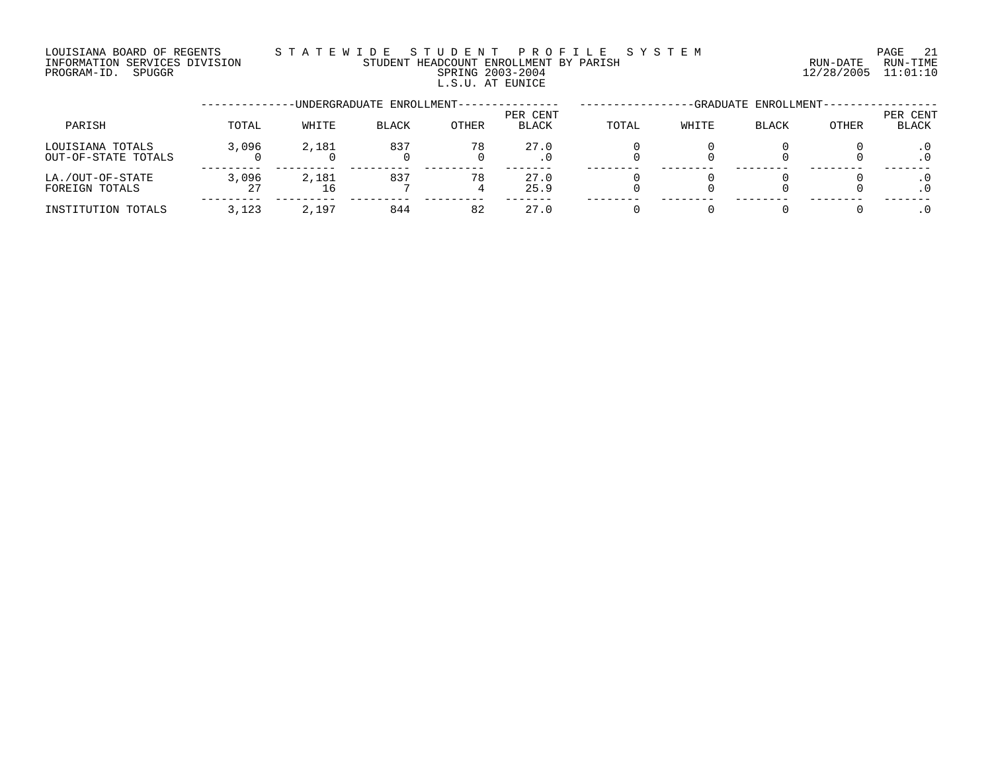### LOUISIANA BOARD OF REGENTS S T A T E W I D E S T U D E N T P R O F I L E S Y S T E M PAGE 21 INFORMATION SERVICES DIVISION STUDENT HEADCOUNT ENROLLMENT BY PARISH RUN-DATE RUN-TIME PROGRAM-ID. SPUGGR SPRING 2003-2004 12/28/2005 11:01:10 L.S.U. AT EUNICE

|                                         |             |             | -UNDERGRADUATE ENROLLMENT--- |              | -GRADUATE ENROLLMENT- |       |       |              |       |                   |
|-----------------------------------------|-------------|-------------|------------------------------|--------------|-----------------------|-------|-------|--------------|-------|-------------------|
| PARISH                                  | TOTAL       | WHITE       | <b>BLACK</b>                 | <b>OTHER</b> | PER CENT<br>BLACK     | TOTAL | WHITE | <b>BLACK</b> | OTHER | PER CENT<br>BLACK |
| LOUISIANA TOTALS<br>OUT-OF-STATE TOTALS | 3,096       | 2,181       | 837                          | 78           | 27.0<br>. 0           |       |       |              |       |                   |
| LA./OUT-OF-STATE<br>FOREIGN TOTALS      | 3,096<br>27 | 2,181<br>16 | 837                          | 78           | 27.0<br>25.9          |       |       |              |       |                   |
| INSTITUTION TOTALS                      | 3,123       | 2,197       | 844                          | 82           | 27.0                  |       |       |              |       |                   |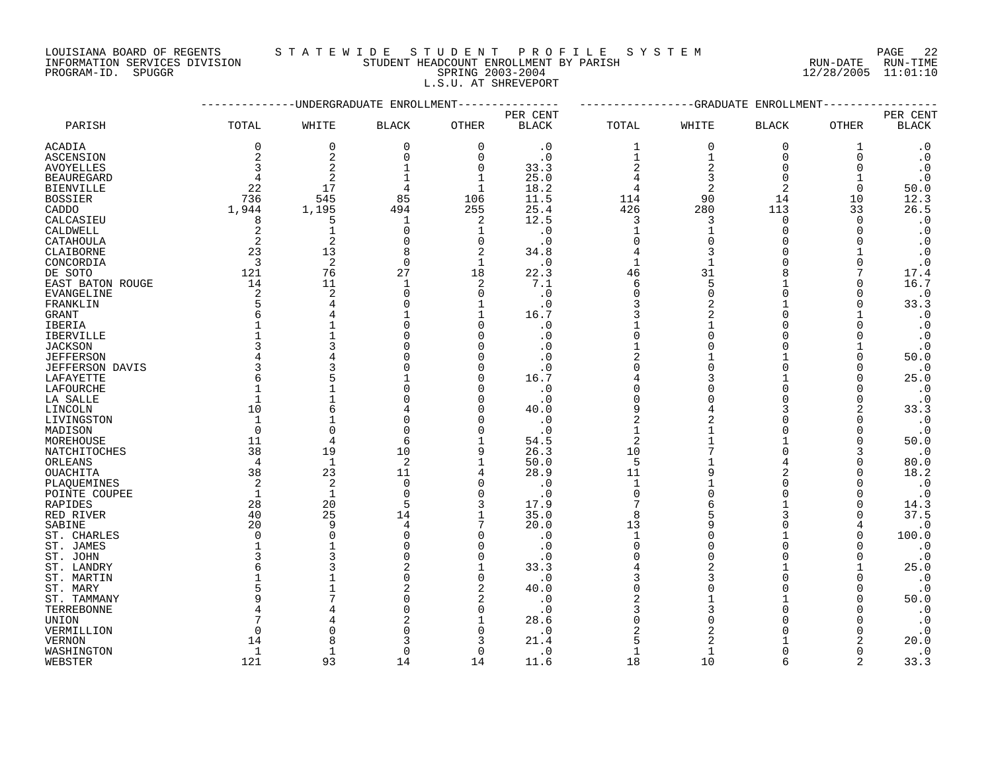LOUISIANA BOARD OF REGENTS STATEWIDE STUDE NT PROFILE SYSTEM PAGE 22<br>INFORMATION SERVICES DIVISION STUDENT HEADCOUNT ENROLLMENT BY PARISH NUN-DATE RUN-TIME

INFORMATION SERVICES DIVISION STUDENT HEADCOUNT ENROLLMENT BY PARISH

# PROGRAM-ID. SPUGGR SPRING 2003-2004 12/28/2005 11:01:10 L.S.U. AT SHREVEPORT

|                            |              | ---------UNDERGRADUATE ENROLLMENT |              |                |              | -------------GRADUATE<br>ENROLLMENT<br>----- |                |                    |              |                        |
|----------------------------|--------------|-----------------------------------|--------------|----------------|--------------|----------------------------------------------|----------------|--------------------|--------------|------------------------|
|                            |              |                                   |              |                | PER CENT     |                                              |                |                    |              | PER CENT               |
| PARISH                     | TOTAL        | WHITE                             | <b>BLACK</b> | OTHER          | <b>BLACK</b> | TOTAL                                        | WHITE          | <b>BLACK</b>       | OTHER        | <b>BLACK</b>           |
| ACADIA                     | 0            | 0                                 | $\mathbf 0$  | $\mathbf 0$    | $\cdot$ 0    | 1                                            | $\Omega$       | $\mathbf 0$        | 1            | $\cdot$ 0              |
| <b>ASCENSION</b>           | 2            | $\overline{\mathbf{c}}$           | $\mathbf 0$  | $\Omega$       | $\cdot$ 0    | $\mathbf{1}$                                 | $\mathbf{1}$   | $\Omega$           | $\Omega$     | $\cdot$ 0              |
| <b>AVOYELLES</b>           | 3            | $\overline{2}$                    | 1            | $\mathbf 0$    | 33.3         | $\overline{2}$                               | $\mathcal{D}$  | $\Omega$           | $\Omega$     | $\boldsymbol{\cdot}$ 0 |
| <b>BEAUREGARD</b>          | 4            | $\overline{2}$                    | $\mathbf 1$  | 1              | 25.0         | 4                                            | 3              | $\Omega$           |              | $\cdot$ 0              |
| <b>BIENVILLE</b>           | 22           | 17                                | 4            | $\mathbf{1}$   | 18.2         | 4                                            | $\overline{c}$ | 2                  | $\Omega$     | 50.0                   |
| <b>BOSSIER</b>             | 736          | 545                               | 85           | 106            | 11.5         | 114                                          | 90             | 14                 | 10           | 12.3                   |
| CADDO                      | 1,944        | 1,195                             | 494          | 255            | 25.4         | 426                                          | 280            | 113                | 33           | 26.5                   |
| CALCASIEU                  | 8            | 5                                 | 1            | 2              | 12.5         | 3                                            | 3              | $\mathbf 0$        | $\Omega$     | $\cdot$ 0              |
| CALDWELL                   | 2            | $\mathbf{1}$                      | 0            | 1              | $\cdot$ 0    | $\mathbf{1}$                                 |                | $\Omega$           | $\Omega$     | $\cdot$ 0              |
| CATAHOULA                  | 2            | $\overline{2}$                    | $\Omega$     | $\mathbf 0$    | $\cdot$ 0    | $\Omega$                                     |                | $\Omega$           | $\Omega$     | $\cdot$ 0              |
| CLAIBORNE                  | 23           | 13                                | 8            | $\overline{2}$ | 34.8         | 4                                            | 3              | $\Omega$           |              | $\cdot$ 0              |
| CONCORDIA                  | 3            | 2                                 | 0            | 1              | $\cdot$ 0    | $\mathbf{1}$                                 |                | $\Omega$           | $\Omega$     | $\cdot$ 0              |
| DE SOTO                    | 121          | 76                                | 27           | 18             | 22.3         | 46                                           | 31             |                    |              | 17.4                   |
| EAST BATON ROUGE           | 14           | 11                                | 1            | 2              | 7.1          | 6                                            | 5              |                    | $\Omega$     | 16.7                   |
| <b>EVANGELINE</b>          | 2            | $\overline{2}$                    | $\Omega$     | $\Omega$       | $\cdot$ 0    | $\mathbf 0$                                  | $\Omega$       | $\Omega$           | $\Omega$     | $\cdot$ 0              |
| FRANKLIN                   | 5            | 4                                 | $\Omega$     | 1              | $\cdot$ 0    | 3                                            | $\overline{c}$ | $\mathbf{1}$       | $\Omega$     | 33.3                   |
| <b>GRANT</b>               | 6            |                                   |              | $\mathbf 1$    | 16.7         | 3                                            | $\overline{2}$ | $\Omega$           |              | $\cdot$ 0              |
|                            |              |                                   |              | $\Omega$       | $\cdot$ 0    |                                              |                | $\Omega$           | $\Omega$     | $\cdot$ 0              |
| IBERIA<br><b>IBERVILLE</b> |              |                                   | O            | $\cap$         | $\cdot$ 0    | $\Omega$                                     | U              | $\Omega$           | $\Omega$     |                        |
| <b>JACKSON</b>             | 3            |                                   |              | ∩              | . 0          |                                              |                |                    |              | $\cdot$ 0<br>$\cdot$ 0 |
| <b>JEFFERSON</b>           | 4            |                                   |              | $\cap$         | $\cdot$ 0    | 2                                            |                |                    | $\Omega$     | 50.0                   |
| <b>JEFFERSON DAVIS</b>     | 3            |                                   |              | ∩              | $\cdot$ 0    | $\Omega$                                     | ∩              | $\Omega$           | $\Omega$     | $\cdot$ 0              |
| LAFAYETTE                  | 6            |                                   |              |                |              |                                              |                |                    | $\Omega$     | 25.0                   |
|                            | 1            |                                   |              | O              | 16.7         | 0                                            |                | $\Omega$           |              |                        |
| LAFOURCHE                  | $\mathbf 1$  |                                   |              |                | $\cdot$ 0    | $\Omega$                                     |                |                    | 0            | $\cdot$ 0              |
| LA SALLE                   |              |                                   |              | $\Omega$       | $\cdot$ 0    | 9                                            |                | 3                  | $\Omega$     | $\cdot$ 0<br>33.3      |
| LINCOLN                    | 10<br>1      | 6                                 | O            | n              | 40.0         | $\overline{2}$                               | 4<br>2         | U                  | 2<br>0       |                        |
| LIVINGSTON                 | $\Omega$     | $\Omega$                          | $\Omega$     | ∩              | $\cdot$ 0    | $\mathbf{1}$                                 |                |                    |              | $\cdot$ 0              |
| MADISON                    |              | $\overline{4}$                    |              |                | $\cdot$ 0    |                                              |                |                    | $\Omega$     | $\cdot$ 0              |
| MOREHOUSE                  | 11           |                                   | 6            |                | 54.5         | $\overline{2}$                               |                | $\cap$             | $\Omega$     | 50.0                   |
| NATCHITOCHES               | 38           | 19                                | 10           | 9              | 26.3         | 10                                           |                |                    | 3            | $\cdot$ 0              |
| ORLEANS                    | 4            | 1                                 | 2            | $\mathbf 1$    | 50.0         | 5                                            |                | 4                  | 0            | 80.0                   |
| OUACHITA                   | 38           | 23                                | 11           | 4              | 28.9         | 11                                           |                | 2                  | $\Omega$     | 18.2                   |
| PLAOUEMINES                | 2            | $\overline{a}$                    | $\mathbf 0$  | $\Omega$       | $\cdot$ 0    | $\mathbf{1}$                                 |                | $\Omega$<br>$\cap$ | $\Omega$     | $\cdot$ 0              |
| POINTE COUPEE              | $\mathbf{1}$ | $\mathbf{1}$                      | $\Omega$     | $\Omega$       | $\cdot$ 0    | $\Omega$                                     |                |                    | $\Omega$     | $\cdot$ 0              |
| RAPIDES                    | 28           | 20                                | 5            | 3              | 17.9         | 7                                            |                |                    | $\Omega$     | 14.3                   |
| RED RIVER                  | 40           | 25                                | 14           | $\mathbf{1}$   | 35.0         | 8                                            |                | 3                  | $\Omega$     | 37.5                   |
| SABINE                     | 20           | 9                                 | 4            | 7              | 20.0         | 13                                           |                | $\Omega$           | 4            | $\cdot$ 0              |
| ST. CHARLES                | 0            | $\Omega$                          | $\Omega$     | n              | $\cdot$ 0    | $\mathbf{1}$                                 |                |                    | $\Omega$     | 100.0                  |
| ST. JAMES                  | $\mathbf 1$  |                                   |              | n              | $\cdot$ 0    | $\Omega$                                     |                | $\Omega$           | <sup>0</sup> | $\cdot$ 0              |
| ST. JOHN                   | 3            |                                   |              | $\Omega$       | $\cdot$ 0    |                                              |                | $\Omega$           | $\Omega$     | $\cdot$ 0              |
| ST. LANDRY                 | 6            |                                   |              |                | 33.3         |                                              |                |                    |              | 25.0                   |
| ST. MARTIN                 |              |                                   | O            | $\Omega$       | $\cdot$ 0    |                                              |                | $\Omega$           | $\Omega$     | $\cdot$ 0              |
| ST. MARY                   | 5            |                                   |              | $\overline{2}$ | 40.0         | $\Omega$                                     |                |                    | $\Omega$     | $\cdot$ 0              |
| ST. TAMMANY                | 9            |                                   |              | $\overline{2}$ | $\cdot$ 0    | 2                                            |                |                    | $\Omega$     | 50.0                   |
| TERREBONNE                 |              |                                   | O            | n              | $\cdot$ 0    | 3                                            |                | $\Omega$           | O            | $\cdot$ 0              |
| UNION                      |              |                                   |              |                | 28.6         |                                              |                |                    | O            | $\cdot$ 0              |
| VERMILLION                 | $\Omega$     |                                   |              | ∩              | $\cdot$ 0    | 2                                            |                |                    | $\Omega$     | $\cdot$ 0              |
| <b>VERNON</b>              | 14           | Я                                 |              |                | 21.4         | 5                                            |                |                    | 2            | 20.0                   |
| WASHINGTON                 | 1            | 1                                 | $\Omega$     | $\cap$         | $\cdot$ 0    | $\mathbf{1}$                                 | 1              | $\Omega$           | $\Omega$     | $\cdot$ 0              |
| WEBSTER                    | 121          | 93                                | 14           | 14             | 11.6         | 18                                           | 10             |                    | 2            | 33.3                   |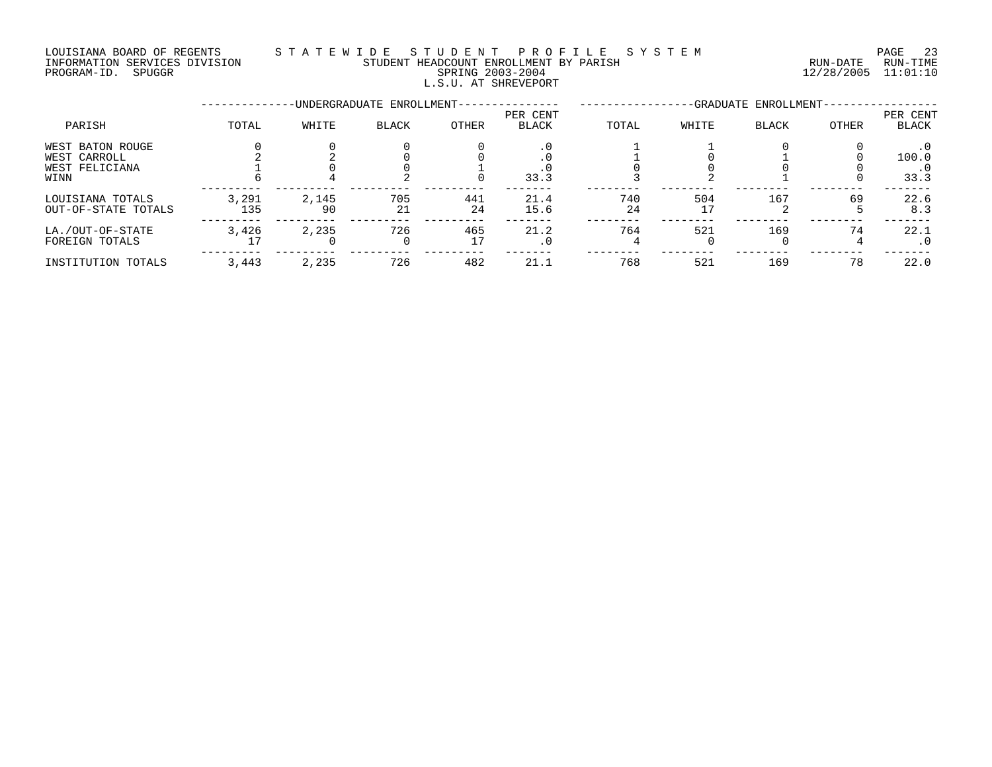## LOUISIANA BOARD OF REGENTS S T A T E W I D E S T U D E N T P R O F I L E S Y S T E M PAGE 23 INFORMATION SERVICES DIVISION STUDENT HEADCOUNT ENROLLMENT BY PARISH RUN-DATE RUN-TIME INFORMATION SERVICES DIVISION CONSUMENT HEADCOUNT ENROLLMENT BY PARISH THE SUN-DATE RUN-TIME RUN-TIME RUN-TIME<br>PROGRAM-ID. SPUGGR SPUGGR SPRING 2003-2004

# L.S.U. AT SHREVEPORT

--------------UNDERGRADUATE ENROLLMENT--------------- -----------------GRADUATE ENROLLMENT----------------- PER CENT PER CENT PARISH TOTAL WHITE BLACK OTHER BLACK TOTAL WHITE BLACK OTHER BLACK WEST BATON ROUGE 0 0 0 0 .0 1 1 0 0 .0 WEST CARROLL 2 2 0 0 .0 1 0 1 0 100.0 WEST FELICIANA 1 0 0 1 .0 0 0 0 0 .0 WINN 6 4 2 0 33.3 3 2 1 0 33.3 --------- --------- --------- --------- ------- -------- -------- -------- -------- ------- LOUISIANA TOTALS 3,291 2,145 705 441 21.4 740 504 167 69 22.6 OUT-OF-STATE TOTALS 135 90 21 24 15.6 24 17 2 5 8.3 --------- --------- --------- --------- ------- -------- -------- -------- -------- ------- LA./OUT-OF-STATE 3,426 2,235 726 465 21.2 764 521 169 74 22.1 FOREIGN TOTALS 17 0 0 17 .0 4 0 0 4 .0 --------- --------- --------- --------- ------- -------- -------- -------- -------- -------

INSTITUTION TOTALS 3,443 2,235 726 482 21.1 768 521 169 78 22.0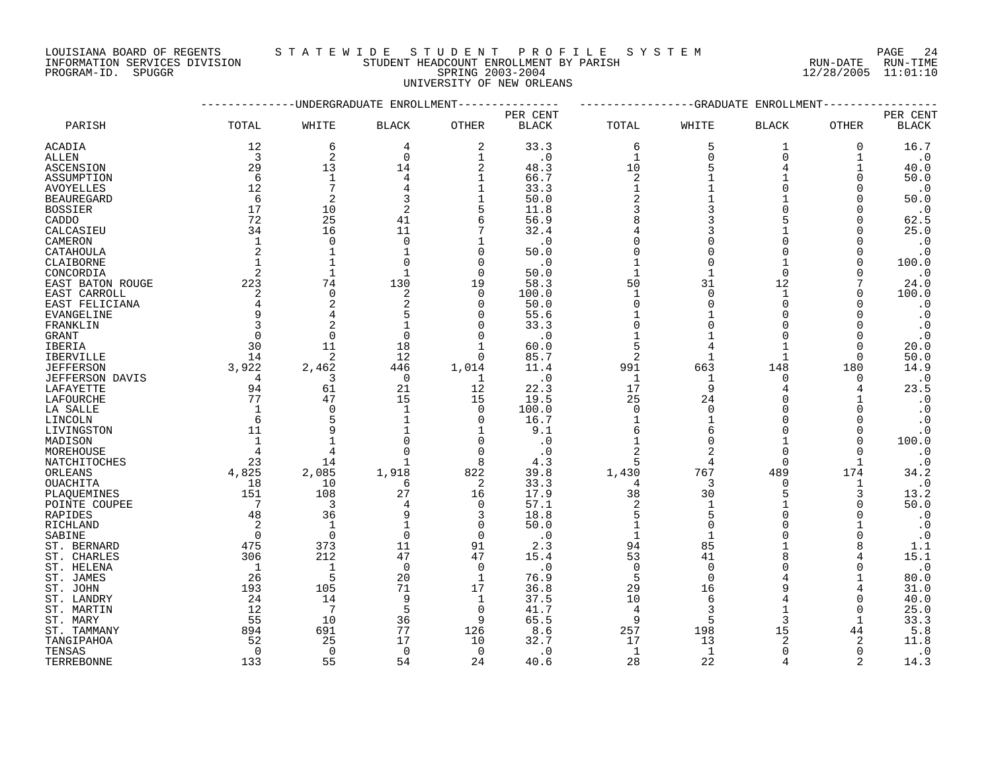LOUISIANA BOARD OF REGENTS STATEWIDE STUDE NT PROFILE SYSTEM PAGE 24<br>INFORMATION SERVICES DIVISION STUDENT HEADCOUNT ENROLLMENT BY PARISH NUN-DATE RUN-TIME INFORMATION SERVICES DIVISION STUDENT HEADCOUNT ENROLLMENT BY PARISH

PROGRAM-ID. SPUGGR SPRING 2003-2004 12/28/2005 11:01:10

UNIVERSITY OF NEW ORLEANS

|                        |                |                | --UNDERGRADUATE ENROLLMENT |                |              | -----------GRADUATE<br>ENROLLMENT |              |                |              |              |
|------------------------|----------------|----------------|----------------------------|----------------|--------------|-----------------------------------|--------------|----------------|--------------|--------------|
|                        |                |                |                            |                | PER CENT     |                                   |              |                |              | PER CENT     |
| PARISH                 | TOTAL          | WHITE          | <b>BLACK</b>               | OTHER          | <b>BLACK</b> | TOTAL                             | WHITE        | <b>BLACK</b>   | OTHER        | <b>BLACK</b> |
| ACADIA                 | 12             | 6              | 4                          | 2              | 33.3         | 6                                 | 5            | 1              | 0            | 16.7         |
| ALLEN                  | 3              | $\overline{c}$ | $\mathbf 0$                | 1              | $\cdot$ 0    | $\mathbf{1}$                      | $\Omega$     | $\Omega$       | $\mathbf{1}$ | $\cdot$ 0    |
| ASCENSION              | 29             | 13             | 14                         | $\overline{2}$ | 48.3         | 10                                |              | 4              | $\mathbf{1}$ | 40.0         |
| ASSUMPTION             | 6              | $\mathbf{1}$   | 4                          | 1              | 66.7         | $\overline{2}$                    |              |                | $\Omega$     | 50.0         |
| <b>AVOYELLES</b>       | 12             | 7              | 4                          | $\mathbf 1$    | 33.3         | $\mathbf{1}$                      |              |                | $\Omega$     | $\cdot$ 0    |
| <b>BEAUREGARD</b>      | 6              | 2              | 3                          | 1              | 50.0         | $\overline{2}$                    |              |                | ∩            | 50.0         |
| <b>BOSSIER</b>         | 17             | 10             | 2                          | 5              | 11.8         | 3                                 |              |                | $\Omega$     | $\cdot$ 0    |
|                        |                |                |                            |                |              |                                   |              |                |              |              |
| CADDO                  | 72             | 25             | 41                         | 6              | 56.9         | 8                                 |              |                | $\Omega$     | 62.5         |
| CALCASIEU              | 34             | 16             | 11                         | 7              | 32.4         |                                   |              |                | 0            | 25.0         |
| CAMERON                | $\mathbf{1}$   | $\Omega$       | $\Omega$                   |                | $\cdot$ 0    | $\Omega$                          |              |                | ∩            | $\cdot$ 0    |
| CATAHOULA              | 2              | $\mathbf{1}$   | $\mathbf{1}$               | $\Omega$       | 50.0         | $\Omega$                          |              |                | $\Omega$     | $\cdot$ 0    |
| CLAIBORNE              | $\mathbf{1}$   |                | 0                          | $\Omega$       | $\cdot$ 0    |                                   |              |                | 0            | 100.0        |
| CONCORDIA              | $\overline{2}$ | 1              |                            | $\Omega$       | 50.0         | $\mathbf{1}$                      |              | $\Omega$       |              | $\cdot$ 0    |
| EAST BATON ROUGE       | 223            | 74             | 130                        | 19             | 58.3         | 50                                | 31           | 12             |              | 24.0         |
| EAST CARROLL           | 2              | $\Omega$       | 2                          | $\Omega$       | 100.0        | $\mathbf{1}$                      | $\cap$       |                |              | 100.0        |
| EAST FELICIANA         | 4              | 2              | 2                          | $\Omega$       | 50.0         | $\Omega$                          | O            | $\Omega$       | $\Omega$     | $\cdot$ 0    |
| EVANGELINE             | 9              | 4              | 5                          |                | 55.6         |                                   |              |                | O            | $\cdot$ 0    |
| FRANKLIN               | 3              |                |                            |                | 33.3         | $\Omega$                          |              |                | $\Omega$     | $\cdot$ 0    |
| GRANT                  | $\Omega$       | $\Omega$       | $\Omega$                   | $\cap$         | $\cdot$ 0    | $\mathbf{1}$                      |              |                | $\Omega$     | $\cdot$ 0    |
| <b>IBERIA</b>          | 30             | 11             | 18                         |                | 60.0         | 5                                 |              |                | $\Omega$     | 20.0         |
|                        |                |                |                            |                |              |                                   |              |                |              |              |
| IBERVILLE              | 14             | 2              | 12                         | $\Omega$       | 85.7         | 2                                 |              |                | $\Omega$     | 50.0         |
| <b>JEFFERSON</b>       | 3,922          | 2,462          | 446                        | 1,014          | 11.4         | 991                               | 663          | 148            | 180          | 14.9         |
| <b>JEFFERSON DAVIS</b> | $\overline{4}$ | 3              | $\overline{0}$             | 1              | $\cdot$ 0    | $\mathbf{1}$                      | $\mathbf{1}$ | $\Omega$       | $\Omega$     | $\cdot$ 0    |
| LAFAYETTE              | 94             | 61             | 21                         | 12             | 22.3         | 17                                | 9            | $\overline{4}$ | 4            | 23.5         |
| LAFOURCHE              | 77             | 47             | 15                         | 15             | 19.5         | 25                                | 24           | $\Omega$       |              | $\cdot$ 0    |
| LA SALLE               | $\mathbf 1$    | $\Omega$       | $\mathbf{1}$               | $\Omega$       | 100.0        | $\Omega$                          | $\Omega$     |                | $\Omega$     | $\cdot$ 0    |
| LINCOLN                | 6              | 5              | $\mathbf{1}$               | $\Omega$       | 16.7         | $\mathbf{1}$                      |              |                | $\Omega$     | $\cdot$ 0    |
| LIVINGSTON             | 11             |                |                            |                | 9.1          | 6                                 | 6            |                | O            | $\cdot$ 0    |
| MADISON                | $\mathbf{1}$   |                |                            | $\Omega$       | $\cdot$ 0    | $\mathbf{1}$                      | O            |                | $\Omega$     | 100.0        |
| MOREHOUSE              | $\overline{4}$ | 4              |                            | $\Omega$       | $\cdot$ 0    | $\overline{2}$                    |              | $\Omega$       |              | $\cdot$ 0    |
| NATCHITOCHES           | 23             | 14             |                            | 8              | 4.3          |                                   |              | $\Omega$       |              | $\cdot$ 0    |
| ORLEANS                | 4,825          | 2,085          | 1,918                      | 822            | 39.8         | 1,430                             | 767          | 489            | 174          | 34.2         |
| <b>OUACHITA</b>        | 18             | 10             | 6                          | 2              | 33.3         | 4                                 | 3            | <sup>0</sup>   | 1            | $\cdot$ 0    |
| PLAOUEMINES            | 151            | 108            | 27                         | 16             | 17.9         | 38                                | 30           | 5              | 3            | 13.2         |
|                        | 7              | 3              |                            |                |              | $\overline{2}$                    |              |                |              | 50.0         |
| POINTE COUPEE          |                |                |                            | $\mathbf 0$    | 57.1         |                                   |              |                | 0            |              |
| RAPIDES                | 48             | 36             | 9                          | 3              | 18.8         | 5                                 |              |                | ∩            | $\cdot$ 0    |
| RICHLAND               | 2              | $\mathbf{1}$   | $\mathbf{1}$               | $\mathbf 0$    | 50.0         | $\mathbf{1}$                      | ∩            |                |              | $\cdot$ 0    |
| SABINE                 | $\Omega$       | $\Omega$       | $\Omega$                   | $\Omega$       | $\cdot$ 0    | $\mathbf{1}$                      |              |                | $\Omega$     | $\cdot$ 0    |
| ST. BERNARD            | 475            | 373            | 11                         | 91             | 2.3          | 94                                | 85           |                |              | 1.1          |
| ST. CHARLES            | 306            | 212            | 47                         | 47             | 15.4         | 53                                | 41           |                |              | 15.1         |
| ST. HELENA             | -1             | 1              | $\Omega$                   | $\Omega$       | $\cdot$ 0    | $\Omega$                          | $\Omega$     |                |              | $\cdot$ 0    |
| ST. JAMES              | 26             | 5              | 20                         | 1              | 76.9         | 5                                 | $\Omega$     |                |              | 80.0         |
| ST. JOHN               | 193            | 105            | 71                         | 17             | 36.8         | 29                                | 16           |                | 4            | 31.0         |
| ST. LANDRY             | 24             | 14             | 9                          | 1              | 37.5         | 10                                | 6            |                | 0            | 40.0         |
| ST. MARTIN             | 12             | 7              | 5                          | $\Omega$       | 41.7         | $\overline{4}$                    | २            |                | $\Omega$     | 25.0         |
| ST. MARY               | 55             | 10             | 36                         | q              | 65.5         | 9                                 | 5            | 3              | $\mathbf{1}$ | 33.3         |
| ST. TAMMANY            | 894            | 691            | 77                         | 126            | 8.6          | 257                               | 198          | 15             | 44           | 5.8          |
| TANGIPAHOA             | 52             | 25             | 17                         | 10             | 32.7         | 17                                | 13           | 2              | 2            | 11.8         |
| TENSAS                 | $\Omega$       | $\Omega$       | $\Omega$                   | $\Omega$       |              | 1                                 | $\mathbf{1}$ |                | $\Omega$     | $\cdot$ 0    |
|                        |                |                |                            |                | $\cdot$ 0    |                                   |              |                |              |              |
| TERREBONNE             | 133            | 55             | 54                         | 24             | 40.6         | 28                                | 22           | 4              | 2            | 14.3         |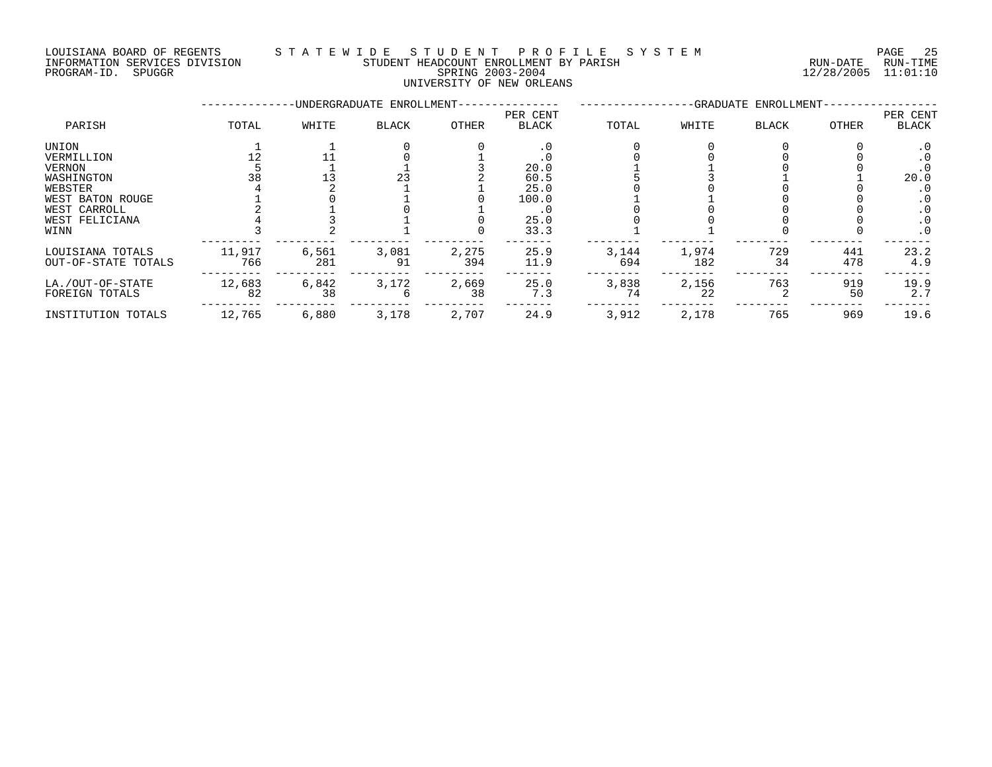# LOUISIANA BOARD OF REGENTS STATEWIDE STUDE NT PROFILE SYSTEM PAGE 25<br>INFORMATION SERVICES DIVISION STUDENT HEADCOUNT ENROLLMENT BY PARISH NUN-DATE RUN-TIME INFORMATION STUDENT HEADCOUNT ENROLLMENT BY PARISH PROGRAM-ID. SPUGGR SPRING 2003-2004 12/28/2005 11:01:10

# UNIVERSITY OF NEW ORLEANS

|                     |        |       | -UNDERGRADUATE ENROLLMENT- | -GRADUATE ENROLLMENT- |                          |       |       |              |       |                   |
|---------------------|--------|-------|----------------------------|-----------------------|--------------------------|-------|-------|--------------|-------|-------------------|
| PARISH              | TOTAL  | WHITE | <b>BLACK</b>               | <b>OTHER</b>          | PER CENT<br><b>BLACK</b> | TOTAL | WHITE | <b>BLACK</b> | OTHER | PER CENT<br>BLACK |
| UNION               |        |       |                            |                       | . 0                      |       |       |              |       | $\cdot$ 0         |
| VERMILLION          |        |       |                            |                       |                          |       |       |              |       |                   |
| VERNON              |        |       |                            |                       | 20.0                     |       |       |              |       |                   |
| WASHINGTON          | 38     |       | 23                         |                       | 60.5                     |       |       |              |       | 20.0              |
| WEBSTER             |        |       |                            |                       | 25.0                     |       |       |              |       | . 0               |
| WEST BATON ROUGE    |        |       |                            |                       | 100.0                    |       |       |              |       | $\cdot$ 0         |
| WEST CARROLL        |        |       |                            |                       | $\cdot$ 0                |       |       |              |       | . 0               |
| WEST FELICIANA      |        |       |                            |                       | 25.0                     |       |       |              |       | . 0               |
| WINN                |        |       |                            |                       | 33.3                     |       |       |              |       | $\cdot$ 0         |
| LOUISIANA TOTALS    | 11,917 | 6,561 | 3,081                      | 2,275                 | 25.9                     | 3,144 | 1,974 | 729          | 441   | 23.2              |
| OUT-OF-STATE TOTALS | 766    | 281   | 91                         | 394                   | 11.9                     | 694   | 182   | 34           | 478   | 4.9               |
| LA./OUT-OF-STATE    | 12,683 | 6,842 | 3,172                      | 2,669                 | 25.0                     | 3,838 | 2,156 | 763          | 919   | 19.9              |
| FOREIGN TOTALS      | 82     | 38    |                            | 38                    | 7.3                      | 74    | 22    |              | 50    | 2.7               |
| INSTITUTION TOTALS  | 12,765 | 6,880 | 3,178                      | 2,707                 | 24.9                     | 3,912 | 2,178 | 765          | 969   | 19.6              |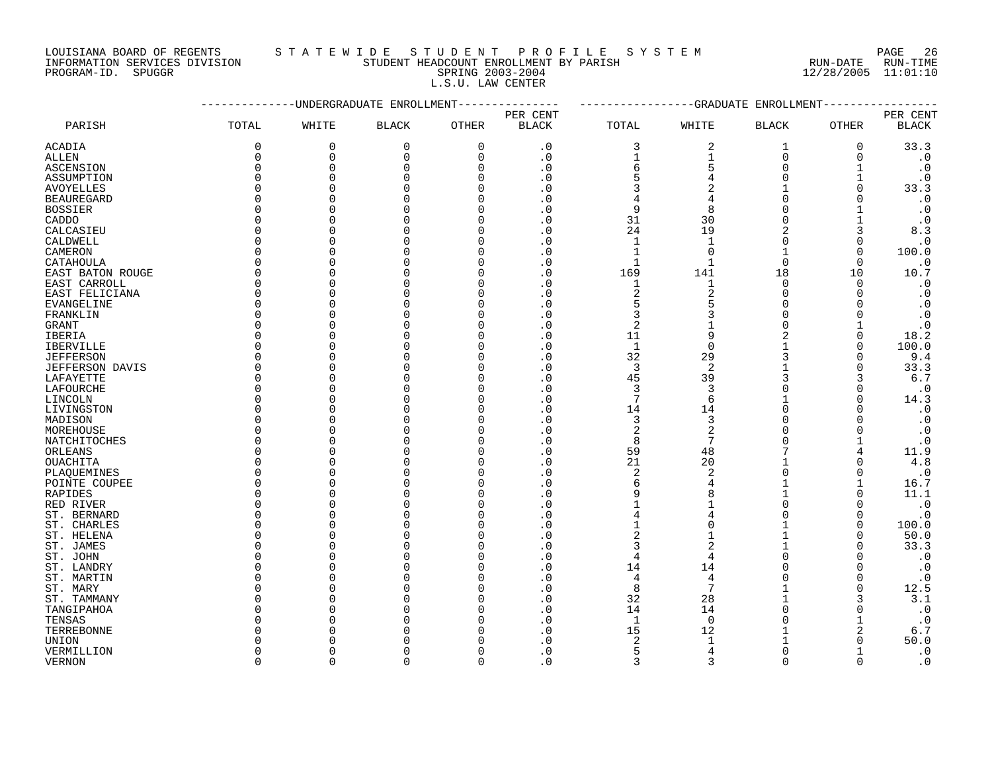LOUISIANA BOARD OF REGENTS STA TEWIDE STUDENT PROFILE SYSTEM NAGE 26

| SYSTEM |  |  |           |
|--------|--|--|-----------|
|        |  |  | RIIN-DATE |

# INFORMATION SERVICES DIVISION STUDENT HEADCOUNT ENROLLMENT BY PARISH RUN-DATE RUN-TIME PROGRAM-ID. SPUGGR SPRING 2003-2004 12/28/2005 11:01:10 L.S.U. LAW CENTER

|                        |              | --------UNDERGRADUATE ENROLLMENT |              |              | --GRADUATE ENROLLMENT |              |                |                |                |                        |
|------------------------|--------------|----------------------------------|--------------|--------------|-----------------------|--------------|----------------|----------------|----------------|------------------------|
|                        |              |                                  |              |              | PER CENT              |              |                |                |                | PER CENT               |
| PARISH                 | TOTAL        | WHITE                            | <b>BLACK</b> | <b>OTHER</b> | <b>BLACK</b>          | TOTAL        | WHITE          | <b>BLACK</b>   | OTHER          | $\operatorname{BLACK}$ |
| <b>ACADIA</b>          | $\mathbf 0$  | $\mathbf 0$                      | $\mathbf{0}$ | 0            | $\cdot$ 0             | 3            | 2              | 1              | 0              | 33.3                   |
| ALLEN                  | $\mathbf 0$  | $\Omega$                         | $\Omega$     | 0            | $\cdot$ 0             | 1            | $\mathbf{1}$   | $\mathbf 0$    | $\mathbf{0}$   | $\cdot$ 0              |
| <b>ASCENSION</b>       | $\Omega$     | $\Omega$                         | $\Omega$     | 0            | $\cdot$ 0             | б            | 5              | $\Omega$       | 1              | $\cdot$ 0              |
| ASSUMPTION             | $\Omega$     | $\Omega$                         | ∩            | $\Omega$     | . 0                   | 5            | 4              | $\Omega$       | 1              | $\cdot$ 0              |
| <b>AVOYELLES</b>       | $\Omega$     | $\Omega$                         |              | $\Omega$     | . 0                   | 3            | $\overline{2}$ |                | $\mathbf{0}$   | 33.3                   |
| <b>BEAUREGARD</b>      | $\Omega$     | $\Omega$                         |              | $\Omega$     | . 0                   | 4            | 4              | $\Omega$       | $\Omega$       | $\cdot$ 0              |
| <b>BOSSIER</b>         | $\Omega$     | $\Omega$                         |              | <sup>0</sup> | . 0                   | 9            | 8              | $\Omega$       | $\mathbf{1}$   | $\cdot$ 0              |
| CADDO                  | $\Omega$     | $\Omega$                         |              | <sup>0</sup> | . 0                   | 31           | 30             | $\Omega$       | $\mathbf{1}$   | $\cdot$ 0              |
| CALCASIEU              | $\Omega$     | $\Omega$                         |              | $\Omega$     | . 0                   | 24           | 19             | 2              | 3              | 8.3                    |
| CALDWELL               | $\Omega$     | $\Omega$                         |              | $\Omega$     | $\cdot$ 0             | $\mathbf{1}$ | $\mathbf{1}$   | $\Omega$       | $\Omega$       | $\cdot$ 0              |
| CAMERON                | $\Omega$     | $\Omega$                         |              | <sup>0</sup> | . 0                   | $\mathbf{1}$ | $\overline{0}$ | $\mathbf{1}$   | $\Omega$       | 100.0                  |
| CATAHOULA              | $\Omega$     | $\Omega$                         |              | $\Omega$     | $\cdot$ 0             | $\mathbf{1}$ | $\mathbf{1}$   | $\overline{0}$ | $\Omega$       | $\cdot$ 0              |
| EAST BATON ROUGE       | $\Omega$     | $\Omega$                         |              | <sup>0</sup> | . 0                   | 169          | 141            | 18             | 10             | 10.7                   |
| EAST CARROLL           | $\Omega$     | $\Omega$                         |              | $\cap$       | . 0                   | $\mathbf{1}$ | $\mathbf 1$    | $\Omega$       | $\Omega$       | $\cdot$ 0              |
| EAST FELICIANA         | $\Omega$     | $\Omega$                         |              | U            | . 0                   | 2            | $\overline{c}$ | $\Omega$       | $\Omega$       | $\cdot$ 0              |
| EVANGELINE             | $\Omega$     | $\Omega$                         |              | $\Omega$     | . 0                   | 5            | 5              | $\Omega$       | $\Omega$       | $\cdot$ 0              |
| FRANKLIN               | $\Omega$     | $\Omega$                         |              | U            | . 0                   | 3            | 3              | $\Omega$       | O              | $\cdot$ 0              |
| <b>GRANT</b>           | $\Omega$     | $\Omega$                         |              | ∩            | . 0                   | 2            |                | $\Omega$       |                | $\cdot$ 0              |
|                        | $\Omega$     | $\Omega$                         |              | <sup>0</sup> | . 0                   | 11           | 9              | 2              | $\mathbf 0$    | 18.2                   |
| IBERIA                 | $\Omega$     | $\Omega$                         |              | $\Omega$     |                       |              |                |                | $\Omega$       |                        |
| <b>IBERVILLE</b>       |              |                                  |              | $\Omega$     | . 0                   | $\mathbf{1}$ | $\overline{0}$ | 3              | $\Omega$       | 100.0                  |
| <b>JEFFERSON</b>       | $\Omega$     | $\Omega$<br>$\Omega$             |              | U            | . 0                   | 32           | 29             |                | $\Omega$       | 9.4                    |
| <b>JEFFERSON DAVIS</b> | $\Omega$     |                                  |              |              | . 0                   | 3            | 2              |                |                | 33.3                   |
| LAFAYETTE              | $\Omega$     | $\Omega$                         |              | U            | . 0                   | 45           | 39             | 3              | 3              | 6.7                    |
| LAFOURCHE              | $\Omega$     | $\Omega$                         |              | <sup>0</sup> | . 0                   | 3            | 3              | $\Omega$       | $\Omega$       | $\cdot$ 0              |
| LINCOLN                | $\Omega$     | $\Omega$                         |              | $\Omega$     | . 0                   | 7            | 6              |                | $\Omega$       | 14.3                   |
| LIVINGSTON             | $\Omega$     | $\Omega$                         |              | $\Omega$     | . 0                   | 14           | 14             | $\Omega$       | $\Omega$       | $\boldsymbol{\cdot}$ 0 |
| MADISON                | $\Omega$     | $\Omega$                         |              | <sup>0</sup> | . 0                   | 3            | 3              | $\Omega$       | $\Omega$       | $\cdot$ 0              |
| MOREHOUSE              | $\Omega$     | $\Omega$                         |              | $\Omega$     | $\cdot$ 0             | 2            | $\overline{2}$ | $\Omega$       | $\Omega$       | $\cdot$ 0              |
| NATCHITOCHES           | $\Omega$     | $\Omega$                         |              | O            | . 0                   | 8            | $\overline{7}$ | $\Omega$       | $\mathbf{1}$   | $\cdot$ 0              |
| ORLEANS                | $\Omega$     | $\Omega$                         |              | $\cap$       | $\cdot$ 0             | 59           | 48             | 7              | 4              | 11.9                   |
| OUACHITA               | O            | $\Omega$                         |              | <sup>0</sup> | . 0                   | 21           | 20             |                | $\Omega$       | 4.8                    |
| PLAQUEMINES            | $\Omega$     | $\Omega$                         |              | $\Omega$     | . 0                   | 2            | $\overline{2}$ | $\Omega$       | $\Omega$       | $\cdot$ 0              |
| POINTE COUPEE          | $\Omega$     | $\Omega$                         |              | U            | . 0                   | 6            | 4              |                | $\mathbf{1}$   | 16.7                   |
| RAPIDES                | $\Omega$     | $\Omega$                         |              | $\Omega$     | . 0                   | 9            | 8              | $\mathbf{1}$   | $\Omega$       | 11.1                   |
| RED RIVER              | $\Omega$     | $\Omega$                         |              | $\Omega$     | $\cdot$ 0             | $\mathbf{1}$ |                | $\Omega$       | $\Omega$       | $\cdot$ 0              |
| ST. BERNARD            | $\Omega$     | $\Omega$                         |              | U            | . 0                   | 4            | 4              | O              | O              | $\cdot$ 0              |
| ST. CHARLES            | $\Omega$     | $\Omega$                         |              | $\Omega$     | . 0                   | 1            | $\Omega$       |                | $\Omega$       | 100.0                  |
| ST. HELENA             | $\Omega$     | $\Omega$                         |              | U            | . 0                   | 2            |                | $\mathbf{1}$   | $\Omega$       | 50.0                   |
| ST. JAMES              | $\Omega$     | $\Omega$                         |              | U            | $\cdot$ 0             | 3            | $\overline{2}$ | 1              | $\Omega$       | 33.3                   |
| ST. JOHN               | $\Omega$     | $\Omega$                         |              | $\Omega$     | . 0                   | 4            | 4              | $\Omega$       | $\Omega$       | $\cdot$ 0              |
| ST. LANDRY             | $\Omega$     | $\Omega$                         |              | U            | . 0                   | 14           | 14             | $\Omega$       | $\Omega$       | $\cdot$ 0              |
| ST. MARTIN             | $\Omega$     | $\Omega$                         |              | $\Omega$     | . 0                   | 4            | $\overline{4}$ | $\Omega$       | $\mathbf 0$    | $\cdot$ 0              |
| ST. MARY               | $\Omega$     | $\Omega$                         |              | $\Omega$     | $\cdot$ 0             | 8            | 7              |                | $\Omega$       | 12.5                   |
| ST. TAMMANY            | $\Omega$     | $\Omega$                         |              | $\Omega$     | . 0                   | 32           | 28             |                | 3              | 3.1                    |
| TANGIPAHOA             | $\Omega$     | $\Omega$                         |              | <sup>0</sup> | . 0                   | 14           | 14             | $\Omega$       | $\Omega$       | $\cdot$ 0              |
| TENSAS                 | $\Omega$     | $\Omega$                         |              | $\Omega$     | . 0                   | $\mathbf{1}$ | $\mathbf 0$    | $\Omega$       | $\mathbf{1}$   | $\cdot$ 0              |
| TERREBONNE             | $\Omega$     | $\Omega$                         |              | U            | . 0                   | 15           | 12             |                | $\overline{2}$ | 6.7                    |
| UNION                  | $\Omega$     | $\Omega$                         |              | $\Omega$     | . 0                   | 2            | $\mathbf{1}$   |                | $\Omega$       | 50.0                   |
| VERMILLION             | <sup>0</sup> | $\Omega$                         |              | <sup>0</sup> | . 0                   | 5            | 4              | $\Omega$       | 1              | $\cdot$ 0              |
| <b>VERNON</b>          | $\Omega$     | $\Omega$                         | $\Omega$     | $\Omega$     | $\cdot$ 0             | 3            | 3              | $\Omega$       | $\Omega$       | $\cdot$ 0              |
|                        |              |                                  |              |              |                       |              |                |                |                |                        |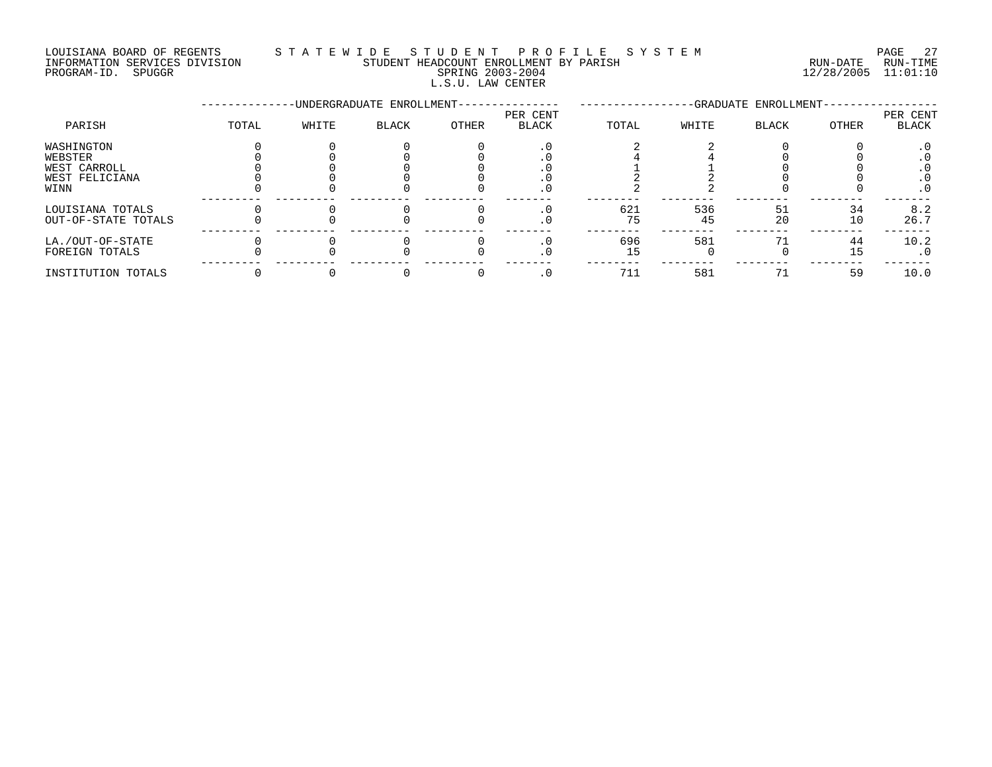LOUISIANA BOARD OF REGENTS STATEWIDE STUDE STUDENT PROFILE SYSTEM PAGE 27<br>INFORMATION SERVICES DIVISION STUDENT HEADCOUNT ENROLLMENT BY PARISH STORMATION SERVICES DIVISION INFORMATION SERVICES DIVISION STUDENT HEADCOUNT ENROLLMENT BY PARISH PROGRAM-ID. SPUGGR SPRING 2003-2004 12/28/2005 11:01:10 L.S.U. LAW CENTER

|                     |       |       | -UNDERGRADUATE ENROLLMENT- |       | -GRADUATE ENROLLMENT- |       |       |              |       |                   |
|---------------------|-------|-------|----------------------------|-------|-----------------------|-------|-------|--------------|-------|-------------------|
| PARISH              | TOTAL | WHITE | <b>BLACK</b>               | OTHER | PER CENT<br>BLACK     | TOTAL | WHITE | <b>BLACK</b> | OTHER | PER CENT<br>BLACK |
| WASHINGTON          |       |       |                            |       |                       |       |       |              |       |                   |
| WEBSTER             |       |       |                            |       |                       |       |       |              |       |                   |
| WEST CARROLL        |       |       |                            |       |                       |       |       |              |       |                   |
| WEST FELICIANA      |       |       |                            |       |                       |       |       |              |       |                   |
| WINN                |       |       |                            |       |                       |       |       |              |       | $\cdot$ 0         |
| LOUISIANA TOTALS    |       |       |                            |       |                       | 621   | 536   | 51           | 34    | 8.2               |
| OUT-OF-STATE TOTALS |       |       |                            |       | . ∪                   | 75    | 45    | 20           | 10    | 26.7              |
| LA./OUT-OF-STATE    |       |       |                            |       |                       | 696   | 581   |              | 44    | 10.2              |
| FOREIGN TOTALS      |       |       |                            |       | . 0                   | 15    |       |              | 15    | . 0               |
| INSTITUTION TOTALS  |       |       |                            |       | . 0                   | 711   | 581   |              | 59    | 10.0              |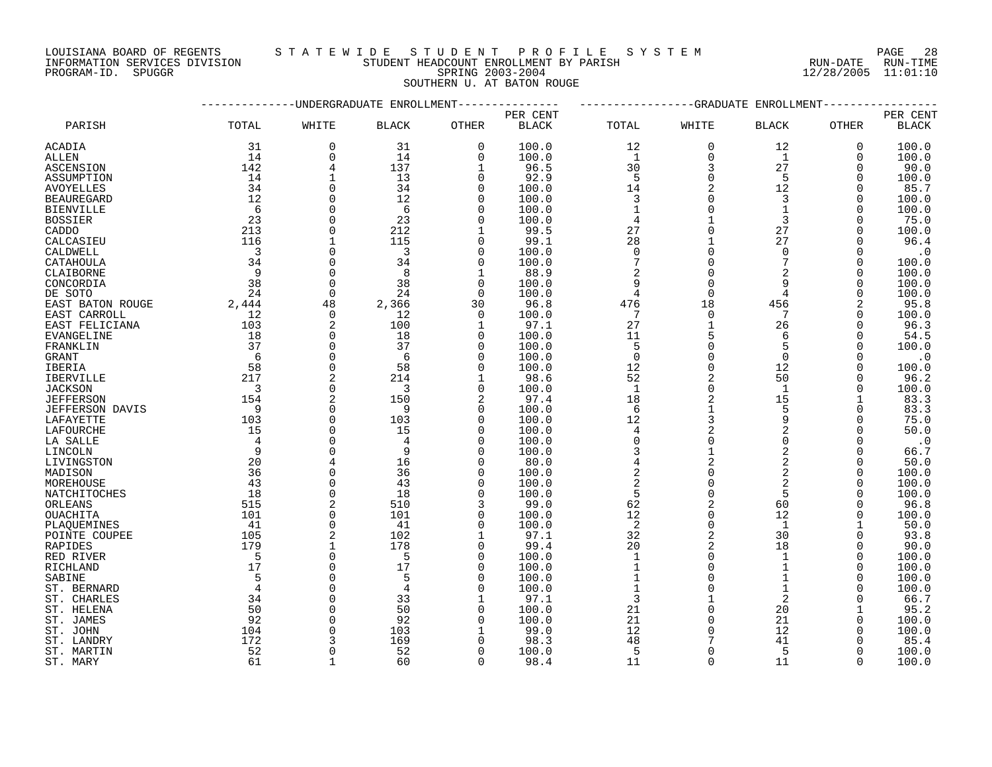PROGRAM-ID. SPUGGR SPRING 2003-2004 12/28/2005 11:01:10

# LOUISIANA BOARD OF REGENTS STATEWIDE STUDENT PROFILE SYSTEM PAGE 28<br>INFORMATION SERVICES DIVISION STUDENT HEADCOUNT ENROLLMENT BY PARISH STORMATION SERVICES DIVISION INFORMATION SERVICES DIVISION STUDENT HEADCOUNT ENROLLMENT BY PARISH

SOUTHERN U. AT BATON ROUGE

|                        |                          |                         | -UNDERGRADUATE ENROLLMENT |              |              |                                                        | -GRADUATE      | ENROLLMENT     |             |              |
|------------------------|--------------------------|-------------------------|---------------------------|--------------|--------------|--------------------------------------------------------|----------------|----------------|-------------|--------------|
|                        |                          |                         |                           |              | PER CENT     |                                                        |                |                |             | PER CENT     |
| PARISH                 | TOTAL                    | WHITE                   | <b>BLACK</b>              | OTHER        | <b>BLACK</b> | TOTAL                                                  | WHITE          | <b>BLACK</b>   | OTHER       | <b>BLACK</b> |
| ACADIA                 | 31                       | $\mathbf 0$             | 31                        | $\mathbf 0$  | 100.0        | 12                                                     | $\mathbf 0$    | 12             | $\mathbf 0$ | 100.0        |
| ALLEN                  | 14                       | $\Omega$                | 14                        | $\Omega$     | 100.0        | <sup>1</sup>                                           | $\Omega$       | 1              | $\Omega$    | 100.0        |
| <b>ASCENSION</b>       | 142                      | $\overline{4}$          | 137                       | $\mathbf{1}$ | 96.5         | 30                                                     | $\overline{3}$ | 27             | $\Omega$    | 90.0         |
| ASSUMPTION             | 14                       | $\mathbf{1}$            | 13                        | $\Omega$     | 92.9         | 5                                                      | $\Omega$       | 5              | $\Omega$    | 100.0        |
| <b>AVOYELLES</b>       | 34                       | $\Omega$                | 34                        | $\Omega$     | 100.0        | 14                                                     | 2              | 12             | $\Omega$    | 85.7         |
| <b>BEAUREGARD</b>      | 12                       | $\Omega$                | 12                        | $\Omega$     | 100.0        | $\mathbf{3}$                                           | $\Omega$       | 3              | $\Omega$    | 100.0        |
| <b>BIENVILLE</b>       | 6                        | $\Omega$                | -6                        | $\Omega$     | 100.0        | $\mathbf{1}$                                           | $\Omega$       | $\mathbf{1}$   | $\Omega$    | 100.0        |
| <b>BOSSIER</b>         | 23                       | $\mathbf 0$             | 23                        | $\Omega$     | 100.0        | $\overline{4}$                                         |                | 3              | $\Omega$    | 75.0         |
| CADDO                  | 213                      | $\Omega$                | 212                       | 1            | 99.5         | 27                                                     | $\Omega$       | 27             | $\Omega$    | 100.0        |
| CALCASIEU              | 116                      | $\mathbf{1}$            | 115                       | $\Omega$     | 99.1         | 28                                                     |                | 27             | $\Omega$    | 96.4         |
| CALDWELL               | $\overline{\mathbf{3}}$  | $\Omega$                | $\overline{\mathbf{3}}$   | $\Omega$     | 100.0        | $\mathbf{0}$                                           | $\Omega$       | $\Omega$       | $\Omega$    | $\cdot$ 0    |
| CATAHOULA              | 34                       | $\mathbf 0$             | 34                        | $\mathbf 0$  | 100.0        | $\overline{7}$                                         | $\mathbf 0$    | 7              | $\mathbf 0$ | 100.0        |
| CLAIBORNE              | $\overline{9}$           | $\mathbf 0$             | 8                         | 1            | 88.9         | $\sqrt{2}$                                             | $\Omega$       | 2              | $\Omega$    | 100.0        |
| CONCORDIA              | 38                       | $\mathbf 0$             | 38                        | $\Omega$     | 100.0        | 9                                                      | $\Omega$       | 9              | 0           | 100.0        |
| DE SOTO                | 24                       | $\Omega$                | 24                        | $\Omega$     | 100.0        | 4                                                      | $\Omega$       | 4              | $\Omega$    | 100.0        |
| EAST BATON ROUGE       | 2,444                    | 48                      | 2,366                     | 30           | 96.8         | 476                                                    | 18             | 456            | 2           | 95.8         |
| EAST CARROLL           | 12                       | $\mathbf 0$             | 12                        | $\Omega$     | 100.0        | 7                                                      | $\Omega$       | 7              | $\Omega$    | 100.0        |
|                        | 103                      | $\overline{2}$          | 100                       | 1            | 97.1         | 27                                                     |                | 26             | $\Omega$    | 96.3         |
| EAST FELICIANA         | 18                       | $\Omega$                | 18                        | $\Omega$     |              | 11                                                     |                | 6              | $\Omega$    | 54.5         |
| EVANGELINE             | 37                       | $\Omega$                | 37                        |              | 100.0        |                                                        | $\Omega$       | 5              |             |              |
| FRANKLIN               |                          |                         |                           | $\Omega$     | 100.0        | 5<br>$\mathbf 0$                                       | $\Omega$       |                | $\Omega$    | 100.0        |
| GRANT                  | 6                        | $\mathbf 0$<br>$\Omega$ | -6                        | $\mathbf 0$  | 100.0        |                                                        | $\Omega$       | $\overline{0}$ | $\Omega$    | $\cdot$ 0    |
| IBERIA                 | 58                       |                         | 58                        | $\Omega$     | 100.0        | 12                                                     |                | 12             | 0           | 100.0        |
| IBERVILLE              | 217                      | $\overline{2}$          | 214                       | 1            | 98.6         | 52                                                     |                | 50             | $\Omega$    | 96.2         |
| <b>JACKSON</b>         | $\overline{\phantom{a}}$ | $\mathbf 0$             | $\overline{3}$            | $\mathbf 0$  | 100.0        | $\mathbf{1}$                                           | $\Omega$       | $\mathbf{1}$   | $\Omega$    | 100.0        |
| <b>JEFFERSON</b>       | 154                      | $\overline{2}$          | 150                       | 2            | 97.4         | 18                                                     |                | 15             |             | 83.3         |
| <b>JEFFERSON DAVIS</b> | $\overline{9}$           | $\Omega$                | 9                         | $\Omega$     | 100.0        | 6                                                      |                | 5              | $\Omega$    | 83.3         |
| LAFAYETTE              | 103                      | $\Omega$                | 103                       | $\Omega$     | 100.0        | 12                                                     | $\overline{3}$ | 9              | $\Omega$    | 75.0         |
| LAFOURCHE              | 15                       | $\Omega$                | 15                        | $\Omega$     | 100.0        | $\begin{array}{c}\n4 \\ 0 \\ 3 \\ 4 \\ 2\n\end{array}$ |                | $\sqrt{2}$     | $\Omega$    | 50.0         |
| LA SALLE               | $\overline{4}$           | $\Omega$                | 4                         | $\Omega$     | 100.0        |                                                        | $\Omega$       | $\mathbf 0$    | $\Omega$    | $\cdot$ 0    |
| LINCOLN                | $\overline{9}$           | $\Omega$                | 9                         | $\Omega$     | 100.0        |                                                        |                | $\sqrt{2}$     | $\Omega$    | 66.7         |
| LIVINGSTON             | 20                       |                         | 16                        | $\Omega$     | 80.0         |                                                        |                | $\overline{a}$ | $\Omega$    | 50.0         |
| MADISON                | 36                       | $\Omega$                | 36                        | $\Omega$     | 100.0        |                                                        | $\Omega$       | $\overline{2}$ | 0           | 100.0        |
| MOREHOUSE              | 43                       | $\Omega$                | 43                        | $\Omega$     | 100.0        | $\frac{2}{5}$                                          | $\Omega$       | $\overline{2}$ | $\Omega$    | 100.0        |
| NATCHITOCHES           | 18                       | $\Omega$                | 18                        | $\Omega$     | 100.0        |                                                        | $\Omega$       | 5              | $\Omega$    | 100.0        |
| ORLEANS                | 515                      | $\overline{2}$          | 510                       | 3            | 99.0         | 62                                                     | $\overline{2}$ | 60             | $\Omega$    | 96.8         |
| OUACHITA               | 101                      | $\mathbf 0$             | 101                       | $\Omega$     | 100.0        | $12$                                                   | $\Omega$       | 12             | $\Omega$    | 100.0        |
| PLAQUEMINES            | 41                       | $\mathbf 0$             | 41                        | 0            | 100.0        | $\overline{a}$                                         | $\Omega$       | 1              |             | 50.0         |
| POINTE COUPEE          | 105                      |                         | 102                       |              | 97.1         | 32                                                     | 2              | 30             | $\Omega$    | 93.8         |
| RAPIDES                | 179                      | $\mathbf{1}$            | 178                       | $\Omega$     | 99.4         | 20                                                     |                | 18             | $\Omega$    | 90.0         |
| RED RIVER              | $5^{\circ}$              | $\Omega$                | $5^{\circ}$               | $\Omega$     | 100.0        | $\mathbf{1}$                                           | $\Omega$       | $\mathbf{1}$   | $\Omega$    | 100.0        |
| RICHLAND               | 17                       | $\Omega$                | 17                        | $\Omega$     | 100.0        | $\mathbf{1}$                                           | $\Omega$       | $\mathbf{1}$   | $\Omega$    | 100.0        |
| SABINE                 | 5                        | $\Omega$                | 5                         | $\Omega$     | 100.0        | $\mathbf{1}$                                           | $\Omega$       | $\mathbf{1}$   | $\Omega$    | 100.0        |
| ST. BERNARD            | $\overline{4}$           | $\Omega$                | $\overline{4}$            | $\Omega$     | 100.0        | $\mathbf{1}$                                           | $\Omega$       | $\mathbf{1}$   | $\Omega$    | 100.0        |
| ST. CHARLES            | 34                       | $\mathbf 0$             | 33                        | 1            | 97.1         | 3                                                      |                | 2              | $\Omega$    | 66.7         |
| ST. HELENA             | 50                       | $\Omega$                | 50                        | $\Omega$     | 100.0        | 21                                                     | $\Omega$       | 20             |             | 95.2         |
| ST. JAMES              | 92                       | $\Omega$                | 92                        | ∩            | 100.0        | 21                                                     | $\Omega$       | 21             | $\Omega$    | 100.0        |
| ST. JOHN               | 104                      | $\Omega$                | 103                       |              | 99.0         | 12                                                     | $\Omega$       | 12             | $\Omega$    | 100.0        |
| ST. LANDRY             | 172                      |                         | 169                       |              | 98.3         | 48                                                     |                | 41             |             | 85.4         |
| ST. MARTIN             | 52                       | $\Omega$                | 52                        | $\Omega$     | 100.0        | 5                                                      | $\Omega$       | 5              | $\Omega$    | 100.0        |
| ST. MARY               | 61                       | $\mathbf{1}$            | 60                        | $\Omega$     | 98.4         | 11                                                     | $\cap$         | 11             | $\Omega$    | 100.0        |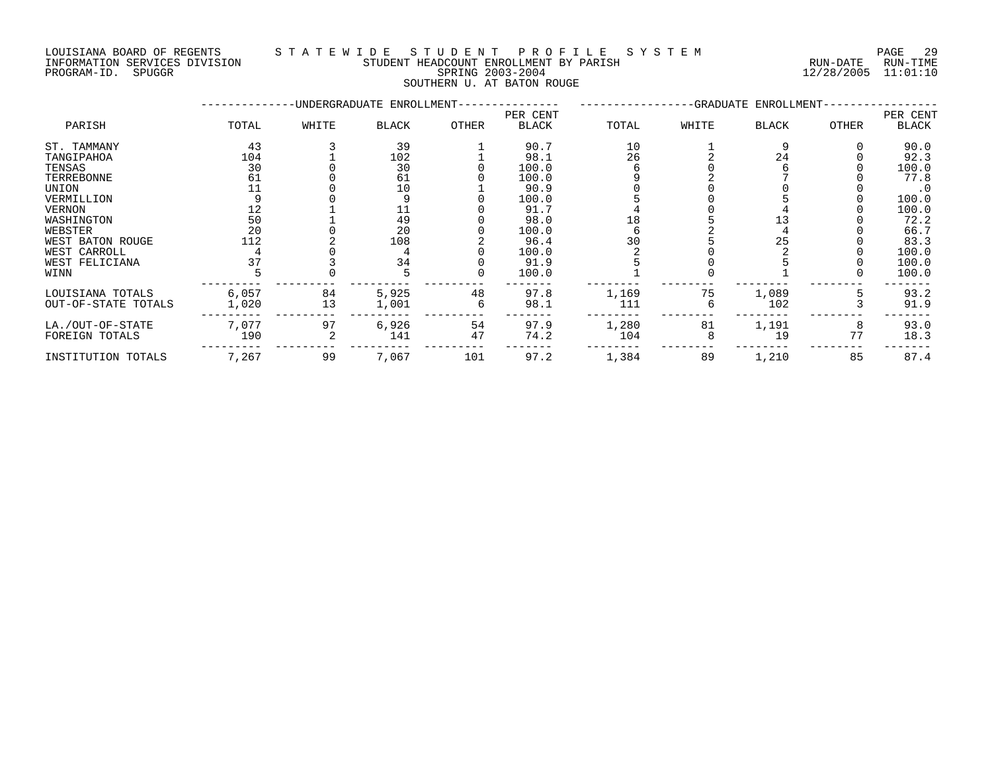#### LOUISIANA BOARD OF REGENTS S T A T E W I D E S T U D E N T P R O F I L E S Y S T E M PAGE 29 INFORMATION SERVICES DIVISION STUDENT HEADCOUNT ENROLLMENT BY PARISH RUN-DATE RUN-TIME DOULSIANA BOARD OF REGENIS<br>INFORMATION SERVICES DIVISION STUDENT HEADCOUNT ENROLLMENT BY PARISH<br>PROGRAM-ID. SPUGGR 11:01:10<br>PROGRAM-ID. SPUGGR

SOUTHERN U. AT BATON ROUGE

|                     |       |       | -UNDERGRADUATE ENROLLMENT- |       | -GRADUATE ENROLLMENT- |       |       |       |              |           |
|---------------------|-------|-------|----------------------------|-------|-----------------------|-------|-------|-------|--------------|-----------|
|                     |       |       |                            |       | PER CENT              |       |       |       |              | PER CENT  |
| PARISH              | TOTAL | WHITE | BLACK                      | OTHER | <b>BLACK</b>          | TOTAL | WHITE | BLACK | <b>OTHER</b> | BLACK     |
| ST. TAMMANY         | 43    |       | 39                         |       | 90.7                  | 10    |       |       |              | 90.0      |
| TANGIPAHOA          | 104   |       | 102                        |       | 98.1                  | 26    |       | 24    |              | 92.3      |
| TENSAS              | 30    |       | 30                         |       | 100.0                 |       |       |       |              | 100.0     |
| TERREBONNE          | 61    |       | 61                         |       | 100.0                 |       |       |       |              | 77.8      |
| UNION               |       |       | 10                         |       | 90.9                  |       |       |       |              | $\cdot$ 0 |
| VERMILLION          |       |       |                            |       | 100.0                 |       |       |       |              | 100.0     |
| <b>VERNON</b>       |       |       |                            |       | 91.7                  |       |       |       |              | 100.0     |
| WASHINGTON          | 50    |       | 49                         |       | 98.0                  |       |       |       |              | 72.2      |
| WEBSTER             | 20    |       | 20                         |       | 100.0                 |       |       |       |              | 66.7      |
| WEST BATON ROUGE    | 112   |       | 108                        |       | 96.4                  | 30    |       | 25    |              | 83.3      |
| WEST CARROLL        |       |       |                            |       | 100.0                 |       |       |       |              | 100.0     |
| WEST FELICIANA      |       |       | 34                         |       | 91.9                  |       |       |       |              | 100.0     |
| WINN                |       |       |                            |       | 100.0                 |       |       |       |              | 100.0     |
| LOUISIANA TOTALS    | 6,057 | 84    | 5,925                      | 48    | 97.8                  | 1,169 | 75    | 1,089 |              | 93.2      |
| OUT-OF-STATE TOTALS | 1,020 | 13    | 1,001                      |       | 98.1                  | 111   |       | 102   |              | 91.9      |
| LA./OUT-OF-STATE    | 7,077 | 97    | 6,926                      | 54    | 97.9                  | 1,280 | 81    | 1,191 | 8            | 93.0      |
| FOREIGN TOTALS      | 190   |       | 141                        | 47    | 74.2                  | 104   |       | 19    | 77           | 18.3      |
| INSTITUTION TOTALS  | 7,267 | 99    | 7,067                      | 101   | 97.2                  | 1,384 | 89    | 1,210 | 85           | 87.4      |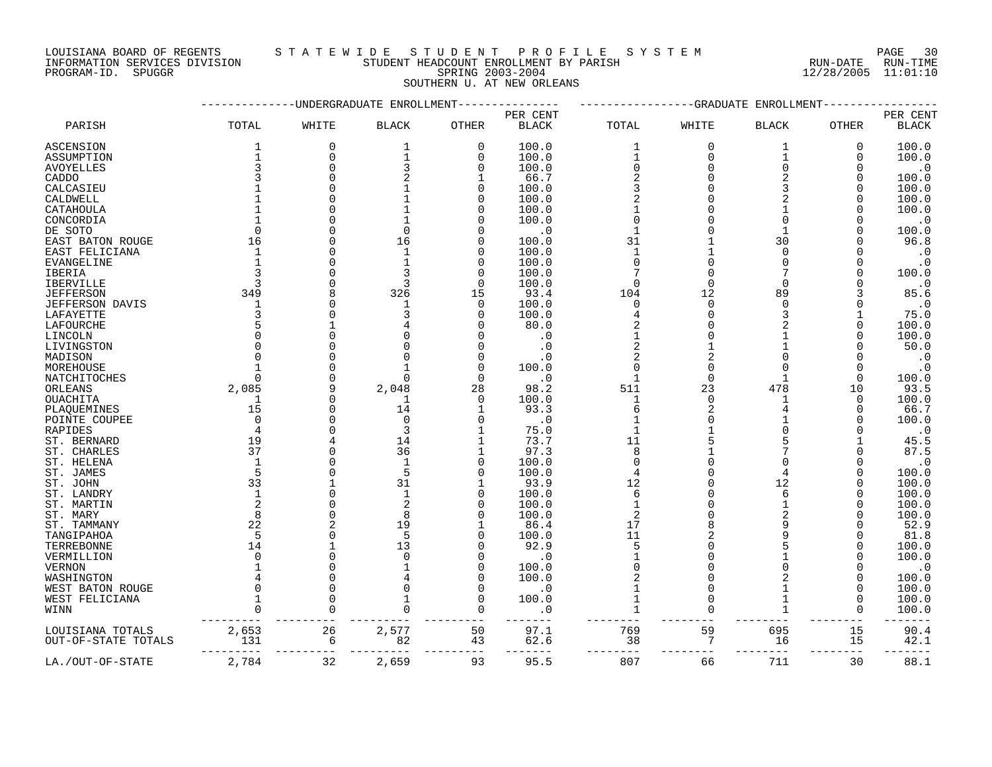LOUISIANA BOARD OF REGENTS S T A T E W I D E S T U D E N T P R O F I L E S Y S T E M PAGE 30 INFORMATION SERVICES DIVISION STUDENT HEADCOUNT ENROLLMENT BY PARISH RUN-DATE RUN-TIME

|                        |                                               |             | --UNDERGRADUATE ENROLLMENT |             | -----------GRADUATE<br>ENROLLMENT |                              |                |                |              |               |
|------------------------|-----------------------------------------------|-------------|----------------------------|-------------|-----------------------------------|------------------------------|----------------|----------------|--------------|---------------|
|                        |                                               |             |                            |             | PER CENT                          |                              |                |                |              | PER CENT      |
| PARISH                 | TOTAL                                         | WHITE       | <b>BLACK</b>               | OTHER       | <b>BLACK</b>                      | TOTAL                        | WHITE          | <b>BLACK</b>   | OTHER        | <b>BLACK</b>  |
| <b>ASCENSION</b>       | 1                                             | $\mathbf 0$ | 1                          | $\mathbf 0$ | 100.0                             | $\mathbf{1}$                 | $\mathbf 0$    | 1              | 0            | 100.0         |
| ASSUMPTION             | $\mathbf{1}$                                  | $\mathbf 0$ | $\mathbf 1$                | $\Omega$    | 100.0                             | $\mathbf{1}$                 | $\Omega$       | 1              | $\Omega$     | 100.0         |
| <b>AVOYELLES</b>       | $\overline{3}$                                | $\Omega$    | 3                          | $\Omega$    | 100.0                             | $\mathbf 0$                  | $\Omega$       | $\overline{0}$ | 0            | $\cdot$ 0     |
| CADDO                  | 3                                             |             |                            |             | 66.7                              | $\overline{c}$               | $\Omega$       | 2              | $\Omega$     | 100.0         |
| CALCASIEU              |                                               |             |                            | $\Omega$    | 100.0                             | $\mathbf{3}$                 |                | 3              | $\Omega$     | 100.0         |
| CALDWELL               |                                               |             |                            |             | 100.0                             |                              |                |                | $\Omega$     | 100.0         |
| CATAHOULA              |                                               |             |                            |             | 100.0                             |                              |                |                |              | 100.0         |
| CONCORDIA              |                                               |             |                            |             | 100.0                             | $\Omega$                     |                |                | $\Omega$     | $\cdot$ 0     |
| DE SOTO                | $\Omega$                                      |             | $\Omega$                   |             | $\cdot$ 0                         |                              |                |                |              | 100.0         |
| EAST BATON ROUGE       | 16                                            | $\Omega$    | 16                         | $\Omega$    | 100.0                             | 31                           |                | 30             |              | 96.8          |
| EAST FELICIANA         | 1                                             |             | $\mathbf{1}$               |             | 100.0                             | $\mathbf{1}$                 |                | $\Omega$       |              | $\cdot$ 0     |
| EVANGELINE             | 1                                             |             |                            | ∩           | 100.0                             | $\Omega$                     |                | $\Omega$       |              | $\cdot$ 0     |
| <b>IBERIA</b>          | 3                                             |             |                            | ∩           | 100.0                             | 7                            |                | 7              |              | 100.0         |
| <b>IBERVILLE</b>       | 3                                             |             | 3                          | $\Omega$    | 100.0                             | $\Omega$                     | $\Omega$       | $\Omega$       |              | $\cdot$ 0     |
| <b>JEFFERSON</b>       | 349                                           |             | 326                        | 15          | 93.4                              | 104                          | 12             | 89             |              | 85.6          |
| <b>JEFFERSON DAVIS</b> | $\mathbf 1$                                   |             | $\mathbf{1}$               | $\Omega$    | 100.0                             | $\mathbf 0$                  | $\Omega$       | $\overline{0}$ |              | $\cdot$ 0     |
| LAFAYETTE              | 3                                             |             | 3                          | ∩           | 100.0                             | 4                            | $\Omega$       | 3              |              | 75.0          |
| LAFOURCHE              | 5                                             |             |                            |             | 80.0                              | $\overline{2}$               |                | $\overline{a}$ | $\Omega$     | 100.0         |
|                        | $\Omega$                                      |             |                            |             | $\cdot$ 0                         |                              |                |                | O            |               |
| LINCOLN                | $\Omega$                                      |             |                            |             |                                   |                              |                |                |              | 100.0         |
| LIVINGSTON             | $\Omega$                                      |             |                            |             | $\cdot$ 0                         | $\sqrt{2}$<br>$\overline{2}$ | $\overline{2}$ |                |              | 50.0          |
| MADISON                |                                               |             |                            |             | $\cdot$ 0                         | $\Omega$                     |                | $\Omega$       |              | $\cdot$ 0     |
| MOREHOUSE              |                                               |             |                            | $\Omega$    | 100.0                             |                              |                |                |              | $\cdot$ 0     |
| NATCHITOCHES           | $\Omega$                                      |             | $\Omega$                   | $\Omega$    | $\cdot$ 0                         | $\mathbf{1}$                 | $\Omega$       | $\mathbf{1}$   | $\Omega$     | 100.0         |
| ORLEANS                | 2,085                                         |             | 2,048                      | 28          | 98.2                              | 511                          | 23             | 478            | 10           | 93.5          |
| <b>OUACHITA</b>        | 1                                             | $\Omega$    | 1                          | $\Omega$    | 100.0                             | $\mathbf{1}$                 | $\Omega$       |                | $\Omega$     | 100.0         |
| PLAQUEMINES            | 15                                            | $\Omega$    | 14                         | 1           | 93.3                              | 6                            | 2              |                | $\Omega$     | 66.7          |
| POINTE COUPEE          | $\Omega$                                      | $\cap$      | $\Omega$                   |             | $\cdot$ 0                         |                              |                |                | $\Omega$     | 100.0         |
| RAPIDES                | $\overline{4}$                                |             | 3                          |             | 75.0                              | $\mathbf{1}$                 |                | $\overline{0}$ |              | $\cdot$ 0     |
| ST. BERNARD            | 19                                            |             | 14                         |             | 73.7                              | 11                           |                |                |              | 45.5          |
| ST. CHARLES            | 37                                            |             | 36                         |             | 97.3                              | 8                            |                |                |              | 87.5          |
| ST. HELENA             | $\mathbf{1}$                                  |             | $\mathbf{1}$               | $\Omega$    | 100.0                             | $\Omega$                     |                |                |              | $\cdot$ 0     |
| ST. JAMES              | 5                                             |             | 5                          | ∩           | 100.0                             | 4                            |                |                | $\Omega$     | 100.0         |
| ST. JOHN               | 33                                            |             | 31                         |             | 93.9                              | 12                           |                | 12             |              | 100.0         |
| ST. LANDRY             | $\mathbf{1}$                                  | $\Omega$    | $\mathbf{1}$               | $\Omega$    | 100.0                             | 6                            |                | 6              | $\Omega$     | 100.0         |
| ST. MARTIN             | 2                                             |             |                            |             | 100.0                             |                              |                |                |              | 100.0         |
| ST. MARY               | 8                                             | $\Omega$    | 8                          | ∩           | 100.0                             | 2                            |                | $\overline{2}$ | $\Omega$     | 100.0         |
| ST. TAMMANY            | 22                                            |             | 19                         | 1           | 86.4                              | 17                           |                |                |              | 52.9          |
| TANGIPAHOA             | $-5$                                          | $\Omega$    |                            |             | 100.0                             | 11                           |                |                | $\Omega$     | 81.8          |
| TERREBONNE             | 14                                            |             | 13                         |             | 92.9                              | 5                            |                |                | $\Omega$     | 100.0         |
| VERMILLION             | $\Omega$                                      | $\Omega$    |                            |             | $\cdot$ 0                         |                              |                |                |              | 100.0         |
| <b>VERNON</b>          |                                               |             |                            | $\cap$      | 100.0                             | $\Omega$                     |                |                |              | $\cdot$ 0     |
| WASHINGTON             |                                               | $\cap$      |                            | O           | 100.0                             | 2                            | $\Omega$       |                | 0            | 100.0         |
| WEST BATON ROUGE       | $\Omega$                                      | $\Omega$    |                            | ∩           | $\cdot$ 0                         |                              | $\Omega$       |                | $\Omega$     | 100.0         |
| WEST FELICIANA         | $\mathbf{1}$                                  | $\Omega$    |                            | $\Omega$    | 100.0                             | 1                            | $\Omega$       | $\mathbf{1}$   | $\Omega$     | 100.0         |
| WINN                   | $\Omega$                                      | $\Omega$    | $\Omega$                   | $\Omega$    | $\cdot$ 0                         | $\mathbf{1}$                 | $\Omega$       | $\mathbf{1}$   | $\Omega$     | 100.0         |
| LOUISIANA TOTALS       | $\begin{array}{r} 2\,,653 \\ 131 \end{array}$ | 26          | 2,577                      | 50          | 97.1                              | 769                          | 59             | 695            | 15           | 90.4          |
| OUT-OF-STATE TOTALS    |                                               | 6<br>$---$  | 82                         | 43<br>---   | 62.6<br>$- - - - -$               | 38<br>$- - -$                | 7              | 16<br>----     | 15<br>$-- -$ | 42.1<br>----- |
| LA./OUT-OF-STATE       | 2,784                                         | 32          | 2,659                      | 93          | 95.5                              | 807                          | 66             | 711            | 30           | 88.1          |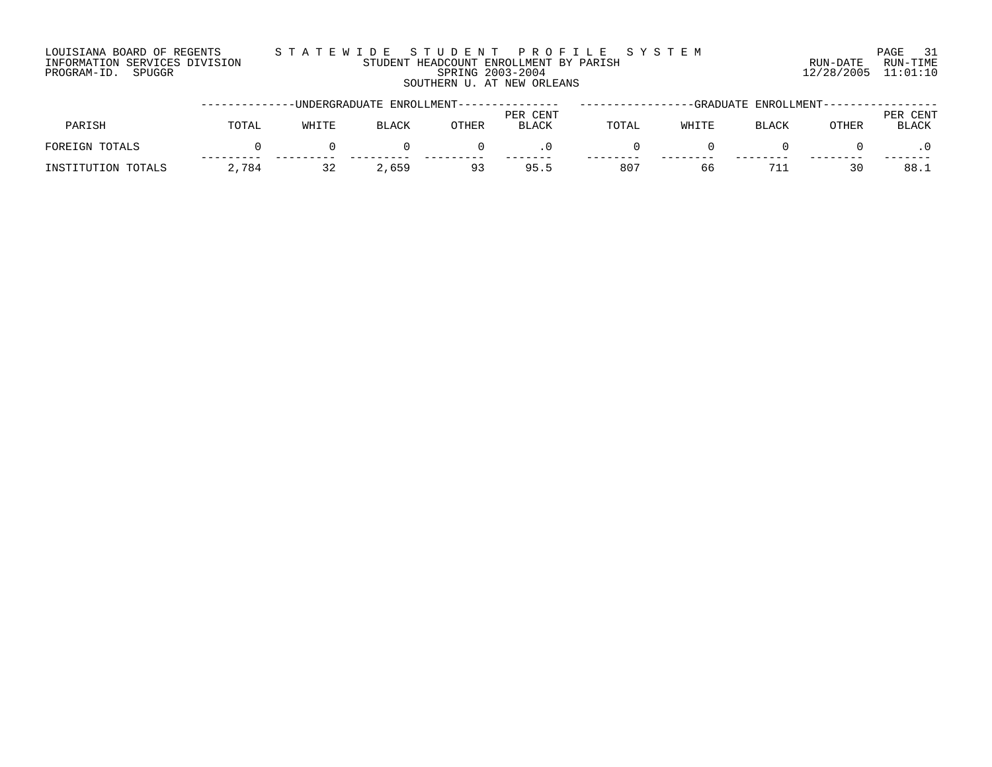### LOUISIANA BOARD OF REGENTS S T A T E W I D E S T U D E N T P R O F I L E S Y S T E M PAGE 31 INFORMATION SERVICES DIVISION STUDENT HEADCOUNT ENROLLMENT BY PARISH RUN-DATE RUN-TIME PROGRAM-ID. SPUGGR SPRING 2003-2004 12/28/2005 11:01:10 SOUTHERN U. AT NEW ORLEANS

|                    |       |       |              | --UNDERGRADUATE ENROLLMENT------------ |                          | ENROLLMENT--<br>-GRADUATE |       |              |       |                      |  |
|--------------------|-------|-------|--------------|----------------------------------------|--------------------------|---------------------------|-------|--------------|-------|----------------------|--|
| PARISH             | TOTAL | WHITE | <b>BLACK</b> | OTHER                                  | PER CENT<br><b>BLACK</b> | TOTAL                     | WHITE | <b>BLACK</b> | OTHER | CENT<br>PER<br>BLACK |  |
| FOREIGN TOTALS     |       |       |              |                                        |                          |                           |       |              |       |                      |  |
| INSTITUTION TOTALS | 2,784 |       | 2,659        | 93                                     | 95.5                     | 807                       | 66    | 71.          | 30    | 88.1                 |  |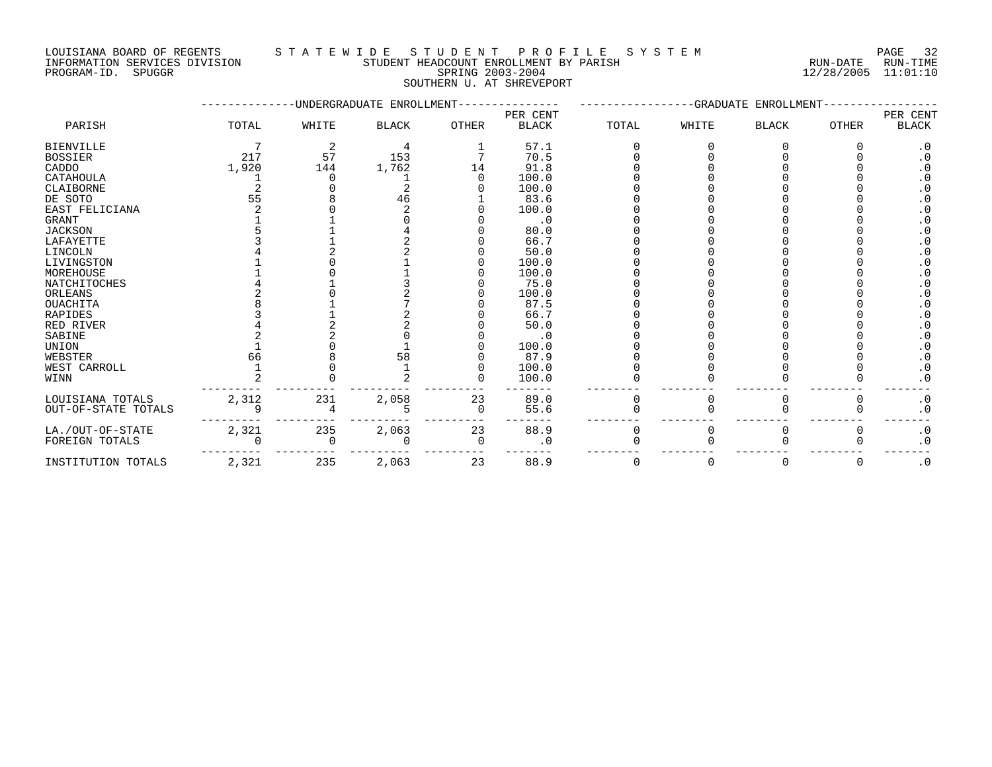LOUISIANA BOARD OF REGENTS S T A T E W I D E S T U D E N T P R O F I L E S Y S T E M PAGE 32 INFORMATION SERVICES DIVISION STUDENT HEADCOUNT ENROLLMENT BY PARISH RUN-DATE RUN-TIME PROGRAM-ID. SPUGGR SPRING 2003-2004 12/28/2005 11:01:10

# SOUTHERN U. AT SHREVEPORT

|                     |       |          | UNDERGRADUATE ENROLLMENT |              |                          |       |       |              |              |                          |
|---------------------|-------|----------|--------------------------|--------------|--------------------------|-------|-------|--------------|--------------|--------------------------|
| PARISH              | TOTAL | WHITE    | <b>BLACK</b>             | <b>OTHER</b> | PER CENT<br><b>BLACK</b> | TOTAL | WHITE | <b>BLACK</b> | <b>OTHER</b> | PER CENT<br><b>BLACK</b> |
| <b>BIENVILLE</b>    |       |          |                          |              | 57.1                     |       |       |              |              | $\cdot$ 0                |
| <b>BOSSIER</b>      | 217   | 57       | 153                      |              | 70.5                     |       |       |              |              | $\cdot$ 0                |
| CADDO               | 1,920 | 144      | 1,762                    | 14           | 91.8                     |       |       |              |              | . 0                      |
| CATAHOULA           |       |          |                          |              | 100.0                    |       |       |              |              | $\cdot$ 0                |
| CLAIBORNE           |       |          |                          |              | 100.0                    |       |       |              |              | $\cdot$ 0                |
| DE SOTO             | 55    |          | 46                       |              | 83.6                     |       |       |              |              | . 0                      |
| EAST FELICIANA      |       |          |                          |              | 100.0                    |       |       |              |              | $\cdot$ 0                |
| <b>GRANT</b>        |       |          |                          |              | . 0                      |       |       |              |              | $\cdot$ 0                |
| <b>JACKSON</b>      |       |          |                          |              | 80.0                     |       |       |              |              | $\cdot$ 0                |
| LAFAYETTE           |       |          |                          |              | 66.7                     |       |       |              |              | . 0                      |
| LINCOLN             |       |          |                          |              | 50.0                     |       |       |              |              | . 0                      |
| LIVINGSTON          |       |          |                          |              | 100.0                    |       |       |              |              | $\cdot$ 0                |
| MOREHOUSE           |       |          |                          |              | 100.0                    |       |       |              |              | . 0                      |
| NATCHITOCHES        |       |          |                          |              | 75.0                     |       |       |              |              | $\cdot$ 0                |
| ORLEANS             |       |          |                          |              | 100.0                    |       |       |              |              | $\cdot$ 0                |
| <b>OUACHITA</b>     |       |          |                          |              | 87.5                     |       |       |              |              | $\cdot$ 0                |
| <b>RAPIDES</b>      |       |          |                          |              | 66.7                     |       |       |              |              | . 0                      |
| RED RIVER           |       |          |                          |              | 50.0                     |       |       |              |              | . 0                      |
| SABINE              |       |          |                          |              | . 0                      |       |       |              |              | $\cdot$ 0                |
| <b>UNION</b>        |       |          |                          |              | 100.0                    |       |       |              |              | $\cdot$ 0                |
| WEBSTER             | 66    |          | 58                       |              | 87.9                     |       |       |              |              | $\cdot$ 0                |
| WEST CARROLL        |       |          |                          |              | 100.0                    |       |       |              |              | $\cdot$ 0                |
| WINN                |       |          |                          |              | 100.0                    |       |       |              |              | $\cdot$ 0                |
| LOUISIANA TOTALS    | 2,312 | 231      | 2,058                    | 23           | 89.0                     |       |       |              |              | $\cdot$ 0                |
| OUT-OF-STATE TOTALS |       |          |                          | 0            | 55.6                     |       |       |              |              | $\cdot$ 0                |
| LA./OUT-OF-STATE    | 2,321 | 235      | 2,063                    | 23           | 88.9                     | 0     |       |              |              | $\cdot$ 0                |
| FOREIGN TOTALS      |       | $\Omega$ |                          | $\Omega$     | $\cdot$ 0                |       |       |              |              | $\cdot$ 0                |
| INSTITUTION TOTALS  | 2,321 | 235      | 2,063                    | 23           | 88.9                     | O     | O     | 0            | 0            | $\cdot$ 0                |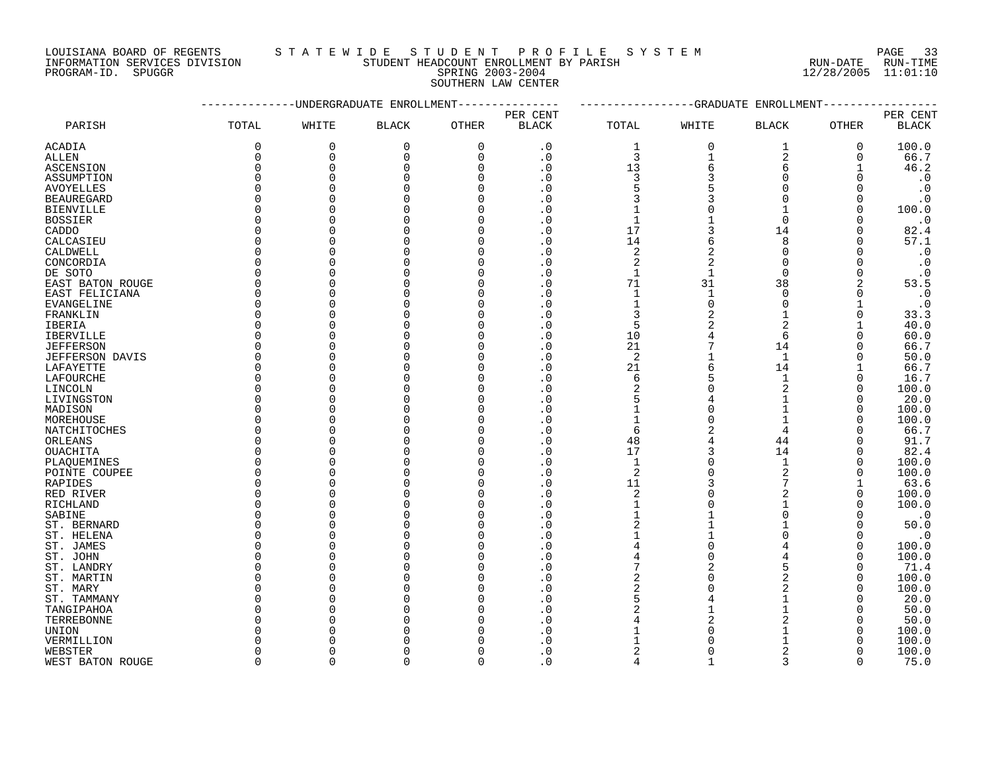# PROGRAM-ID. SPUGGR SPRING 2003-2004 12/28/2005 11:01:10 SOUTHERN LAW CENTER

LOUISIANA BOARD OF REGENTS STATEWIDE STUDE NT PROFILE SYSTEM PAGE 33<br>INFORMATION SERVICES DIVISION STUDENT HEADCOUNT ENROLLMENT BY PARISH AND THE SYSTEM RUN-DATE RUN-TIME INFORMATION SERVICES DIVISION STUDENT HEADCOUNT ENROLLMENT BY PARISH RUN-DATE RUN-TIME

|                  |              | ----------UNDERGRADUATE ENROLLMENT------------- |              |          | ------------GRADUATE ENROLLMENT------- |                |              |                |              |                        |
|------------------|--------------|-------------------------------------------------|--------------|----------|----------------------------------------|----------------|--------------|----------------|--------------|------------------------|
|                  |              |                                                 |              |          | PER CENT                               |                |              |                |              | PER CENT               |
| PARISH           | TOTAL        | WHITE                                           | <b>BLACK</b> | OTHER    | <b>BLACK</b>                           | TOTAL          | WHITE        | <b>BLACK</b>   | OTHER        | <b>BLACK</b>           |
| ACADIA           | 0            | $\mathbf 0$                                     | 0            | 0        | $\cdot$ 0                              | 1              | $\mathbf 0$  | 1              | 0            | 100.0                  |
| ALLEN            | 0            | $\mathbf 0$                                     | 0            | 0        | $\cdot$ 0                              | 3              | 1            | $\overline{2}$ | 0            | 66.7                   |
| ASCENSION        | $\Omega$     | 0                                               | $\Omega$     | 0        | $\cdot$ 0                              | 13             | 6            | 6              |              | 46.2                   |
| ASSUMPTION       | $\Omega$     | 0                                               | $\Omega$     | 0        | $\cdot$ 0                              | 3              |              | $\Omega$       |              | $\cdot$ 0              |
| AVOYELLES        | <sup>0</sup> | 0                                               | <sup>0</sup> | O        | . 0                                    | 5              |              | $\Omega$       |              | $\cdot$ 0              |
| BEAUREGARD       | <sup>0</sup> | $\Omega$                                        | <sup>0</sup> | O        | . 0                                    | 3              |              | $\Omega$       |              | $\cdot$ 0              |
| BIENVILLE        | $\Omega$     | 0                                               | $\Omega$     | O        | $\cdot$ 0                              | $\mathbf 1$    |              | 1              | ∩            | 100.0                  |
| <b>BOSSIER</b>   |              | 0                                               | $\Omega$     | 0        | $\cdot$ 0                              | $\mathbf{1}$   |              | $\Omega$       |              | $\cdot$ 0              |
| CADDO            |              | $\Omega$                                        | <sup>0</sup> | O        | . 0                                    | 17             |              | 14             |              | 82.4                   |
| CALCASIEU        |              | $\Omega$                                        | O            | O        | . 0                                    | 14             | 6            | 8              |              | 57.1                   |
| CALDWELL         | ∩            | $\Omega$                                        | O            | O        | $\cdot$ 0                              | 2              |              | $\Omega$       |              | $\cdot$ 0              |
| CONCORDIA        |              | 0                                               | $\Omega$     | O        | $\cdot$ 0                              | $\overline{c}$ |              | $\Omega$       |              | $\cdot$ 0              |
| DE SOTO          | O            | 0                                               | <sup>0</sup> | O        | $\cdot$ 0                              | 1              | 1            | $\mathbf 0$    |              | $\cdot$ 0              |
| EAST BATON ROUGE |              | $\Omega$                                        | O            | O        | . 0                                    | 71             | 31           | 38             |              | 53.5                   |
| EAST FELICIANA   | ∩            | $\Omega$                                        | O            | O        | . 0                                    | 1              | $\mathbf{1}$ | $\Omega$       | ∩            | $\cdot$ 0              |
| EVANGELINE       |              | 0                                               | O            | O        | $\cdot$ 0                              | $\mathbf 1$    | U            | $\Omega$       |              | $\boldsymbol{\cdot}$ 0 |
| FRANKLIN         | <sup>0</sup> | 0                                               | <sup>0</sup> | O        | . 0                                    | 3              |              | 1              | O            | 33.3                   |
| IBERIA           | ∩            | $\Omega$                                        | O            | O        | $\cdot$ 0                              | 5              |              | $\overline{2}$ |              | 40.0                   |
| IBERVILLE        | ∩            | $\Omega$                                        | $\Omega$     | O        | . 0                                    | 10             |              | 6              | $\Omega$     | 60.0                   |
| JEFFERSON        | n            | 0                                               | O            | O        | . 0                                    | 21             |              | 14             | O            | 66.7                   |
| JEFFERSON DAVIS  | <sup>0</sup> | 0                                               | $\Omega$     | O        | $\cdot$ 0                              | 2              |              | 1              | O            | 50.0                   |
| LAFAYETTE        | ∩            | $\Omega$                                        | <sup>0</sup> | U        | . 0                                    | 21             | 6            | 14             |              | 66.7                   |
| LAFOURCHE        | $\Omega$     | $\Omega$                                        | $\cap$       | U        | . 0                                    | 6              |              | $\mathbf{1}$   | $\Omega$     | 16.7                   |
|                  | <sup>0</sup> | 0                                               | <sup>0</sup> | 0        | . 0                                    | 2              |              | 2              | O            | 100.0                  |
| LINCOLN          |              | $\Omega$                                        | $\Omega$     | O        | . 0                                    | 5              |              |                | ∩            | 20.0                   |
| LIVINGSTON       | <sup>0</sup> | $\Omega$                                        | <sup>0</sup> | O        |                                        |                |              | 1              | O            |                        |
| MADISON          | ∩            | 0                                               | $\cap$       | U        | $\cdot$ 0<br>. 0                       | 1              |              | 1              | ∩            | 100.0                  |
| MOREHOUSE        | U            |                                                 |              |          |                                        | 1              |              |                |              | 100.0                  |
| NATCHITOCHES     |              | 0                                               | O<br>O       | O<br>O   | $\cdot$ 0                              | 6              |              | 4              |              | 66.7                   |
| ORLEANS          | $\Omega$     | 0                                               |              |          | . 0                                    | 48             |              | 44             | ∩            | 91.7                   |
| <b>OUACHITA</b>  |              | $\Omega$                                        | $\Omega$     | O        | $\cdot$ 0                              | 17             |              | 14             |              | 82.4                   |
| PLAQUEMINES      |              | 0                                               | O            | O        | . 0                                    | $\mathbf{1}$   |              | $\mathbf 1$    | O            | 100.0                  |
| POINTE COUPEE    | $\Omega$     | 0                                               | <sup>0</sup> | O        | . 0                                    | 2              |              |                | O            | 100.0                  |
| RAPIDES          |              | 0                                               | $\Omega$     | O        | . 0                                    | 11             |              |                |              | 63.6                   |
| RED RIVER        | <sup>0</sup> | $\Omega$                                        | $\Omega$     | 0        | $\cdot$ 0                              | 2              |              | 2              | $\Omega$     | 100.0                  |
| RICHLAND         | $\Omega$     | 0                                               | $\Omega$     | O        | $\cdot$ 0                              | 1              |              | 1              |              | 100.0                  |
| SABINE           | <sup>0</sup> | 0                                               | $\Omega$     | $\Omega$ | . 0                                    | 1              |              | $\Omega$       | O            | $\cdot$ 0              |
| ST. BERNARD      | <sup>0</sup> | 0                                               | $\Omega$     | O        | . 0                                    | $\overline{c}$ |              | 1              |              | 50.0                   |
| ST. HELENA       |              | $\Omega$                                        | $\Omega$     | O        | . 0                                    |                |              | U              | ∩            | $\cdot$ 0              |
| ST. JAMES        | $\Omega$     | 0                                               | $\Omega$     | 0        | . 0                                    |                |              |                | $\Omega$     | 100.0                  |
| ST. JOHN         |              | $\Omega$                                        | O            | O        | . 0                                    | 4              | U            |                | O            | 100.0                  |
| ST. LANDRY       | U            | 0                                               | O            | O        | $\cdot$ 0                              | 7              |              |                | O            | 71.4                   |
| ST. MARTIN       |              | $\Omega$                                        | $\Omega$     | O        | . 0                                    | $\overline{2}$ |              |                | ∩            | 100.0                  |
| ST. MARY         | <sup>0</sup> | 0                                               | $\Omega$     | O        | $\cdot$ 0                              | 2              |              |                | $\Omega$     | 100.0                  |
| ST. TAMMANY      |              | 0                                               | O            | O        | . 0                                    | 5              |              | 1              | O            | 20.0                   |
| TANGIPAHOA       | <sup>0</sup> | $\Omega$                                        | O            | O        | . 0                                    | $\overline{2}$ |              |                | O            | 50.0                   |
| TERREBONNE       |              | $\Omega$                                        | ∩            | U        | . 0                                    | 4              |              |                | ∩            | 50.0                   |
| UNION            |              | 0                                               | U            | 0        | . 0                                    | 1              |              | 1              |              | 100.0                  |
| VERMILLION       |              | $\Omega$                                        |              |          | . 0                                    | 1              |              |                |              | 100.0                  |
| WEBSTER          | <sup>0</sup> | $\Omega$                                        | ∩            | O        | $\cdot$ 0                              | 2              | 0            | 2              | ∩            | 100.0                  |
| WEST BATON ROUGE | $\cap$       | $\Omega$                                        | $\cap$       | $\Omega$ | . 0                                    | 4              | 1            | ζ              | <sup>n</sup> | 75.0                   |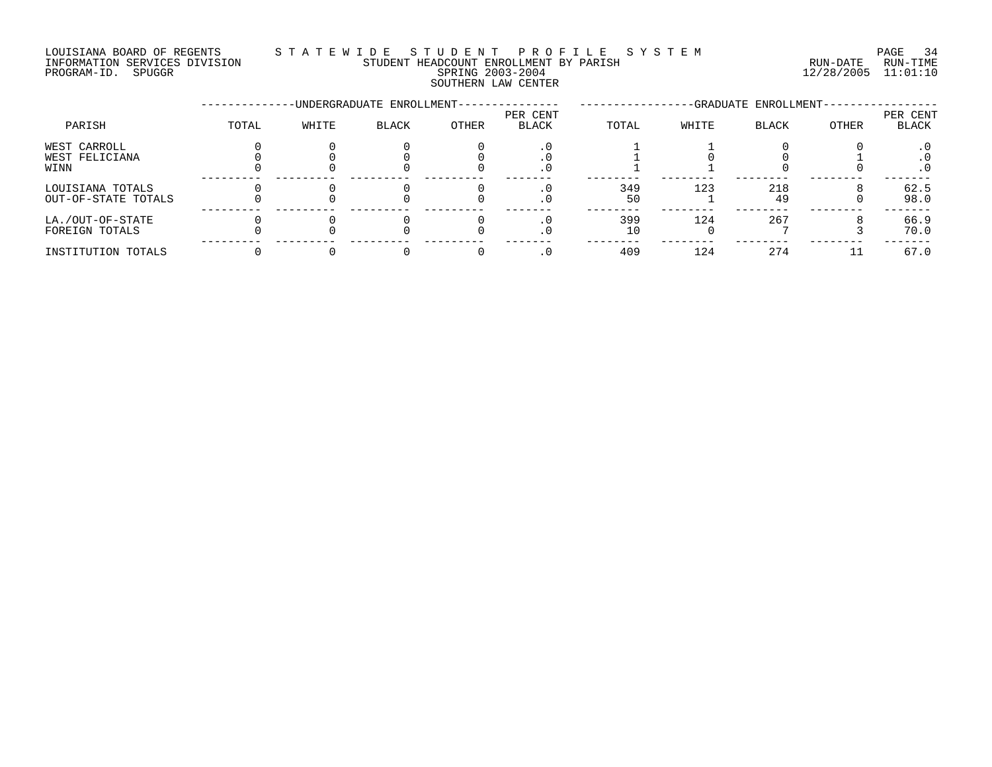### LOUISIANA BOARD OF REGENTS S T A T E W I D E S T U D E N T P R O F I L E S Y S T E M PAGE 34 INFORMATION SERVICES DIVISION STUDENT HEADCOUNT ENROLLMENT BY PARISH RUN-DATE RUN-TIME

SOUTHERN LAW CENTER

# PROGRAM-ID. SPUGGR SPRING 2003-2004 12/28/2005 11:01:10

|                                         |       |       | -UNDERGRADUATE ENROLLMENT- |       |                   | -GRADUATE ENROLLMENT- |       |              |       |                   |
|-----------------------------------------|-------|-------|----------------------------|-------|-------------------|-----------------------|-------|--------------|-------|-------------------|
| PARISH                                  | TOTAL | WHITE | BLACK                      | OTHER | PER CENT<br>BLACK | TOTAL                 | WHITE | <b>BLACK</b> | OTHER | PER CENT<br>BLACK |
| WEST CARROLL<br>WEST FELICIANA<br>WINN  |       |       |                            |       | . 0               |                       |       |              |       | . 0<br>$\cdot$ 0  |
| LOUISIANA TOTALS<br>OUT-OF-STATE TOTALS |       |       |                            |       |                   | 349<br>50             | 123   | 218<br>49    |       | 62.5<br>98.0      |
| LA./OUT-OF-STATE<br>FOREIGN TOTALS      |       |       |                            |       | $\cdot$ 0         | 399<br>10             | 124   | 267          |       | 66.9<br>70.0      |
| INSTITUTION TOTALS                      |       |       |                            |       |                   | 409                   | 124   | 274          |       | 67.0              |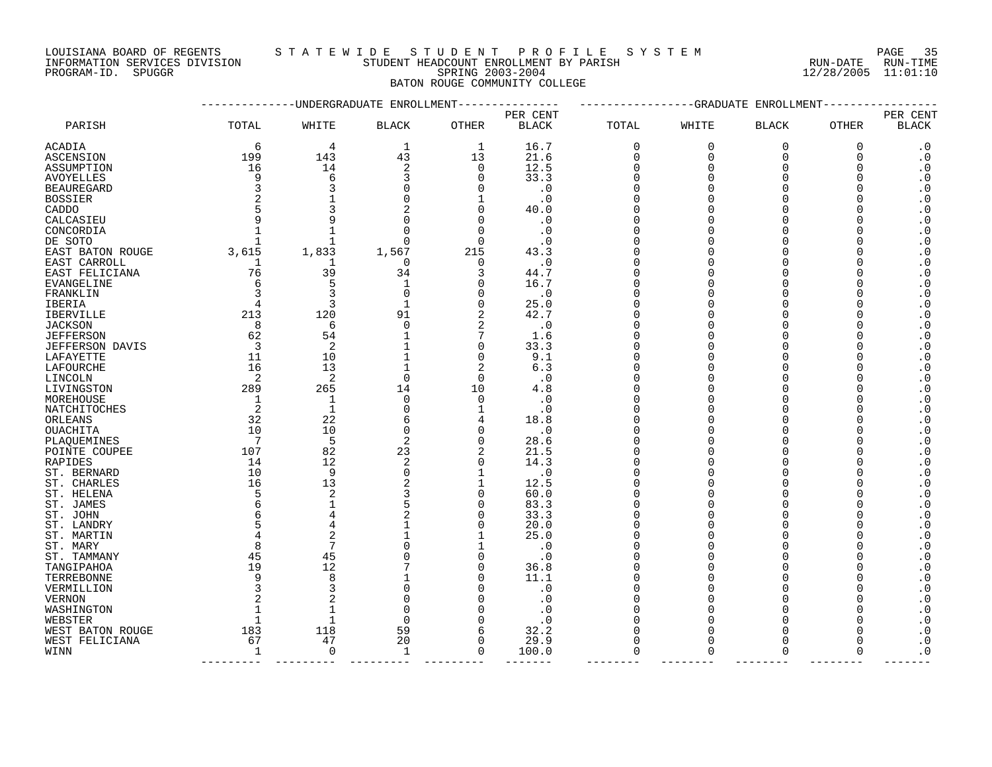LOUISIANA BOARD OF REGENTS S T A T E W I D E S T U D E N T P R O F I L E S Y S T E M PAGE 35

INFORMATION SERVICES DIVISION STUDENT HEADCOUNT ENROLLMENT BY PARISH RUN-DATE RUN-TIME

# PROGRAM-ID. SPUGGR SPRING 2003-2004 12/28/2005 11:01:10 BATON ROUGE COMMUNITY COLLEGE

|                        |                |                | -UNDERGRADUATE ENROLLMENT |                | ------------GRADUATE<br>ENROLLMENT |                      |                      |                      |             |                          |
|------------------------|----------------|----------------|---------------------------|----------------|------------------------------------|----------------------|----------------------|----------------------|-------------|--------------------------|
| PARISH                 | TOTAL          | WHITE          | <b>BLACK</b>              | OTHER          | PER CENT<br><b>BLACK</b>           | TOTAL                | WHITE                | <b>BLACK</b>         | OTHER       | PER CENT<br><b>BLACK</b> |
| <b>ACADIA</b>          | 6              | 4              | 1                         | 1              | 16.7                               | 0                    | 0                    | $\mathbf 0$          | $\mathbf 0$ | $\cdot$ 0                |
| ASCENSION              | 199            | 143            | 43                        | 13             | 21.6                               | 0                    | $\Omega$             | $\Omega$             | $\Omega$    | $\cdot$ 0                |
| ASSUMPTION             | 16             | 14             | 2                         | $\mathbf 0$    | 12.5                               | $\Omega$             | $\Omega$             | $\Omega$             |             | $\boldsymbol{\cdot}$ 0   |
| <b>AVOYELLES</b>       | 9              | 6              |                           | $\Omega$       | 33.3                               | $\Omega$             |                      | ∩                    |             | $\cdot$ 0                |
| <b>BEAUREGARD</b>      |                | 3              |                           | $\Omega$       | $\cdot 0$                          | ∩                    |                      | ∩                    |             | $\cdot$ 0                |
| <b>BOSSIER</b>         |                |                |                           | 1              | . 0                                | 0                    |                      | $\Omega$             |             | $\cdot$ 0                |
| CADDO                  |                | 3              |                           | $\Omega$       | 40.0                               | $\Omega$             |                      | $\Omega$             |             | $\boldsymbol{\cdot}$ 0   |
| CALCASIEU              |                | 9              |                           | 0              | . 0                                | $\Omega$             |                      | $\Omega$             |             | $\boldsymbol{\cdot}$ 0   |
| CONCORDIA              |                | $\mathbf{1}$   |                           | $\Omega$       | . 0                                |                      |                      | ∩                    |             | $\boldsymbol{\cdot}$ 0   |
| DE SOTO                | $\mathbf{1}$   | $\mathbf{1}$   | $\Omega$                  | $\Omega$       | . 0                                |                      |                      | ∩                    |             | $\boldsymbol{\cdot}$ 0   |
| EAST BATON ROUGE       | 3,615          | 1,833          | 1,567                     | 215            | 43.3                               | $\Omega$             |                      | $\Omega$             |             | $\cdot$ 0                |
| EAST CARROLL           | 1              | 1              | $\Omega$                  | $\Omega$       | $\cdot$ 0                          | $\Omega$             |                      | ∩                    |             | $\cdot$ 0                |
| EAST FELICIANA         | 76             | 39             | 34                        | 3              | 44.7                               | $\Omega$             |                      | $\Omega$             |             | $\cdot$ 0                |
| EVANGELINE             | 6              | 5              | $\mathbf{1}$              | $\Omega$       | 16.7                               | ∩                    |                      | ∩                    |             | $\boldsymbol{\cdot}$ 0   |
| FRANKLIN               |                | 3              | $\Omega$                  | 0              | $\cdot$ 0                          | $\Omega$             |                      | $\Omega$             |             | $\cdot$ 0                |
| IBERIA                 |                | 3              | $\mathbf{1}$              | $\mathbf 0$    | 25.0                               | $\Omega$             |                      | $\Omega$             |             | $\boldsymbol{\cdot}$ 0   |
| <b>IBERVILLE</b>       | 213            | 120            | 91                        | 2              | 42.7                               | $\Omega$             |                      | $\Omega$             |             | $\cdot$ 0                |
| <b>JACKSON</b>         | 8              | 6              | $\Omega$                  | 2              | . 0                                | O                    |                      | ∩                    |             | $\boldsymbol{\cdot}$ 0   |
| <b>JEFFERSON</b>       | 62             | 54             |                           | 7              | 1.6                                |                      |                      | ∩                    |             | $\boldsymbol{\cdot}$ 0   |
| <b>JEFFERSON DAVIS</b> | $\overline{3}$ | 2              | $\mathbf{1}$              | $\mathbf 0$    | 33.3                               | $\Omega$             |                      | $\Omega$             |             | $\cdot$ 0                |
| LAFAYETTE              | 11             | 10             | $\mathbf{1}$              | $\mathbf 0$    | 9.1                                | $\Omega$             |                      | $\Omega$             |             | $\boldsymbol{\cdot}$ 0   |
| LAFOURCHE              | 16             | 13             | $\mathbf{1}$              | $\overline{2}$ | 6.3                                | $\Omega$             |                      | ∩                    |             | $\cdot$ 0                |
| LINCOLN                | 2              | $\overline{c}$ | $\Omega$                  | $\Omega$       | $\cdot$ 0                          | ∩                    |                      | ∩                    |             | $\cdot$ 0                |
| LIVINGSTON             | 289            | 265            | 14                        | 10             | 4.8                                | $\Omega$             |                      | $\Omega$             |             | $\cdot$ 0                |
| MOREHOUSE              | 1              | 1              | $\mathbf 0$               | $\mathbf 0$    | . 0                                | O                    |                      | $\Omega$             |             | $\cdot$ 0                |
| NATCHITOCHES           | 2              | $\mathbf{1}$   | ∩                         | 1              | . 0                                | $\Omega$             |                      | ∩                    |             | $\boldsymbol{\cdot}$ 0   |
| ORLEANS                | 32             | 22             | 6                         | 4              | 18.8                               |                      |                      | ∩                    |             | $\cdot$ 0                |
| <b>OUACHITA</b>        | 10             | 10             | $\Omega$                  | $\mathbf 0$    | . 0                                |                      |                      | ∩                    |             | $\boldsymbol{\cdot}$ 0   |
| PLAQUEMINES            | -7             | 5              | 2                         | $\mathbf 0$    | 28.6                               | $\Omega$             |                      | $\Omega$             |             | $\cdot$ 0                |
| POINTE COUPEE          | 107            | 82             | 23                        | 2              | 21.5                               | $\Omega$             |                      | $\Omega$             |             | $\cdot$ 0                |
| RAPIDES                | 14             | 12             | $\overline{2}$            | $\Omega$       | 14.3                               | $\Omega$             |                      | $\Omega$             |             | $\cdot$ 0                |
| ST. BERNARD            | 10             | 9              | $\Omega$                  | 1              | $\cdot$ 0                          |                      |                      | ∩                    |             | $\cdot$ 0                |
| ST. CHARLES            | 16             | 13             |                           | 1              | 12.5                               |                      |                      | ∩                    |             | $\boldsymbol{\cdot}$ 0   |
| ST. HELENA             |                | 2              |                           | 0              | 60.0                               | 0                    |                      | $\Omega$             |             | $\cdot$ 0                |
| ST. JAMES              |                | $\mathbf 1$    |                           | $\mathbf 0$    | 83.3                               | $\Omega$             |                      | $\Omega$             |             | $\boldsymbol{\cdot}$ 0   |
| ST. JOHN               |                | 4              |                           | 0              | 33.3                               | $\Omega$             |                      | $\Omega$             |             | $\boldsymbol{\cdot}$ 0   |
| ST. LANDRY             |                | 4              |                           | $\Omega$       | 20.0                               |                      |                      | ∩                    |             | $\boldsymbol{\cdot}$ 0   |
| ST. MARTIN             |                | $\overline{2}$ | $\mathbf{1}$              | 1              | 25.0                               |                      |                      | $\Omega$             |             | $\boldsymbol{\cdot}$ 0   |
| ST. MARY               |                | 7              |                           | 1              | $\cdot$ 0                          | $\Omega$             |                      | $\Omega$             |             | $\boldsymbol{\cdot}$ 0   |
| ST. TAMMANY            | 45             | 45             |                           | $\Omega$       | $\cdot$ 0                          |                      |                      | $\Omega$             |             | $\boldsymbol{\cdot}$ 0   |
| TANGIPAHOA             | 19             | 12             |                           | $\mathbf 0$    | 36.8                               | $\Omega$             |                      | $\Omega$             |             | $\cdot$ 0                |
| TERREBONNE             | 9              | 8              |                           | $\Omega$       | 11.1                               |                      |                      | ∩                    |             | $\cdot$ 0                |
| VERMILLION             |                | 3              | $\Omega$                  | 0              | $\cdot$ 0                          | $\Omega$             |                      | $\Omega$             |             | $\cdot$ 0                |
| VERNON                 |                | $\overline{2}$ |                           | 0              | . 0                                | $\Omega$             |                      | ∩                    |             | $\boldsymbol{\cdot}$ 0   |
| WASHINGTON             |                |                | $\Omega$                  | $\Omega$       | . 0                                |                      |                      | ∩                    |             | $\cdot$ 0                |
| WEBSTER                |                | $\mathbf{1}$   | $\Omega$                  | 0              | . 0                                | $\Omega$             |                      | ∩                    |             | $\cdot$ 0                |
| WEST BATON ROUGE       | 183            | 118            | 59                        | 6              | 32.2                               | $\Omega$             |                      | ∩                    |             | $\boldsymbol{\cdot}$ 0   |
| WEST FELICIANA         | 67             | 47<br>$\Omega$ | 20                        | $\mathbf 0$    | 29.9                               | $\Omega$<br>$\Omega$ | $\Omega$<br>$\Omega$ | $\Omega$<br>$\Omega$ |             | $\boldsymbol{\cdot}$ 0   |
| WINN                   | 1              |                | 1                         | $\mathbf 0$    | 100.0                              |                      |                      |                      | $\Omega$    | $\cdot$ 0                |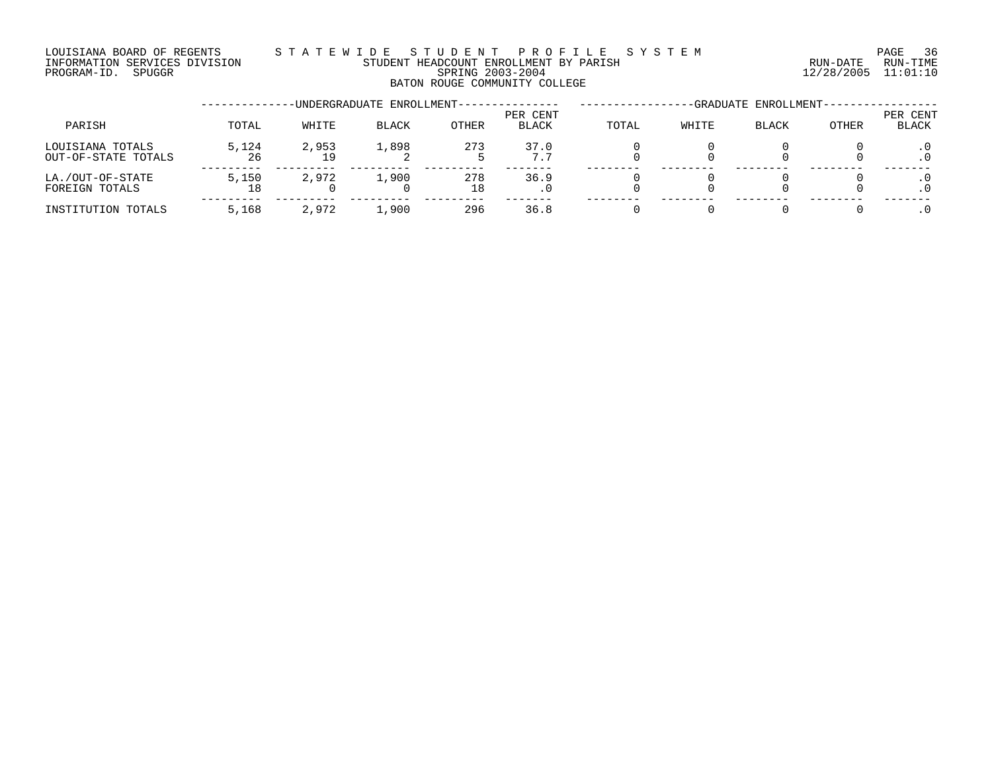### LOUISIANA BOARD OF REGENTS S T A T E W I D E S T U D E N T P R O F I L E S Y S T E M PAGE 36 INFORMATION SERVICES DIVISION STUDENT HEADCOUNT ENROLLMENT BY PARISH RUN-DATE RUN-TIME PROGRAM-ID. SPUGGR SPRING 2003-2004 12/28/2005 11:01:10 BATON ROUGE COMMUNITY COLLEGE

|                                         |             | -GRADUATE ENROLLMENT- |       |              |                   |       |       |              |       |                   |
|-----------------------------------------|-------------|-----------------------|-------|--------------|-------------------|-------|-------|--------------|-------|-------------------|
| PARISH                                  | TOTAL       | WHITE                 | BLACK | <b>OTHER</b> | PER CENT<br>BLACK | TOTAL | WHITE | <b>BLACK</b> | OTHER | PER CENT<br>BLACK |
| LOUISIANA TOTALS<br>OUT-OF-STATE TOTALS | 5,124<br>26 | 2,953<br>19           | 1,898 | 273          | 37.0<br>7.7       |       |       |              |       |                   |
| LA./OUT-OF-STATE<br>FOREIGN TOTALS      | 5,150       | 2,972                 | 1,900 | 278<br>18    | 36.9              |       |       |              |       |                   |
| INSTITUTION TOTALS                      | 5,168       | 2,972                 | 1,900 | 296          | 36.8              |       |       |              |       |                   |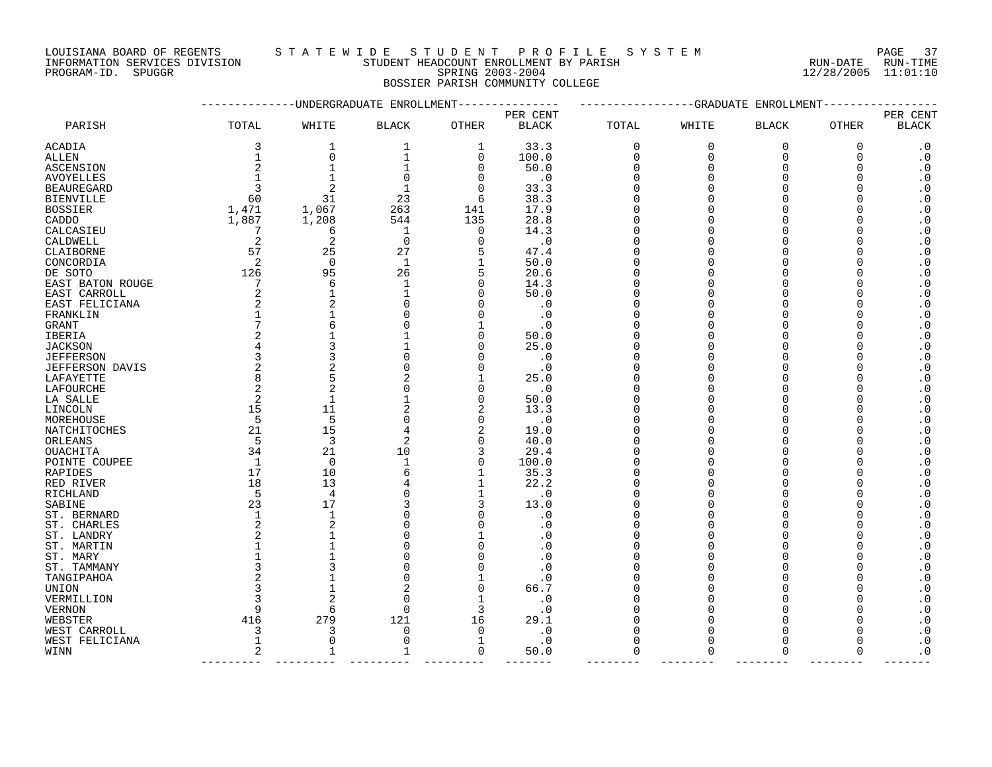LOUISIANA BOARD OF REGENTS S T A T E W I D E S T U D E N T P R O F I L E S Y S T E M PAGE 37

INFORMATION SERVICES DIVISION STUDENT HEADCOUNT ENROLLMENT BY PARISH RUN-DATE RUN-TIME

PROGRAM-ID. SPUGGR SPRING 2003-2004 12/28/2005 11:01:10 BOSSIER PARISH COMMUNITY COLLEGE

|                             |                |                | UNDERGRADUATE ENROLLMENT |                |                        |             | GRADUATE    | ENROLLMENT           |              |                                                  |
|-----------------------------|----------------|----------------|--------------------------|----------------|------------------------|-------------|-------------|----------------------|--------------|--------------------------------------------------|
|                             |                |                |                          |                | PER CENT               |             |             |                      |              | PER CENT                                         |
| PARISH                      | TOTAL          | WHITE          | <b>BLACK</b>             | OTHER          | <b>BLACK</b>           | TOTAL       | WHITE       | <b>BLACK</b>         | OTHER        | <b>BLACK</b>                                     |
| ACADIA                      | 3              | 1              | 1                        | 1              | 33.3                   | 0           | $\mathbf 0$ | $\mathsf 0$          | 0            | $\cdot$ 0                                        |
| ALLEN                       | 1              | $\mathbf 0$    | 1                        | $\mathbf 0$    | 100.0                  | $\mathbf 0$ | $\mathbf 0$ | $\mathbf 0$          | 0            | $\cdot$ 0                                        |
| <b>ASCENSION</b>            | 2              |                |                          | $\mathbf 0$    | 50.0                   | $\Omega$    | $\Omega$    | $\Omega$             | $\Omega$     | $\boldsymbol{\cdot}$ 0                           |
| <b>AVOYELLES</b>            | $\mathbf{1}$   | $\mathbf 1$    | $\Omega$                 | $\mathbf 0$    | $\cdot$ 0              | $\Omega$    |             | $\Omega$             | $\Omega$     | $\boldsymbol{\cdot}$ 0                           |
| <b>BEAUREGARD</b>           | 3              | $\overline{c}$ |                          | $\Omega$       | 33.3                   | ∩           |             | $\Omega$             | <sup>0</sup> | $\cdot$ 0                                        |
| <b>BIENVILLE</b>            | 60             | 31             | 23                       | 6              | 38.3                   | ∩           |             | $\Omega$             | ∩            | $\boldsymbol{\cdot}$ 0                           |
| <b>BOSSIER</b>              | 1,471          | 1,067          | 263                      | 141            | 17.9                   | $\Omega$    |             | $\Omega$             |              | $\boldsymbol{\cdot}$ 0                           |
| CADDO                       | 1,887          | 1,208          | 544                      | 135            | 28.8                   | ∩           |             | $\Omega$             |              | $\boldsymbol{\cdot}$ 0                           |
| CALCASIEU                   | 7              | 6              | 1                        | $\mathbf 0$    | 14.3                   | ∩           |             | $\Omega$             |              | $\boldsymbol{\cdot}$ 0                           |
| CALDWELL                    | 2              | $\overline{2}$ | $\mathbf 0$              | $\Omega$       | $\cdot$ 0              |             |             | $\Omega$             |              | $\boldsymbol{\cdot}$ 0                           |
| CLAIBORNE                   | 57             | 25             | 27                       | 5              | 47.4                   | $\Omega$    |             | $\Omega$             |              | $\boldsymbol{\cdot}$ 0                           |
| CONCORDIA                   | 2              | $\mathbf 0$    | $\mathbf 1$              | 1              | 50.0                   | $\Omega$    | ∩           | $\Omega$             |              | $\cdot$ 0                                        |
| DE SOTO                     | 126            | 95             | 26                       | 5              | 20.6                   | $\Omega$    |             | $\Omega$             |              | $\boldsymbol{\cdot}$ 0                           |
| EAST BATON ROUGE            | 7              | 6              | 1                        | $\mathbf 0$    | 14.3                   | ∩           |             | $\Omega$             |              | $\boldsymbol{\cdot}$ 0                           |
| EAST CARROLL                | 2              | $\mathbf{1}$   |                          | $\Omega$       | 50.0                   | ∩           |             | $\Omega$             |              | $\boldsymbol{\cdot}$ 0                           |
| EAST FELICIANA              | 2              | $\overline{2}$ |                          | $\Omega$       | $\cdot$ 0              | ∩           |             | $\Omega$             |              | $\boldsymbol{\cdot}$ 0                           |
| FRANKLIN                    |                | 1              |                          | $\Omega$       | $\cdot$ 0              | ∩           |             | $\Omega$             |              | $\boldsymbol{\cdot}$ 0                           |
| GRANT                       | 7              | 6              |                          |                | . 0                    |             |             | $\Omega$             |              | $\cdot$ 0                                        |
| IBERIA                      | 2              |                |                          | $\Omega$       | 50.0                   |             |             | $\Omega$             |              | $\boldsymbol{\cdot}$ 0                           |
| <b>JACKSON</b>              | 4              |                |                          | $\Omega$       | 25.0                   |             |             | $\Omega$             |              | $\boldsymbol{\cdot}$ 0                           |
| <b>JEFFERSON</b>            | 3              | 3              |                          | $\Omega$       | $\cdot$ 0              | ∩           |             | $\Omega$             |              | $\boldsymbol{\cdot}$ 0                           |
| JEFFERSON DAVIS             | 2              | $\overline{2}$ |                          | $\Omega$       | $\cdot$ 0              | ∩           |             | $\Omega$             |              | $\cdot$ 0                                        |
| LAFAYETTE                   | 8              | 5              |                          |                | 25.0                   |             |             | $\Omega$             |              | $\boldsymbol{\cdot}$ 0                           |
| LAFOURCHE                   | $\overline{2}$ | $\overline{2}$ |                          | $\Omega$       | $\cdot$ 0              | ∩           |             | $\Omega$             | O            | $\boldsymbol{\cdot}$ 0                           |
| LA SALLE                    | 2              | 1              |                          | 0              | 50.0                   |             |             | $\Omega$             |              | $\boldsymbol{\cdot}$ 0                           |
| LINCOLN                     | 15             | 11             | 2                        | 2              | 13.3                   | ∩           |             | $\Omega$             |              | $\boldsymbol{\cdot}$ 0                           |
| MOREHOUSE                   | 5              | 5              | U                        | $\mathbf 0$    | $\cdot$ 0              | $\Omega$    |             | $\Omega$             |              | $\boldsymbol{\cdot}$ 0                           |
| NATCHITOCHES                | 21             | 15             | 4                        | $\overline{2}$ | 19.0                   |             |             | $\Omega$             |              | $\cdot$ 0                                        |
| ORLEANS                     | 5              | 3              | 2                        | $\mathbf 0$    | 40.0                   | ∩           |             | $\Omega$             |              | $\boldsymbol{\cdot}$ 0                           |
| <b>OUACHITA</b>             | 34             | 21             | 10                       | 3              | 29.4                   | ∩           |             | $\Omega$             |              | $\boldsymbol{\cdot}$ 0                           |
| POINTE COUPEE               | $\mathbf{1}$   | $\mathbf 0$    | $\mathbf 1$              | $\mathbf 0$    | 100.0                  | ∩           |             | $\Omega$             |              | $\boldsymbol{\cdot}$ 0                           |
| RAPIDES                     | 17             | 10             | 6                        | 1              | 35.3                   | $\Omega$    |             | $\Omega$             |              | $\cdot$ 0                                        |
| RED RIVER                   | 18             | 13             |                          | 1              | 22.2                   |             |             | $\Omega$             |              | $\boldsymbol{\cdot}$ 0                           |
| RICHLAND                    | 5              | $\overline{4}$ |                          | 1              | $\cdot$ 0              | ∩           |             | $\Omega$             | ∩            | $\boldsymbol{\cdot}$ 0                           |
| SABINE                      | 23             | 17             |                          | 3              | 13.0                   |             |             | $\Omega$             |              | $\boldsymbol{\cdot}$ 0                           |
| ST. BERNARD                 | 1              | $\mathbf{1}$   |                          | $\Omega$       | . 0                    | $\Omega$    |             | $\Omega$             |              | $\boldsymbol{\cdot}$ 0                           |
| ST. CHARLES                 | 2              | $\overline{2}$ |                          | $\Omega$       | . 0                    | ∩           |             | $\Omega$             |              | $\boldsymbol{\cdot}$ 0                           |
| ST. LANDRY                  | 2              | $\mathbf{1}$   |                          |                | . 0                    |             |             | $\Omega$             |              | $\cdot$ 0                                        |
| ST. MARTIN                  | 1              | $\mathbf 1$    |                          | $\Omega$       | . 0                    |             |             | $\Omega$             |              | $\boldsymbol{\cdot}$ 0                           |
| ST. MARY                    |                | 3              |                          | $\cap$         | . 0                    |             |             | $\Omega$<br>$\Omega$ |              | $\boldsymbol{\cdot}$ 0                           |
| ST. TAMMANY<br>TANGIPAHOA   | 3<br>2         |                | U                        |                | . 0<br>$\cdot$ 0       |             |             | $\Omega$             |              | $\boldsymbol{\cdot}$ 0<br>$\cdot$ 0              |
| <b>UNION</b>                | 3              | $\mathbf{1}$   |                          | $\mathbf 0$    | 66.7                   |             |             | $\Omega$             |              | $\boldsymbol{\cdot}$ 0                           |
|                             |                | $\overline{2}$ |                          | 1              |                        |             |             | $\Omega$             | O            |                                                  |
| VERMILLION<br><b>VERNON</b> | 9              | 6              | ∩                        | 3              | $\cdot$ 0<br>$\cdot$ 0 |             |             | $\Omega$             |              | $\boldsymbol{\cdot}$ 0<br>$\boldsymbol{\cdot}$ 0 |
| WEBSTER                     | 416            | 279            | 121                      | 16             | 29.1                   | ∩           |             | $\Omega$             |              | $\boldsymbol{\cdot}$ 0                           |
| WEST CARROLL                | 3              | 3              | O                        | $\Omega$       | $\cdot$ 0              | O           | ∩           | $\Omega$             |              | $\boldsymbol{\cdot}$ 0                           |
| WEST FELICIANA              | $\mathbf 1$    | $\mathbf 0$    | O                        | 1              | $\cdot$ 0              | $\Omega$    |             | $\Omega$             |              | $\boldsymbol{\cdot}$ 0                           |
| WINN                        | 2              | 1              | 1                        | 0              | 50.0                   | $\mathbf 0$ | $\Omega$    | $\mathbf 0$          | 0            | $\cdot$ 0                                        |
|                             |                |                |                          |                |                        |             |             |                      |              |                                                  |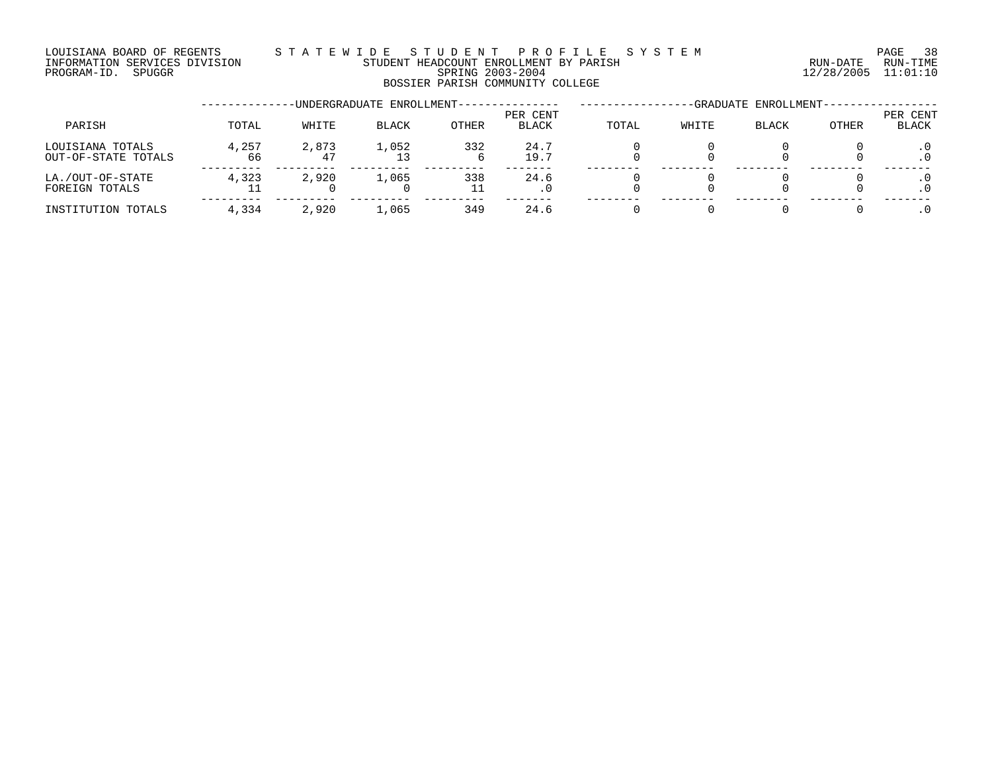#### LOUISIANA BOARD OF REGENTS S T A T E W I D E S T U D E N T P R O F I L E S Y S T E M PAGE 38 INFORMATION SERVICES DIVISION STUDENT HEADCOUNT ENROLLMENT BY PARISH RUN-DATE RUN-TIME PROGRAM-ID. SPUGGR SPRING 2003-2004 12/28/2005 11:01:10 BOSSIER PARISH COMMUNITY COLLEGE

|                                         |             |             | -UNDERGRADUATE ENROLLMENT- |              |                          |       |       | -GRADUATE ENROLLMENT- |       |                   |
|-----------------------------------------|-------------|-------------|----------------------------|--------------|--------------------------|-------|-------|-----------------------|-------|-------------------|
| PARISH                                  | TOTAL       | WHITE       | <b>BLACK</b>               | <b>OTHER</b> | PER CENT<br><b>BLACK</b> | TOTAL | WHITE | <b>BLACK</b>          | OTHER | PER CENT<br>BLACK |
| LOUISIANA TOTALS<br>OUT-OF-STATE TOTALS | 4,257<br>66 | 2,873<br>47 | 1,052<br>13                | 332<br>b     | 24.7<br>19.7             |       |       |                       |       |                   |
| LA./OUT-OF-STATE<br>FOREIGN TOTALS      | 4,323       | 2,920       | 1,065                      | 338<br>11    | 24.6                     |       |       |                       |       |                   |
| INSTITUTION TOTALS                      | 4,334       | 2,920       | 1,065                      | 349          | 24.6                     |       |       |                       |       |                   |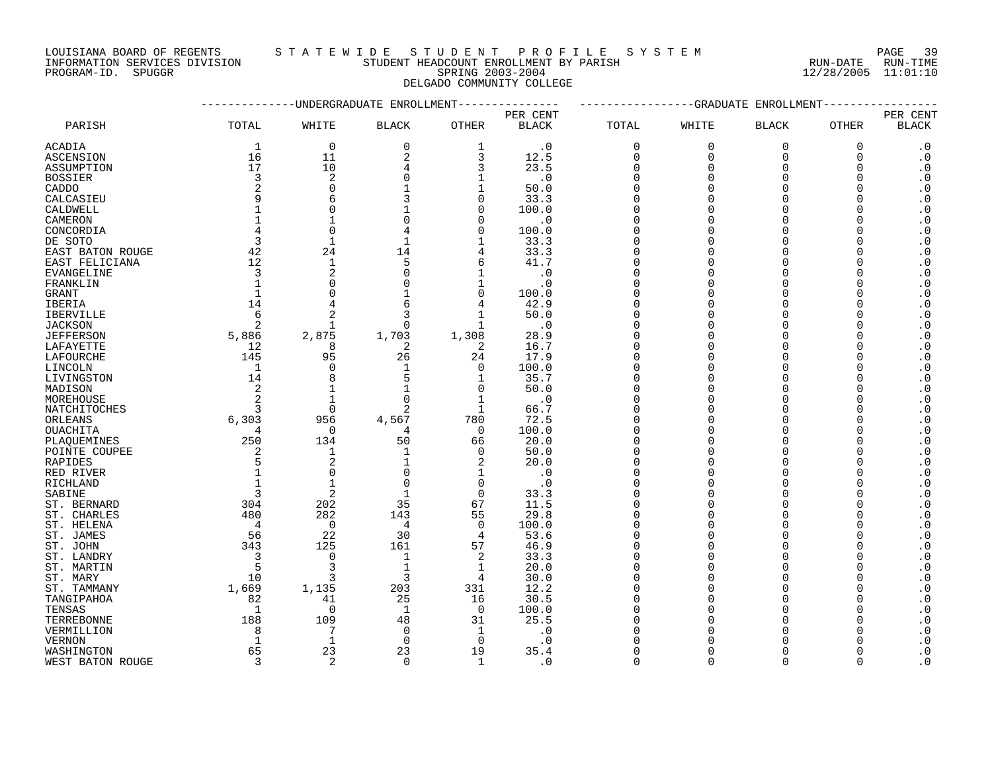LOUISIANA BOARD OF REGENTS S T A T E W I D E S T U D E N T P R O F I L E S Y S T E M PAGE 39 INFORMATION SERVICES DIVISION STUDENT HEADCOUNT ENROLLMENT BY PARISH RUN-DATE RUN-TIME

DELGADO COMMUNITY COLLEGE

|                  | ---------------UNDERGRADUATE ENROLLMENT--------------- |                |                |                |                          |          | ---------------GRADUATE ENROLLMENT------------- |              |              |                          |
|------------------|--------------------------------------------------------|----------------|----------------|----------------|--------------------------|----------|-------------------------------------------------|--------------|--------------|--------------------------|
| PARISH           | TOTAL                                                  | WHITE          | <b>BLACK</b>   | OTHER          | PER CENT<br><b>BLACK</b> | TOTAL    | WHITE                                           | <b>BLACK</b> | OTHER        | PER CENT<br><b>BLACK</b> |
|                  |                                                        |                |                |                |                          |          |                                                 |              |              |                          |
| ACADIA           | 1                                                      | $\mathbf 0$    | $\mathbf 0$    | 1              | $\cdot$ 0                | 0        | 0                                               | $\mathbf 0$  | 0            | $\cdot$ 0                |
| ASCENSION        | 16                                                     | 11             | $\overline{2}$ | 3              | 12.5                     | $\Omega$ | $\Omega$                                        | $\Omega$     | $\mathbf 0$  | $\cdot$ 0                |
| ASSUMPTION       | 17                                                     | 10             |                | 3              | 23.5                     | U        | ∩                                               |              | $\Omega$     | $\cdot$ 0                |
| BOSSIER          | 3                                                      | 2              | O              | 1              | $\cdot$ 0                | U        |                                                 |              | $\Omega$     | $\cdot$ 0                |
| CADDO            |                                                        | $\Omega$       |                |                | 50.0                     | O        |                                                 |              | $\Omega$     | $\cdot$ 0                |
| CALCASIEU        |                                                        | 6              |                | 0              | 33.3                     |          |                                                 |              | $\Omega$     | $\cdot$ 0                |
| CALDWELL         |                                                        | ∩              |                | $\Omega$       | 100.0                    |          |                                                 |              | $\Omega$     | $\cdot$ 0                |
| CAMERON          |                                                        |                |                | O              | $\cdot$ 0                |          |                                                 |              | $\Omega$     | $\cdot$ 0                |
| CONCORDIA        |                                                        | $\Omega$       |                | $\Omega$       | 100.0                    |          |                                                 |              | $\Omega$     | $\cdot$ 0                |
| DE SOTO          | 3                                                      | 1              |                |                | 33.3                     |          |                                                 |              | $\Omega$     | $\cdot$ 0                |
| EAST BATON ROUGE | 42                                                     | 24             | 14             |                | 33.3                     |          |                                                 |              | <sup>0</sup> | $\cdot$ 0                |
| EAST FELICIANA   | 12                                                     | 1              | 5              | 6              | 41.7                     |          |                                                 |              | $\Omega$     | $\cdot$ 0                |
| EVANGELINE       | 3                                                      | $\overline{c}$ |                |                | $\cdot$ 0                |          |                                                 |              | $\Omega$     | $\cdot$ 0                |
| FRANKLIN         | $\mathbf{1}$                                           | ∩              |                |                | $\cdot$ 0                |          |                                                 |              | $\Omega$     | $\cdot$ 0                |
| GRANT            |                                                        | ∩              |                | $\Omega$       | 100.0                    |          |                                                 |              | $\Omega$     | $\cdot$ 0                |
| IBERIA           | 14                                                     | 4              |                |                | 42.9                     |          |                                                 |              | $\Omega$     | $\cdot$ 0                |
| IBERVILLE        | 6                                                      | 2              |                |                | 50.0                     |          |                                                 |              | $\Omega$     | $\cdot$ 0                |
| JACKSON          | $\overline{2}$                                         |                |                |                | $\cdot$ 0                |          |                                                 |              | $\Omega$     | $\cdot$ 0                |
| JEFFERSON        | 5,886                                                  | 2,875          | 1,703          | 1,308          | 28.9                     |          |                                                 |              | $\Omega$     | $\cdot$ 0                |
| LAFAYETTE        | 12                                                     | 8              | 2              | 2              | 16.7                     |          |                                                 |              | $\Omega$     | $\cdot$ 0                |
| LAFOURCHE        | 145                                                    | 95             | 26             | 24             | 17.9                     |          |                                                 |              | $\Omega$     | $\cdot$ 0                |
| LINCOLN          | 1                                                      | $\Omega$       |                | 0              | 100.0                    | O        |                                                 |              | $\Omega$     | $\cdot$ 0                |
| LIVINGSTON       | 14                                                     | 8              |                | 1              | 35.7                     |          |                                                 |              | $\Omega$     | $\cdot$ 0                |
| MADISON          | 2                                                      |                |                | $\Omega$       | 50.0                     |          |                                                 |              | $\Omega$     | $\cdot$ 0                |
| MOREHOUSE        |                                                        |                |                |                | $\cdot$ 0                |          |                                                 |              | $\Omega$     | $\cdot$ 0                |
| NATCHITOCHES     |                                                        | $\Omega$       | 2              | 1              | 66.7                     |          |                                                 |              | $\Omega$     | $\cdot$ 0                |
| ORLEANS          | 6,303                                                  | 956            | 4,567          | 780            | 72.5                     |          |                                                 |              | $\Omega$     | $\cdot$ 0                |
| OUACHITA         | 4                                                      | $\Omega$       | 4              | $\Omega$       | 100.0                    |          |                                                 |              | $\Omega$     | $\cdot$ 0                |
| PLAQUEMINES      | 250                                                    | 134            | 50             | 66             | 20.0                     |          |                                                 |              | $\Omega$     | $\cdot$ 0                |
| POINTE COUPEE    | 2                                                      | 1              | $\mathbf{1}$   | $\Omega$       | 50.0                     |          |                                                 |              | $\Omega$     | $\boldsymbol{\cdot}$ 0   |
| RAPIDES          |                                                        | 2              |                | 2              | 20.0                     |          |                                                 |              | $\Omega$     | $\cdot$ 0                |
| RED RIVER        |                                                        | ∩              |                |                | $\cdot$ 0                |          |                                                 |              | <sup>0</sup> | $\cdot$ 0                |
| RICHLAND         |                                                        | 1              | $\Omega$       | 0              | $\cdot$ 0                |          |                                                 |              | $\Omega$     | $\cdot$ 0                |
| SABINE           | 3                                                      | 2              |                | $\Omega$       | 33.3                     |          |                                                 |              | $\Omega$     | $\cdot$ 0                |
| ST. BERNARD      | 304                                                    | 202            | 35             | 67             | 11.5                     |          |                                                 |              | $\Omega$     | $\cdot$ 0                |
| ST. CHARLES      | 480                                                    | 282            | 143            | 55             | 29.8                     |          |                                                 |              | $\Omega$     | $\cdot$ 0                |
|                  | -4                                                     | $\Omega$       | 4              | $\Omega$       | 100.0                    |          |                                                 |              | $\Omega$     | $\cdot$ 0                |
| ST. HELENA       |                                                        |                | 30             |                |                          |          |                                                 |              | $\Omega$     |                          |
| ST. JAMES        | 56                                                     | 22             |                | 4              | 53.6                     | U        |                                                 |              | <sup>0</sup> | $\cdot$ 0                |
| ST. JOHN         | 343                                                    | 125            | 161            | 57             | 46.9                     |          |                                                 |              | $\Omega$     | $\cdot$ 0                |
| ST. LANDRY       | 3                                                      | $\Omega$       | 1              | $\overline{2}$ | 33.3                     |          |                                                 |              |              | $\cdot$ 0                |
| ST. MARTIN       | 5                                                      | 3              | $\mathbf{1}$   |                | 20.0                     |          |                                                 |              | $\Omega$     | $\cdot$ 0                |
| ST. MARY         | 10                                                     | 3              | 3              |                | 30.0                     |          |                                                 |              | <sup>0</sup> | $\cdot$ 0                |
| ST. TAMMANY      | 1,669                                                  | 1,135          | 203            | 331            | 12.2                     |          |                                                 |              | $\Omega$     | $\cdot$ 0                |
| TANGIPAHOA       | 82                                                     | 41             | 25             | 16             | 30.5                     |          |                                                 |              | ∩            | $\cdot$ 0                |
| TENSAS           | 1                                                      | $\Omega$       | $\mathbf{1}$   | $\Omega$       | 100.0                    |          |                                                 |              | $\Omega$     | $\cdot$ 0                |
| TERREBONNE       | 188                                                    | 109            | 48             | 31             | 25.5                     |          |                                                 |              |              | $\cdot$ 0                |
| VERMILLION       | 8                                                      |                | $\Omega$       |                | $\cdot$ 0                |          |                                                 |              |              | $\cdot$ 0                |
| VERNON           | $\mathbf 1$                                            | 1              | $\Omega$       | 0              | . 0                      |          |                                                 |              | <sup>0</sup> | $\cdot$ 0                |
| WASHINGTON       | 65                                                     | 23             | 23             | 19             | 35.4                     | ∩        |                                                 |              | ∩            | $\Omega$                 |

WEST BATON ROUGE 3 2 0 1 .0 0 0 0 0 .0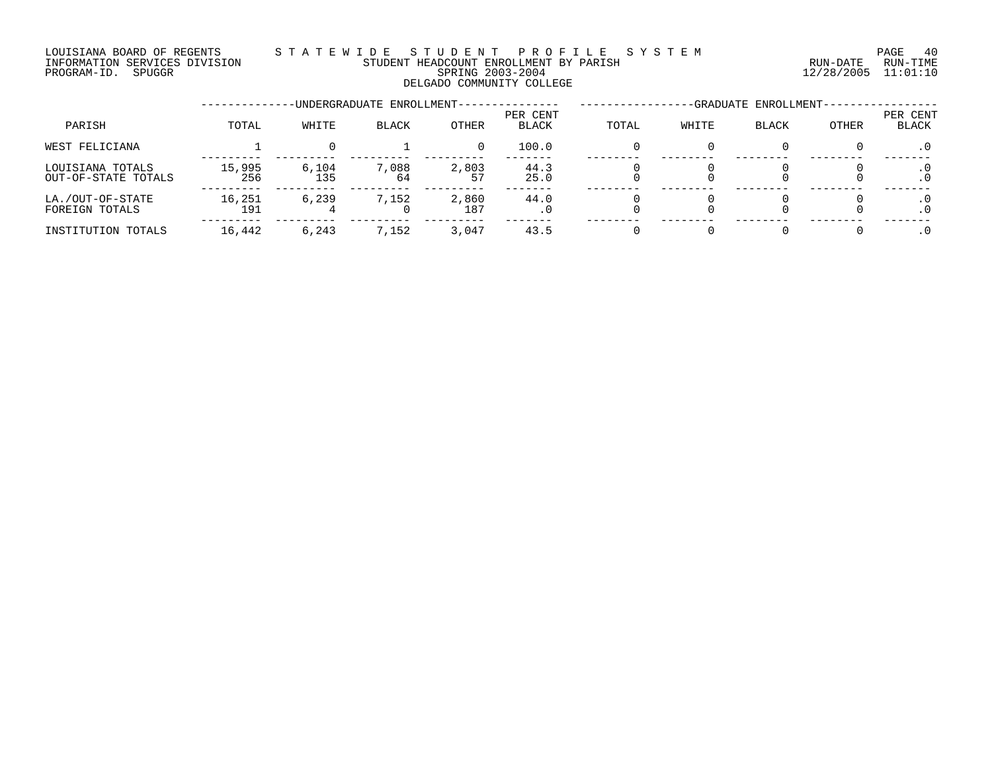#### LOUISIANA BOARD OF REGENTS S T A T E W I D E S T U D E N T P R O F I L E S Y S T E M PAGE 40 INFORMATION SERVICES DIVISION STUDENT HEADCOUNT ENROLLMENT BY PARISH RUN-DATE RUN-TIME DOUSTANA BOARD OF REGENTS<br>INFORMATION SERVICES DIVISION TRANSMITIC SERING 2003-2004 SPRING 2003-2004 12/28/2005 11:01:10 DELGADO COMMUNITY COLLEGE

|                                         |               |              | -UNDERGRADUATE ENROLLMENT- | -GRADUATE ENROLLMENT- |                   |       |       |              |       |                   |
|-----------------------------------------|---------------|--------------|----------------------------|-----------------------|-------------------|-------|-------|--------------|-------|-------------------|
| PARISH                                  | TOTAL         | WHITE        | BLACK                      | OTHER                 | PER CENT<br>BLACK | TOTAL | WHITE | <b>BLACK</b> | OTHER | PER CENT<br>BLACK |
| WEST FELICIANA                          |               |              |                            |                       | 100.0             |       |       |              |       | $\cdot$ 0         |
| LOUISIANA TOTALS<br>OUT-OF-STATE TOTALS | 15,995<br>256 | 6,104<br>135 | 7,088<br>64                | 2,803<br>57           | 44.3<br>25.0      |       |       |              |       |                   |
| LA./OUT-OF-STATE<br>FOREIGN TOTALS      | 16,251<br>191 | 6.239        | 7,152                      | 2,860<br>187          | 44.0<br>. 0       |       |       |              |       |                   |
| INSTITUTION TOTALS                      | 16,442        | 6,243        | 7,152                      | 3,047                 | 43.5              |       |       |              |       |                   |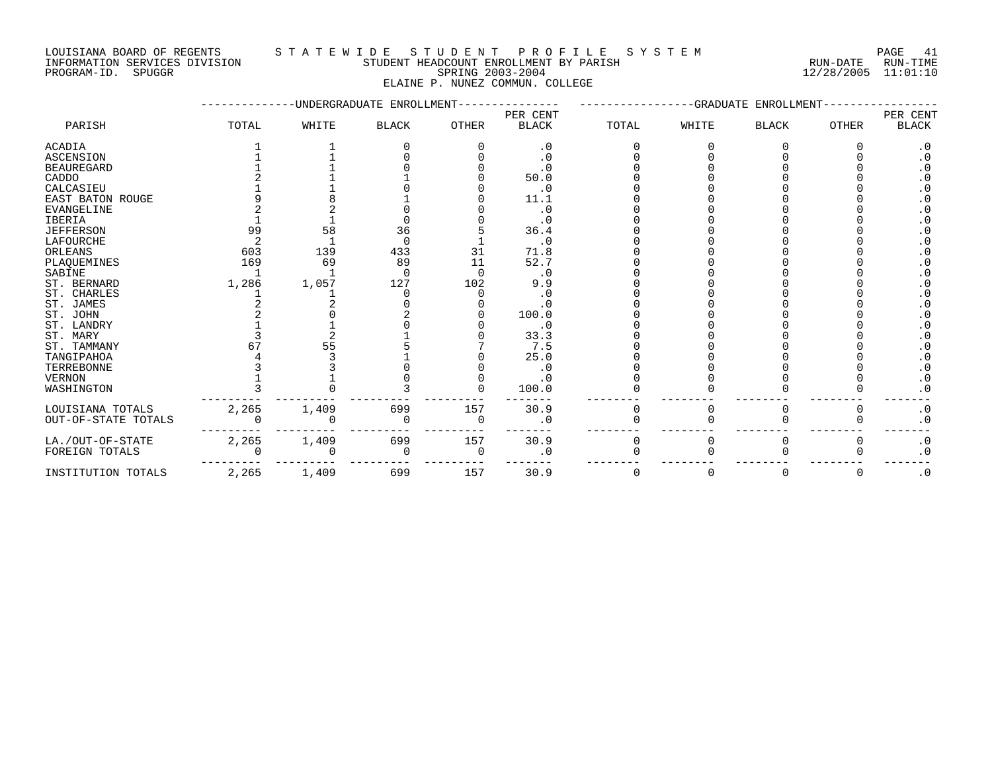INFORMATION SERVICES DIVISION STUDENT HEADCOUNT ENROLLMENT BY PARISH RUN-DATE RUN-TIME PROGRAM-ID. SPUGGR SPRING 2003-2004 12/28/2005 11:01:10

#### LOUISIANA BOARD OF REGENTS S T A T E W I D E S T U D E N T P R O F I L E S Y S T E M PAGE 41

ELAINE P. NUNEZ COMMUN. COLLEGE

|                     |       |       | -UNDERGRADUATE ENROLLMENT- |              |                          |          | -GRADUATE | ENROLLMENT   |              |                          |
|---------------------|-------|-------|----------------------------|--------------|--------------------------|----------|-----------|--------------|--------------|--------------------------|
| PARISH              | TOTAL | WHITE | <b>BLACK</b>               | <b>OTHER</b> | PER CENT<br><b>BLACK</b> | TOTAL    | WHITE     | <b>BLACK</b> | <b>OTHER</b> | PER CENT<br><b>BLACK</b> |
| ACADIA              |       |       |                            |              | $\cdot$ 0                |          |           |              |              | $\cdot$ 0                |
| <b>ASCENSION</b>    |       |       |                            |              | $\cdot$ 0                |          |           |              |              | .0                       |
| <b>BEAUREGARD</b>   |       |       |                            |              | $\boldsymbol{\cdot}$ 0   |          |           |              |              | $\cdot$ 0                |
| CADDO               |       |       |                            |              | 50.0                     |          |           |              |              | $\cdot$ 0                |
| CALCASIEU           |       |       |                            |              | $\cdot$ 0                |          |           |              |              | $\cdot$ 0                |
| EAST BATON ROUGE    |       |       |                            |              | 11.1                     |          |           |              |              | . 0                      |
| <b>EVANGELINE</b>   |       |       |                            |              | $\cdot$ 0                |          |           |              |              | $\cdot$ 0                |
| IBERIA              |       |       |                            |              | $\cdot$ 0                |          |           |              |              | $\cdot$ 0                |
| <b>JEFFERSON</b>    | 99    | 58    | 36                         |              | 36.4                     |          |           |              |              | $\cdot$ 0                |
| LAFOURCHE           |       |       | $\Omega$                   |              | $\cdot$ 0                |          |           |              |              | $\cdot$ 0                |
| ORLEANS             | 603   | 139   | 433                        | 31           | 71.8                     |          |           |              |              | $\cdot$ 0                |
| PLAQUEMINES         | 169   | 69    | 89                         | 11           | 52.7                     |          |           |              |              | $\cdot$ 0                |
| SABINE              |       |       | ∩                          |              | $\cdot$ 0                |          |           |              |              | $\cdot$ 0                |
| ST. BERNARD         | 1,286 | 1,057 | 127                        | 102          | 9.9                      |          |           |              |              | $\cdot$ 0                |
| ST. CHARLES         |       |       |                            |              | $\cdot$ 0                |          |           |              |              | $\cdot$ 0                |
| ST. JAMES           |       |       |                            |              | $\cdot$ 0                |          |           |              |              | $\cdot$ 0                |
| ST. JOHN            |       |       |                            |              | 100.0                    |          |           |              |              | $\cdot$ 0                |
| ST. LANDRY          |       |       |                            |              | . 0                      |          |           |              |              | $\cdot$ 0                |
| ST. MARY            |       |       |                            |              | 33.3                     |          |           |              |              | $\cdot$ 0                |
| ST. TAMMANY         | 67    | 55    |                            |              | 7.5                      |          |           |              |              | $\cdot$ 0                |
| TANGIPAHOA          |       |       |                            |              | 25.0                     |          |           |              |              | $\cdot$ 0                |
| TERREBONNE          |       |       |                            |              | $\cdot$ 0                |          |           |              |              | $\cdot$ 0                |
| <b>VERNON</b>       |       |       |                            |              | $\cdot$ 0                |          |           |              |              | $\cdot$ 0                |
| WASHINGTON          |       |       |                            |              | 100.0                    |          |           |              |              | $\cdot$ 0                |
| LOUISIANA TOTALS    | 2,265 | 1,409 | 699                        | 157          | 30.9                     |          |           |              |              | $\cdot$ 0                |
| OUT-OF-STATE TOTALS |       |       | $\Omega$                   |              | $\cdot$ 0                |          |           |              |              | $\cdot$ 0                |
| LA./OUT-OF-STATE    | 2,265 | 1,409 | 699                        | 157          | 30.9                     | 0        |           |              |              | $\cdot$ 0                |
| FOREIGN TOTALS      |       |       | 0                          |              | $\cdot$ 0                |          |           |              |              | $\cdot$ 0                |
| INSTITUTION TOTALS  | 2,265 | 1,409 | 699                        | 157          | 30.9                     | $\Omega$ |           | $\Omega$     | $\Omega$     | $\cdot$ 0                |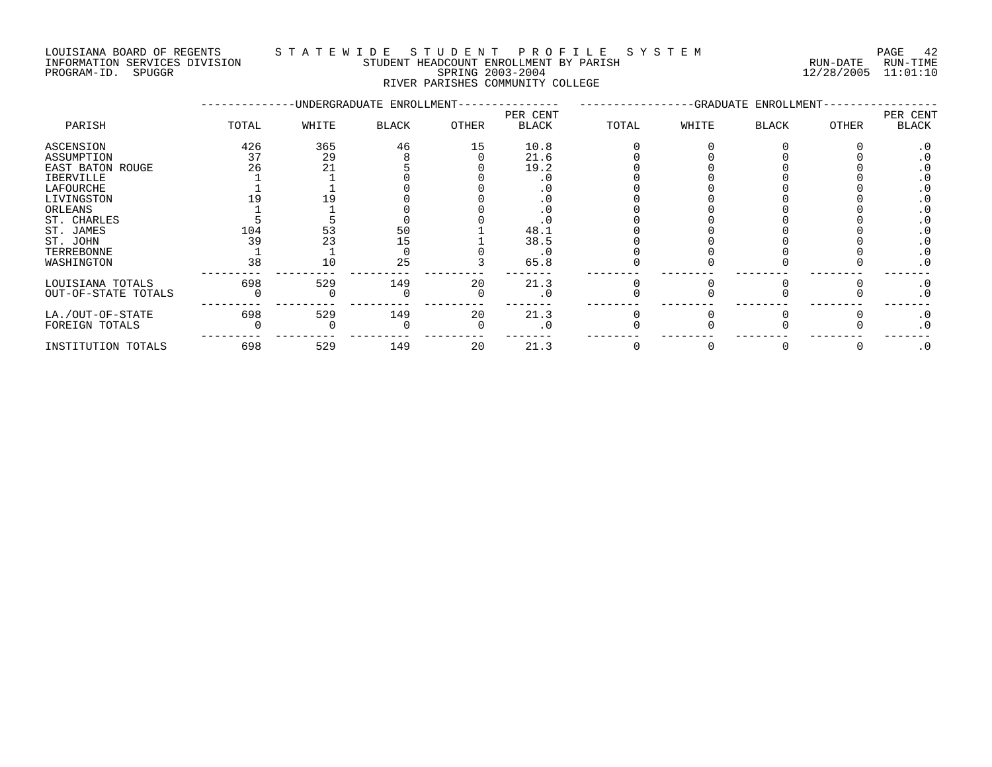#### LOUISIANA BOARD OF REGENTS STA TEWIDE STUDENT PROFILE SYSTEM NATIONAL PAGE 42 INFORMATION SERVICES DIVISION STUDENT HEADCOUNT ENROLLMENT BY PARISH RUN-DATE RUN-TIME

| PROGRAM-ID. | <b>SPUGGR</b> | SPRING 2003-2004                 | $12/28/2005$ $11:01:10$ |  |
|-------------|---------------|----------------------------------|-------------------------|--|
|             |               | RIVER PARISHES COMMUNITY COLLEGE |                         |  |

|                     |       |       | -UNDERGRADUATE ENROLLMENT- |       |                          |       |       | -GRADUATE ENROLLMENT- |       |                   |
|---------------------|-------|-------|----------------------------|-------|--------------------------|-------|-------|-----------------------|-------|-------------------|
| PARISH              | TOTAL | WHITE | <b>BLACK</b>               | OTHER | PER CENT<br><b>BLACK</b> | TOTAL | WHITE | <b>BLACK</b>          | OTHER | PER CENT<br>BLACK |
| ASCENSION           | 426   | 365   | 46                         | 15    | 10.8                     |       |       |                       |       | . 0               |
| ASSUMPTION          | 37    | 29    |                            |       | 21.6                     |       |       |                       |       |                   |
| EAST BATON ROUGE    | 26    | 21    |                            |       | 19.2                     |       |       |                       |       |                   |
| IBERVILLE           |       |       |                            |       |                          |       |       |                       |       |                   |
| LAFOURCHE           |       |       |                            |       |                          |       |       |                       |       |                   |
| LIVINGSTON          |       |       |                            |       |                          |       |       |                       |       |                   |
| ORLEANS             |       |       |                            |       |                          |       |       |                       |       |                   |
| ST. CHARLES         |       |       |                            |       |                          |       |       |                       |       |                   |
| ST. JAMES           | 104   |       | 50                         |       | 48.1                     |       |       |                       |       |                   |
| ST. JOHN            | 39    |       |                            |       | 38.5                     |       |       |                       |       |                   |
| TERREBONNE          |       |       |                            |       | . 0                      |       |       |                       |       |                   |
| WASHINGTON          | 38    | 10    | 25                         |       | 65.8                     |       |       |                       |       | $\cdot$ 0         |
| LOUISIANA TOTALS    | 698   | 529   | 149                        | 20    | 21.3                     |       |       |                       |       | $\cdot$ 0         |
| OUT-OF-STATE TOTALS |       |       |                            |       | . 0                      |       |       |                       |       | $\cdot$ 0         |
| LA./OUT-OF-STATE    | 698   | 529   | 149                        | 20    | 21.3                     |       |       |                       |       | $\cdot$ 0         |
| FOREIGN TOTALS      |       |       |                            |       | . 0                      |       |       |                       |       | $\cdot$ 0         |
| INSTITUTION TOTALS  | 698   | 529   | 149                        | 20    | 21.3                     |       |       |                       |       | $\cdot$ 0         |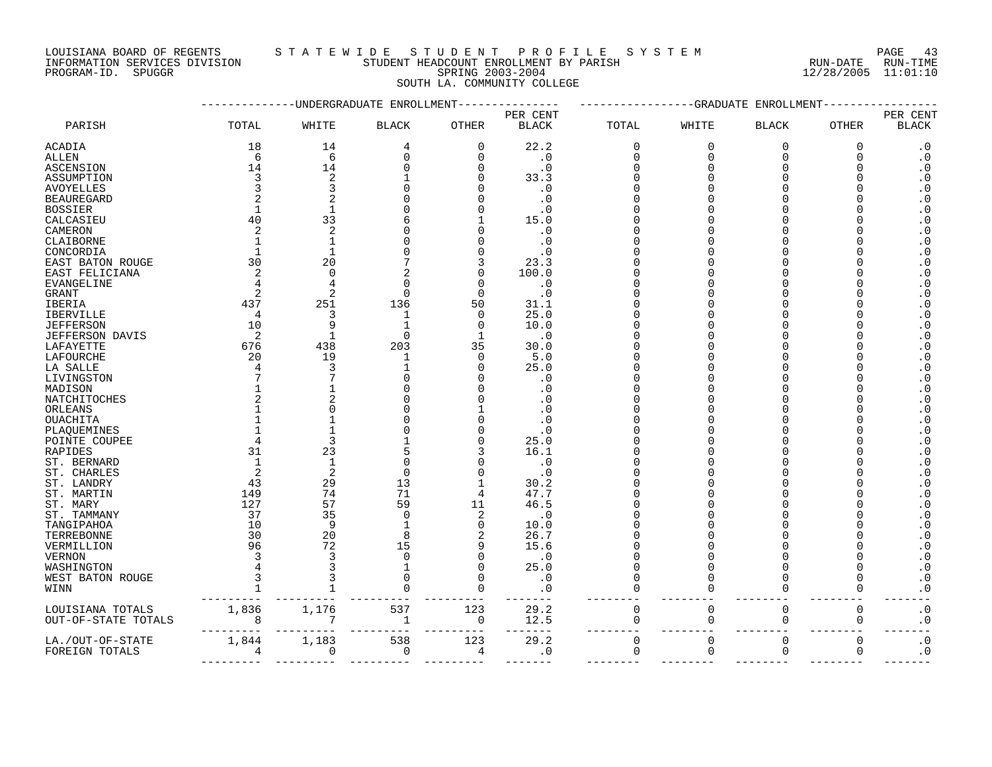LOUISIANA BOARD OF REGENTS S T A T E W I D E S T U D E N T P R O F I L E S Y S T E M PAGE 43 INFORMATION SERVICES DIVISION STUDENT HEADCOUNT ENROLLMENT BY PARISH RUN-DATE RUN-TIME

DOUSTANA BOARD OF REGENTS<br>INFORMATION SERVICES DIVISION TRANSMITIC SERING 2003-2004 SPRING 2003-2004 12/28/2005 11:01:10

# SOUTH LA. COMMUNITY COLLEGE

|                     |       |                | -UNDERGRADUATE ENROLLMENT |              |                          |             | --GRADUATE  | ENROLLMENT   |              |                          |
|---------------------|-------|----------------|---------------------------|--------------|--------------------------|-------------|-------------|--------------|--------------|--------------------------|
| PARISH              | TOTAL | WHITE          | <b>BLACK</b>              | <b>OTHER</b> | PER CENT<br><b>BLACK</b> | TOTAL       | WHITE       | <b>BLACK</b> | <b>OTHER</b> | PER CENT<br><b>BLACK</b> |
| ACADIA              | 18    | 14             | 4                         | 0            | 22.2                     | 0           | 0           | $\mathbf 0$  | 0            | $\cdot$ 0                |
| ALLEN               | 6     | 6              | $\Omega$                  | 0            | $\cdot$ 0                | $\mathbf 0$ | $\Omega$    | $\mathbf 0$  | $\Omega$     | $\cdot$ 0                |
| ASCENSION           | 14    | 14             |                           | O            | $\cdot$ 0                | $\Omega$    |             | $\Omega$     |              | $\cdot$ 0                |
| ASSUMPTION          | 3     | 2              |                           | U            | 33.3                     |             |             | n            |              | $\cdot$ 0                |
| AVOYELLES           |       | 3              |                           |              | . 0                      |             |             | <sup>n</sup> |              | $\boldsymbol{\cdot}$ 0   |
| <b>BEAUREGARD</b>   |       | 2              |                           |              | $\cdot$ 0                |             |             |              |              | $\boldsymbol{\cdot}$ 0   |
| <b>BOSSIER</b>      |       | 1              |                           |              | . 0                      |             |             |              |              | $\cdot$ 0                |
| CALCASIEU           | 40    | 33             |                           |              | 15.0                     |             |             |              |              | $\cdot$ 0                |
| CAMERON             | 2     | 2              |                           | U            | . 0                      |             |             |              |              | $\boldsymbol{\cdot}$ 0   |
| CLAIBORNE           |       | $\mathbf{1}$   |                           |              | $\cdot$ 0                |             |             |              |              | $\boldsymbol{\cdot}$ 0   |
| CONCORDIA           |       | $\mathbf{1}$   |                           |              | . 0                      |             |             |              |              | $\boldsymbol{\cdot}$ 0   |
| EAST BATON ROUGE    | 30    | 20             |                           | 3            | 23.3                     |             |             |              |              | $\cdot$ 0                |
| EAST FELICIANA      | 2     | $\Omega$       |                           | $\Omega$     | 100.0                    |             |             |              |              | $\cdot$ 0                |
| EVANGELINE          |       | 4              | ∩                         | $\Omega$     | $\cdot$ 0                |             |             |              |              | $\boldsymbol{\cdot}$ 0   |
| GRANT               | 2     | 2              | $\Omega$                  | $\Omega$     | $\cdot$ 0                |             |             | O            |              | $\cdot$ 0                |
| IBERIA              | 437   | 251            | 136                       | 50           | 31.1                     |             |             |              |              | $\boldsymbol{\cdot}$ 0   |
| IBERVILLE           | 4     | 3              | 1                         | 0            | 25.0                     |             |             |              |              | $\cdot$ 0                |
| JEFFERSON           | 10    | 9              |                           | 0            | 10.0                     |             |             |              |              | $\cdot$ 0                |
| JEFFERSON DAVIS     | 2     | -1             | $\Omega$                  | $\mathbf{1}$ | $\cdot$ 0                |             |             |              |              | $\boldsymbol{\cdot}$ 0   |
| LAFAYETTE           | 676   | 438            | 203                       | 35           | 30.0                     |             |             | ∩            |              | $\boldsymbol{\cdot}$ 0   |
| LAFOURCHE           | 20    | 19             | -1                        | 0            | 5.0                      |             |             |              |              | $\boldsymbol{\cdot}$ 0   |
| LA SALLE            |       | 3              |                           | $\Omega$     | 25.0                     |             |             |              |              | $\boldsymbol{\cdot}$ 0   |
| LIVINGSTON          |       | 7              |                           |              | . 0                      |             |             |              |              | $\cdot$ 0                |
| MADISON             |       |                |                           |              | . 0                      |             |             |              |              | $\boldsymbol{\cdot}$ 0   |
| NATCHITOCHES        |       | 2              |                           |              | . 0                      |             |             | ∩            |              | $\boldsymbol{\cdot}$ 0   |
| ORLEANS             |       | $\Omega$       |                           |              |                          |             |             |              |              | $\boldsymbol{\cdot}$ 0   |
| <b>OUACHITA</b>     |       |                |                           |              | . 0                      |             |             |              |              | $\cdot$ 0                |
| PLAQUEMINES         |       | $\mathbf{1}$   |                           | U            | . 0                      |             |             |              |              | $\boldsymbol{\cdot}$ 0   |
| POINTE COUPEE       |       | 3              |                           | U            | 25.0                     |             |             | ∩            |              | $\boldsymbol{\cdot}$ 0   |
| RAPIDES             | 31    | 23             |                           |              | 16.1                     |             |             | $\cap$       |              | $\boldsymbol{\cdot}$ 0   |
| ST. BERNARD         |       | 1              |                           | U            | $\cdot$ 0                |             |             |              |              | $\cdot$ 0                |
| ST. CHARLES         | 2     | $\overline{2}$ | $\Omega$                  | U            | $\cdot$ 0                |             |             |              |              | $\boldsymbol{\cdot}$ 0   |
| ST. LANDRY          | 43    | 29             | 13                        | 1            | 30.2                     |             |             |              |              | $\boldsymbol{\cdot}$ 0   |
| ST. MARTIN          | 149   | 74             | 71                        | 4            | 47.7                     |             |             | ∩            |              | $\cdot$ 0                |
| ST. MARY            | 127   | 57             | 59                        | 11           | 46.5                     |             |             | O            |              | $\boldsymbol{\cdot}$ 0   |
| ST. TAMMANY         | 37    | 35             | $\Omega$                  | 2            | $\cdot$ 0                |             |             |              |              | $\cdot$ 0                |
| TANGIPAHOA          | 10    | 9              |                           | 0            | 10.0                     |             |             |              |              | $\boldsymbol{\cdot}$ 0   |
| TERREBONNE          | 30    | 20             | 8                         | 2            | 26.7                     |             |             |              |              | $\cdot$ 0                |
| VERMILLION          | 96    | 72             | 15                        | 9            | 15.6                     |             |             |              |              | $\cdot$ 0                |
| VERNON              |       | 3              | $\Omega$                  | $\Omega$     | $\cdot$ 0                |             |             | $\Omega$     |              | $\cdot$ 0                |
| WASHINGTON          |       | 3              |                           | $\Omega$     | 25.0                     | $\Omega$    | ∩           | <sup>n</sup> |              | $\cdot$ 0                |
| WEST BATON ROUGE    |       | 3              |                           | $\Omega$     | $\cdot$ 0                | $\Omega$    |             | <sup>n</sup> |              | $\cdot$ 0                |
| WINN                |       |                |                           | $\Omega$     | $\cdot$ 0                | U           |             | <sup>n</sup> | O            | $\boldsymbol{\cdot}$ 0   |
| LOUISIANA TOTALS    | 1,836 | 1,176          | 537                       | 123          | 29.2                     | $\mathbf 0$ | $\mathbf 0$ | $\mathbf 0$  | $\mathbf{0}$ | $\cdot$ 0                |
| OUT-OF-STATE TOTALS | 8     |                | 1                         | $\mathbf 0$  | 12.5                     | 0           | 0           | 0            | 0            | $\boldsymbol{\cdot}$ 0   |
| LA./OUT-OF-STATE    | 1,844 | 1,183          | 538                       | 123          | 29.2                     | $\mathbf 0$ | $\Omega$    | $\mathbf 0$  | $\mathbf{0}$ | $\cdot$ 0                |
| FOREIGN TOTALS      | 4     | 0              | $\mathbf 0$               | 4            | $\cdot$ 0                | $\mathbf 0$ | $\mathbf 0$ | $\mathbf 0$  | $\mathbf 0$  | $\cdot$ 0                |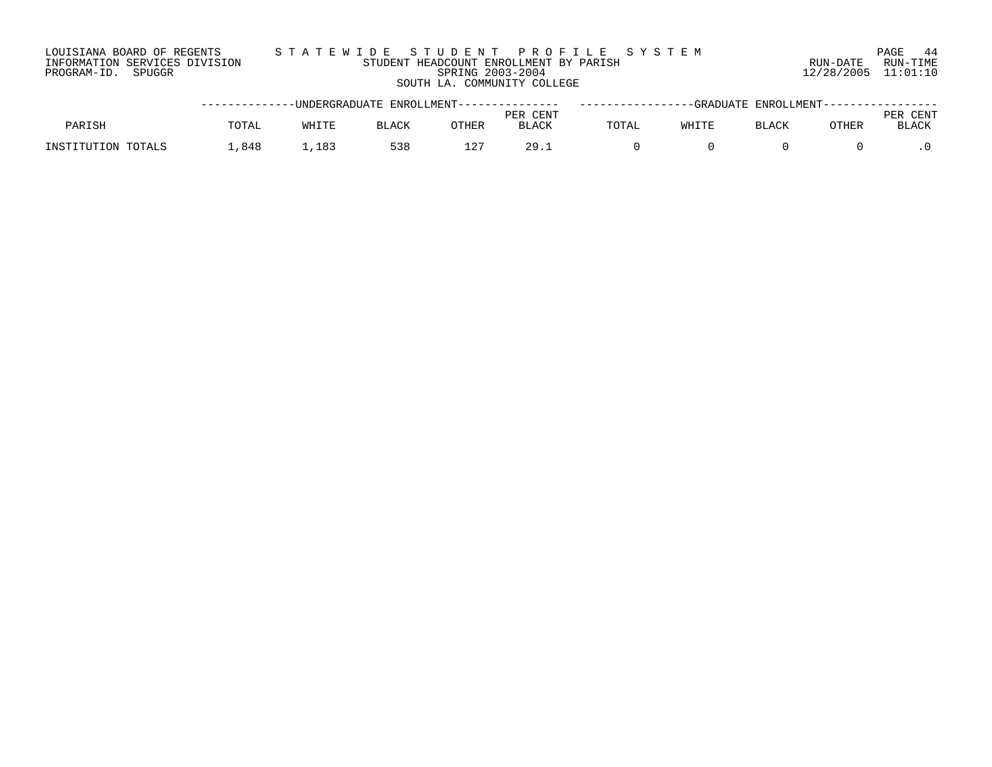#### LOUISIANA BOARD OF REGENTS S T A T E W I D E S T U D E N T P R O F I L E S Y S T E M PAGE 44 INFORMATION SERVICES DIVISION STUDENT HEADCOUNT ENROLLMENT BY PARISH RUN-DATE RUN-TIME PROGRAM-ID. SPUGGR SPRING 2003-2004 12/28/2005 11:01:10 SOUTH LA. COMMUNITY COLLEGE

|                    |       |       | -----------UNDERGRADUATE ENROLLMENT--------------- |       |                          |       | --GRADUATE ENROLLMENT---------------- |       |               |
|--------------------|-------|-------|----------------------------------------------------|-------|--------------------------|-------|---------------------------------------|-------|---------------|
| PARISH             | TOTAL | WHITE | <b>BLACK</b>                                       | OTHER | PER CENT<br><b>BLACK</b> | TOTAL | BLACK                                 | OTHER | CENT<br>BLACK |
| INSTITUTION TOTALS | 848.  | 1,183 | 538                                                | ∸∠    | つQ                       |       |                                       |       |               |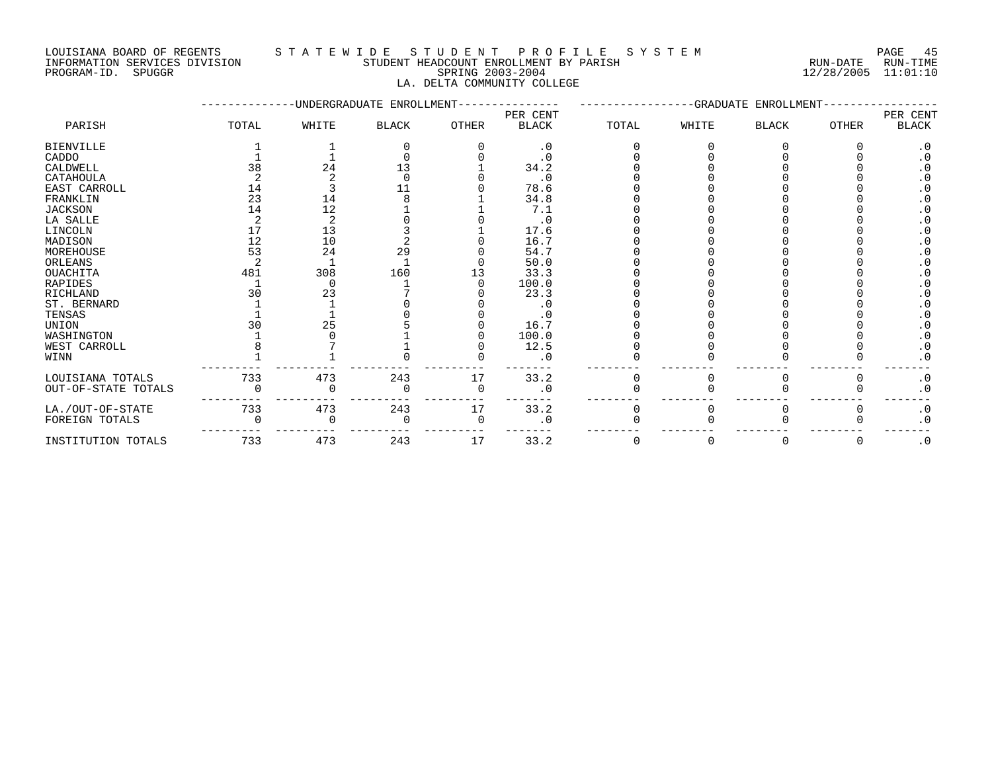LOUISIANA BOARD OF REGENTS S T A T E W I D E S T U D E N T P R O F I L E S Y S T E M PAGE 45 INFORMATION SERVICES DIVISION STUDENT HEADCOUNT ENROLLMENT BY PARISH RUN-DATE RUN-TIME

#### PROGRAM-ID. SPUGGR SPRING 2003-2004 12/28/2005 11:01:10 LA. DELTA COMMUNITY COLLEGE

|                     |       |       | UNDERGRADUATE ENROLLMENT |          |              |       |          | -GRADUATE ENROLLMENT |       |           |
|---------------------|-------|-------|--------------------------|----------|--------------|-------|----------|----------------------|-------|-----------|
|                     |       |       |                          |          | PER CENT     |       |          |                      |       | PER CENT  |
| PARISH              | TOTAL | WHITE | <b>BLACK</b>             | OTHER    | <b>BLACK</b> | TOTAL | WHITE    | <b>BLACK</b>         | OTHER | BLACK     |
| <b>BIENVILLE</b>    |       |       |                          |          | $\cdot$ 0    |       |          |                      |       | $\cdot$ 0 |
| CADDO               |       |       |                          |          | $\cdot$ 0    |       |          |                      |       | . 0       |
| CALDWELL            | 38    | 24    | 13                       |          | 34.2         |       |          |                      |       |           |
| CATAHOULA           |       |       | $\cap$                   |          | $\cdot$ 0    |       |          |                      |       |           |
| EAST CARROLL        | 14    |       | 11                       |          | 78.6         |       |          |                      |       |           |
| FRANKLIN            | 23    | 14    |                          |          | 34.8         |       |          |                      |       |           |
| <b>JACKSON</b>      | 14    | 12    |                          |          | 7.1          |       |          |                      |       |           |
| LA SALLE            |       | 2     |                          |          | $\cdot$ 0    |       |          |                      |       |           |
| LINCOLN             | 17    | 13    |                          |          | 17.6         |       |          |                      |       |           |
| MADISON             | 12    | 10    |                          |          | 16.7         |       |          |                      |       |           |
| MOREHOUSE           | 53    | 24    | 29                       |          | 54.7         |       |          |                      |       |           |
| ORLEANS             |       |       |                          |          | 50.0         |       |          |                      |       |           |
| <b>OUACHITA</b>     | 481   | 308   | 160                      |          | 33.3         |       |          |                      |       |           |
| RAPIDES             |       |       |                          |          | 100.0        |       |          |                      |       |           |
| RICHLAND            | 30    | 23    |                          |          | 23.3         |       |          |                      |       |           |
| ST. BERNARD         |       |       |                          |          | $\cdot$ 0    |       |          |                      |       | $\cdot$ 0 |
| TENSAS              |       |       |                          |          |              |       |          |                      |       |           |
| UNION               |       | 25    |                          |          | 16.7         |       |          |                      |       |           |
| WASHINGTON          |       |       |                          |          | 100.0        |       |          |                      |       | $\cdot$ 0 |
| WEST CARROLL        |       |       |                          |          | 12.5         |       |          |                      |       | $\cdot$ 0 |
| WINN                |       |       |                          |          | . 0          |       |          |                      |       | $\cdot$ 0 |
| LOUISIANA TOTALS    | 733   | 473   | 243                      | 17       | 33.2         | 0     |          | 0                    | O     | $\cdot$ 0 |
| OUT-OF-STATE TOTALS |       |       |                          | $\Omega$ | $\cdot$ 0    |       |          |                      |       | $\cdot$ 0 |
| LA./OUT-OF-STATE    | 733   | 473   | 243                      | 17       | 33.2         |       |          |                      |       | $\cdot$ 0 |
| FOREIGN TOTALS      |       |       |                          | $\Omega$ | . 0          |       |          |                      |       | $\cdot$ 0 |
| INSTITUTION TOTALS  | 733   | 473   | 243                      | 17       | 33.2         | 0     | $\Omega$ | 0                    | 0     | $\cdot$ 0 |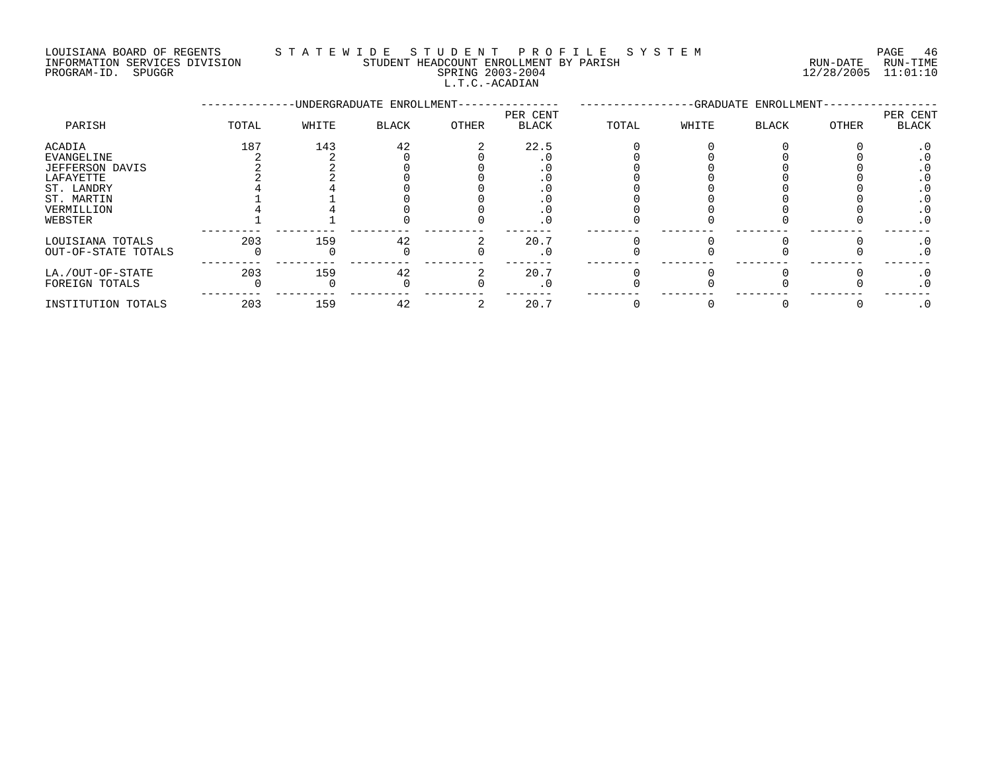#### LOUISIANA BOARD OF REGENTS STATEWIDE STUDENT PROFILE SYSTEM PAGE 46<br>INFORMATION SERVICES DIVISION STUDENT HEADCOUNT ENROLLMENT BY PARISH NEW PARTS RUN-DATE RUN-TIME INFORMATION SERVICES DIVISION STUDENT HEADCOUNT ENROLLMENT BY PARISH RUN-DATE RUN-TIME

L.T.C.-ACADIAN

|                     |       |       | -UNDERGRADUATE ENROLLMENT- |       | -GRADUATE ENROLLMENT- |       |       |       |       |                   |
|---------------------|-------|-------|----------------------------|-------|-----------------------|-------|-------|-------|-------|-------------------|
| PARISH              | TOTAL | WHITE | <b>BLACK</b>               | OTHER | PER CENT<br>BLACK     | TOTAL | WHITE | BLACK | OTHER | PER CENT<br>BLACK |
| ACADIA              | 187   | 143   | 42                         |       | 22.5                  |       |       |       |       |                   |
| EVANGELINE          |       |       |                            |       |                       |       |       |       |       |                   |
| JEFFERSON DAVIS     |       |       |                            |       |                       |       |       |       |       |                   |
| LAFAYETTE           |       |       |                            |       |                       |       |       |       |       |                   |
| ST. LANDRY          |       |       |                            |       |                       |       |       |       |       |                   |
| ST. MARTIN          |       |       |                            |       |                       |       |       |       |       |                   |
| VERMILLION          |       |       |                            |       | . U                   |       |       |       |       | . U               |
| WEBSTER             |       |       |                            |       | $\cdot$ 0             |       |       |       |       | $\cdot$ 0         |
| LOUISIANA TOTALS    | 203   | 159   | 42                         |       | 20.7                  |       |       |       |       |                   |
| OUT-OF-STATE TOTALS |       |       |                            |       | $\cdot$ 0             |       |       |       |       | . 0               |
| LA./OUT-OF-STATE    | 203   | 159   | 42                         |       | 20.7                  |       |       |       |       | . 0               |
| FOREIGN TOTALS      |       |       |                            |       | $\cdot$ 0             |       |       |       |       | $\cdot$ 0         |
| INSTITUTION TOTALS  | 203   | 159   | 42                         |       | 20.7                  |       |       |       |       | $\cdot$ 0         |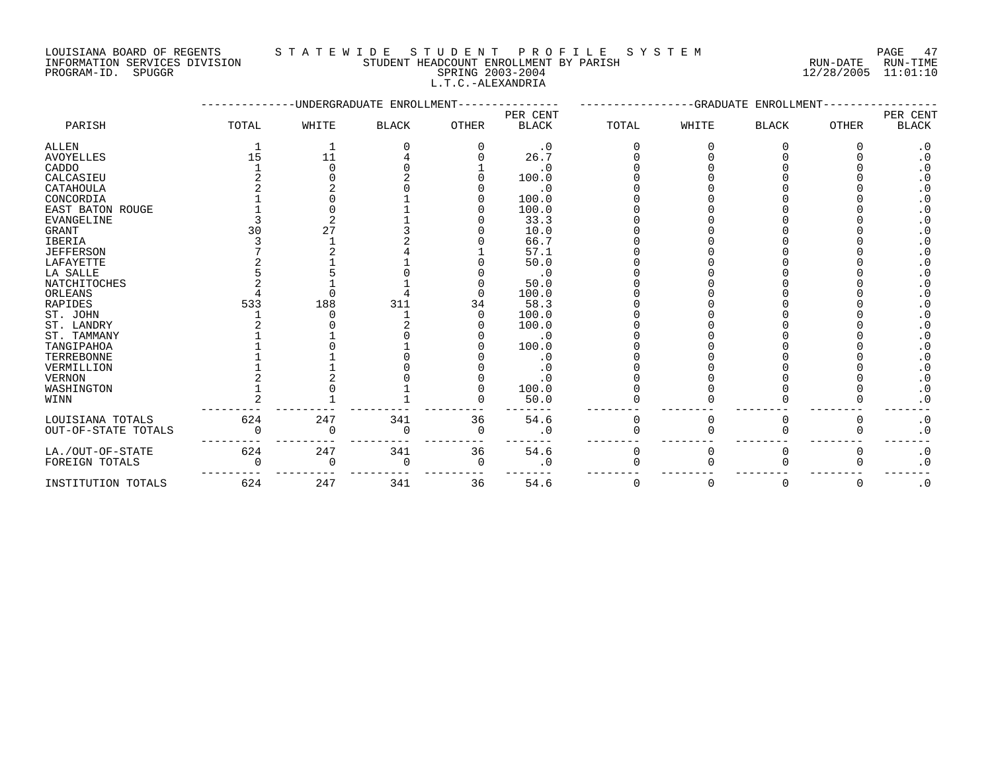### LOUISIANA BOARD OF REGENTS S T A T E W I D E S T U D E N T P R O F I L E S Y S T E M PAGE 47

|             | INFORMATION SERVICES DIVISION | STUDENT HEADCOUNT ENROLLMENT BY PARISH<br>RUN-DATE | RUN-TIME |
|-------------|-------------------------------|----------------------------------------------------|----------|
| PROGRAM-ID. | SPUGGR                        | SPRING 2003-2004<br>12/28/2005 11:01:10            |          |
|             |                               | L.T.C.-ALEXANDRIA                                  |          |
|             |                               |                                                    |          |

# L.T.C.-ALEXANDRIA

|                     |       |          | -UNDERGRADUATE ENROLLMENT- |              |              |          | -GRADUATE | ENROLLMENT   |              |                        |
|---------------------|-------|----------|----------------------------|--------------|--------------|----------|-----------|--------------|--------------|------------------------|
|                     |       |          |                            |              | PER CENT     |          |           |              |              | PER CENT               |
| PARISH              | TOTAL | WHITE    | <b>BLACK</b>               | <b>OTHER</b> | <b>BLACK</b> | TOTAL    | WHITE     | <b>BLACK</b> | <b>OTHER</b> | <b>BLACK</b>           |
| ALLEN               |       |          |                            |              | $\cdot$ 0    |          |           |              |              | $\cdot$ 0              |
| <b>AVOYELLES</b>    | 15    | 11       |                            |              | 26.7         |          |           |              |              | . 0                    |
| CADDO               |       |          |                            |              | . 0          |          |           |              |              |                        |
| CALCASIEU           |       |          |                            |              | 100.0        |          |           |              |              |                        |
| CATAHOULA           |       |          |                            |              | . 0          |          |           |              |              |                        |
| CONCORDIA           |       |          |                            |              | 100.0        |          |           |              |              | . 0                    |
| EAST BATON ROUGE    |       |          |                            |              | 100.0        |          |           |              |              | . 0                    |
| <b>EVANGELINE</b>   |       |          |                            |              | 33.3         |          |           |              |              | $\cdot$ 0              |
| <b>GRANT</b>        |       | 27       |                            |              | 10.0         |          |           |              |              | $\cdot$ 0              |
| <b>IBERIA</b>       |       |          |                            |              | 66.7         |          |           |              |              | $\cdot$ 0              |
| <b>JEFFERSON</b>    |       |          |                            |              | 57.1         |          |           |              |              | $\cdot$ 0              |
| <b>LAFAYETTE</b>    |       |          |                            |              | 50.0         |          |           |              |              | $\cdot$ 0              |
| LA SALLE            |       |          |                            |              | $\cdot$ 0    |          |           |              |              | $\boldsymbol{\cdot}$ 0 |
| NATCHITOCHES        |       |          |                            |              | 50.0         |          |           |              |              | $\cdot$ 0              |
| ORLEANS             |       |          |                            |              | 100.0        |          |           |              |              | $\cdot$ 0              |
| <b>RAPIDES</b>      | 533   | 188      | 311                        | 34           | 58.3         |          |           |              |              | $\cdot$ 0              |
| ST. JOHN            |       |          |                            |              | 100.0        |          |           |              |              | $\cdot$ 0              |
| ST. LANDRY          |       |          |                            |              | 100.0        |          |           |              |              | $\cdot$ 0              |
| ST. TAMMANY         |       |          |                            |              | $\cdot$ 0    |          |           |              |              | $\cdot$ 0              |
| TANGIPAHOA          |       |          |                            |              | 100.0        |          |           |              |              | $\cdot$ 0              |
| TERREBONNE          |       |          |                            |              | . 0          |          |           |              |              | $\cdot$ 0              |
| VERMILLION          |       |          |                            |              | . 0          |          |           |              |              | $\cdot$ 0              |
| <b>VERNON</b>       |       |          |                            |              |              |          |           |              |              | . 0                    |
| WASHINGTON          |       |          |                            |              | 100.0        |          |           |              |              | $\cdot$ 0              |
| WINN                |       |          |                            |              | 50.0         |          |           |              |              | $\cdot$ 0              |
| LOUISIANA TOTALS    | 624   | 247      | 341                        | 36           | 54.6         | $\Omega$ | O         | $\Omega$     | 0            | $\cdot$ 0              |
| OUT-OF-STATE TOTALS |       | O        | 0                          | 0            | $\cdot$ 0    |          |           |              |              | $\cdot$ 0              |
|                     |       |          |                            |              |              |          |           |              |              |                        |
| LA./OUT-OF-STATE    | 624   | 247      | 341                        | 36           | 54.6         | 0        | 0         | 0            | 0            | $\cdot$ 0              |
| FOREIGN TOTALS      |       | $\Omega$ | 0                          | 0            | . 0          | ∩        |           |              |              | $\cdot$ 0              |
| INSTITUTION TOTALS  | 624   | 247      | 341                        | 36           | 54.6         | $\Omega$ | O         | $\Omega$     | $\Omega$     | $\cdot$ 0              |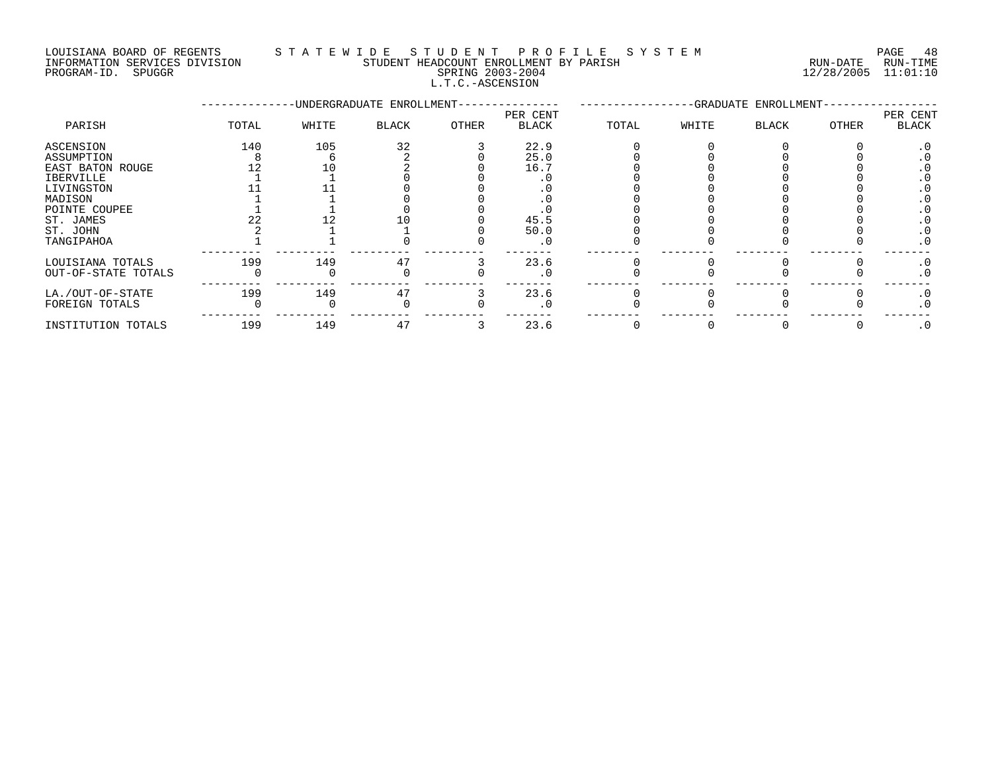#### LOUISIANA BOARD OF REGENTS S T A T E W I D E S T U D E N T P R O F I L E S Y S T E M PAGE 48 INFORMATION SERVICES DIVISION STUDENT HEADCOUNT ENROLLMENT BY PARISH RUN-DATE RUN-TIME

L.T.C.-ASCENSION

PROGRAM-ID. SPUGGR SPRING 2003-2004 12/28/2005 11:01:10

|                     |       |       | -UNDERGRADUATE ENROLLMENT- |       | -GRADUATE ENROLLMENT-    |       |       |              | PER CENT |           |
|---------------------|-------|-------|----------------------------|-------|--------------------------|-------|-------|--------------|----------|-----------|
| PARISH              | TOTAL | WHITE | BLACK                      | OTHER | PER CENT<br><b>BLACK</b> | TOTAL | WHITE | <b>BLACK</b> | OTHER    | BLACK     |
| ASCENSION           | 140   | 105   | 32                         |       | 22.9                     |       |       |              |          |           |
| ASSUMPTION          |       |       |                            |       | 25.0                     |       |       |              |          |           |
| EAST BATON ROUGE    |       | 10    |                            |       | 16.7                     |       |       |              |          |           |
| <b>IBERVILLE</b>    |       |       |                            |       |                          |       |       |              |          |           |
| LIVINGSTON          |       |       |                            |       |                          |       |       |              |          |           |
| MADISON             |       |       |                            |       |                          |       |       |              |          |           |
| POINTE COUPEE       |       |       |                            |       |                          |       |       |              |          |           |
| ST. JAMES           |       |       |                            |       | 45.5                     |       |       |              |          |           |
| ST. JOHN            |       |       |                            |       | 50.0                     |       |       |              |          |           |
| TANGIPAHOA          |       |       |                            |       | . 0                      |       |       |              |          | . 0       |
| LOUISIANA TOTALS    | 199   | 149   | 47                         |       | 23.6                     |       |       |              |          | . 0       |
| OUT-OF-STATE TOTALS |       |       |                            |       | . 0                      |       |       |              |          | $\cdot$ 0 |
| LA./OUT-OF-STATE    | 199   | 149   | 47                         |       | 23.6                     |       |       |              |          | $\cdot$ 0 |
| FOREIGN TOTALS      |       |       |                            |       | $\cdot$ 0                |       |       |              |          | $\cdot$ 0 |
| INSTITUTION TOTALS  | 199   | 149   | 47                         |       | 23.6                     |       |       |              |          | $\cdot$ 0 |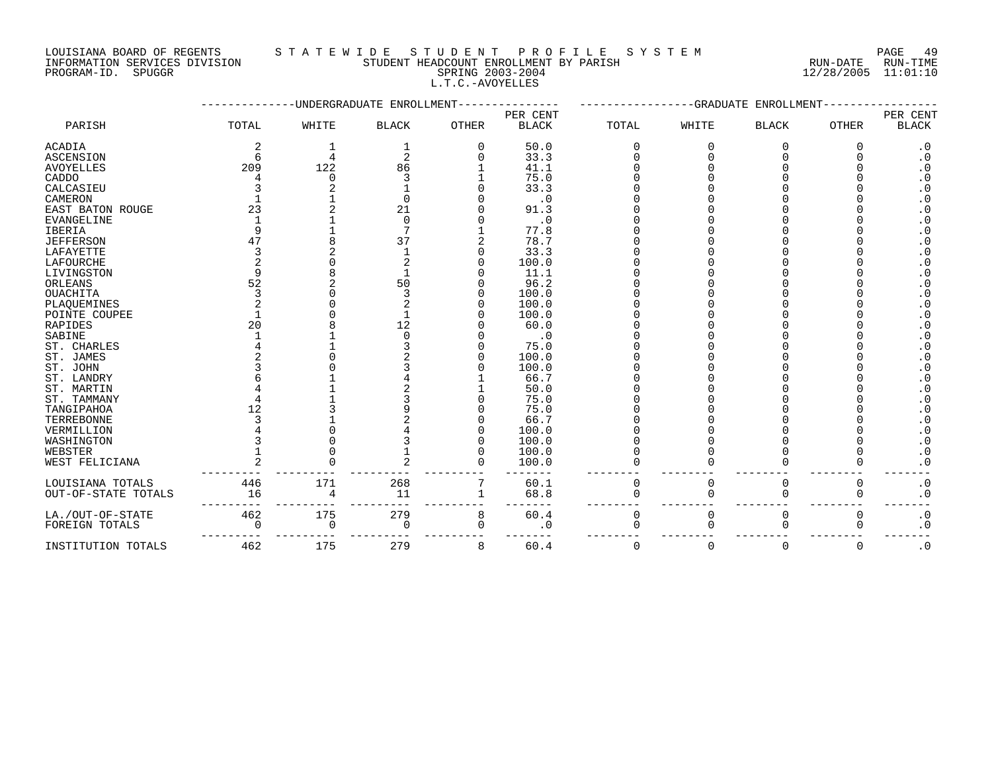# INFORMATION SERVICES DIVISION STUDENT HEADCOUNT ENROLLMENT BY PARISH STUDENT RUN-DATE RUN-TIME

L.T.C.-AVOYELLES

PROGRAM-ID. SPUGGR SPRING 2003-2004 12/28/2005 11:01:10

|                  | ---------- |       | -UNDERGRADUATE ENROLLMENT- |              | -GRADUATE ENROLLMENT-<br>------------ |       |       |              |              |                          |
|------------------|------------|-------|----------------------------|--------------|---------------------------------------|-------|-------|--------------|--------------|--------------------------|
| PARISH           | TOTAL      | WHITE | <b>BLACK</b>               | <b>OTHER</b> | PER CENT<br><b>BLACK</b>              | TOTAL | WHITE | <b>BLACK</b> | <b>OTHER</b> | PER CENT<br><b>BLACK</b> |
| ACADIA           |            |       |                            |              | 50.0                                  |       |       |              |              | $\cdot$ 0                |
| ASCENSION        | 6          |       | $\overline{2}$             |              | 33.3                                  |       |       |              |              | . 0                      |
| <b>AVOYELLES</b> | 209        | 122   | 86                         |              | 41.1                                  |       |       |              |              |                          |
| CADDO            |            |       |                            |              | 75.0                                  |       |       |              |              |                          |
| CALCASIEU        |            |       |                            |              | 33.3                                  |       |       |              |              |                          |
| CAMERON          |            |       |                            |              | $\cdot$ 0                             |       |       |              |              | . 0                      |
| EAST BATON ROUGE | 23         |       | 21                         |              | 91.3                                  |       |       |              |              | $\cdot$ 0                |
| EVANGELINE       |            |       |                            |              | $\cdot$ 0                             |       |       |              |              |                          |
| <b>IBERIA</b>    |            |       |                            |              | 77.8                                  |       |       |              |              | . 0                      |
| JEFFERSON        |            |       | 37                         |              | 78.7                                  |       |       |              |              | . 0                      |
| LAFAYETTE        |            |       |                            |              | 33.3                                  |       |       |              |              |                          |
| LAFOURCHE        |            |       |                            |              | 100.0                                 |       |       |              |              |                          |
| LIVINGSTON       |            |       |                            |              | 11.1                                  |       |       |              |              |                          |
| ORLEANS          | 52         |       | 50                         |              | 96.2                                  |       |       |              |              |                          |
| <b>OUACHITA</b>  |            |       |                            |              | 100.0                                 |       |       |              |              |                          |
| PLAQUEMINES      |            |       |                            |              | 100.0                                 |       |       |              |              |                          |
| POINTE COUPEE    |            |       |                            |              | 100.0                                 |       |       |              |              | . 0                      |
| RAPIDES          | 20         |       | 12                         |              | 60.0                                  |       |       |              |              | . 0                      |
| SABINE           |            |       |                            |              | $\cdot$ 0                             |       |       |              |              | . 0                      |
| ST. CHARLES      |            |       |                            |              | 75.0                                  |       |       |              |              | . 0                      |
| ST. JAMES        |            |       |                            |              | 100.0                                 |       |       |              |              | . 0                      |
| ST. JOHN         |            |       |                            |              | 100.0                                 |       |       |              |              |                          |
| ST. LANDRY       |            |       |                            |              | 66.7                                  |       |       |              |              | . 0                      |
| ST. MARTIN       |            |       |                            |              | 50.0                                  |       |       |              |              | . 0                      |
| ST. TAMMANY      |            |       |                            |              | 75.0                                  |       |       |              |              | . 0                      |
| TANGIPAHOA       |            |       |                            |              | 75.0                                  |       |       |              |              | . 0                      |
| TERREBONNE       |            |       |                            |              | 66.7                                  |       |       |              |              | . 0                      |
| VERMILLION       |            |       |                            |              | 100.0                                 |       |       |              |              |                          |
| WASHINGTON       |            |       |                            |              | 100.0                                 |       |       |              |              |                          |
| WEBSTER          |            |       |                            |              | 100.0                                 |       |       |              |              |                          |
| WEST FELICIANA   |            |       |                            |              | 100.0                                 |       |       |              |              | . 0                      |

LOUISIANA TOTALS 446 171 268 7 60.1 0 0 0 0 .0 OUT-OF-STATE TOTALS 16 4 11 1 68.8 0 0 0 0 .0 --------- --------- --------- --------- ------- -------- -------- -------- -------- -------

LA./OUT-OF-STATE 462 175 279 8 60.4 0 0 0 0 .0 FOREIGN TOTALS 0 0 0 0 .0 0 0 0 0 .0 --------- --------- --------- --------- ------- -------- -------- -------- -------- ------- INSTITUTION TOTALS 462 175 279 8 60.4 0 0 0 0 .0

# LOUISIANA BOARD OF REGENTS STATEWIDE STUDENT PROFILE SYSTEM PAGE 49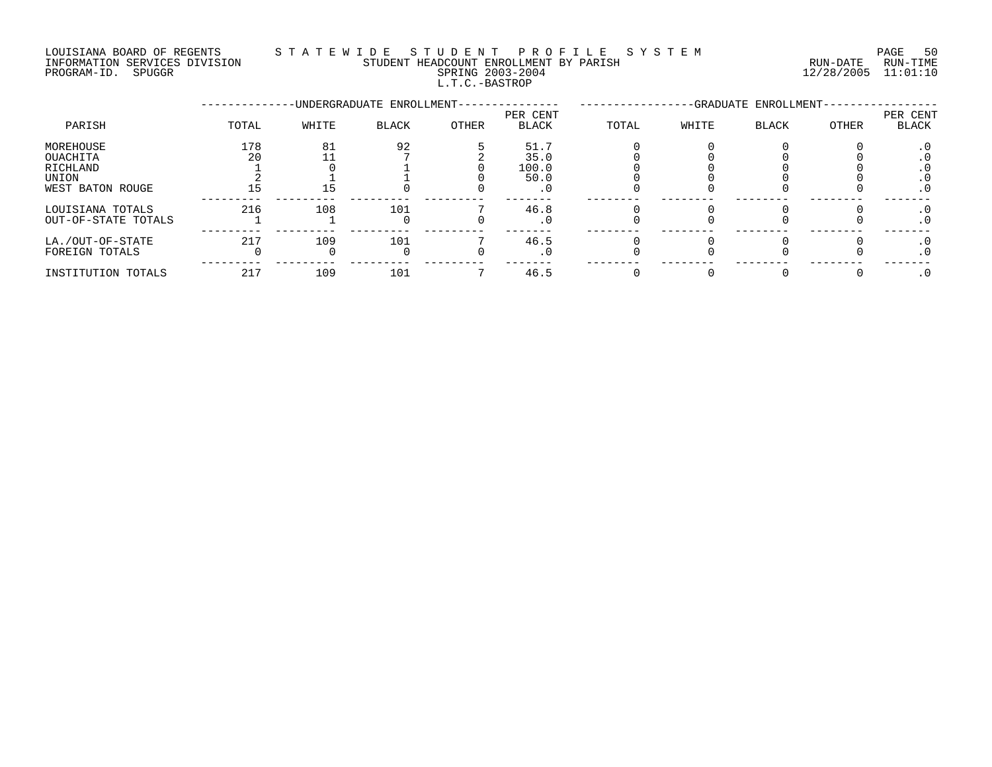#### LOUISIANA BOARD OF REGENTS S T A T E W I D E S T U D E N T P R O F I L E S Y S T E M PAGE 50 INFORMATION SERVICES DIVISION STUDENT HEADCOUNT ENROLLMENT BY PARISH RUN-DATE RUN-TIME

L.T.C.-BASTROP

PROGRAM-ID. SPUGGR SPRING 2003-2004 12/28/2005 11:01:10

|                                                                |           |       | -UNDERGRADUATE ENROLLMENT- |       | -GRADUATE ENROLLMENT-         |       |       |              |              |                         |
|----------------------------------------------------------------|-----------|-------|----------------------------|-------|-------------------------------|-------|-------|--------------|--------------|-------------------------|
| PARISH                                                         | TOTAL     | WHITE | <b>BLACK</b>               | OTHER | PER CENT<br><b>BLACK</b>      | TOTAL | WHITE | <b>BLACK</b> | <b>OTHER</b> | PER CENT<br>BLACK       |
| MOREHOUSE<br>OUACHITA<br>RICHLAND<br>UNION<br>WEST BATON ROUGE | 178<br>20 | 81    | 92                         |       | 51.7<br>35.0<br>100.0<br>50.0 |       |       |              |              | . U<br>. U<br>$\cdot$ 0 |
| LOUISIANA TOTALS<br>OUT-OF-STATE TOTALS                        | 216       | 108   | 101                        |       | 46.8<br>. 0                   |       |       |              |              | . U<br>$\cdot$ 0        |
| LA./OUT-OF-STATE<br>FOREIGN TOTALS                             | 217       | 109   | 101                        |       | 46.5                          |       |       |              |              |                         |
| INSTITUTION TOTALS                                             | 217       | 109   | 101                        |       | 46.5                          |       |       |              |              |                         |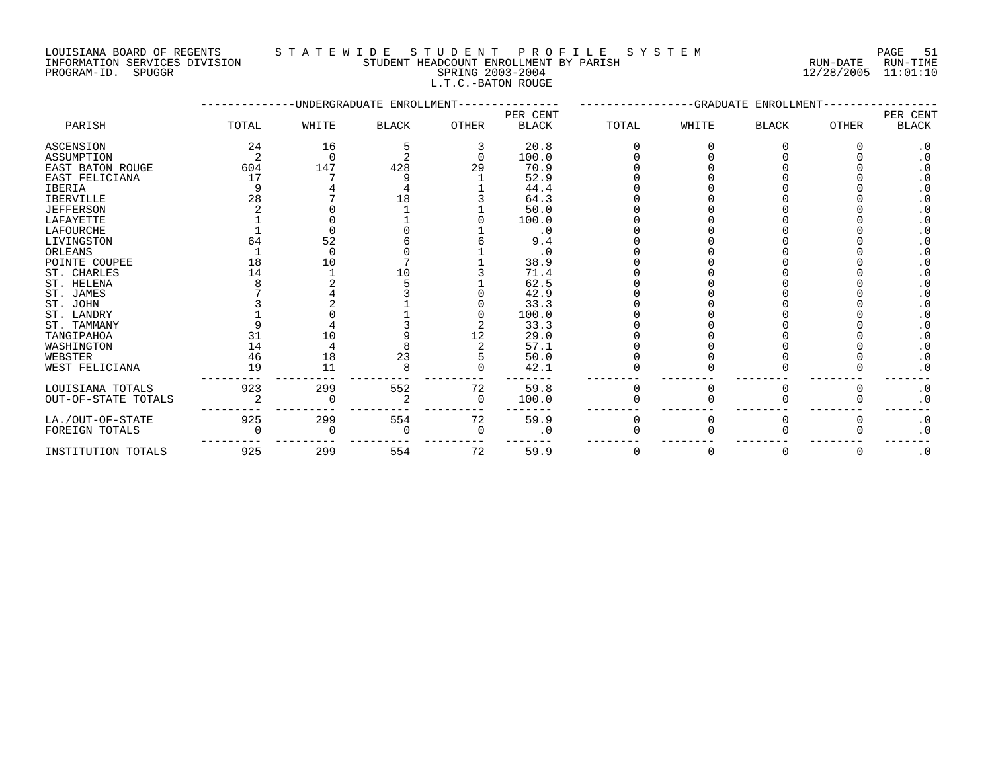#### LOUISIANA BOARD OF REGENTS S T A T E W I D E S T U D E N T P R O F I L E S Y S T E M PAGE 51

|                     | PAGE.  |
|---------------------|--------|
| RIIN-DATE           | RUN-TI |
| $12/28/2005$ 11:01: |        |

#### INFORMATION SERVICES DIVISION STUDENT HEADCOUNT ENROLLMENT BY PARISH RUN-DATE RUN-TIME PROGRAM-ID. SPUGGR SPRING 2003-2004 12/28/2005 11:01:10 L.T.C.-BATON ROUGE

|                         |       |          | UNDERGRADUATE ENROLLMENT |              |              | GRADUATE ENROLLMENT |       |              |              |                        |
|-------------------------|-------|----------|--------------------------|--------------|--------------|---------------------|-------|--------------|--------------|------------------------|
|                         |       |          |                          |              | PER CENT     |                     |       |              |              | PER CENT               |
| PARISH                  | TOTAL | WHITE    | <b>BLACK</b>             | <b>OTHER</b> | <b>BLACK</b> | TOTAL               | WHITE | <b>BLACK</b> | <b>OTHER</b> | <b>BLACK</b>           |
| <b>ASCENSION</b>        | 24    | 16       |                          |              | 20.8         |                     |       |              |              | $\cdot$ 0              |
| ASSUMPTION              |       | ∩        |                          |              | 100.0        |                     |       |              |              | $\boldsymbol{\cdot}$ 0 |
| <b>EAST BATON ROUGE</b> | 604   | 147      | 428                      | 29           | 70.9         |                     |       |              |              | . 0                    |
| EAST FELICIANA          | 17    |          |                          |              | 52.9         |                     |       |              |              | $\cdot$ 0              |
| <b>IBERIA</b>           |       |          |                          |              | 44.4         |                     |       |              |              |                        |
| <b>IBERVILLE</b>        | 28    |          | 18                       |              | 64.3         |                     |       |              |              |                        |
| <b>JEFFERSON</b>        |       |          |                          |              | 50.0         |                     |       |              |              | $\cdot$ 0              |
| LAFAYETTE               |       |          |                          |              | 100.0        |                     |       |              |              | $\cdot$ 0              |
| <b>LAFOURCHE</b>        |       |          |                          |              | . 0          |                     |       |              |              | $\cdot$ 0              |
| LIVINGSTON              | 64    | 52       |                          |              | 9.4          |                     |       |              |              | $\cdot$ 0              |
| ORLEANS                 |       | $\Omega$ |                          |              | . 0          |                     |       |              |              | . 0                    |
| POINTE COUPEE           | 18    | 10       |                          |              | 38.9         |                     |       |              |              | $\cdot$ 0              |
| ST. CHARLES             | 14    |          | 10                       |              | 71.4         |                     |       |              |              | $\cdot$ 0              |
| ST. HELENA              |       |          |                          |              | 62.5         |                     |       |              |              | $\cdot$ 0              |
| ST. JAMES               |       |          |                          |              | 42.9         |                     |       |              |              | $\cdot$ 0              |
| ST. JOHN                |       |          |                          |              | 33.3         |                     |       |              |              | $\cdot$ 0              |
| ST. LANDRY              |       |          |                          |              | 100.0        |                     |       |              |              | $\cdot$ 0              |
| ST. TAMMANY             |       |          |                          |              | 33.3         |                     |       |              |              | $\cdot$ 0              |
| TANGIPAHOA              |       | 10       |                          | 12           | 29.0         |                     |       |              |              | $\cdot$ 0              |
| WASHINGTON              | 14    |          |                          |              | 57.1         |                     |       |              |              | . 0                    |
| WEBSTER                 | 46    | 18       | 23                       |              | 50.0         |                     |       |              |              | $\cdot$ 0              |
| WEST FELICIANA          | 19    | 11       |                          |              | 42.1         |                     |       |              |              | $\cdot$ 0              |
| LOUISIANA TOTALS        | 923   | 299      | 552                      | 72           | 59.8         | <sup>0</sup>        |       |              |              | $\cdot$ 0              |
| OUT-OF-STATE TOTALS     |       |          |                          | $\Omega$     | 100.0        |                     |       |              |              | $\cdot$ 0              |
| LA./OUT-OF-STATE        | 925   | 299      | 554                      | 72           | 59.9         | $\Omega$            |       |              |              | $\cdot$ 0              |
| FOREIGN TOTALS          |       |          |                          | O            | . 0          |                     |       |              |              | $\cdot$ 0              |
| INSTITUTION TOTALS      | 925   | 299      | 554                      | 72           | 59.9         | $\Omega$            | 0     | $\Omega$     | 0            | $\cdot$ 0              |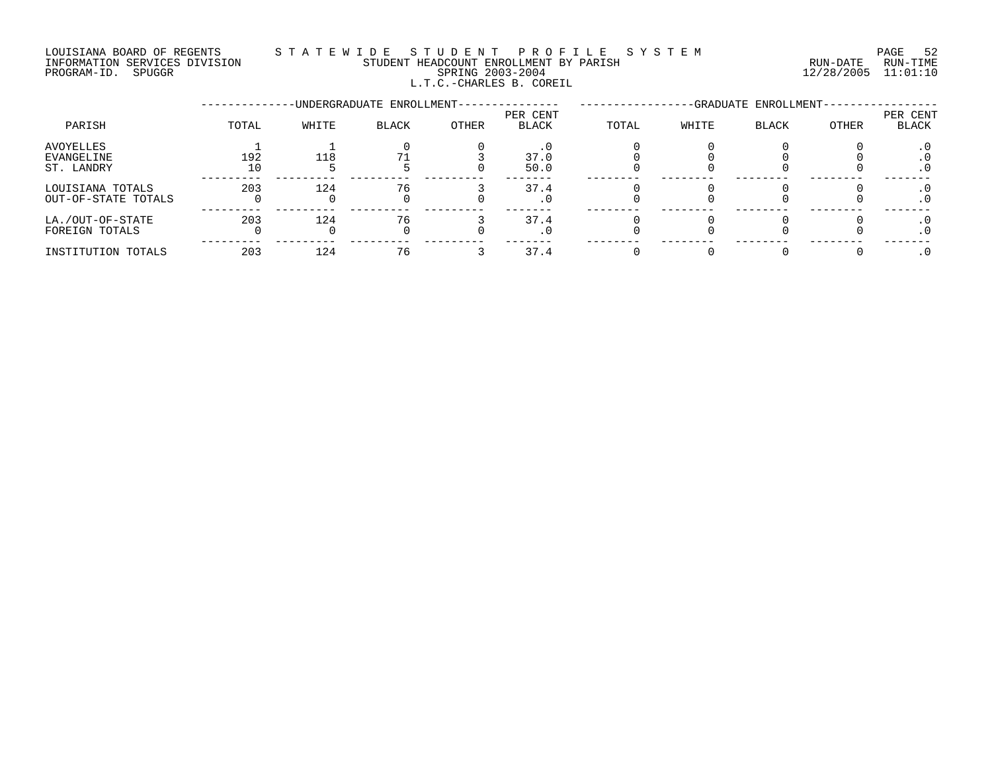#### LOUISIANA BOARD OF REGENTS S T A T E W I D E S T U D E N T P R O F I L E S Y S T E M PAGE 52 INFORMATION SERVICES DIVISION STUDENT HEADCOUNT ENROLLMENT BY PARISH RUN-DATE RUN-TIME PROGRAM-ID. SPUGGR SPRING 2003-2004 12/28/2005 11:01:10 L.T.C.-CHARLES B. COREIL

|                                              |           |       | -UNDERGRADUATE ENROLLMENT- |       | -GRADUATE ENROLLMENT-    |       |       |              |       |                   |
|----------------------------------------------|-----------|-------|----------------------------|-------|--------------------------|-------|-------|--------------|-------|-------------------|
| PARISH                                       | TOTAL     | WHITE | BLACK                      | OTHER | PER CENT<br><b>BLACK</b> | TOTAL | WHITE | <b>BLACK</b> | OTHER | PER CENT<br>BLACK |
| AVOYELLES<br><b>EVANGELINE</b><br>ST. LANDRY | 192<br>10 | 118   |                            |       | 37.0<br>50.0             |       |       |              |       |                   |
| LOUISIANA TOTALS<br>OUT-OF-STATE TOTALS      | 203       | 124   | 76                         |       | 37.4<br>. U              |       |       |              |       |                   |
| LA./OUT-OF-STATE<br>FOREIGN TOTALS           | 203       | 124   | 76                         |       | 37.4                     |       |       |              |       |                   |
| INSTITUTION TOTALS                           | 203       | 124   | 76                         |       | 37.4                     |       |       |              |       |                   |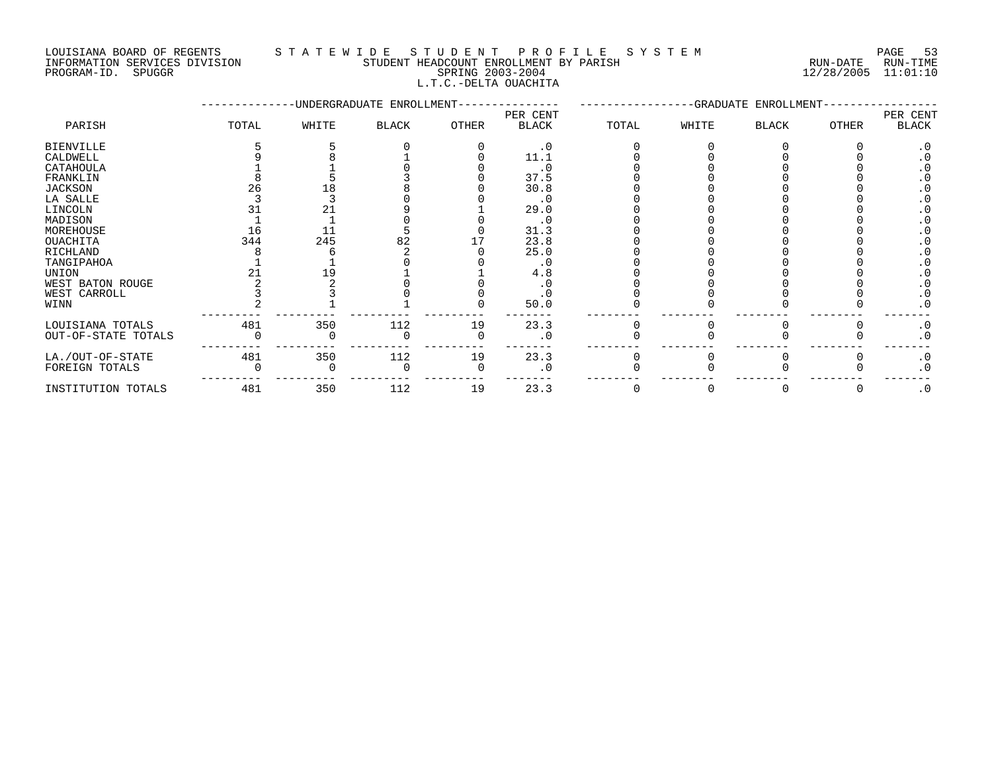#### LOUISIANA BOARD OF REGENTS S T A T E W I D E S T U D E N T P R O F I L E S Y S T E M PAGE 53 INFORMATION SERVICES DIVISION STUDENT HEADCOUNT ENROLLMENT BY PARISH RUN-DATE RUN-TIME

|             | INFORMAIION SERVICES DIVISION | SIUDENI HEADCOUNI ENROLLMENI BY PARISH |                  | RUN-DAIE   | KUN-TIME |
|-------------|-------------------------------|----------------------------------------|------------------|------------|----------|
| PROGRAM-ID. | SPUGGR                        |                                        | SPRING 2003-2004 | 12/28/2005 | 11:01:10 |
|             |                               | L.T.C.-DELTA<br>1.1.U                  | OUACHITA         |            |          |

|                     |       |       | -UNDERGRADUATE ENROLLMENT- |       |              |       | -GRADUATE ENROLLMENT |              |              |           |
|---------------------|-------|-------|----------------------------|-------|--------------|-------|----------------------|--------------|--------------|-----------|
|                     |       |       |                            |       | PER CENT     |       |                      |              |              | PER CENT  |
| PARISH              | TOTAL | WHITE | <b>BLACK</b>               | OTHER | <b>BLACK</b> | TOTAL | WHITE                | <b>BLACK</b> | <b>OTHER</b> | BLACK     |
| <b>BIENVILLE</b>    |       |       |                            |       | $\cdot$ 0    |       |                      |              |              |           |
| CALDWELL            |       |       |                            |       | 11.1         |       |                      |              |              |           |
| CATAHOULA           |       |       |                            |       | . 0          |       |                      |              |              |           |
| FRANKLIN            |       |       |                            |       | 37.5         |       |                      |              |              |           |
| <b>JACKSON</b>      |       | 18    |                            |       | 30.8         |       |                      |              |              |           |
| LA SALLE            |       |       |                            |       | . 0          |       |                      |              |              |           |
| LINCOLN             |       |       |                            |       | 29.0         |       |                      |              |              |           |
| MADISON             |       |       |                            |       | $\cdot$ 0    |       |                      |              |              |           |
| MOREHOUSE           | 16    | 11    |                            |       | 31.3         |       |                      |              |              |           |
| OUACHITA            | 344   | 245   |                            |       | 23.8         |       |                      |              |              |           |
| RICHLAND            |       |       |                            |       | 25.0         |       |                      |              |              |           |
| TANGIPAHOA          |       |       |                            |       | $\cdot$ 0    |       |                      |              |              |           |
| UNION               |       | 19    |                            |       | 4.8          |       |                      |              |              |           |
| WEST BATON ROUGE    |       |       |                            |       |              |       |                      |              |              |           |
| WEST CARROLL        |       |       |                            |       | . 0          |       |                      |              |              | $\cdot$ 0 |
| WINN                |       |       |                            |       | 50.0         |       |                      |              |              | $\cdot$ 0 |
| LOUISIANA TOTALS    | 481   | 350   | 112                        | 19    | 23.3         |       |                      |              |              | $\cdot$ 0 |
| OUT-OF-STATE TOTALS |       |       |                            |       | $\cdot$ 0    |       |                      |              |              | $\cdot$ 0 |
| LA./OUT-OF-STATE    | 481   | 350   | 112                        | 19    | 23.3         |       |                      |              |              | $\cdot$ 0 |
| FOREIGN TOTALS      |       |       |                            |       | . 0          |       |                      |              |              | $\cdot$ 0 |
| INSTITUTION TOTALS  | 481   | 350   | 112                        | 19    | 23.3         |       |                      |              |              | $\cdot$ 0 |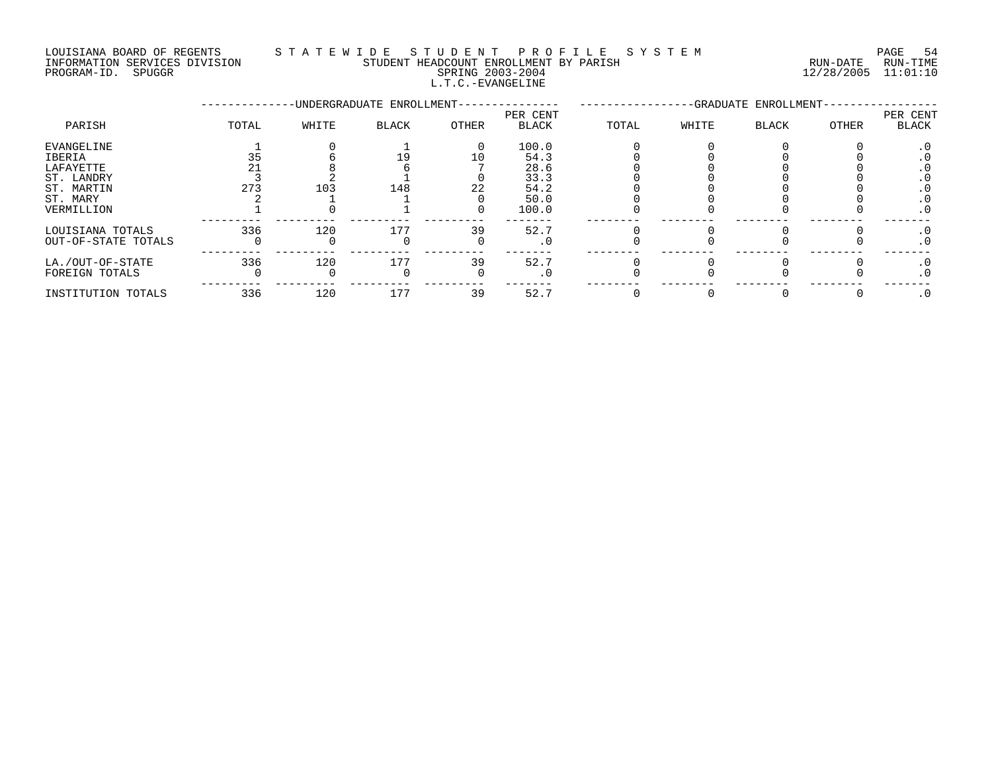#### LOUISIANA BOARD OF REGENTS S T A T E W I D E S T U D E N T P R O F I L E S Y S T E M PAGE 54 INFORMATION SERVICES DIVISION STUDENT HEADCOUNT ENROLLMENT BY PARISH RUN-DATE RUN-TIME

### PROGRAM-ID. SPUGGR SPRING 2003-2004 12/28/2005 11:01:10 L.T.C.-EVANGELINE

|                     |       |       | -UNDERGRADUATE ENROLLMENT- |       | -GRADUATE ENROLLMENT-    |       |       |              |       |                          |
|---------------------|-------|-------|----------------------------|-------|--------------------------|-------|-------|--------------|-------|--------------------------|
| PARISH              | TOTAL | WHITE | <b>BLACK</b>               | OTHER | PER CENT<br><b>BLACK</b> | TOTAL | WHITE | <b>BLACK</b> | OTHER | PER CENT<br><b>BLACK</b> |
| EVANGELINE          |       |       |                            | 0     | 100.0                    |       |       |              |       | . ∪                      |
| IBERIA              |       |       |                            | 10    | 54.3                     |       |       |              |       |                          |
| LAFAYETTE           |       |       |                            |       | 28.6                     |       |       |              |       | . U                      |
| ST. LANDRY          |       |       |                            |       | 33.3                     |       |       |              |       |                          |
| ST. MARTIN          | 273   | 103   | 148                        | 22    | 54.2                     |       |       |              |       |                          |
| ST. MARY            |       |       |                            |       | 50.0                     |       |       |              |       | . U                      |
| VERMILLION          |       |       |                            |       | 100.0                    |       |       |              |       | . 0                      |
| LOUISIANA TOTALS    | 336   | 120   | 177                        | 39    | 52.7                     |       |       |              |       | . 0                      |
| OUT-OF-STATE TOTALS |       |       |                            |       | . 0                      |       |       |              |       | . 0                      |
| LA./OUT-OF-STATE    | 336   | 120   | 177                        | 39    | 52.7                     |       |       |              |       | . U                      |
| FOREIGN TOTALS      |       |       |                            |       | . 0                      |       |       |              |       | . 0                      |
| INSTITUTION TOTALS  | 336   | 120   | 177                        | 39    | 52.7                     |       |       |              |       |                          |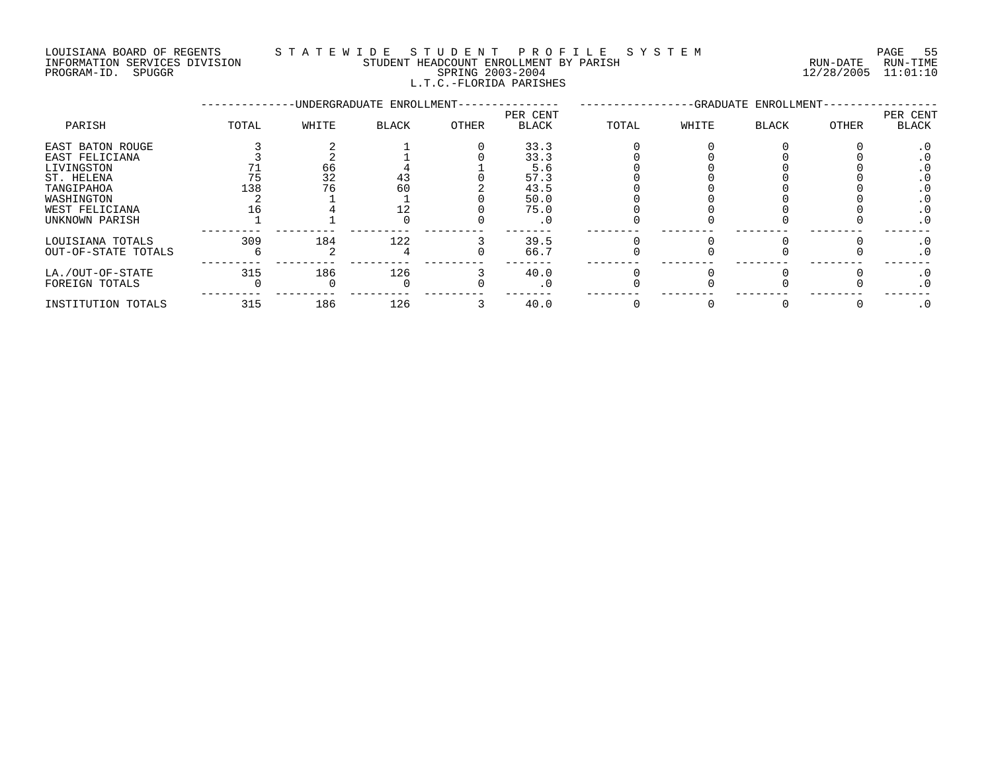#### LOUISIANA BOARD OF REGENTS STA TEWIDE STUDENT PROFILE SYSTEM NAGE 55 INFORMATION SERVICES DIVISION STUDENT HEADCOUNT ENROLLMENT BY PARISH RUN-DATE RUN-TIME PROGRAM-ID. SPUGGR SPRING 2003-2004 12/28/2005 11:01:10 L.T.C.-FLORIDA PARISHES

|                                                                                                                                |       |                | -UNDERGRADUATE ENROLLMENT- |       | -GRADUATE ENROLLMENT-                               |       |       |       |       |                        |
|--------------------------------------------------------------------------------------------------------------------------------|-------|----------------|----------------------------|-------|-----------------------------------------------------|-------|-------|-------|-------|------------------------|
| PARISH                                                                                                                         | TOTAL | WHITE          | <b>BLACK</b>               | OTHER | PER CENT<br><b>BLACK</b>                            | TOTAL | WHITE | BLACK | OTHER | PER CENT<br>BLACK      |
| EAST BATON ROUGE<br>EAST FELICIANA<br>LIVINGSTON<br>ST. HELENA<br>TANGIPAHOA<br>WASHINGTON<br>WEST FELICIANA<br>UNKNOWN PARISH | 138   | 66<br>32<br>76 | 43<br>60                   |       | 33.3<br>33.3<br>5.6<br>57.3<br>43.5<br>50.0<br>75.0 |       |       |       |       | . 0<br>$\cdot$ 0       |
| LOUISIANA TOTALS<br>OUT-OF-STATE TOTALS                                                                                        | 309   | 184            | 122                        |       | 39.5<br>66.7                                        |       |       |       |       | $\cdot$ 0<br>$\cdot$ 0 |
| LA./OUT-OF-STATE<br>FOREIGN TOTALS                                                                                             | 315   | 186            | 126                        |       | 40.0<br>. 0                                         |       |       |       |       | $\cdot$ 0<br>$\cdot$ 0 |
| INSTITUTION TOTALS                                                                                                             | 315   | 186            | 126                        |       | 40.0                                                |       |       |       |       | $\cdot$ 0              |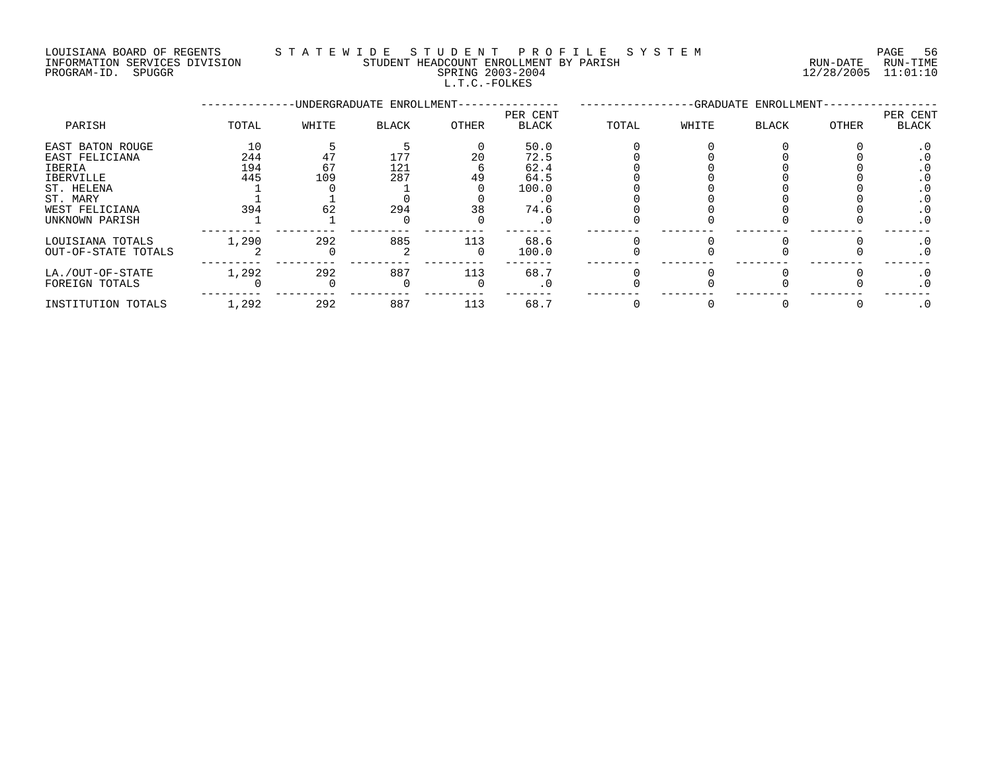#### LOUISIANA BOARD OF REGENTS S T A T E W I D E S T U D E N T P R O F I L E S Y S T E M PAGE 56 INFORMATION SERVICES DIVISION STUDENT HEADCOUNT ENROLLMENT BY PARISH RUN-DATE RUN-TIME

L.T.C.-FOLKES

PROGRAM-ID. SPUGGR SPRING 2003-2004 12/28/2005 11:01:10

|                                                                                                                         |                                |                 | -UNDERGRADUATE ENROLLMENT- |                |                                                      |       |       | -GRADUATE ENROLLMENT- |       |                   |
|-------------------------------------------------------------------------------------------------------------------------|--------------------------------|-----------------|----------------------------|----------------|------------------------------------------------------|-------|-------|-----------------------|-------|-------------------|
| PARISH                                                                                                                  | TOTAL                          | WHITE           | <b>BLACK</b>               | OTHER          | PER CENT<br>BLACK                                    | TOTAL | WHITE | BLACK                 | OTHER | PER CENT<br>BLACK |
| EAST BATON ROUGE<br>EAST FELICIANA<br>IBERIA<br>IBERVILLE<br>ST. HELENA<br>ST. MARY<br>WEST FELICIANA<br>UNKNOWN PARISH | 10<br>244<br>194<br>445<br>394 | 67<br>109<br>62 | 177<br>121<br>287<br>294   | 20<br>49<br>38 | 50.0<br>72.5<br>62.4<br>64.5<br>100.0<br>74.6<br>. 0 |       |       |                       |       | . 0<br>$\cdot$ 0  |
| LOUISIANA TOTALS<br>OUT-OF-STATE TOTALS                                                                                 | 1,290                          | 292             | 885                        | 113            | 68.6<br>100.0                                        |       |       |                       |       |                   |
| LA./OUT-OF-STATE<br>FOREIGN TOTALS                                                                                      | 1,292                          | 292             | 887                        | 113            | 68.7                                                 |       |       |                       |       | . 0               |

INSTITUTION TOTALS 1,292 292 887 113 68.7 0 0 0 0 .0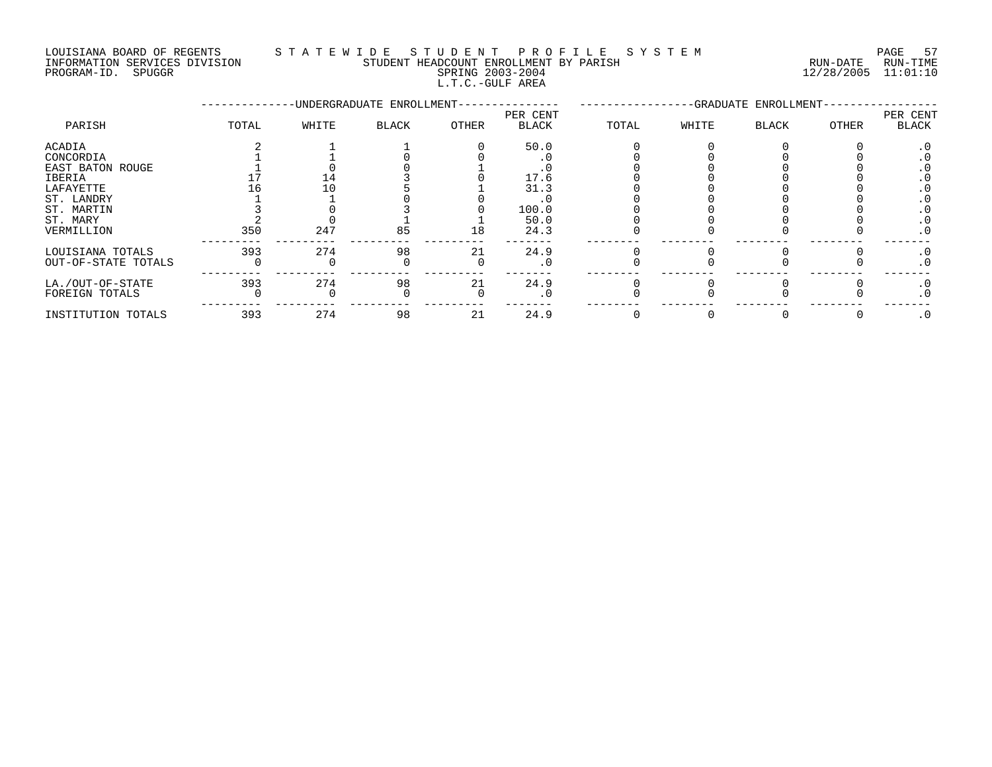LOUISIANA BOARD OF REGENTS S T A T E W I D E S T U D E N T P R O F I L E S Y S T E M PAGE 57 INFORMATION SERVICES DIVISION STUDENT HEADCOUNT ENROLLMENT BY PARISH RUN-DATE RUN-TIME

L.T.C.-GULF AREA

|                     |       |       | -UNDERGRADUATE ENROLLMENT- |       | -GRADUATE ENROLLMENT-    |       |       |       |       |                          |
|---------------------|-------|-------|----------------------------|-------|--------------------------|-------|-------|-------|-------|--------------------------|
| PARISH              | TOTAL | WHITE | BLACK                      | OTHER | PER CENT<br><b>BLACK</b> | TOTAL | WHITE | BLACK | OTHER | PER CENT<br><b>BLACK</b> |
| ACADIA              |       |       |                            |       | 50.0                     |       |       |       |       | . 0                      |
| CONCORDIA           |       |       |                            |       |                          |       |       |       |       |                          |
| EAST BATON ROUGE    |       |       |                            |       |                          |       |       |       |       |                          |
| IBERIA              |       | - 14  |                            |       | 17.6                     |       |       |       |       |                          |
| LAFAYETTE           |       |       |                            |       | 31.3                     |       |       |       |       |                          |
| ST. LANDRY          |       |       |                            |       |                          |       |       |       |       |                          |
| ST. MARTIN          |       |       |                            |       | 100.0                    |       |       |       |       |                          |
| ST. MARY            |       |       |                            |       | 50.0                     |       |       |       |       |                          |
| VERMILLION          | 350   | 247   | 85                         | 18    | 24.3                     |       |       |       |       |                          |
| LOUISIANA TOTALS    | 393   | 274   | 98                         | 21    | 24.9                     |       |       |       |       | . 0                      |
| OUT-OF-STATE TOTALS |       |       |                            |       |                          |       |       |       |       | . 0                      |
| LA./OUT-OF-STATE    | 393   | 274   | 98                         | 21    | 24.9                     |       |       |       |       | . 0                      |
| FOREIGN TOTALS      |       |       |                            |       |                          |       |       |       |       | . 0                      |
| INSTITUTION TOTALS  | 393   | 274   | 98                         | 21    | 24.9                     |       |       |       |       | $\cdot$ 0                |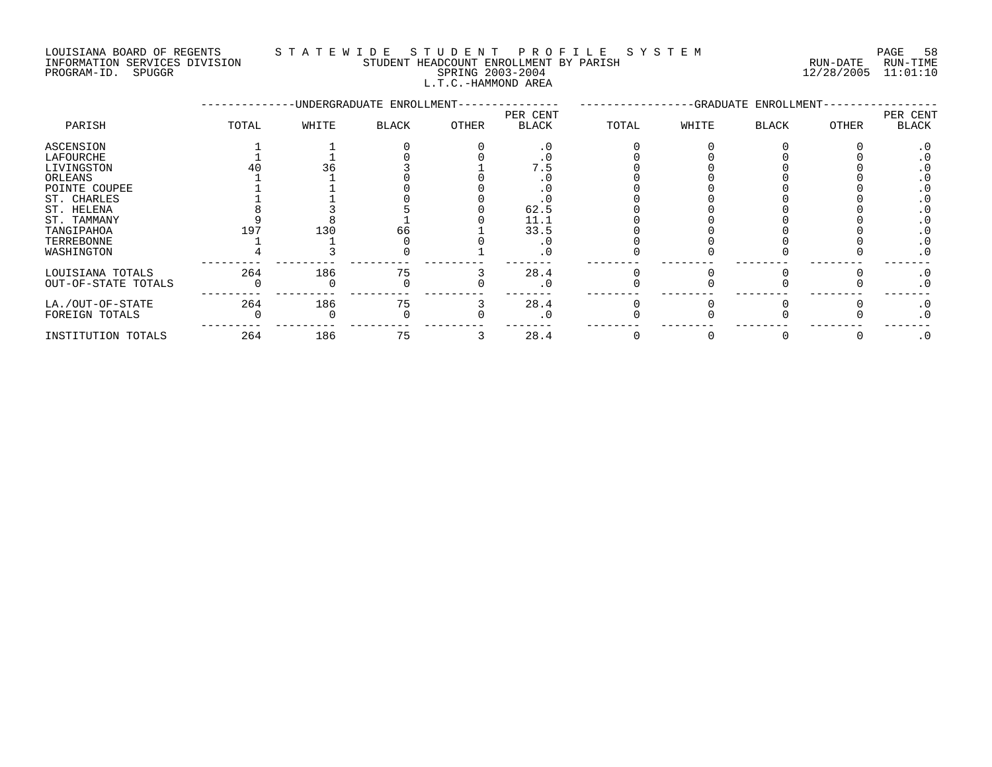#### LOUISIANA BOARD OF REGENTS S T A T E W I D E S T U D E N T P R O F I L E S Y S T E M PAGE 58 INFORMATION SERVICES DIVISION STUDENT HEADCOUNT ENROLLMENT BY PARISH RUN-DATE RUN-TIME

#### PROGRAM-ID. SPUGGR SPRING 2003-2004 12/28/2005 11:01:10 L.T.C.-HAMMOND AREA

|                     |       |       | -UNDERGRADUATE ENROLLMENT- |       | -GRADUATE ENROLLMENT     |       |       |              |              |                          |
|---------------------|-------|-------|----------------------------|-------|--------------------------|-------|-------|--------------|--------------|--------------------------|
| PARISH              | TOTAL | WHITE | BLACK                      | OTHER | PER CENT<br><b>BLACK</b> | TOTAL | WHITE | <b>BLACK</b> | <b>OTHER</b> | PER CENT<br><b>BLACK</b> |
| ASCENSION           |       |       |                            |       |                          |       |       |              |              |                          |
| LAFOURCHE           |       |       |                            |       |                          |       |       |              |              |                          |
| LIVINGSTON          |       |       |                            |       | . .                      |       |       |              |              |                          |
| ORLEANS             |       |       |                            |       |                          |       |       |              |              |                          |
| POINTE COUPEE       |       |       |                            |       |                          |       |       |              |              |                          |
| ST. CHARLES         |       |       |                            |       |                          |       |       |              |              |                          |
| ST. HELENA          |       |       |                            |       | 62.5                     |       |       |              |              |                          |
| ST. TAMMANY         |       |       |                            |       | 11.1                     |       |       |              |              |                          |
| TANGIPAHOA          | 197   | 130   | 66                         |       | 33.5                     |       |       |              |              |                          |
| TERREBONNE          |       |       |                            |       |                          |       |       |              |              | . 0                      |
| WASHINGTON          |       |       |                            |       | . 0                      |       |       |              |              | $\cdot$ 0                |
| LOUISIANA TOTALS    | 264   | 186   | 75                         |       | 28.4                     |       |       |              |              | $\cdot$ 0                |
| OUT-OF-STATE TOTALS |       |       |                            |       | . 0                      |       |       |              |              | $\cdot$ 0                |
| LA./OUT-OF-STATE    | 264   | 186   | 75                         |       | 28.4                     |       |       |              |              | $\cdot$ 0                |
| FOREIGN TOTALS      |       |       |                            |       |                          |       |       |              |              | $\cdot$ 0                |
| INSTITUTION TOTALS  | 264   | 186   | 75                         |       | 28.4                     |       |       |              |              | $\cdot$ 0                |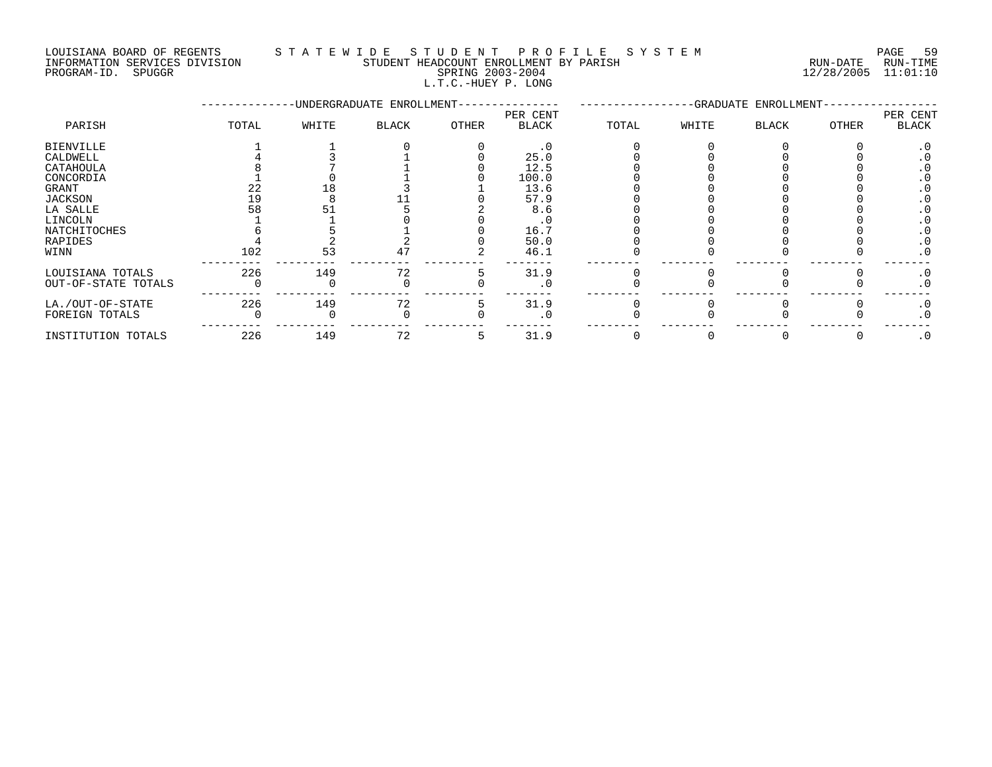#### LOUISIANA BOARD OF REGENTS S T A T E W I D E S T U D E N T P R O F I L E S Y S T E M PAGE 59 INFORMATION SERVICES DIVISION STUDENT HEADCOUNT ENROLLMENT BY PARISH RUN-DATE RUN-TIME INFORMATION SERVICES DIVISION CONSUMENT HEADCOUNT ENROLLMENT BY PARISH THE SUN-DATE RUN-TIME RUN-TIME RUN-TIME<br>PROGRAM-ID. SPUGGR SPUGGR SPRING 2003-2004 L.T.C.-HUEY P. LONG

--------------UNDERGRADUATE ENROLLMENT--------------- -----------------GRADUATE ENROLLMENT----------------- PER CENT PER CENT PARISH TOTAL WHITE BLACK OTHER BLACK TOTAL WHITE BLACK OTHER BLACK BIENVILLE 1 1 0 0 .0 0 0 0 0 .0 CALDWELL 4 3 1 0 25.0 0 0 0 0 .0 CATAHOULA 8 7 1 0 12.5 0 0 0 0 .0 CONCORDIA 1 0 1 0 100.0 0 0 0 0 .0 GRANT 22 18 3 1 13.6 0 0 0 0 .0 JACKSON 19 8 11 0 57.9 0 0 0 0 .0 LA SALLE 58 51 5 2 8.6 0 0 0 0 .0 LINCOLN 1 1 0 0 .0 0 0 0 0 .0 NATCHITOCHES 6 5 1 0 16.7 0 0 0 0 .0 RAPIDES 4 2 2 0 50.0 0 0 0 0 .0 WINN 102 53 47 2 46.1 0 0 0 0 .0 --------- --------- --------- --------- ------- -------- -------- -------- -------- ------- LOUISIANA TOTALS 226 149 72 5 31.9 0 0 0 0 .0 OUT-OF-STATE TOTALS  $\begin{matrix} 0 \end{matrix}$  ,  $\begin{matrix} 0 \end{matrix}$  ,  $\begin{matrix} 0 \end{matrix}$  ,  $\begin{matrix} 0 \end{matrix}$  ,  $\begin{matrix} 0 \end{matrix}$  ,  $\begin{matrix} 0 \end{matrix}$  ,  $\begin{matrix} 0 \end{matrix}$  ,  $\begin{matrix} 0 \end{matrix}$  ,  $\begin{matrix} 0 \end{matrix}$  ,  $\begin{matrix} 0 \end{matrix}$  ,  $\begin{matrix} 0 \end{matrix}$  ,  $\begin{matrix} 0 \end{matrix}$ --------- --------- --------- --------- ------- -------- -------- -------- -------- ------- LA./OUT-OF-STATE 226 149 72 5 31.9 0 0 0 0 .0 FOREIGN TOTALS 0 0 0 0 .0 0 0 0 0 .0 --------- --------- --------- --------- ------- -------- -------- -------- -------- ------- INSTITUTION TOTALS 226 149 72 5 31.9 0 0 0 0 .0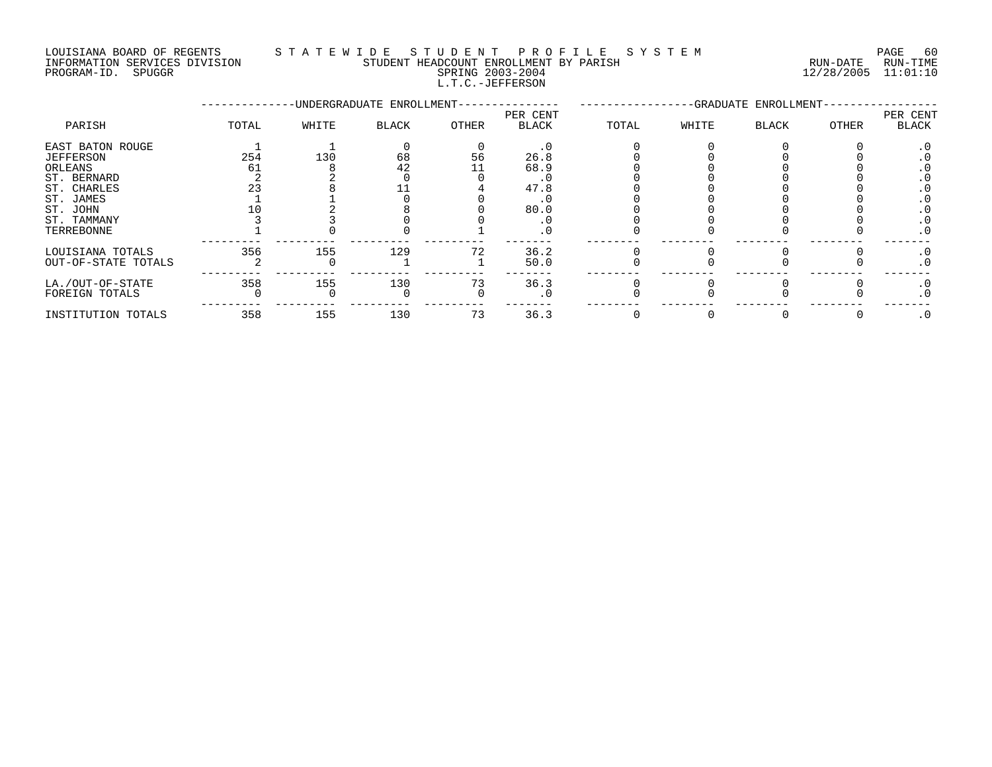LOUISIANA BOARD OF REGENTS S T A T E W I D E S T U D E N T P R O F I L E S Y S T E M PAGE 60 INFORMATION SERVICES DIVISION STUDENT HEADCOUNT ENROLLMENT BY PARISH RUN-DATE RUN-TIME

L.T.C.-JEFFERSON

PROGRAM-ID. SPUGGR SPRING 2003-2004 12/28/2005 11:01:10

|                     |       |       | -UNDERGRADUATE ENROLLMENT- |       | -GRADUATE ENROLLMENT- |       |       |       |       |                   |
|---------------------|-------|-------|----------------------------|-------|-----------------------|-------|-------|-------|-------|-------------------|
| PARISH              | TOTAL | WHITE | BLACK                      | OTHER | PER CENT<br>BLACK     | TOTAL | WHITE | BLACK | OTHER | PER CENT<br>BLACK |
| EAST BATON ROUGE    |       |       |                            |       | . 0                   |       |       |       |       | . u               |
| JEFFERSON           | 254   | 130   | 68                         | 56    | 26.8                  |       |       |       |       | . .               |
| ORLEANS             | 61    |       | 42                         |       | 68.9                  |       |       |       |       |                   |
| ST. BERNARD         |       |       |                            |       |                       |       |       |       |       | . u               |
| ST. CHARLES         |       |       |                            |       | 47.8                  |       |       |       |       |                   |
| ST. JAMES           |       |       |                            |       | . U                   |       |       |       |       |                   |
| ST. JOHN            |       |       |                            |       | 80.0                  |       |       |       |       |                   |
| ST. TAMMANY         |       |       |                            |       |                       |       |       |       |       | . u               |
| TERREBONNE          |       |       |                            |       |                       |       |       |       |       | . 0               |
| LOUISIANA TOTALS    | 356   | 155   | 129                        | 72    | 36.2                  |       |       |       |       | . 0               |
| OUT-OF-STATE TOTALS |       |       |                            |       | 50.0                  |       |       |       |       | . 0               |
| LA./OUT-OF-STATE    | 358   | 155   | 130                        | 73    | 36.3                  |       |       |       |       | . 0               |
| FOREIGN TOTALS      |       |       |                            |       | . 0                   |       |       |       |       | . 0               |
|                     |       |       |                            |       |                       |       |       |       |       |                   |

INSTITUTION TOTALS 358 155 130 73 36.3 0 0 0 0 .0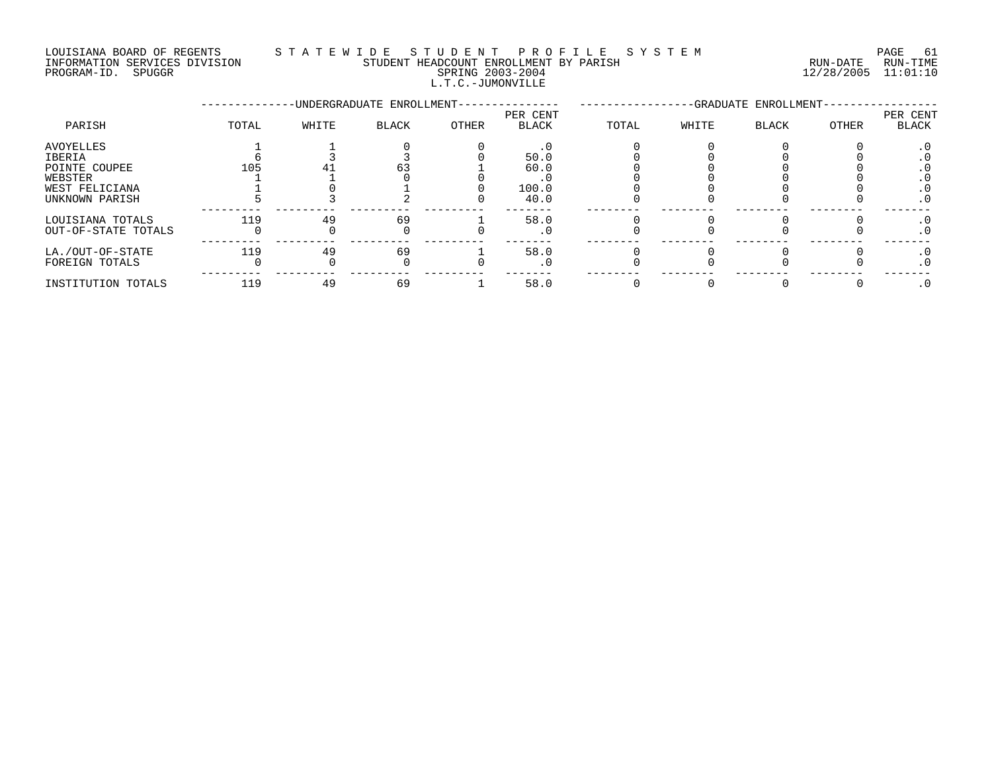#### LOUISIANA BOARD OF REGENTS S T A T E W I D E S T U D E N T P R O F I L E S Y S T E M PAGE 61 INFORMATION SERVICES DIVISION STUDENT HEADCOUNT ENROLLMENT BY PARISH RUN-DATE RUN-TIME

L.T.C.-JUMONVILLE

PROGRAM-ID. SPUGGR SPRING 2003-2004 12/28/2005 11:01:10

|                                                                                     |       |       | -UNDERGRADUATE ENROLLMENT- |       | -GRADUATE ENROLLMENT-                |       |       |       |       |                                              |
|-------------------------------------------------------------------------------------|-------|-------|----------------------------|-------|--------------------------------------|-------|-------|-------|-------|----------------------------------------------|
| PARISH                                                                              | TOTAL | WHITE | <b>BLACK</b>               | OTHER | PER CENT<br><b>BLACK</b>             | TOTAL | WHITE | BLACK | OTHER | PER CENT<br><b>BLACK</b>                     |
| AVOYELLES<br>IBERIA<br>POINTE COUPEE<br>WEBSTER<br>WEST FELICIANA<br>UNKNOWN PARISH | 105   |       | 63                         |       | . 0<br>50.0<br>60.0<br>100.0<br>40.0 |       |       |       |       | . U<br>. v<br>. U<br>. U<br>. 0<br>$\cdot$ 0 |
| LOUISIANA TOTALS<br>OUT-OF-STATE TOTALS                                             | 119   | 49    | 69                         |       | 58.0<br>. 0                          |       |       |       |       | $\cdot$ 0<br>$\cdot$ 0                       |
| LA./OUT-OF-STATE<br>FOREIGN TOTALS                                                  | 119   | 49    | 69                         |       | 58.0<br>$\cdot$ 0                    |       |       |       |       | $\cdot$ 0<br>$\cdot$ 0                       |
| INSTITUTION TOTALS                                                                  | 119   | 49    | 69                         |       | 58.0                                 |       |       |       |       |                                              |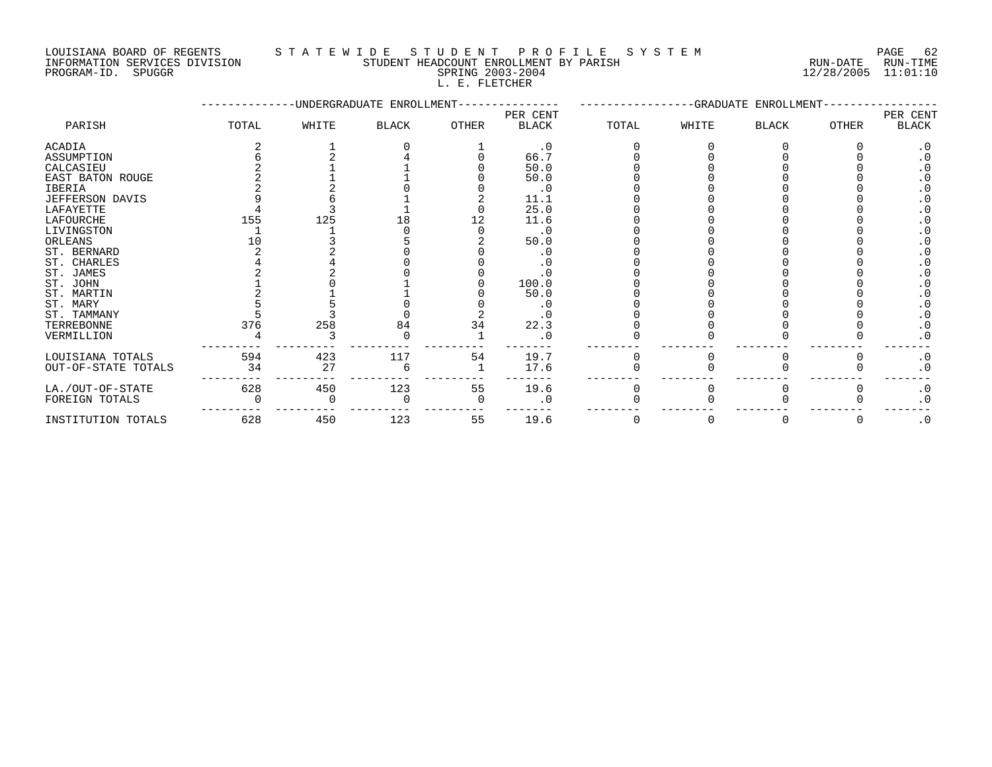### LOUISIANA BOARD OF REGENTS S T A T E W I D E S T U D E N T P R O F I L E S Y S T E M PAGE 62

INFORMATION SERVICES DIVISION STUDENT HEADCOUNT ENROLLMENT BY PARISH RUN-DATE RUN-TIME PROGRAM-ID. SPUGGR SPRING 2003-2004 12/28/2005 11:01:10 L. E. FLETCHER

|                     | -UNDERGRADUATE ENROLLMENT- |       |              |       |              |       | -GRADUATE ENROLLMENT<br>PER CENT |              |              |           |  |  |
|---------------------|----------------------------|-------|--------------|-------|--------------|-------|----------------------------------|--------------|--------------|-----------|--|--|
|                     |                            |       |              |       | PER CENT     |       |                                  |              |              |           |  |  |
| PARISH              | TOTAL                      | WHITE | <b>BLACK</b> | OTHER | <b>BLACK</b> | TOTAL | WHITE                            | <b>BLACK</b> | <b>OTHER</b> | BLACK     |  |  |
| <b>ACADIA</b>       |                            |       |              |       | $\cdot$ 0    |       |                                  |              |              |           |  |  |
| ASSUMPTION          |                            |       |              |       | 66.7         |       |                                  |              |              |           |  |  |
| CALCASIEU           |                            |       |              |       | 50.0         |       |                                  |              |              |           |  |  |
| EAST BATON ROUGE    |                            |       |              |       | 50.0         |       |                                  |              |              |           |  |  |
| <b>IBERIA</b>       |                            |       |              |       | . 0          |       |                                  |              |              |           |  |  |
| JEFFERSON DAVIS     |                            |       |              |       | 11.1         |       |                                  |              |              |           |  |  |
| LAFAYETTE           |                            |       |              |       | 25.0         |       |                                  |              |              |           |  |  |
| LAFOURCHE           | 155                        | 125   |              |       | 11.6         |       |                                  |              |              |           |  |  |
| LIVINGSTON          |                            |       |              |       | . 0          |       |                                  |              |              |           |  |  |
| ORLEANS             |                            |       |              |       | 50.0         |       |                                  |              |              |           |  |  |
| ST. BERNARD         |                            |       |              |       |              |       |                                  |              |              |           |  |  |
| ST. CHARLES         |                            |       |              |       |              |       |                                  |              |              |           |  |  |
| ST. JAMES           |                            |       |              |       |              |       |                                  |              |              |           |  |  |
| ST. JOHN            |                            |       |              |       | 100.0        |       |                                  |              |              |           |  |  |
| ST. MARTIN          |                            |       |              |       | 50.0         |       |                                  |              |              |           |  |  |
| ST. MARY            |                            |       |              |       |              |       |                                  |              |              |           |  |  |
| ST. TAMMANY         |                            |       |              |       |              |       |                                  |              |              |           |  |  |
| TERREBONNE          | 376                        | 258   | 84           | 34    | 22.3         |       |                                  |              |              |           |  |  |
| VERMILLION          |                            |       |              |       |              |       |                                  |              |              | . 0       |  |  |
| LOUISIANA TOTALS    | 594                        | 423   | 117          | 54    | 19.7         |       |                                  |              |              | $\cdot$ 0 |  |  |
| OUT-OF-STATE TOTALS | 34                         | 27    |              |       | 17.6         |       |                                  |              |              | $\cdot$ 0 |  |  |
| LA./OUT-OF-STATE    | 628                        | 450   | 123          | 55    | 19.6         |       |                                  |              |              | $\cdot$ 0 |  |  |
| FOREIGN TOTALS      |                            |       |              |       | . 0          |       |                                  |              |              | $\cdot$ 0 |  |  |
| INSTITUTION TOTALS  | 628                        | 450   | 123          | 55    | 19.6         |       |                                  | 0            | 0            | $\cdot$ 0 |  |  |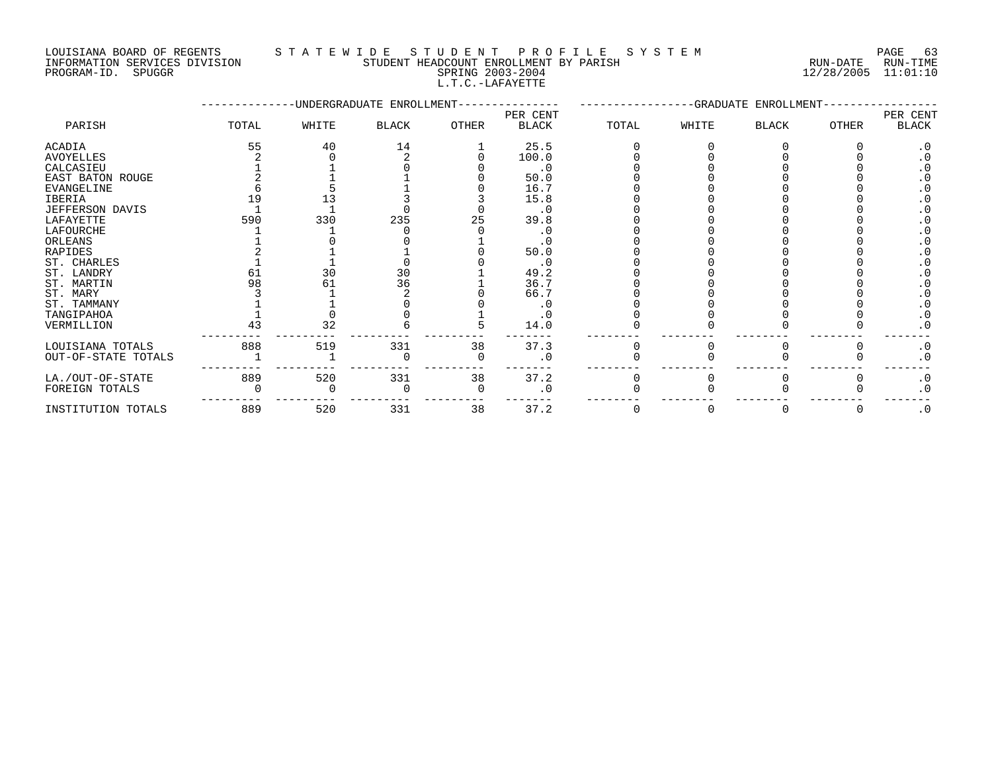#### LOUISIANA BOARD OF REGENTS STATEWIDE STUDE NT PROFILE SYSTEM PAGE 63<br>INFORMATION SERVICES DIVISION STUDENT HEADCOUNT ENROLLMENT BY PARISH NUN-DATE RUN-TIME STUDENT HEADCOUNT ENROLLMENT BY PARISH **ENROLLMENT BY PARISH RUN-DATE** RUN-TIME

L.T.C.-LAFAYETTE

PROGRAM-ID. SPUGGR SPRING 2003-2004 12/28/2005 11:01:10

|                                                                |       |       | -UNDERGRADUATE ENROLLMENT- |               | -GRADUATE ENROLLMENT- |       |        |              |       |          |
|----------------------------------------------------------------|-------|-------|----------------------------|---------------|-----------------------|-------|--------|--------------|-------|----------|
|                                                                |       |       |                            |               | PER CENT              |       |        |              |       | PER CENT |
| PARISH                                                         | TOTAL | WHITE | BLACK                      | <b>OTHER</b>  | <b>BLACK</b>          | TOTAL | WHITE  | <b>BLACK</b> | OTHER | BLACK    |
| ACADIA                                                         | 55    | 40    | 14                         |               | 25.5                  |       |        |              |       |          |
| AVOYELLES                                                      |       |       |                            |               | 100.0                 |       |        |              |       |          |
| CALCASIEU                                                      |       |       |                            |               | . 0                   |       |        |              |       |          |
| EAST BATON ROUGE                                               |       |       |                            |               | 50.0                  |       |        |              |       |          |
| EVANGELINE                                                     |       |       |                            |               | 16.7                  |       |        |              |       |          |
| IBERIA                                                         |       |       |                            |               | 15.8                  |       |        |              |       |          |
| JEFFERSON DAVIS                                                |       |       |                            |               | . 0                   |       |        |              |       |          |
| LAFAYETTE                                                      | 590   | 330   | 235                        | 25            | 39.8                  |       |        |              |       |          |
| LAFOURCHE                                                      |       |       |                            |               | . U                   |       |        |              |       |          |
| ORLEANS                                                        |       |       |                            |               | . U                   |       |        |              |       |          |
| RAPIDES                                                        |       |       |                            |               | 50.0                  |       |        |              |       |          |
| ST. CHARLES                                                    |       |       |                            |               | . ເ                   |       |        |              |       |          |
| ST. LANDRY                                                     | 61    | 30    | 30                         |               | 49.2                  |       |        |              |       |          |
| ST. MARTIN                                                     | 98    | 61    | 36                         |               | 36.7                  |       |        |              |       |          |
| ST. MARY                                                       |       |       |                            |               | 66.7                  |       |        |              |       |          |
| ST. TAMMANY                                                    |       |       |                            |               | ي .                   |       |        |              |       |          |
| TANGIPAHOA                                                     |       |       |                            |               | . U                   |       |        |              |       |          |
| VERMILLION                                                     |       | 32    |                            |               | 14.0                  |       |        |              |       |          |
| $\tau$ of $\tau$ $\tau$ and $\tau$ $\tau$ $\tau$ $\tau$ $\tau$ | 0.00  | $-10$ | 221                        | $\sim$ $\sim$ | $\cap$ $\cap$ $\cap$  |       | $\sim$ |              |       |          |

| . _ _ _ _ _ _ _ _ _ _ _                 | --  |     |     |    | ---- |  |  | $-$ |
|-----------------------------------------|-----|-----|-----|----|------|--|--|-----|
| LOUISIANA TOTALS<br>OUT-OF-STATE TOTALS | 888 |     | 331 | 38 | 37.3 |  |  |     |
| LA./OUT-OF-STATE<br>FOREIGN TOTALS      | 889 | 520 | 331 | 38 | 37.2 |  |  |     |
| INSTITUTION TOTALS                      | 889 | 520 | 331 | 38 |      |  |  |     |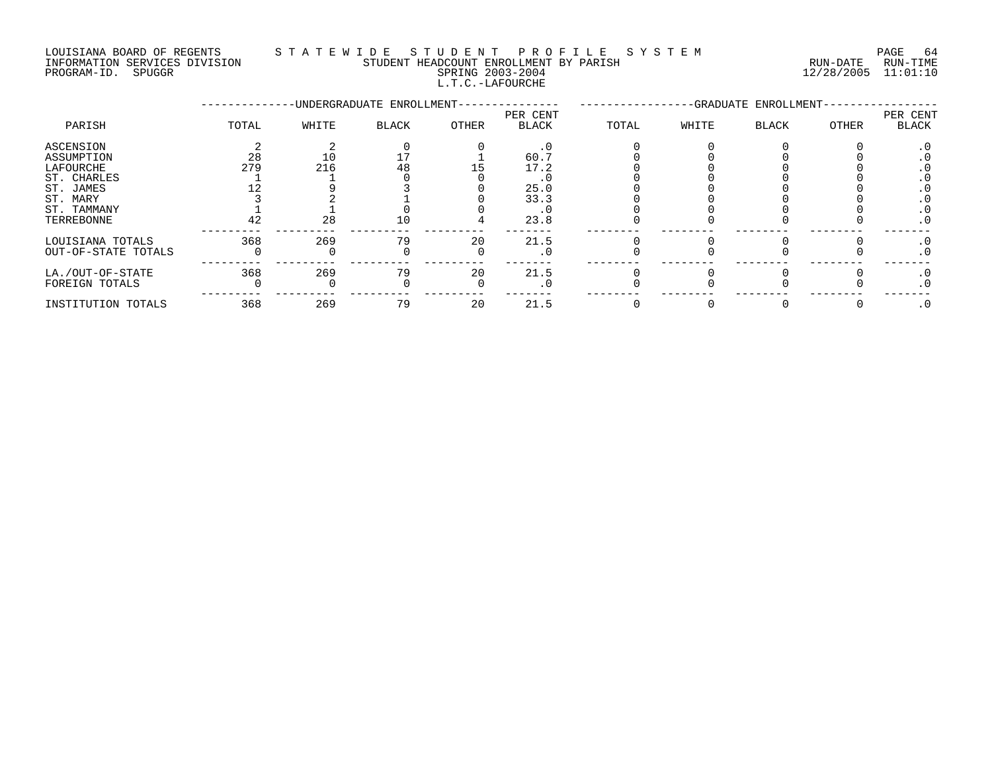#### LOUISIANA BOARD OF REGENTS STA TEWIDE STUDENT PROFILE SYSTEM NATIONAL PAGE 64 INFORMATION SERVICES DIVISION STUDENT HEADCOUNT ENROLLMENT BY PARISH RUN-DATE RUN-DATE RUN-TIME

L.T.C.-LAFOURCHE

PROGRAM-ID. SPUGGR SPRING 2003-2004 12/28/2005 11:01:10

|                     |       |       | -UNDERGRADUATE ENROLLMENT- |       | -GRADUATE ENROLLMENT- |       |       |       |       |                   |
|---------------------|-------|-------|----------------------------|-------|-----------------------|-------|-------|-------|-------|-------------------|
| PARISH              | TOTAL | WHITE | <b>BLACK</b>               | OTHER | PER CENT<br>BLACK     | TOTAL | WHITE | BLACK | OTHER | PER CENT<br>BLACK |
| ASCENSION           |       |       |                            |       | $\cdot$ 0             |       |       |       |       |                   |
| ASSUMPTION          | 28    |       |                            |       | 60.7                  |       |       |       |       |                   |
| LAFOURCHE           | 279   | 216   | 48                         |       | 17.2                  |       |       |       |       |                   |
| ST. CHARLES         |       |       |                            |       |                       |       |       |       |       |                   |
| ST. JAMES           |       |       |                            |       | 25.0                  |       |       |       |       |                   |
| ST. MARY            |       |       |                            |       | 33.3                  |       |       |       |       |                   |
| ST. TAMMANY         |       |       |                            |       | . 0                   |       |       |       |       | . 0               |
| TERREBONNE          | 42    | 28    | 10                         |       | 23.8                  |       |       |       |       | $\cdot$ 0         |
| LOUISIANA TOTALS    | 368   | 269   | 79                         | 20    | 21.5                  |       |       |       |       | . ∪               |
| OUT-OF-STATE TOTALS |       |       |                            |       | $.0 \cdot$            |       |       |       |       | . 0               |
| LA./OUT-OF-STATE    | 368   | 269   | 79                         | 20    | 21.5                  |       |       |       |       | $\cdot$ 0         |
| FOREIGN TOTALS      |       |       |                            |       | . 0                   |       |       |       |       | $\cdot$ 0         |
| INSTITUTION TOTALS  | 368   | 269   | 79                         | 20    | 21.5                  |       |       |       |       | $\cdot$ 0         |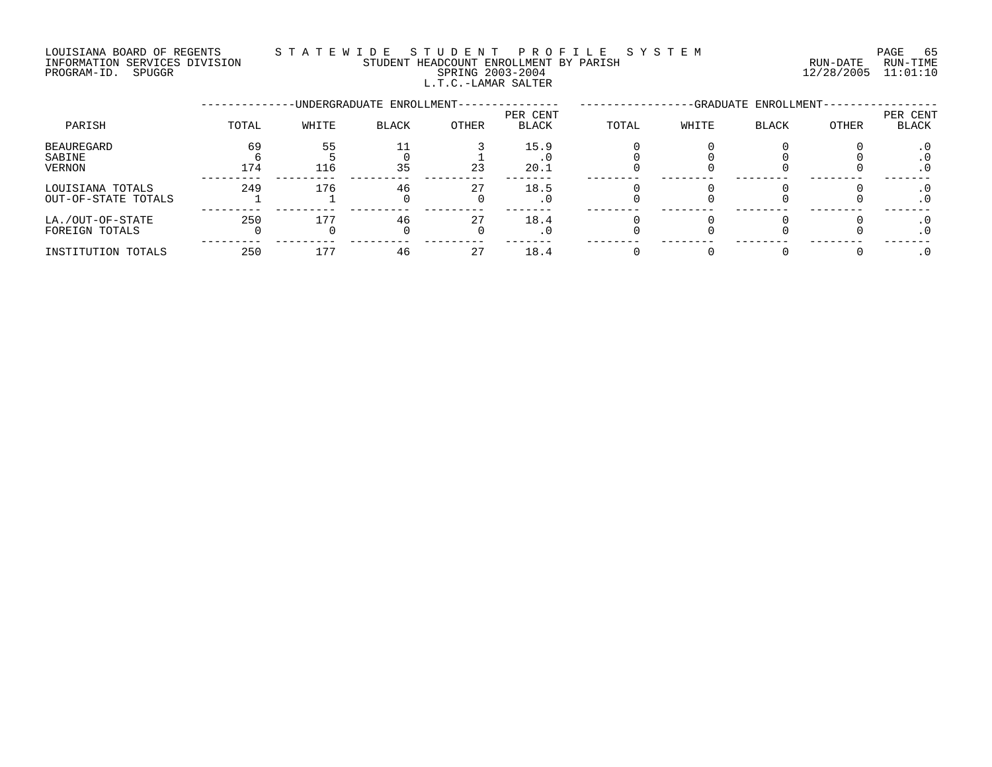#### LOUISIANA BOARD OF REGENTS S T A T E W I D E S T U D E N T P R O F I L E S Y S T E M PAGE 65 INFORMATION SERVICES DIVISION STUDENT HEADCOUNT ENROLLMENT BY PARISH RUN-DATE RUN-TIME PROGRAM-ID. SPUGGR SPRING 2003-2004 12/28/2005 11:01:10 L.T.C.-LAMAR SALTER

|                                         |           |           | -UNDERGRADUATE ENROLLMENT- |       | -GRADUATE ENROLLMENT-    |       |       |              |       |                   |
|-----------------------------------------|-----------|-----------|----------------------------|-------|--------------------------|-------|-------|--------------|-------|-------------------|
| PARISH                                  | TOTAL     | WHITE     | BLACK                      | OTHER | PER CENT<br><b>BLACK</b> | TOTAL | WHITE | <b>BLACK</b> | OTHER | PER CENT<br>BLACK |
| <b>BEAUREGARD</b><br>SABINE<br>VERNON   | 69<br>174 | 55<br>116 | 11<br>35                   | 23    | 15.9<br>20.1             |       |       |              |       | . U               |
| LOUISIANA TOTALS<br>OUT-OF-STATE TOTALS | 249       | 176       | 46                         | 27    | 18.5                     |       |       |              |       |                   |
| LA./OUT-OF-STATE<br>FOREIGN TOTALS      | 250       | 177       | 46                         | 27    | 18.4                     |       |       |              |       | . U               |
| INSTITUTION TOTALS                      | 250       | 177       | 46                         | 27    | 18.4                     |       |       |              |       |                   |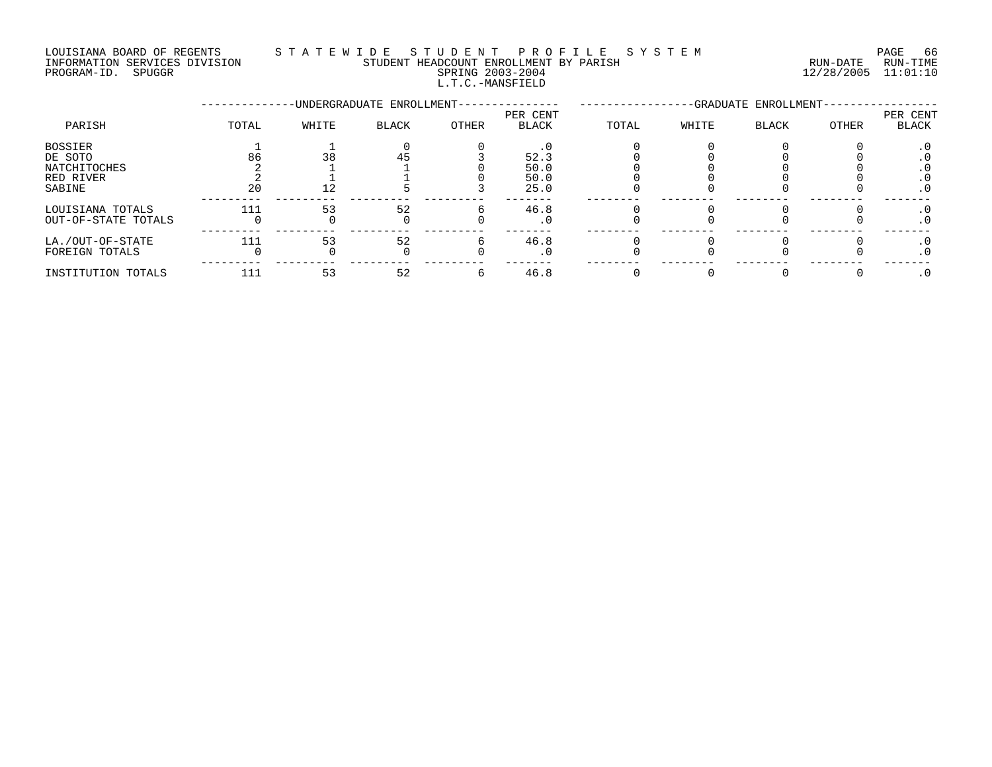### LOUISIANA BOARD OF REGENTS STATEWIDE STUDE NT PROFILE SYSTEM PAGE 66<br>INFORMATION SERVICES DIVISION STUDENT HEADCOUNT ENROLLMENT BY PARISH NUN-DATE RUN-TIME STUDENT HEADCOUNT ENROLLMENT BY PARISH

L.T.C.-MANSFIELD

PROGRAM-ID. SPUGGR SPRING 2003-2004 12/28/2005 11:01:10

|                                         |       |       | -UNDERGRADUATE ENROLLMENT- |       | -GRADUATE ENROLLMENT- |       |       |       |       |                         |
|-----------------------------------------|-------|-------|----------------------------|-------|-----------------------|-------|-------|-------|-------|-------------------------|
| PARISH                                  | TOTAL | WHITE | <b>BLACK</b>               | OTHER | PER CENT<br>BLACK     | TOTAL | WHITE | BLACK | OTHER | PER CENT<br>BLACK       |
| BOSSIER<br>DE SOTO<br>NATCHITOCHES      | 86    | 38    |                            |       | 52.3<br>50.0          |       |       |       |       |                         |
| RED RIVER<br>SABINE                     | 20    |       |                            |       | 50.0<br>25.0          |       |       |       |       | . v<br>. U<br>$\cdot$ 0 |
| LOUISIANA TOTALS<br>OUT-OF-STATE TOTALS | 111   | 53    | 52                         |       | 46.8<br>. U           |       |       |       |       | . 0                     |
| LA./OUT-OF-STATE<br>FOREIGN TOTALS      | 111   | 53    | 52                         |       | 46.8                  |       |       |       |       |                         |
| INSTITUTION TOTALS                      | 111   | 53    | 52                         |       | 46.8                  |       |       |       |       |                         |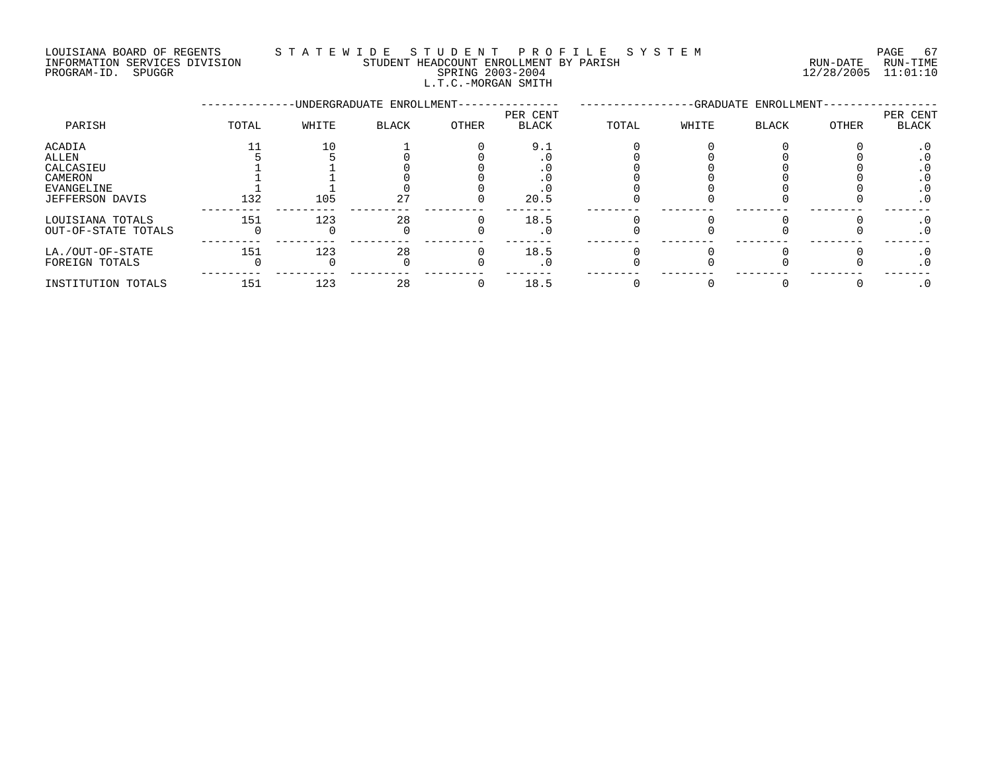#### LOUISIANA BOARD OF REGENTS S T A T E W I D E S T U D E N T P R O F I L E S Y S T E M PAGE 67 INFORMATION SERVICES DIVISION STUDENT HEADCOUNT ENROLLMENT BY PARISH RUN-DATE RUN-TIME PROGRAM-ID. SPUGGR SPRING 2003-2004 12/28/2005 11:01:10

L.T.C.-MORGAN SMITH

|                                                                          |       |           | -UNDERGRADUATE ENROLLMENT- |       | -GRADUATE ENROLLMENT     |       |       |       |       |                                |
|--------------------------------------------------------------------------|-------|-----------|----------------------------|-------|--------------------------|-------|-------|-------|-------|--------------------------------|
| PARISH                                                                   | TOTAL | WHITE     | <b>BLACK</b>               | OTHER | PER CENT<br><b>BLACK</b> | TOTAL | WHITE | BLACK | OTHER | PER CENT<br><b>BLACK</b>       |
| ACADIA<br>ALLEN<br>CALCASIEU<br>CAMERON<br>EVANGELINE<br>JEFFERSON DAVIS | 132   | 10<br>105 | 27                         |       | 9.1<br>20.5              |       |       |       |       | . U<br>. U<br>. U<br>$\cdot$ 0 |
| LOUISIANA TOTALS<br>OUT-OF-STATE TOTALS                                  | 151   | 123       | 28                         |       | 18.5                     |       |       |       |       | . 0<br>. 0                     |
| LA./OUT-OF-STATE<br>FOREIGN TOTALS                                       | 151   | 123       | 28                         |       | 18.5                     |       |       |       |       | $\cdot$ 0<br>. 0               |
| INSTITUTION TOTALS                                                       | 151   | 123       | 28                         |       | 18.5                     |       |       |       |       |                                |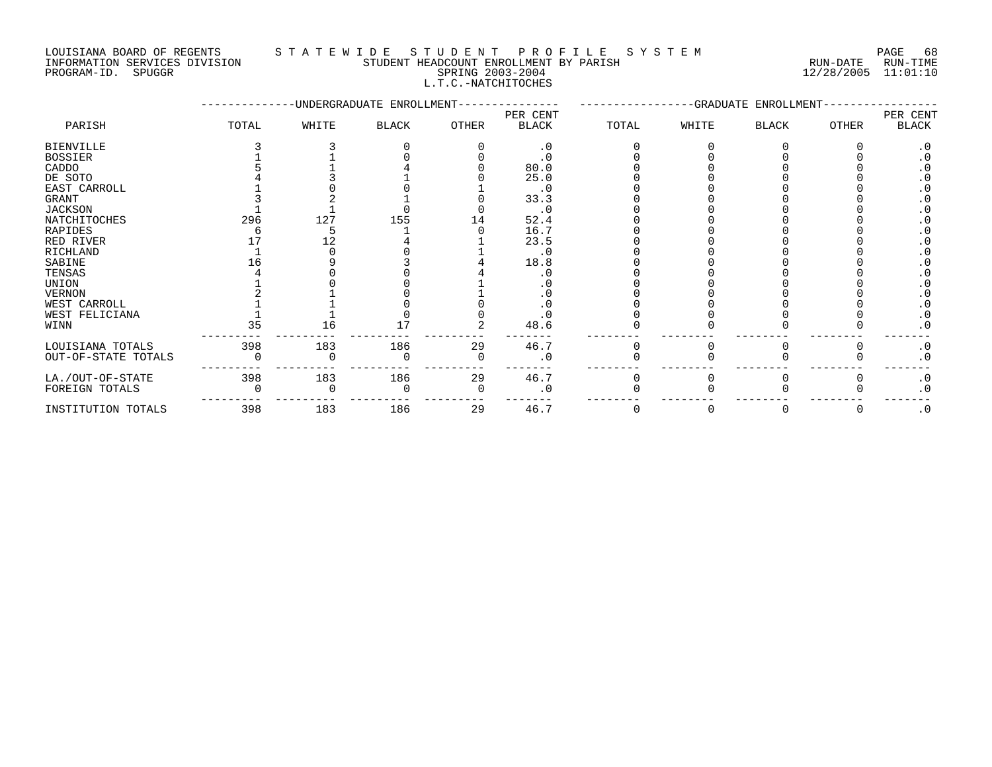#### LOUISIANA BOARD OF REGENTS STATEWIDE STUDENT PROFILE SYSTEM NAGE 68 INFORMATION SERVICES DIVISION STUDENT HEADCOUNT ENROLLMENT BY PARISH RUN-DATE RUN-TIME

|            | PAGE   |
|------------|--------|
| RUN-DATE   | RUN-TI |
| 12/28/2005 | 11:01: |

# PROGRAM-ID. SPUGGR SPRING 2003-2004 12/28/2005 11:01:10 L.T.C.-NATCHITOCHES

|                     |       |       | -UNDERGRADUATE ENROLLMENT- |       | -GRADUATE ENROLLMENT-    |       |       |              |        |                   |
|---------------------|-------|-------|----------------------------|-------|--------------------------|-------|-------|--------------|--------|-------------------|
| PARISH              | TOTAL | WHITE | <b>BLACK</b>               | OTHER | PER CENT<br><b>BLACK</b> | TOTAL | WHITE | <b>BLACK</b> | OTHER  | PER CENT<br>BLACK |
| <b>BIENVILLE</b>    |       |       |                            |       | $\cdot$ 0                |       |       |              |        | $\cdot$ 0         |
| <b>BOSSIER</b>      |       |       |                            |       | $\cdot$ 0                |       |       |              |        |                   |
| CADDO               |       |       |                            |       | 80.0                     |       |       |              |        |                   |
| DE SOTO             |       |       |                            |       | 25.0                     |       |       |              |        |                   |
| EAST CARROLL        |       |       |                            |       | . 0                      |       |       |              |        |                   |
| GRANT               |       |       |                            |       | 33.3                     |       |       |              |        |                   |
| JACKSON             |       |       |                            |       | . 0                      |       |       |              |        |                   |
| NATCHITOCHES        | 296   | 127   | 155                        | L 4   | 52.4                     |       |       |              |        |                   |
| RAPIDES             |       |       |                            |       | 16.7                     |       |       |              |        |                   |
| RED RIVER           |       | 12    |                            |       | 23.5                     |       |       |              |        |                   |
| RICHLAND            |       |       |                            |       | . 0                      |       |       |              |        |                   |
| SABINE              |       |       |                            |       | 18.8                     |       |       |              |        |                   |
| TENSAS              |       |       |                            |       |                          |       |       |              |        |                   |
| UNION               |       |       |                            |       |                          |       |       |              |        |                   |
| <b>VERNON</b>       |       |       |                            |       |                          |       |       |              |        |                   |
| WEST CARROLL        |       |       |                            |       |                          |       |       |              |        |                   |
| WEST FELICIANA      |       |       |                            |       |                          |       |       |              |        | $\cdot$ 0         |
| WINN                | 35    | 16    |                            |       | 48.6                     |       |       |              |        | . 0               |
| LOUISIANA TOTALS    | 398   | 183   | 186                        | 29    | 46.7                     |       |       |              |        | $\cdot$ 0         |
| OUT-OF-STATE TOTALS |       |       |                            |       | $\cdot$ 0                |       |       |              |        | $\cdot$ 0         |
| LA./OUT-OF-STATE    | 398   | 183   | 186                        | 29    | 46.7                     |       |       |              |        | $\cdot$ 0         |
| FOREIGN TOTALS      |       |       |                            |       | $\overline{0}$           |       |       |              |        | $\cdot$ 0         |
| INSTITUTION TOTALS  | 398   | 183   | 186                        | 29    | 46.7                     |       |       |              | $\cup$ | $\cdot$ 0         |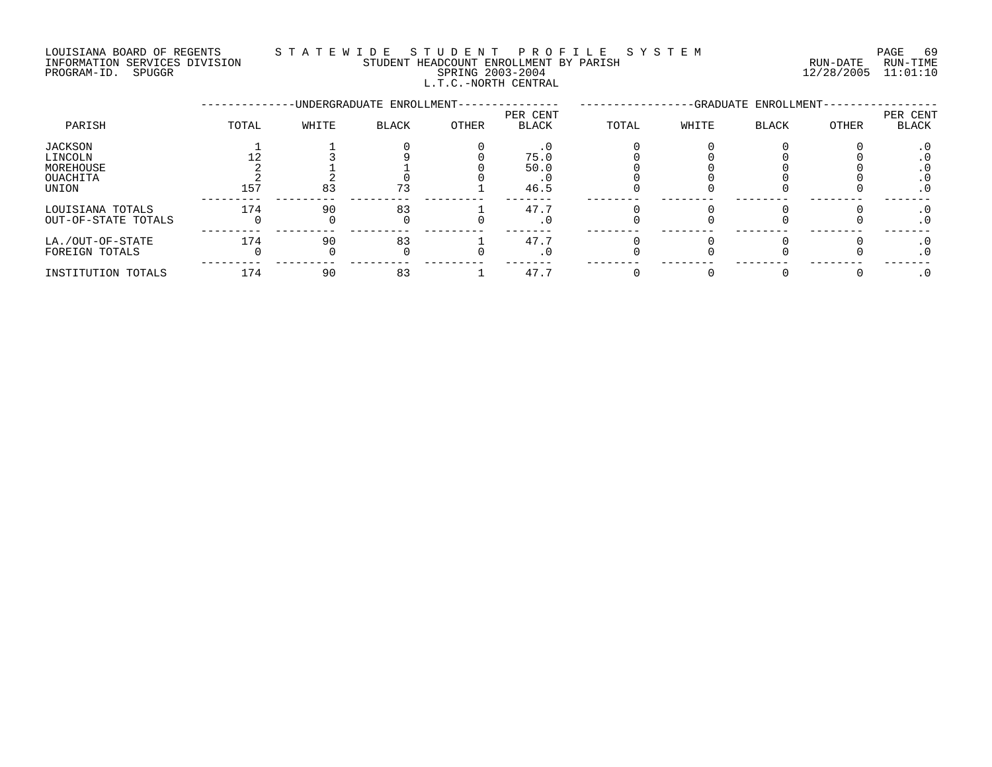#### LOUISIANA BOARD OF REGENTS S T A T E W I D E S T U D E N T P R O F I L E S Y S T E M PAGE 69 INFORMATION SERVICES DIVISION STUDENT HEADCOUNT ENROLLMENT BY PARISH RUN-DATE RUN-TIME PROGRAM-ID. SPUGGR SPRING 2003-2004 12/28/2005 11:01:10

L.T.C.-NORTH CENTRAL

|                     |       |       | -UNDERGRADUATE ENROLLMENT- | -GRADUATE ENROLLMENT- |                          |       |       |              |       |                   |
|---------------------|-------|-------|----------------------------|-----------------------|--------------------------|-------|-------|--------------|-------|-------------------|
| PARISH              | TOTAL | WHITE | <b>BLACK</b>               | OTHER                 | PER CENT<br><b>BLACK</b> | TOTAL | WHITE | <b>BLACK</b> | OTHER | PER CENT<br>BLACK |
| JACKSON             |       |       |                            |                       |                          |       |       |              |       | $\cdot$ 0         |
| LINCOLN             |       |       |                            |                       | 75.0                     |       |       |              |       |                   |
| MOREHOUSE           |       |       |                            |                       | 50.0                     |       |       |              |       | . v               |
| OUACHITA            |       |       |                            |                       |                          |       |       |              |       | . U               |
| UNION               | 157   | 83    | 73                         |                       | 46.5                     |       |       |              |       | $\cdot$ 0         |
| LOUISIANA TOTALS    | 174   | 90    | 83                         |                       | 47.7                     |       |       |              |       |                   |
| OUT-OF-STATE TOTALS |       |       |                            |                       | $\cdot$ 0                |       |       |              |       | $\cdot$ 0         |
| LA./OUT-OF-STATE    | 174   | 90    | 83                         |                       | 47.7                     |       |       |              |       |                   |
| FOREIGN TOTALS      |       |       |                            |                       | . U                      |       |       |              |       | . U               |
| INSTITUTION TOTALS  | 174   | 90    | 83                         |                       | 47.7                     |       |       |              |       |                   |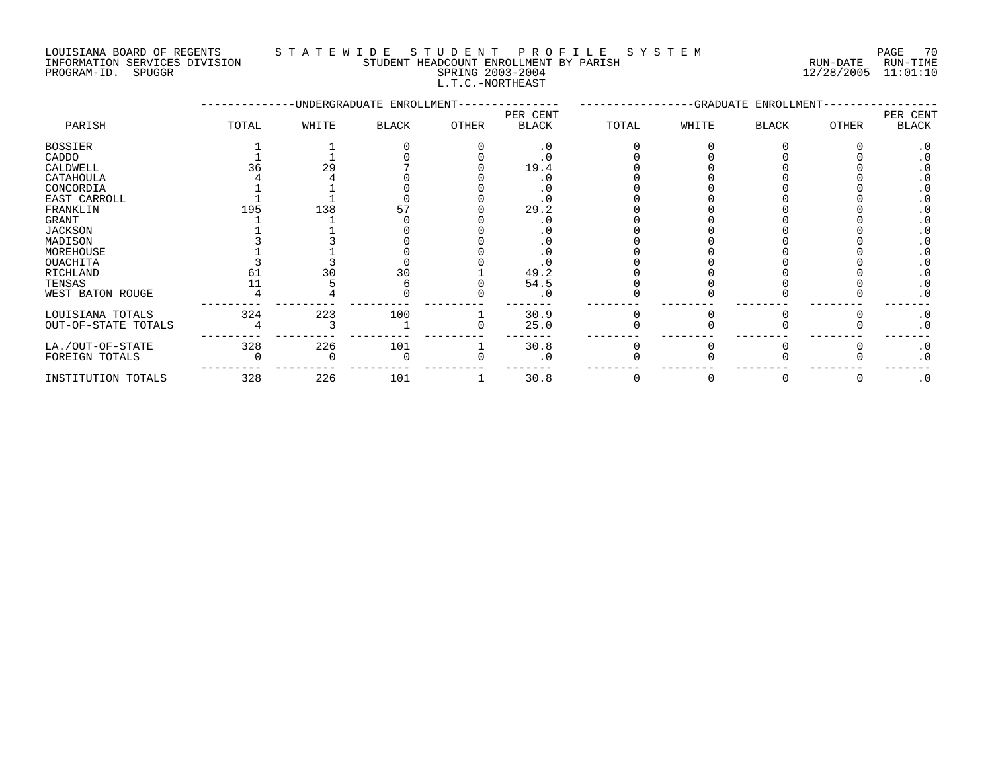#### LOUISIANA BOARD OF REGENTS S T A T E W I D E S T U D E N T P R O F I L E S Y S T E M PAGE 70

|             | РA |
|-------------|----|
| RUN-DATE    | R۱ |
| 1.21001200E |    |

#### INFORMATION SERVICES DIVISION STUDENT HEADCOUNT ENROLLMENT BY PARISH RUN-DATE RUN-TIME PROGRAM-ID. SPUGGR SPRING 2003-2004 12/28/2005 11:01:10 L.T.C.-NORTHEAST

|                     |       |       | -UNDERGRADUATE ENROLLMENT- | -GRADUATE ENROLLMENT- |                          |       |       |              |       |                   |
|---------------------|-------|-------|----------------------------|-----------------------|--------------------------|-------|-------|--------------|-------|-------------------|
| PARISH              | TOTAL | WHITE | <b>BLACK</b>               | OTHER                 | PER CENT<br><b>BLACK</b> | TOTAL | WHITE | <b>BLACK</b> | OTHER | PER CENT<br>BLACK |
| <b>BOSSIER</b>      |       |       |                            |                       | . 0                      |       |       |              |       | . 0               |
| CADDO               |       |       |                            |                       |                          |       |       |              |       |                   |
| CALDWELL            |       | 29    |                            |                       | 19.4                     |       |       |              |       |                   |
| CATAHOULA           |       |       |                            |                       |                          |       |       |              |       |                   |
| CONCORDIA           |       |       |                            |                       |                          |       |       |              |       |                   |
| EAST CARROLL        |       |       |                            |                       |                          |       |       |              |       |                   |
| FRANKLIN            | 195   | 138   |                            |                       | 29.2                     |       |       |              |       |                   |
| GRANT               |       |       |                            |                       |                          |       |       |              |       |                   |
| <b>JACKSON</b>      |       |       |                            |                       |                          |       |       |              |       |                   |
| MADISON             |       |       |                            |                       |                          |       |       |              |       |                   |
| MOREHOUSE           |       |       |                            |                       |                          |       |       |              |       |                   |
| OUACHITA            |       |       |                            |                       |                          |       |       |              |       |                   |
| RICHLAND            | 61    | 30    | 30                         |                       | 49.2                     |       |       |              |       |                   |
| TENSAS              |       |       |                            |                       | 54.5                     |       |       |              |       |                   |
| WEST BATON ROUGE    |       |       |                            |                       | $\cdot$ 0                |       |       |              |       | $\cdot$ 0         |
| LOUISIANA TOTALS    | 324   | 223   | 100                        |                       | 30.9                     |       |       |              |       | $\cdot$ 0         |
| OUT-OF-STATE TOTALS |       |       |                            |                       | 25.0                     |       |       |              |       | $\cdot$ 0         |
| LA./OUT-OF-STATE    | 328   | 226   | 101                        |                       | 30.8                     |       |       |              |       | $\cdot$ 0         |
| FOREIGN TOTALS      |       |       |                            |                       | . 0                      |       |       |              |       | $\cdot$ 0         |
| INSTITUTION TOTALS  | 328   | 226   | 101                        |                       | 30.8                     |       |       |              |       | $\cdot$ 0         |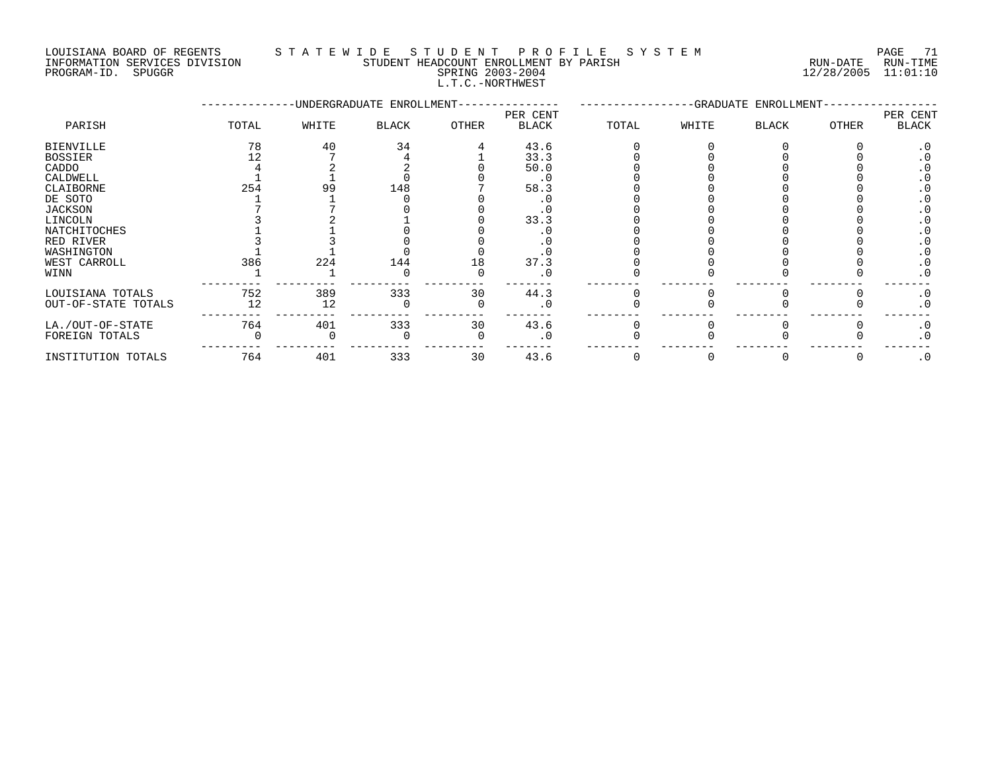#### LOUISIANA BOARD OF REGENTS STATEWIDE STUDENT PROFILE SYSTEM PAGE 71<br>INFORMATION SERVICES DIVISION STUDENT HEADCOUNT ENROLLMENT BY PARISH NUN-DATE RUN-TIME STUDENT HEADCOUNT ENROLLMENT BY PARISH **EXAMPLE SERVICES ASSESSED AT A STATE RUN**-TIME

L.T.C.-NORTHWEST

PROGRAM-ID. SPUGGR SPRING 2003-2004 12/28/2005 11:01:10

|                     |       |       | -UNDERGRADUATE ENROLLMENT- |       | -GRADUATE ENROLLMENT-    |       |       |       |              |                   |
|---------------------|-------|-------|----------------------------|-------|--------------------------|-------|-------|-------|--------------|-------------------|
| PARISH              | TOTAL | WHITE | <b>BLACK</b>               | OTHER | PER CENT<br><b>BLACK</b> | TOTAL | WHITE | BLACK | <b>OTHER</b> | PER CENT<br>BLACK |
| BIENVILLE           | 78    | 40    | 34                         |       | 43.6                     |       |       |       |              |                   |
| BOSSIER             |       |       |                            |       | 33.3                     |       |       |       |              |                   |
| CADDO               |       |       |                            |       | 50.0                     |       |       |       |              |                   |
| CALDWELL            |       |       |                            |       | $\cdot$ 0                |       |       |       |              |                   |
| CLAIBORNE           | 254   | 99    | 148                        |       | 58.3                     |       |       |       |              |                   |
| DE SOTO             |       |       |                            |       |                          |       |       |       |              |                   |
| JACKSON             |       |       |                            |       |                          |       |       |       |              |                   |
| LINCOLN             |       |       |                            |       | 33.3                     |       |       |       |              |                   |
| NATCHITOCHES        |       |       |                            |       |                          |       |       |       |              |                   |
| RED RIVER           |       |       |                            |       |                          |       |       |       |              |                   |
| WASHINGTON          |       |       |                            |       |                          |       |       |       |              |                   |
| WEST CARROLL        | 386   | 224   | 144                        | 18    | 37.3                     |       |       |       |              |                   |
| WINN                |       |       |                            |       |                          |       |       |       |              | $\cdot$ 0         |
| LOUISIANA TOTALS    | 752   | 389   | 333                        | 30    | 44.3                     |       |       |       |              | $\cdot$ 0         |
| OUT-OF-STATE TOTALS | 12    | 12    |                            |       |                          |       |       |       |              | $\cdot$ 0         |
| LA./OUT-OF-STATE    | 764   | 401   | 333                        | 30    | 43.6                     |       |       |       |              | $\cdot$ 0         |
| FOREIGN TOTALS      |       |       |                            |       |                          |       |       |       |              | $\cdot$ 0         |
|                     |       |       |                            |       |                          |       |       |       |              |                   |

INSTITUTION TOTALS 764 401 333 30 43.6 0 0 0 0 .0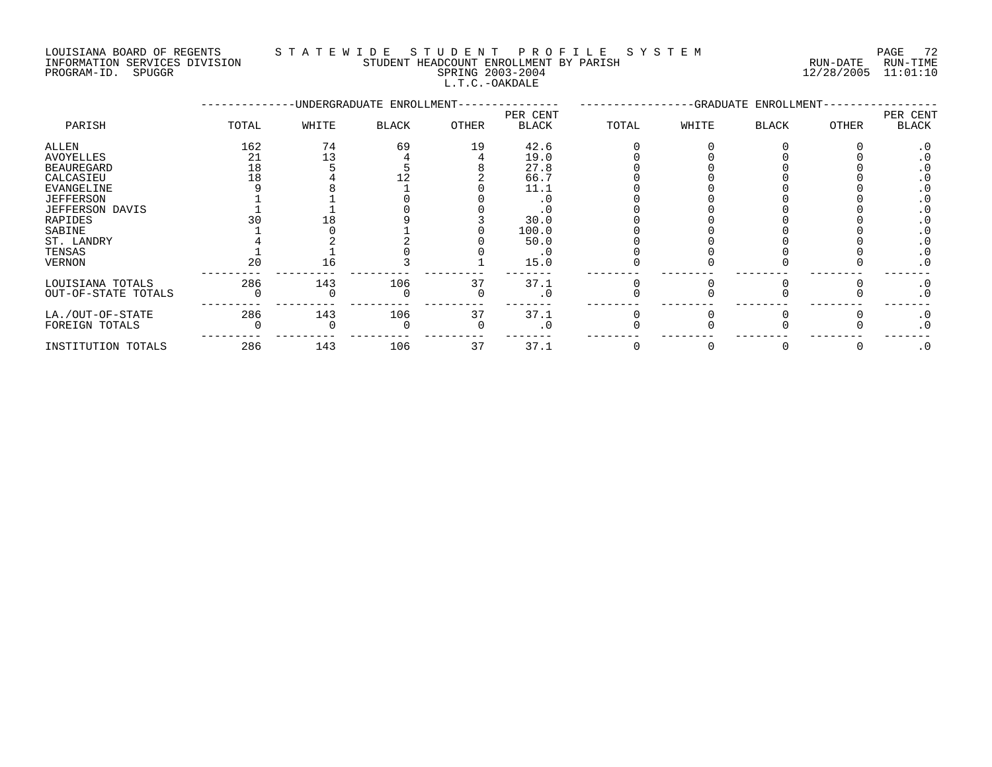## LOUISIANA BOARD OF REGENTS S T A T E W I D E S T U D E N T P R O F I L E S Y S T E M PAGE 72

INFORMATION SERVICES DIVISION STUDENT HEADCOUNT ENROLLMENT BY PARISH RUN-DATE RUN-TIME INFORMATION SERVICES DIVISION CONSUMENT HEADCOUNT ENROLLMENT BY PARISH THE SUN-DATE RUN-TIME RUN-TIME RUN-TIME<br>PROGRAM-ID. SPUGGR SPUGGR SPRING 2003-2004 L.T.C.-OAKDALE

--------------UNDERGRADUATE ENROLLMENT--------------- -----------------GRADUATE ENROLLMENT----------------- PER CENT PER CENT PARISH TOTAL WHITE BLACK OTHER BLACK TOTAL WHITE BLACK OTHER BLACK ALLEN 162 74 69 19 42.6 0 0 0 0 .0 AVOYELLES 21 13 4 4 19.0 0 0 0 0 .0 BEAUREGARD 18 5 5 8 27.8 0 0 0 0 .0 CALCASIEU 18 4 12 2 66.7 0 0 0 0 .0 EVANGELINE 9 8 1 0 11.1 0 0 0 0 .0 JEFFERSON 1 1 0 0 .0 0 0 0 0 .0 JEFFERSON DAVIS 1 1 0 0 .0 0 0 0 0 .0 RAPIDES 30 18 9 3 30.0 0 0 0 0 .0 SABINE 1 0 1 0 100.0 0 0 0 0 .0 ST. LANDRY 4 2 2 0 50.0 0 0 0 0 .0 TENSAS 1 1 0 0 .0 0 0 0 0 .0 VERNON 20 16 3 1 15.0 0 0 0 0 .0 --------- --------- --------- --------- ------- -------- -------- -------- -------- ------- LOUISIANA TOTALS 286 143 106 37 37.1 0 0 0 0 .0 OUT-OF-STATE TOTALS 0 0 0 0 .0 0 0 0 0 .0 --------- --------- --------- --------- ------- -------- -------- -------- -------- ------- LA./OUT-OF-STATE 286 143 106 37 37.1 0 0 0 0 .0 FOREIGN TOTALS 0 0 0 0 .0 0 0 0 0 .0 --------- --------- --------- --------- ------- -------- -------- -------- -------- ------- INSTITUTION TOTALS 286 143 106 37 37.1 0 0 0 0 .0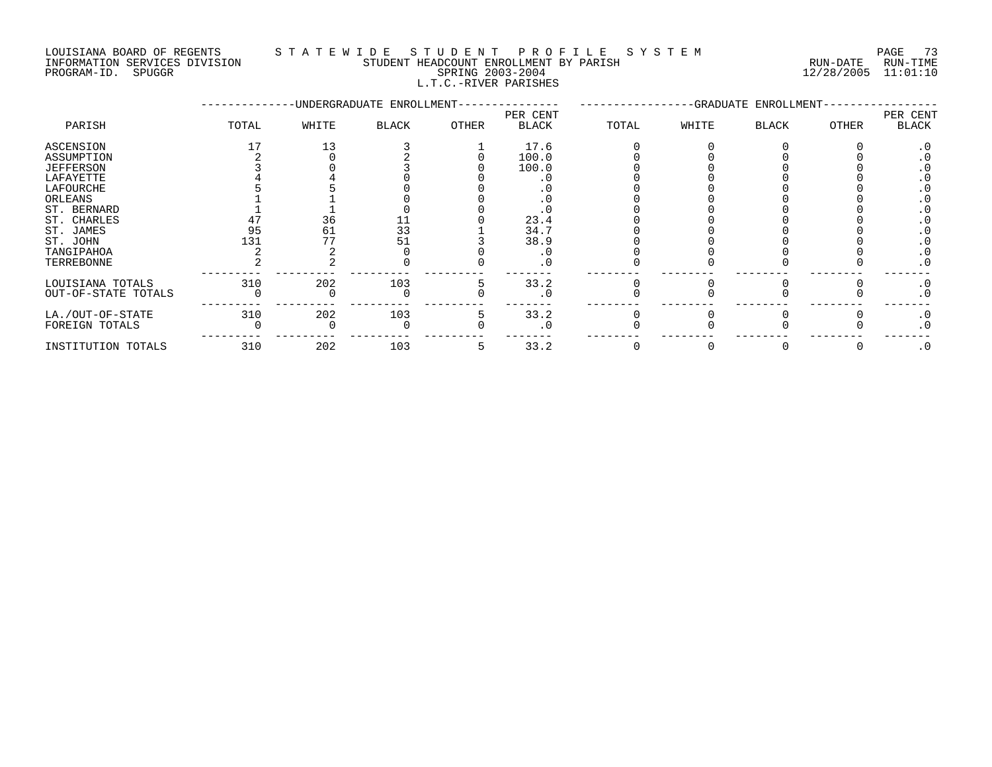#### LOUISIANA BOARD OF REGENTS S T A T E W I D E S T U D E N T P R O F I L E S Y S T E M PAGE 73 INFORMATION SERVICES DIVISION STUDENT HEADCOUNT ENROLLMENT BY PARISH RUN-DATE RUN-TIME PROGRAM-ID. SPUGGR SPRING 2003-2004 12/28/2005 11:01:10 L.T.C.-RIVER PARISHES

|                     |       |       | -UNDERGRADUATE ENROLLMENT- | -GRADUATE ENROLLMENT- |                          |       |       |       |       |                          |
|---------------------|-------|-------|----------------------------|-----------------------|--------------------------|-------|-------|-------|-------|--------------------------|
| PARISH              | TOTAL | WHITE | <b>BLACK</b>               | <b>OTHER</b>          | PER CENT<br><b>BLACK</b> | TOTAL | WHITE | BLACK | OTHER | PER CENT<br><b>BLACK</b> |
| ASCENSION           |       | 13    |                            |                       | 17.6                     |       |       |       |       |                          |
| ASSUMPTION          |       |       |                            |                       | 100.0                    |       |       |       |       |                          |
| JEFFERSON           |       |       |                            |                       | 100.0                    |       |       |       |       |                          |
| LAFAYETTE           |       |       |                            |                       |                          |       |       |       |       |                          |
| LAFOURCHE           |       |       |                            |                       |                          |       |       |       |       |                          |
| ORLEANS             |       |       |                            |                       |                          |       |       |       |       |                          |
| ST. BERNARD         |       |       |                            |                       | . 0                      |       |       |       |       |                          |
| ST. CHARLES         |       | 36    | 11                         |                       | 23.4                     |       |       |       |       |                          |
| ST. JAMES           | 95    | 61    | 33                         |                       | 34.7                     |       |       |       |       |                          |
| ST. JOHN            | 131   | 77    | 51                         |                       | 38.9                     |       |       |       |       | . 0                      |
| TANGIPAHOA          |       |       |                            |                       | . 0                      |       |       |       |       | . 0                      |
| TERREBONNE          |       |       |                            |                       | . 0                      |       |       |       |       | $\cdot$ 0                |
| LOUISIANA TOTALS    | 310   | 202   | 103                        |                       | 33.2                     |       |       |       |       | $\cdot$ 0                |
| OUT-OF-STATE TOTALS |       |       |                            |                       | . 0                      |       |       |       |       | . 0                      |
| LA./OUT-OF-STATE    | 310   | 202   | 103                        | 5                     | 33.2                     |       |       |       |       | $\cdot$ 0                |
| FOREIGN TOTALS      |       |       |                            |                       | $\cdot$ 0                |       |       |       |       | . 0                      |
| INSTITUTION TOTALS  | 310   | 202   | 103                        |                       | 33.2                     |       |       |       |       | $\cdot$ 0                |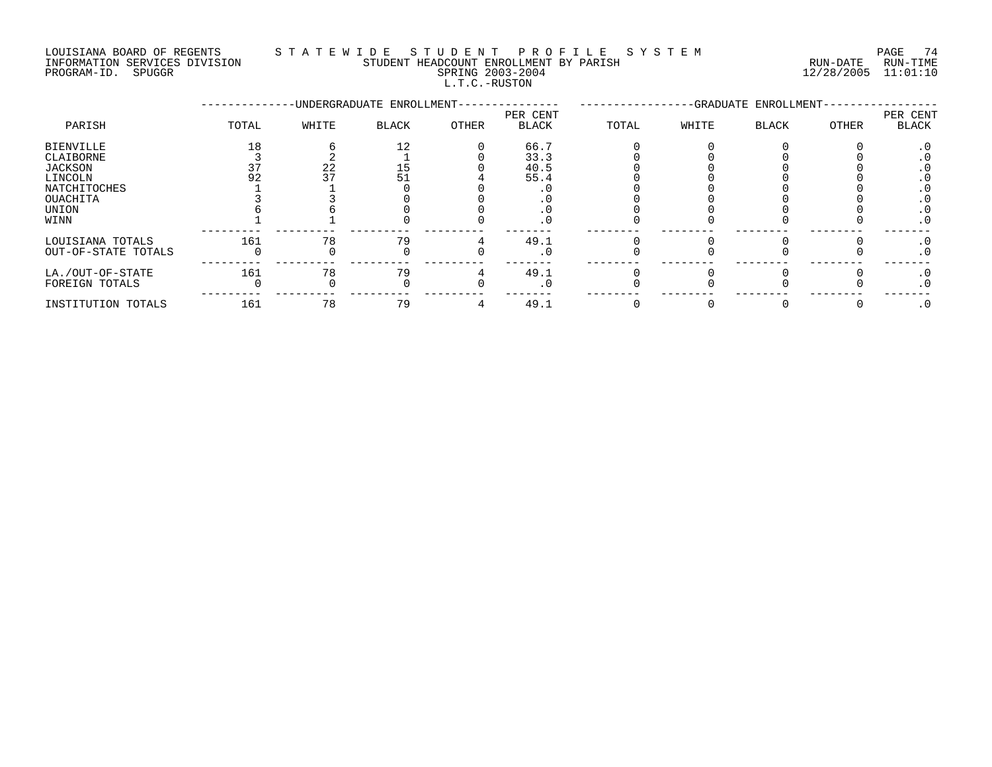#### LOUISIANA BOARD OF REGENTS STATEWIDE STUDE NT PROFILE SYSTEM PAGE 74<br>INFORMATION SERVICES DIVISION STUDENT HEADCOUNT ENROLLMENT BY PARISH STUDENT HON-DATE RUN-TIME STUDENT HEADCOUNT ENROLLMENT BY PARISH

ENFORMATION SERVICES DIVISION CONTRACTOR TERRORISMONT ENROLLMENT BY PARISH CONTRACTOR SPRING 2003-2004 2003-2004<br>PROGRAM-ID. SPUGGR PROGRAM-ID. SPUGGR

PARISH TOTAL WHITE

|                          |        |                                         | DIRINU 2009 2001<br>L.T.C.-RUSTON |                          |        |        |                                    | $\pm 2$ , $\pm 0$ , $\pm 0$ |                   |  |
|--------------------------|--------|-----------------------------------------|-----------------------------------|--------------------------|--------|--------|------------------------------------|-----------------------------|-------------------|--|
|                          |        | -UNDERGRADUATE ENROLLMENT-------------- |                                   |                          |        |        | -GRADUATE ENROLLMENT-------------- |                             |                   |  |
| TOTAL                    | WHITE  | <b>BLACK</b>                            | OTHER                             | PER CENT<br><b>BLACK</b> | TOTAL  | WHITE  | <b>BLACK</b>                       | OTHER                       | PER CENT<br>BLACK |  |
| $\overline{\phantom{0}}$ | $\sim$ |                                         | $\sim$                            | 66.7<br>$\sim$ $\sim$    | $\sim$ | $\sim$ | $\sim$                             |                             |                   |  |

| BIENVILLE                               |     |    | 66.7        |  |  |     |
|-----------------------------------------|-----|----|-------------|--|--|-----|
| CLAIBORNE                               |     |    | 33.3        |  |  |     |
| JACKSON                                 |     |    | 40.5        |  |  |     |
| LINCOLN                                 |     |    | 55.4        |  |  |     |
| NATCHITOCHES                            |     |    |             |  |  |     |
| OUACHITA                                |     |    |             |  |  |     |
| UNION                                   |     |    |             |  |  |     |
| WINN                                    |     |    | . .         |  |  | . ∪ |
| LOUISIANA TOTALS<br>OUT-OF-STATE TOTALS | 161 | 70 | 49.1<br>. ∪ |  |  |     |
| LA./OUT-OF-STATE<br>FOREIGN TOTALS      | 161 |    | 49.1        |  |  |     |
| INSTITUTION TOTALS                      | 161 | 79 | 49.1        |  |  |     |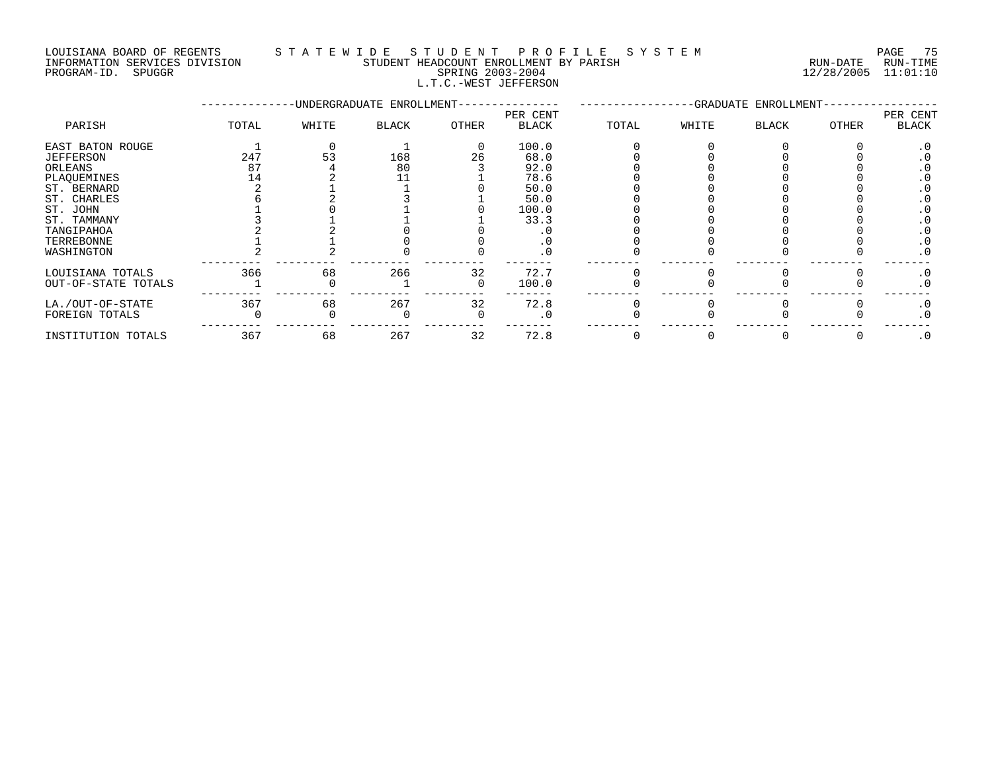#### LOUISIANA BOARD OF REGENTS S T A T E W I D E S T U D E N T P R O F I L E S Y S T E M PAGE 75 INFORMATION SERVICES DIVISION STUDENT HEADCOUNT ENROLLMENT BY PARISH RUN-DATE RUN-TIME

L.T.C.-WEST JEFFERSON

PROGRAM-ID. SPUGGR SPRING 2003-2004 12/28/2005 11:01:10

|                     |       |       | -UNDERGRADUATE ENROLLMENT- |          | -GRADUATE ENROLLMENT-    |       |       |              |       |                   |
|---------------------|-------|-------|----------------------------|----------|--------------------------|-------|-------|--------------|-------|-------------------|
| PARISH              | TOTAL | WHITE | <b>BLACK</b>               | OTHER    | PER CENT<br><b>BLACK</b> | TOTAL | WHITE | <b>BLACK</b> | OTHER | PER CENT<br>BLACK |
| EAST BATON ROUGE    |       |       |                            | $\Omega$ | 100.0                    |       |       |              |       | . 0               |
| JEFFERSON           | 247   | 53    | 168                        | 26       | 68.0                     |       |       |              |       |                   |
| ORLEANS             | 87    |       | 80                         |          | 92.0                     |       |       |              |       | $\cdot$ 0         |
| PLAQUEMINES         | 14    |       |                            |          | 78.6                     |       |       |              |       | . 0               |
| ST. BERNARD         |       |       |                            |          | 50.0                     |       |       |              |       |                   |
| ST. CHARLES         |       |       |                            |          | 50.0                     |       |       |              |       |                   |
| ST. JOHN            |       |       |                            |          | 100.0                    |       |       |              |       |                   |
| ST. TAMMANY         |       |       |                            |          | 33.3                     |       |       |              |       |                   |
| TANGIPAHOA          |       |       |                            |          |                          |       |       |              |       |                   |
| TERREBONNE          |       |       |                            |          | . 0                      |       |       |              |       | . 0               |
| WASHINGTON          |       |       |                            |          | . 0                      |       |       |              |       | . 0               |
| LOUISIANA TOTALS    | 366   | 68    | 266                        | 32       | 72.7                     |       |       |              |       | $\cdot$ 0         |
| OUT-OF-STATE TOTALS |       |       |                            |          | 100.0                    |       |       |              |       | . 0               |
| LA./OUT-OF-STATE    | 367   | 68    | 267                        | 32       | 72.8                     |       |       |              |       | . 0               |
| FOREIGN TOTALS      |       |       |                            |          | $\cdot$ 0                |       |       |              |       | $\cdot$ 0         |
| INSTITUTION TOTALS  | 367   | 68    | 267                        | 32       | 72.8                     |       |       |              |       | $\cdot$ 0         |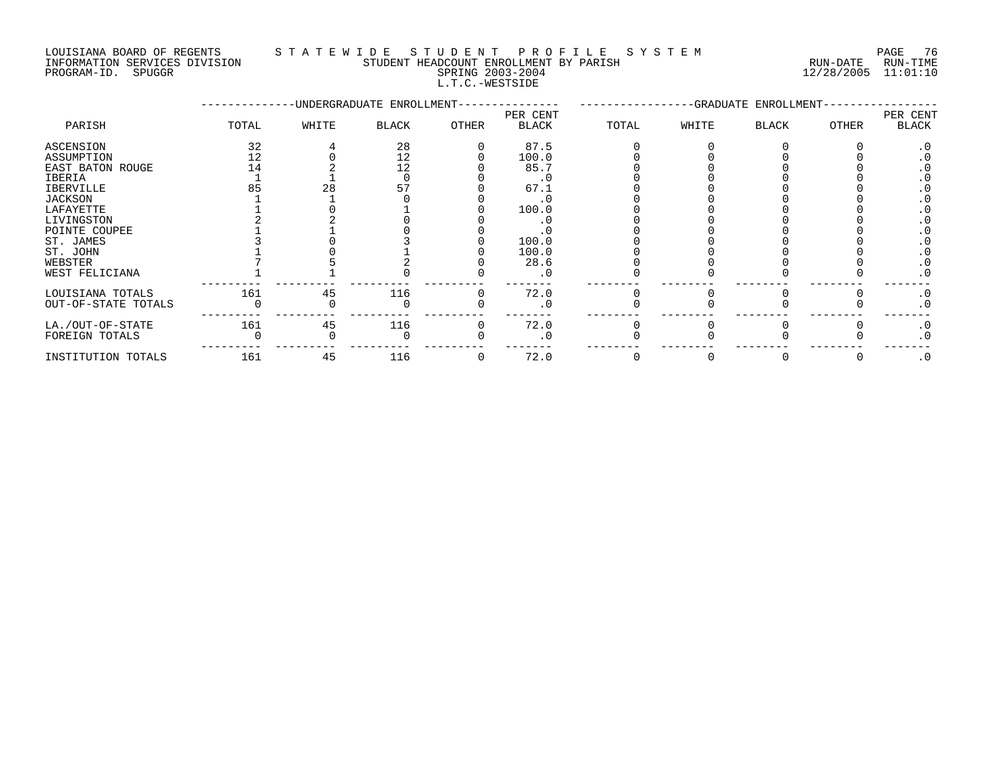### LOUISIANA BOARD OF REGENTS S T A T E W I D E S T U D E N T P R O F I L E S Y S T E M PAGE 76

INFORMATION SERVICES DIVISION STUDENT HEADCOUNT ENROLLMENT BY PARISH RUN-DATE RUN-TIME INFORMATION SERVICES DIVISION CONSUMENT HEADCOUNT ENROLLMENT BY PARISH THE SUN-DATE RUN-TIME RUN-TIME RUN-TIME<br>PROGRAM-ID. SPUGGR SPUGGR SPRING 2003-2004 L.T.C.-WESTSIDE

--------------UNDERGRADUATE ENROLLMENT--------------- -----------------GRADUATE ENROLLMENT----------------- PER CENT PER CENT PARISH TOTAL WHITE BLACK OTHER BLACK TOTAL WHITE BLACK OTHER BLACK ASCENSION 32 4 28 0 87.5 0 0 0 0 .0 ASSUMPTION 12 0 12 0 100.0 0 0 0 0 .0 EAST BATON ROUGE 14 2 12 0 85.7 0 0 0 0 .0 IBERIA 1 1 0 0 .0 0 0 0 0 .0 IBERVILLE 85 28 57 0 67.1 0 0 0 0 .0 JACKSON 1 1 0 0 .0 0 0 0 0 .0 LAFAYETTE 1 0 1 0 100.0 0 0 0 0 .0 LIVINGSTON 2 2 0 0 .0 0 0 0 0 .0 POINTE COUPEE 1 1 0 0 .0 0 0 0 0 .0 ST. JAMES 3 0 3 0 100.0 0 0 0 0 .0 ST. JOHN 1 0 1 0 100.0 0 0 0 0 .0 WEBSTER 7 5 2 0 28.6 0 0 0 0 .0 WEST FELICIANA 1 1 0 0 .0 0 0 0 0 .0 --------- --------- --------- --------- ------- -------- -------- -------- -------- ------- LOUISIANA TOTALS 161 45 116 0 72.0 0 0 0 0 .0 OUT-OF-STATE TOTALS 0 0 0 0 .0 0 0 0 0 .0 --------- --------- --------- --------- ------- -------- -------- -------- -------- ------- LA./OUT-OF-STATE 161 45 116 0 72.0 0 0 0 0 .0 FOREIGN TOTALS 0 0 0 0 .0 0 0 0 0 .0 --------- --------- --------- --------- ------- -------- -------- -------- -------- ------- INSTITUTION TOTALS 161 45 116 0 72.0 0 0 0 0 .0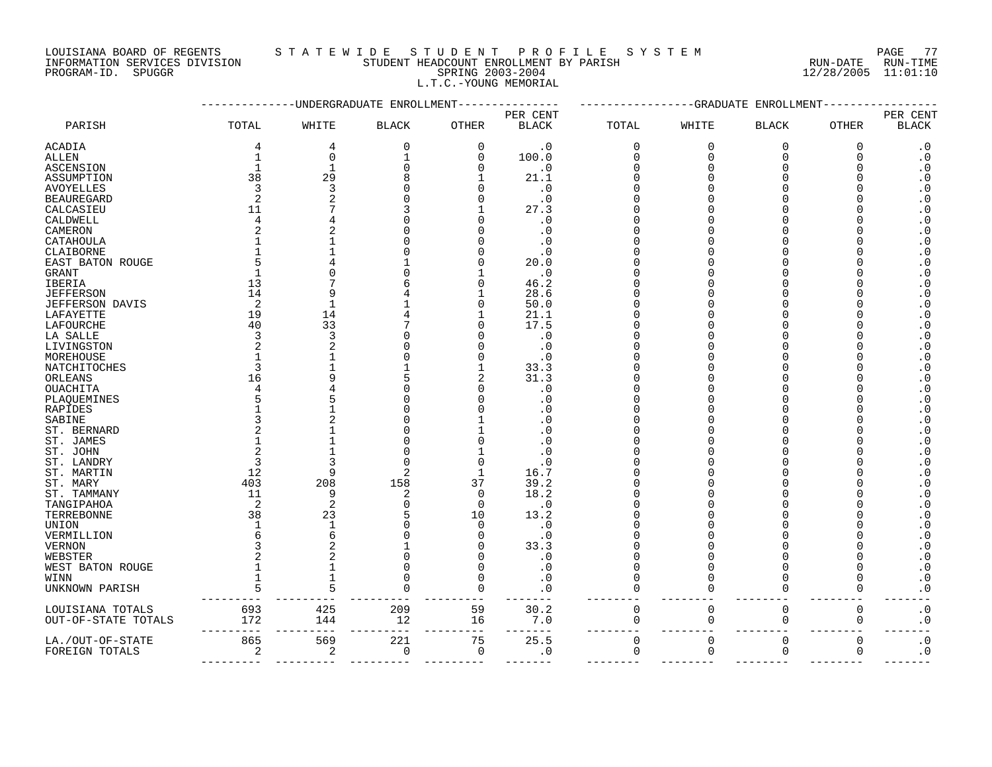INFORMATION SERVICES DIVISION STUDENT HEADCOUNT ENROLLMENT BY PARISH RUN-DATE RUN-TIME PROGRAM-ID. SPUGGR SPRING 2003-2004 12/28/2005 11:01:10

| LOUISIANA BOARD OF REGENTS                                                                                                                                                                                                                                                                                                                                                                   | STATEWIDE STUDENT PROFILE SYSTEM                                                                                                                                                                                                                                                                                                                                            |        | PAGE 77                                          |  |
|----------------------------------------------------------------------------------------------------------------------------------------------------------------------------------------------------------------------------------------------------------------------------------------------------------------------------------------------------------------------------------------------|-----------------------------------------------------------------------------------------------------------------------------------------------------------------------------------------------------------------------------------------------------------------------------------------------------------------------------------------------------------------------------|--------|--------------------------------------------------|--|
| $\frac{1}{2} \frac{1}{2} \frac{1}{2} \frac{1}{2} \frac{1}{2} \frac{1}{2} \frac{1}{2} \frac{1}{2} \frac{1}{2} \frac{1}{2} \frac{1}{2} \frac{1}{2} \frac{1}{2} \frac{1}{2} \frac{1}{2} \frac{1}{2} \frac{1}{2} \frac{1}{2} \frac{1}{2} \frac{1}{2} \frac{1}{2} \frac{1}{2} \frac{1}{2} \frac{1}{2} \frac{1}{2} \frac{1}{2} \frac{1}{2} \frac{1}{2} \frac{1}{2} \frac{1}{2} \frac{1}{2} \frac{$ | $C$ $\overline{C}$ $\overline{C}$ $\overline{C}$ $\overline{C}$ $\overline{C}$ $\overline{C}$ $\overline{C}$ $\overline{C}$ $\overline{C}$ $\overline{C}$ $\overline{C}$ $\overline{C}$ $\overline{C}$ $\overline{C}$ $\overline{C}$ $\overline{C}$ $\overline{C}$ $\overline{C}$ $\overline{C}$ $\overline{C}$ $\overline{C}$ $\overline{C}$ $\overline{C}$ $\overline{C}$ | $\sim$ | $\sim$ $\sim$ $\sim$ $\sim$ $\sim$ $\sim$ $\sim$ |  |

L.T.C.-YOUNG MEMORIAL

|                         |                |                | UNDERGRADUATE ENROLLMENT |              | -GRADUATE<br>ENROLLMENT |             |              |                      |              |                        |
|-------------------------|----------------|----------------|--------------------------|--------------|-------------------------|-------------|--------------|----------------------|--------------|------------------------|
|                         |                |                |                          |              | PER CENT                |             |              |                      |              | PER CENT               |
| PARISH                  | TOTAL          | WHITE          | <b>BLACK</b>             | <b>OTHER</b> | <b>BLACK</b>            | TOTAL       | WHITE        | <b>BLACK</b>         | <b>OTHER</b> | <b>BLACK</b>           |
| <b>ACADIA</b>           | 4              | $\overline{4}$ | $\Omega$                 | $\mathbf 0$  | $\cdot$ 0               | $\mathbf 0$ | $\mathbf{0}$ | $\overline{0}$       | 0            | $\cdot$ 0              |
| <b>ALLEN</b>            | $\mathbf{1}$   | $\mathbf 0$    |                          | $\Omega$     | 100.0                   | $\Omega$    | $\Omega$     | $\Omega$             | $\Omega$     | $\cdot$ 0              |
| <b>ASCENSION</b>        | $\mathbf{1}$   | $\overline{1}$ |                          | $\Omega$     | $\cdot$ 0               |             |              | $\cap$               |              | $\boldsymbol{\cdot}$ 0 |
| ASSUMPTION              | 38             | 29             |                          |              | 21.1                    |             |              | $\cap$               |              | $\cdot$ 0              |
| <b>AVOYELLES</b>        | 3              | $\mathbf{3}$   |                          |              | $\cdot$ 0               |             |              | $\Omega$             |              | $\ddot{0}$             |
| <b>BEAUREGARD</b>       | $\overline{2}$ |                |                          |              | $\cdot$ 0               |             |              |                      |              | $\cdot$ 0              |
| CALCASIEU               | 11             |                |                          |              | 27.3                    |             |              |                      |              | $\boldsymbol{\cdot}$ 0 |
| CALDWELL                | $\overline{4}$ |                |                          |              | $\cdot$ 0               |             |              |                      |              | $\boldsymbol{\cdot}$ 0 |
| CAMERON                 | 2              | 2              |                          |              | $\cdot$ 0               |             |              | $\Omega$             |              | $\boldsymbol{\cdot}$ 0 |
|                         |                |                |                          |              | $\cdot$ 0               |             |              | $\Omega$             |              | $\boldsymbol{\cdot}$ 0 |
| CATAHOULA               |                |                |                          |              |                         |             |              | $\cap$               |              |                        |
| CLAIBORNE               |                |                |                          |              | $\cdot$ 0               |             |              | $\cap$               |              | $\boldsymbol{\cdot}$ 0 |
| EAST BATON ROUGE        |                |                |                          |              | 20.0                    |             |              |                      |              | $\boldsymbol{\cdot}$ 0 |
| GRANT                   |                |                |                          |              | $\cdot$ 0               |             |              |                      |              | $\cdot$ 0              |
| IBERIA                  | 13             |                |                          | $\cap$       | 46.2                    |             |              |                      |              | $\boldsymbol{\cdot}$ 0 |
| <b>JEFFERSON</b>        | 14             | q              |                          |              | 28.6                    |             |              | $\Omega$             |              | $\boldsymbol{\cdot}$ 0 |
| <b>JEFFERSON DAVIS</b>  | 2              | $\overline{1}$ |                          | $\cap$       | 50.0                    |             |              | $\Omega$             |              | $\cdot$ 0              |
| LAFAYETTE               | 19             | 14             |                          |              | 21.1                    |             |              | $\Omega$             |              | $\boldsymbol{\cdot}$ 0 |
| LAFOURCHE               | 40             | 33             |                          |              | 17.5                    |             |              |                      |              | $\boldsymbol{\cdot}$ 0 |
| LA SALLE                | 3              | 3              |                          |              | $\cdot$ 0               |             |              |                      |              | $\boldsymbol{\cdot}$ 0 |
| LIVINGSTON              | 2              | 2              |                          |              | $\cdot$ 0               |             |              | $\Omega$             |              | $\boldsymbol{\cdot}$ 0 |
| MOREHOUSE               | $\mathbf{1}$   |                |                          |              | . 0                     |             |              | $\Omega$             |              | $\boldsymbol{\cdot}$ 0 |
| NATCHITOCHES            | 3              |                |                          |              | 33.3                    |             |              | $\Omega$             |              | $\boldsymbol{\cdot}$ 0 |
| ORLEANS                 | 16             | q              |                          | 2            | 31.3                    |             |              |                      |              | $\cdot$ 0              |
| <b>OUACHITA</b>         |                |                |                          |              | . 0                     |             |              |                      |              | $\boldsymbol{\cdot}$ 0 |
| PLAQUEMINES             |                |                |                          |              | $\cdot$ 0               |             |              | $\Omega$             |              | $\cdot$ 0              |
| RAPIDES                 |                |                |                          |              | . 0                     |             |              | $\Omega$             |              | $\boldsymbol{\cdot}$ 0 |
| SABINE                  |                |                |                          |              | . 0                     |             |              | $\Omega$             |              | $\boldsymbol{\cdot}$ 0 |
| ST. BERNARD             |                |                |                          |              | . 0                     |             |              |                      |              | $\cdot$ 0              |
| ST. JAMES               |                |                |                          |              | $\cap$                  |             |              |                      |              | $\boldsymbol{\cdot}$ 0 |
| ST. JOHN                | $\overline{2}$ |                |                          |              | . 0                     |             |              | $\Omega$             |              | $\boldsymbol{\cdot}$ 0 |
| ST. LANDRY              | 3              | 3              |                          | $\Omega$     | . ດ                     |             |              |                      |              | $\boldsymbol{\cdot}$ 0 |
| ST. MARTIN              | 12             | 9              |                          |              | 16.7                    |             |              |                      |              | $\boldsymbol{\cdot}$ 0 |
|                         | 403            | 208            | 158                      | 37           | 39.2                    |             |              |                      |              | $\cdot$ 0              |
| ST. MARY<br>ST. TAMMANY | 11             | 9              | 2                        | $\Omega$     | 18.2                    |             |              |                      |              | $\boldsymbol{\cdot}$ 0 |
|                         |                |                |                          |              |                         |             |              |                      |              |                        |
| TANGIPAHOA              | 2              | $\overline{2}$ |                          | $\Omega$     | $\cdot$ 0               |             |              | $\Omega$<br>$\Omega$ |              | $\cdot$ 0              |
| TERREBONNE              | 38             | 23             |                          | 10           | 13.2                    |             |              |                      |              | $\boldsymbol{\cdot}$ 0 |
| <b>UNION</b>            |                | $\mathbf{1}$   |                          | $\Omega$     | $\cdot$ 0               |             |              | $\Omega$             |              | $\boldsymbol{\cdot}$ 0 |
| VERMILLION              | 6              | 6              |                          | $\cap$       | . 0                     |             |              |                      |              | $\cdot$ 0              |
| <b>VERNON</b>           |                |                |                          |              | 33.3                    |             |              |                      |              | $\boldsymbol{\cdot}$ 0 |
| WEBSTER                 | $\overline{a}$ | $\overline{2}$ |                          |              | $\cdot$ 0               |             |              | $\Omega$             |              | $\cdot$ 0              |
| WEST BATON ROUGE        |                | $\mathbf{1}$   |                          | $\Omega$     | $\cdot$ 0               |             |              | $\Omega$             |              | $\boldsymbol{\cdot}$ 0 |
| WINN                    |                |                |                          | $\Omega$     | . 0                     |             |              | $\Omega$             | $\Omega$     | $\boldsymbol{\cdot}$ 0 |
| UNKNOWN PARISH          | 5              | 5              |                          | $\Omega$     | . 0                     | O           |              | $\Omega$             | 0            | $\boldsymbol{\cdot}$ 0 |
| LOUISIANA TOTALS        | 693            | 425            | 209                      | 59           | 30.2                    | 0           | 0            | $\mathbf 0$          | 0            | $\boldsymbol{\cdot}$ 0 |
| OUT-OF-STATE TOTALS     | 172            | 144            | 12                       | 16           | 7.0                     | $\mathbf 0$ | 0            | $\mathsf 0$          | 0            | $\boldsymbol{\cdot}$ 0 |
| LA./OUT-OF-STATE        | 865            | 569            | 221                      | 75           | 25.5                    | $\mathsf 0$ | $\Omega$     | $\mathsf 0$          | 0            | $\boldsymbol{\cdot}$ 0 |
| FOREIGN TOTALS          | 2              | $\overline{2}$ | $\mathbf 0$              | $\mathbf 0$  | $\cdot$ 0               | 0           | $\mathbf 0$  | 0                    | 0            | . $\boldsymbol{0}$     |
|                         |                |                |                          |              |                         |             |              |                      |              |                        |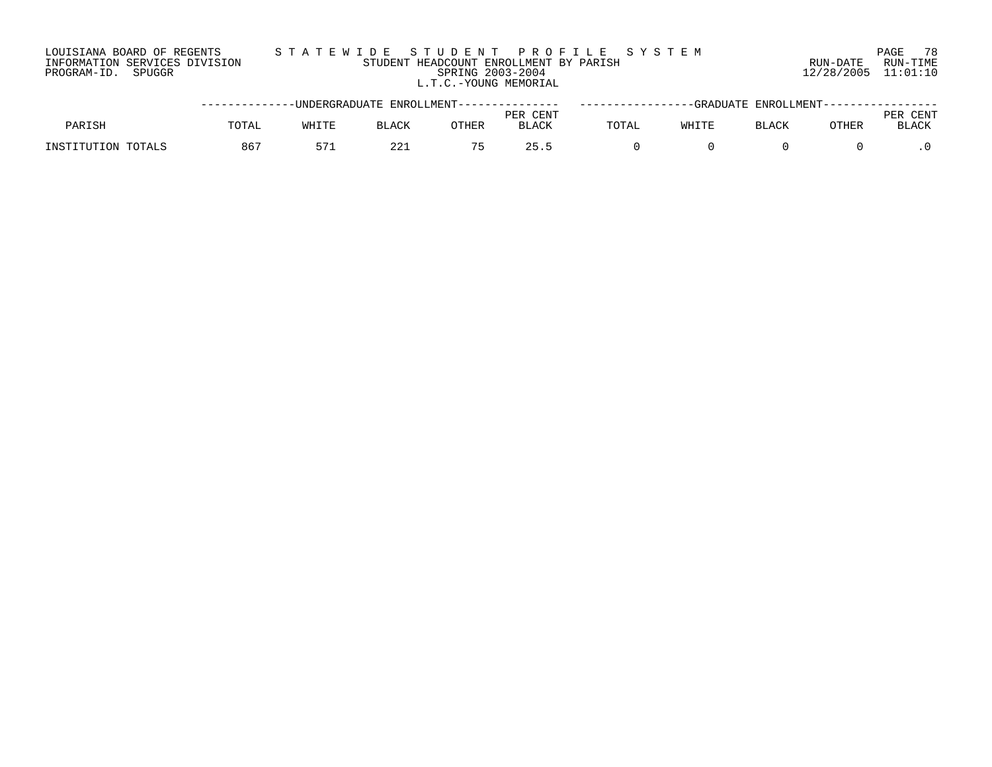#### LOUISIANA BOARD OF REGENTS S T A T E W I D E S T U D E N T P R O F I L E S Y S T E M PAGE 78 INFORMATION SERVICES DIVISION STUDENT HEADCOUNT ENROLLMENT BY PARISH RUN-DATE RUN-TIME PROGRAM-ID. SPUGGR SPRING 2003-2004 12/28/2005 11:01:10 L.T.C.-YOUNG MEMORIAL

|                    |       |       | -----------DNDERGRADUATE ENROLLMENT-------------- |       |                          |       |       | -----GRADUATE ENROLLMENT------ |       |                      |
|--------------------|-------|-------|---------------------------------------------------|-------|--------------------------|-------|-------|--------------------------------|-------|----------------------|
| PARISH             | TOTAL | WHITE | <b>BLACK</b>                                      | OTHER | PER CENT<br><b>BLACK</b> | TOTAL | WHITE | <b>BLACK</b>                   | OTHER | CENT<br><b>BLACK</b> |
| INSTITUTION TOTALS | 86    | E 71  | $\cap$ $\cap$                                     |       | つち                       |       |       |                                |       |                      |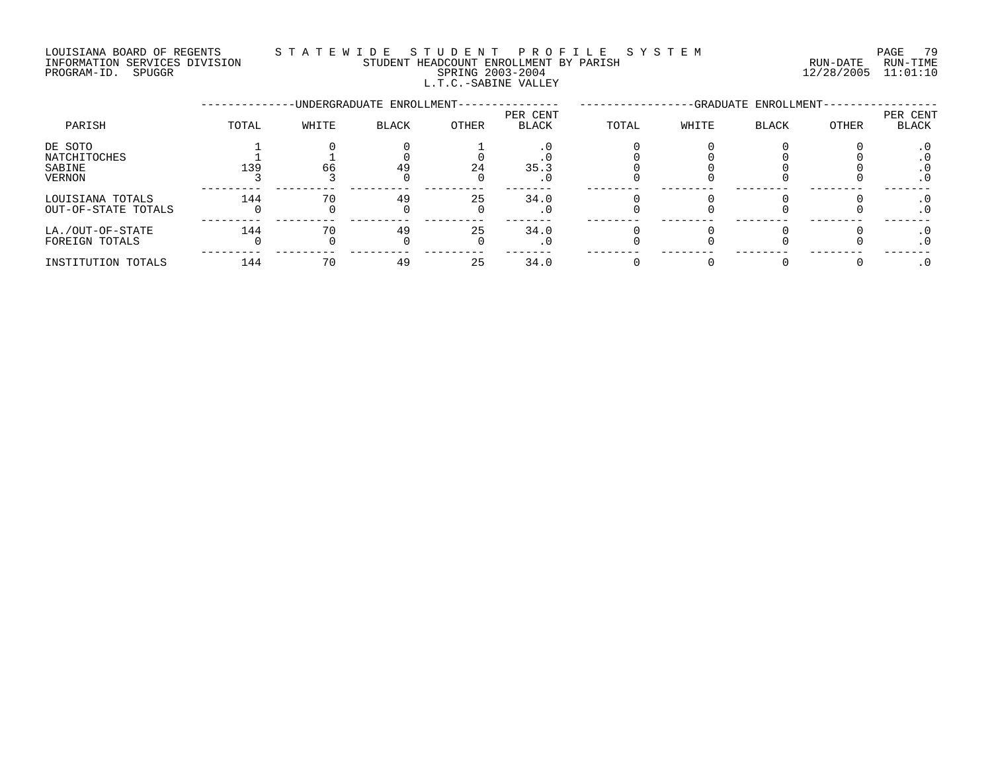#### LOUISIANA BOARD OF REGENTS S T A T E W I D E S T U D E N T P R O F I L E S Y S T E M PAGE 79 INFORMATION SERVICES DIVISION STUDENT HEADCOUNT ENROLLMENT BY PARISH RUN-DATE RUN-TIME PROGRAM-ID. SPUGGR SPRING 2003-2004 12/28/2005 11:01:10 L.T.C.-SABINE VALLEY

|                                                    |       |       | -UNDERGRADUATE ENROLLMENT- |       | -GRADUATE ENROLLMENT     |       |       |              |              |                   |
|----------------------------------------------------|-------|-------|----------------------------|-------|--------------------------|-------|-------|--------------|--------------|-------------------|
| PARISH                                             | TOTAL | WHITE | <b>BLACK</b>               | OTHER | PER CENT<br><b>BLACK</b> | TOTAL | WHITE | <b>BLACK</b> | <b>OTHER</b> | PER CENT<br>BLACK |
| DE SOTO<br>NATCHITOCHES<br>SABINE<br><b>VERNON</b> | 139   | 66    | 49                         | 24    | 35.3<br>. 0              |       |       |              |              | . ∪<br>$\cdot$ 0  |
| LOUISIANA TOTALS<br>OUT-OF-STATE TOTALS            | 144   | 70    | 49                         | 25    | 34.0<br>. 0              |       |       |              |              | . U<br>$\cdot$ 0  |
| LA./OUT-OF-STATE<br>FOREIGN TOTALS                 | 144   | 70    | 49                         | 25    | 34.0<br>. 0              |       |       |              |              | $\cdot$ 0         |
| INSTITUTION TOTALS                                 | 144   |       | 49                         | 25    | 34.0                     |       |       |              |              |                   |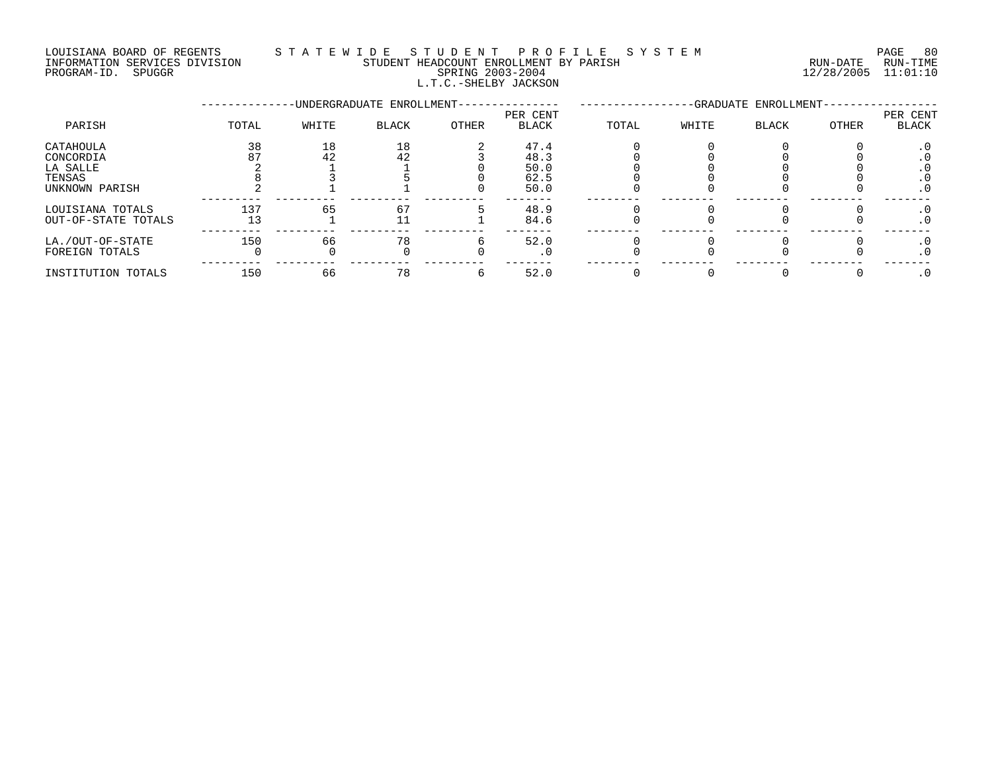#### LOUISIANA BOARD OF REGENTS S T A T E W I D E S T U D E N T P R O F I L E S Y S T E M PAGE 80 INFORMATION SERVICES DIVISION STUDENT HEADCOUNT ENROLLMENT BY PARISH RUN-DATE RUN-TIME PROGRAM-ID. SPUGGR SPRING 2003-2004 12/28/2005 11:01:10 L.T.C.-SHELBY JACKSON

|                                              |           |          | -UNDERGRADUATE ENROLLMENT- |              | -GRADUATE ENROLLMENT-        |       |       |       |       |                          |
|----------------------------------------------|-----------|----------|----------------------------|--------------|------------------------------|-------|-------|-------|-------|--------------------------|
| PARISH                                       | TOTAL     | WHITE    | <b>BLACK</b>               | <b>OTHER</b> | PER CENT<br>BLACK            | TOTAL | WHITE | BLACK | OTHER | PER CENT<br><b>BLACK</b> |
| CATAHOULA<br>CONCORDIA<br>LA SALLE<br>TENSAS | 38        | 18<br>42 | 18<br>42                   |              | 47.4<br>48.3<br>50.0<br>62.5 |       |       |       |       | . v<br>. U               |
| UNKNOWN PARISH<br>LOUISIANA TOTALS           | 137       | 65       | 67                         |              | 50.0<br>48.9                 |       |       |       |       | $\cdot$ 0                |
| OUT-OF-STATE TOTALS<br>LA./OUT-OF-STATE      | 13<br>150 | 66       | 11<br>78                   |              | 84.6<br>52.0                 |       |       |       |       | . 0                      |
| FOREIGN TOTALS                               |           |          |                            |              | . 0                          |       |       |       |       | . U<br>$\cdot$ 0         |
| INSTITUTION TOTALS                           | 150       | 66       | 78                         |              | 52.0                         |       |       |       |       |                          |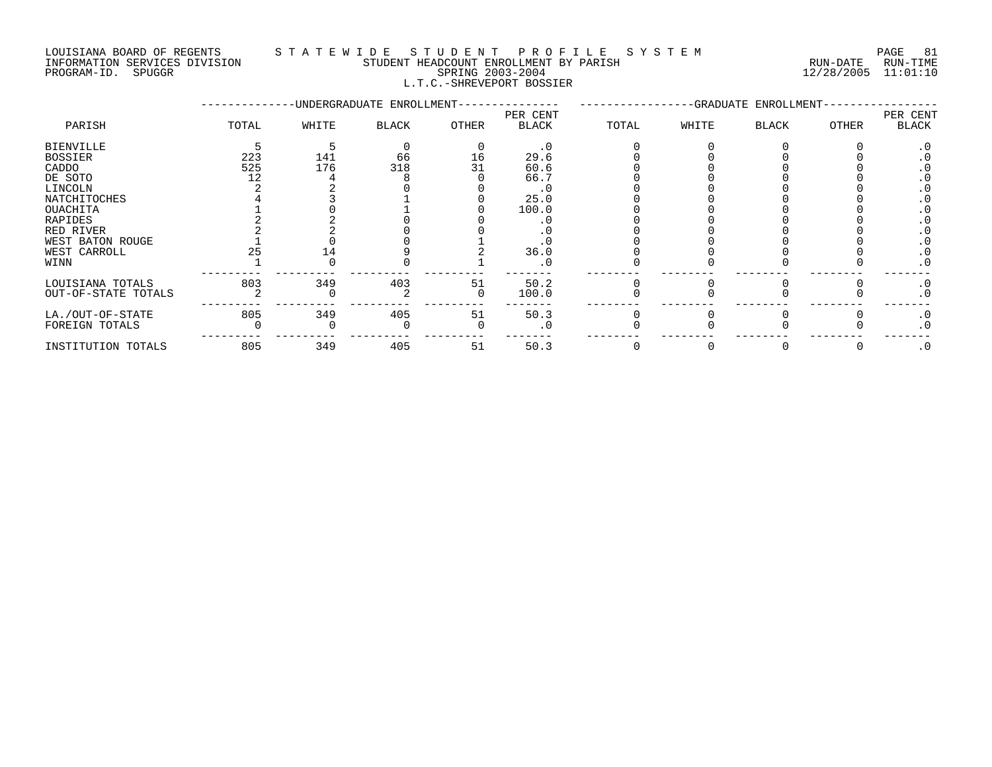#### LOUISIANA BOARD OF REGENTS S T A T E W I D E S T U D E N T P R O F I L E S Y S T E M PAGE 81 INFORMATION SERVICES DIVISION STUDENT HEADCOUNT ENROLLMENT BY PARISH RUN-DATE RUN-TIME PROGRAM-ID. SPUGGR SPRING 2003-2004 12/28/2005 11:01:10

# L.T.C.-SHREVEPORT BOSSIER

|                     |       |       | -UNDERGRADUATE ENROLLMENT- |       | -GRADUATE ENROLLMENT- |       |       |              |              |                   |
|---------------------|-------|-------|----------------------------|-------|-----------------------|-------|-------|--------------|--------------|-------------------|
| PARISH              | TOTAL | WHITE | BLACK                      | OTHER | PER CENT<br>BLACK     | TOTAL | WHITE | <b>BLACK</b> | <b>OTHER</b> | PER CENT<br>BLACK |
| <b>BIENVILLE</b>    |       |       |                            |       | $\cdot$ 0             |       |       |              |              | $\cdot$ 0         |
| <b>BOSSIER</b>      | 223   | 141   | 66                         | 16    | 29.6                  |       |       |              |              |                   |
| CADDO               | 525   | 176   | 318                        |       | 60.6                  |       |       |              |              |                   |
| DE SOTO             | 12    |       |                            |       | 66.7                  |       |       |              |              |                   |
| LINCOLN             |       |       |                            |       |                       |       |       |              |              |                   |
| NATCHITOCHES        |       |       |                            |       | 25.0                  |       |       |              |              |                   |
| OUACHITA            |       |       |                            |       | 100.0                 |       |       |              |              |                   |
| RAPIDES             |       |       |                            |       |                       |       |       |              |              |                   |
| RED RIVER           |       |       |                            |       |                       |       |       |              |              |                   |
| WEST BATON ROUGE    |       |       |                            |       |                       |       |       |              |              |                   |
| WEST CARROLL        |       |       |                            |       | 36.0                  |       |       |              |              |                   |
| WINN                |       |       |                            |       |                       |       |       |              |              | . 0               |
| LOUISIANA TOTALS    | 803   | 349   | 403                        | 51    | 50.2                  |       |       |              |              | $\cdot$ 0         |
| OUT-OF-STATE TOTALS |       |       |                            |       | 100.0                 |       |       |              |              | $\cdot$ 0         |
| LA./OUT-OF-STATE    | 805   | 349   | 405                        | 51    | 50.3                  |       |       |              |              | $\cdot$ 0         |
| FOREIGN TOTALS      |       |       |                            |       |                       |       |       |              |              | . 0               |
| INSTITUTION TOTALS  | 805   | 349   | 405                        | 51    | 50.3                  |       |       |              |              | $\cdot$ 0         |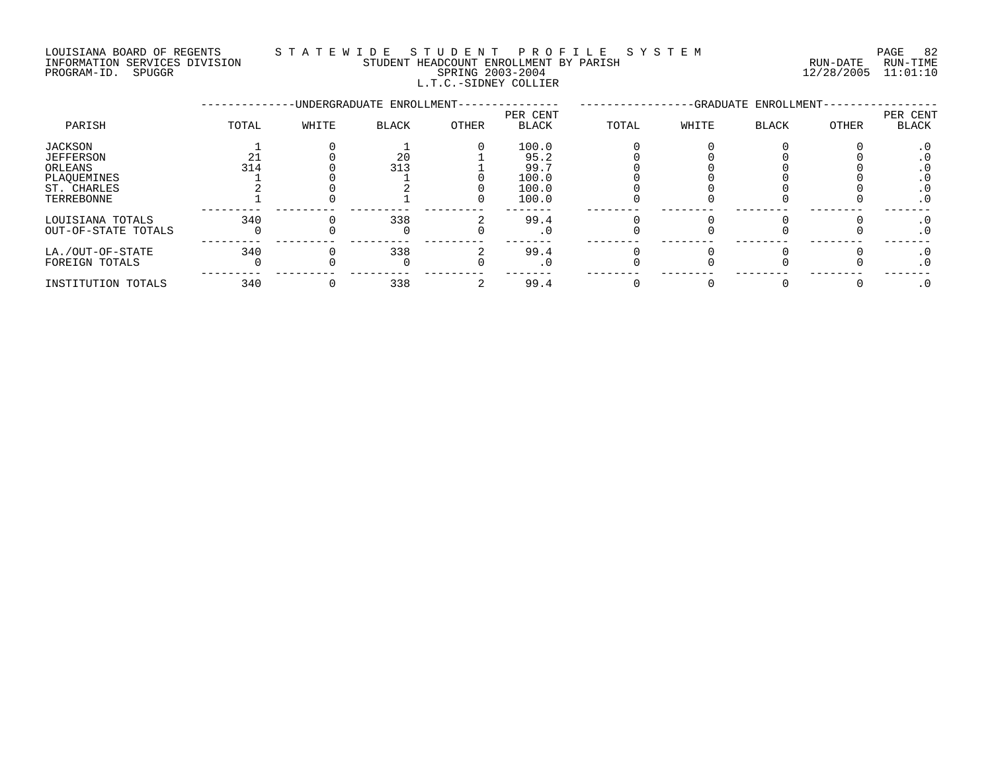#### LOUISIANA BOARD OF REGENTS S T A T E W I D E S T U D E N T P R O F I L E S Y S T E M PAGE 82 INFORMATION SERVICES DIVISION STUDENT HEADCOUNT ENROLLMENT BY PARISH RUN-DATE RUN-TIME PROGRAM-ID. SPUGGR SPRING 2003-2004 12/28/2005 11:01:10 L.T.C.-SIDNEY COLLIER

|                                                               |       |       | -UNDERGRADUATE ENROLLMENT- |       | -GRADUATE ENROLLMENT-                   |       |       |              |       |                          |
|---------------------------------------------------------------|-------|-------|----------------------------|-------|-----------------------------------------|-------|-------|--------------|-------|--------------------------|
| PARISH                                                        | TOTAL | WHITE | <b>BLACK</b>               | OTHER | PER CENT<br><b>BLACK</b>                | TOTAL | WHITE | <b>BLACK</b> | OTHER | PER CENT<br>BLACK        |
| JACKSON<br>JEFFERSON<br>ORLEANS<br>PLAQUEMINES<br>ST. CHARLES | 314   |       | 20<br>313                  |       | 100.0<br>95.2<br>99.7<br>100.0<br>100.0 |       |       |              |       | . U<br>. 0<br>. 0<br>. 0 |
| TERREBONNE                                                    |       |       |                            |       | 100.0                                   |       |       |              |       | $\cdot$ 0                |
| LOUISIANA TOTALS<br>OUT-OF-STATE TOTALS                       | 340   |       | 338<br>O                   |       | 99.4                                    |       |       |              |       | $\cdot$ 0<br>$\cdot$ 0   |
| LA./OUT-OF-STATE<br>FOREIGN TOTALS                            | 340   |       | 338                        |       | 99.4                                    |       |       |              |       | $\cdot$ 0<br>. 0         |
| INSTITUTION TOTALS                                            | 340   |       | 338                        |       | 99.4                                    |       |       |              |       | . 0                      |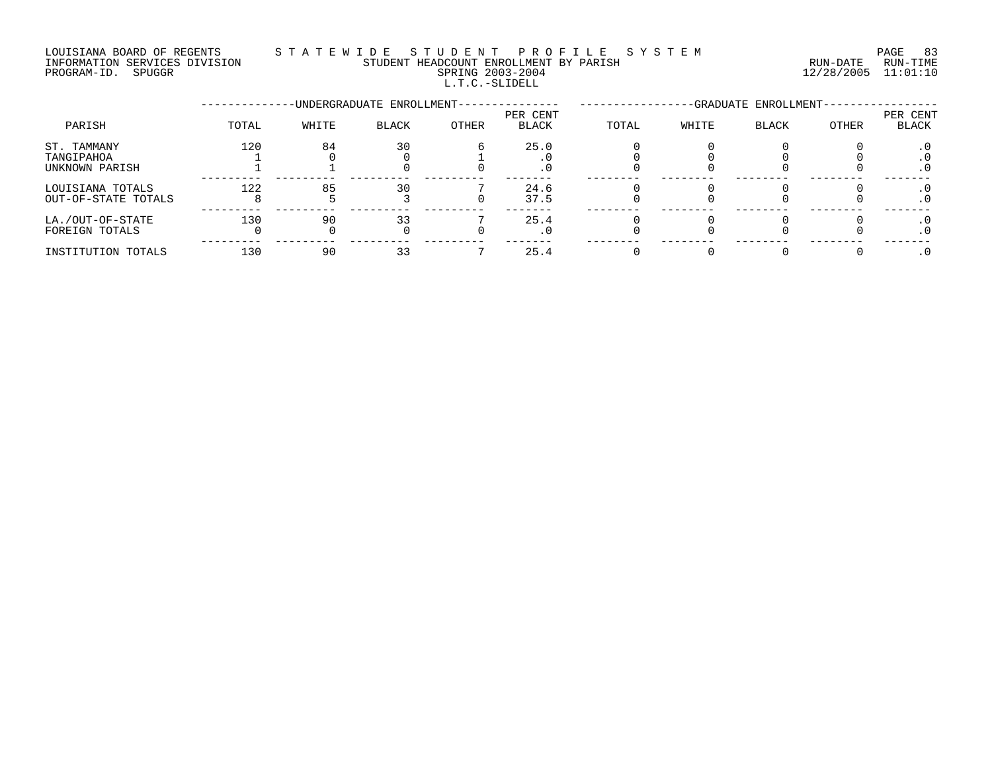LOUISIANA BOARD OF REGENTS STATEWIDE STUDE STUDENT PROFILE SYSTEM PAGE 83<br>INFORMATION SERVICES DIVISION STUDENT HEADCOUNT ENROLLMENT BY PARISH NETORMATION SERVICES DIVISION INFORMATION SERVICES DIVISION STUDENT HEADCOUNT ENROLLMENT BY PARISH PROGRAM-ID. SPUGGR SPRING 2003-2004 12/28/2005 11:01:10 L.T.C.-SLIDELL

|                                             |       |       | -UNDERGRADUATE ENROLLMENT- |       | -GRADUATE ENROLLMENT- |       |       |              |       |                   |
|---------------------------------------------|-------|-------|----------------------------|-------|-----------------------|-------|-------|--------------|-------|-------------------|
| PARISH                                      | TOTAL | WHITE | <b>BLACK</b>               | OTHER | PER CENT<br>BLACK     | TOTAL | WHITE | <b>BLACK</b> | OTHER | PER CENT<br>BLACK |
| ST. TAMMANY<br>TANGIPAHOA<br>UNKNOWN PARISH | 120   | 84    | 30                         |       | 25.0                  |       |       |              |       | $\cdot$ 0         |
| LOUISIANA TOTALS<br>OUT-OF-STATE TOTALS     | 122   | 85    | 30                         |       | 24.6<br>37.5          |       |       |              |       |                   |
| LA./OUT-OF-STATE<br>FOREIGN TOTALS          | 130   | 90    |                            |       | 25.4                  |       |       |              |       |                   |
| INSTITUTION TOTALS                          | 130   | 90    |                            |       | 25.4                  |       |       |              |       |                   |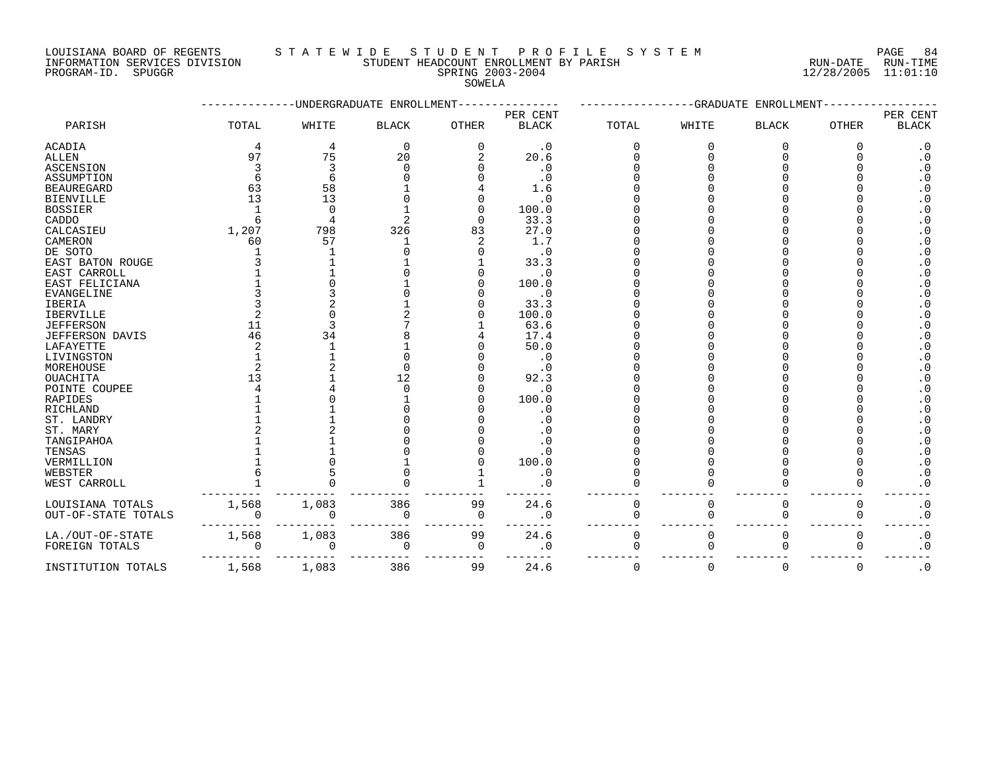# LOUISIANA BOARD OF REGENTS STATEWIDE STUDE NT PROFILE SYSTEM PAGE 84<br>INFORMATION SERVICES DIVISION STUDENT HEADCOUNT ENROLLMENT BY PARISH NUN-DATE RUN-TIME

INFORMATION SERVICES DIVISION STUDENT HEADCOUNT ENROLLMENT BY PARISH

# PROGRAM-ID. SPUGGR SPRING 2003-2004 12/28/2005 11:01:10 SOWELA

|                     |       |              | -UNDERGRADUATE ENROLLMENT |              |              |             |              | --GRADUATE ENROLLMENT |             |                        |
|---------------------|-------|--------------|---------------------------|--------------|--------------|-------------|--------------|-----------------------|-------------|------------------------|
|                     |       |              |                           |              | PER CENT     |             |              |                       |             | PER CENT               |
| PARISH              | TOTAL | WHITE        | <b>BLACK</b>              | <b>OTHER</b> | <b>BLACK</b> | TOTAL       | WHITE        | <b>BLACK</b>          | OTHER       | <b>BLACK</b>           |
| ACADIA              |       | 4            | 0                         | 0            | $\cdot$ 0    | 0           | 0            | 0                     | ∩           | $\cdot$ 0              |
| ALLEN               | 97    | 75           | 20                        |              | 20.6         |             |              |                       |             | $\cdot$ 0              |
| <b>ASCENSION</b>    |       | 3            | ∩                         |              | $\cdot$ 0    |             |              |                       |             | $\boldsymbol{\cdot}$ 0 |
| ASSUMPTION          |       | 6            |                           |              | $\cdot$ 0    |             |              |                       |             | $\cdot$ 0              |
| <b>BEAUREGARD</b>   | 63    | 58           |                           |              | 1.6          |             |              |                       |             | $\boldsymbol{\cdot}$ 0 |
| <b>BIENVILLE</b>    | 13    | 13           |                           |              | $\cdot$ 0    |             |              |                       |             | $\cdot$ 0              |
| BOSSIER             |       | $\Omega$     |                           |              | 100.0        |             |              |                       |             | $\cdot$ 0              |
| CADDO               |       |              |                           | O            | 33.3         |             |              |                       |             | $\cdot$ 0              |
| CALCASIEU           | 1,207 | 798          | 326                       | 83           | 27.0         |             |              |                       |             | $\cdot$ 0              |
| CAMERON             | 60    | 57           |                           |              | 1.7          |             |              |                       |             | $\cdot$ 0              |
| DE SOTO             |       |              |                           |              | $\cdot$ 0    |             |              |                       |             | $\cdot$ 0              |
| EAST BATON ROUGE    |       |              |                           |              | 33.3         |             |              |                       |             | $\cdot$ 0              |
| EAST CARROLL        |       |              |                           |              | $\cdot$ 0    |             |              |                       |             | $\cdot$ 0              |
| EAST FELICIANA      |       |              |                           |              | 100.0        |             |              |                       |             | $\boldsymbol{\cdot}$ 0 |
| EVANGELINE          |       |              |                           |              | $\cdot$ 0    |             |              |                       |             | $\cdot$ 0              |
| IBERIA              |       |              |                           |              | 33.3         |             |              |                       |             | $\cdot$ 0              |
| <b>IBERVILLE</b>    |       |              |                           |              | 100.0        |             |              |                       |             | $\cdot$ 0              |
| <b>JEFFERSON</b>    | 11    | ζ            |                           |              | 63.6         |             |              |                       |             | $\boldsymbol{\cdot}$ 0 |
| JEFFERSON DAVIS     | 46    | 34           |                           |              | 17.4         |             |              |                       |             | $\cdot$ 0              |
| LAFAYETTE           |       |              |                           |              | 50.0         |             |              |                       |             | $\cdot$ 0              |
| LIVINGSTON          |       |              |                           |              | $\cdot$ 0    |             |              |                       |             | $\cdot$ 0              |
| MOREHOUSE           |       |              |                           |              | $\cdot$ 0    |             |              |                       |             | $\cdot$ 0              |
| <b>OUACHITA</b>     | 13    |              | 12                        |              | 92.3         |             |              |                       |             |                        |
|                     |       |              |                           |              |              |             |              |                       |             | $\cdot$ 0              |
| POINTE COUPEE       |       |              |                           |              | . 0          |             |              |                       |             | $\cdot$ 0              |
| RAPIDES             |       |              |                           |              | 100.0        |             |              |                       |             | $\cdot$ 0              |
| RICHLAND            |       |              |                           |              | $\cdot$ 0    |             |              |                       |             | $\cdot$ 0              |
| ST. LANDRY          |       |              |                           |              | . 0          |             |              |                       |             | $\cdot$ 0              |
| ST. MARY            |       |              |                           |              | $\cdot$ 0    |             |              |                       |             | $\cdot$ 0              |
| TANGIPAHOA          |       |              |                           |              | . 0          |             |              |                       |             | $\cdot$ 0              |
| TENSAS              |       |              |                           |              | . 0          |             |              |                       |             | $\cdot$ 0              |
| VERMILLION          |       |              |                           |              | 100.0        |             |              |                       |             | $\cdot$ 0              |
| WEBSTER             |       |              |                           |              | $\cdot$ 0    |             |              |                       |             | $\cdot$ 0              |
| WEST CARROLL        |       |              |                           |              | . 0          |             |              |                       |             | $\boldsymbol{\cdot}$ 0 |
| LOUISIANA TOTALS    | 1,568 | 1,083        | 386                       | 99           | 24.6         | $\mathbf 0$ | 0            | 0                     | $\Omega$    | $\cdot$ 0              |
| OUT-OF-STATE TOTALS |       | <sup>0</sup> | $\Omega$                  | $\Omega$     | $\cdot$ 0    | $\Omega$    | <sup>0</sup> | $\Omega$              | $\Omega$    | $\cdot$ 0              |
|                     |       |              |                           |              |              |             |              |                       |             |                        |
| LA./OUT-OF-STATE    | 1,568 | 1,083        | 386                       | 99           | 24.6         | 0           | 0            | $\mathbf 0$           | $\mathbf 0$ | $\cdot$ 0              |
| FOREIGN TOTALS      |       | $\Omega$     | 0                         | 0            | . 0          | $\Omega$    | $\cap$       | $\Omega$              | ∩           | $\cdot$ 0              |
|                     |       |              |                           |              |              |             |              |                       |             |                        |
| INSTITUTION TOTALS  | 1,568 | 1,083        | 386                       | 99           | 24.6         | $\Omega$    | $\Omega$     | $\Omega$              | $\Omega$    | $\cdot$ 0              |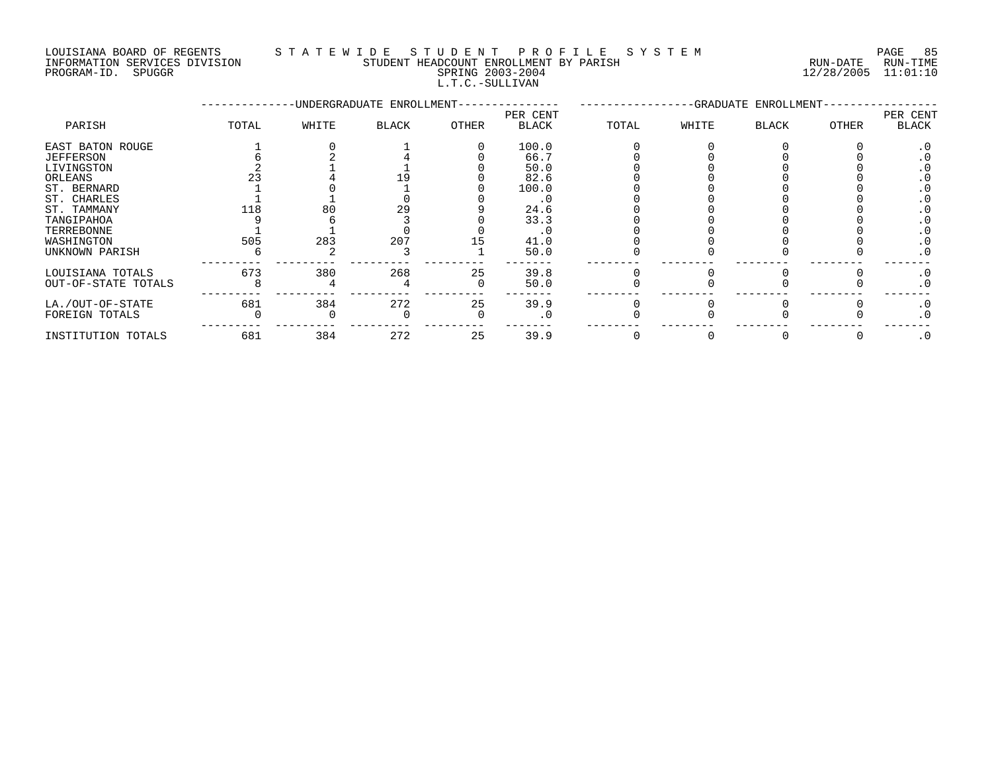LOUISIANA BOARD OF REGENTS S T A T E W I D E S T U D E N T P R O F I L E S Y S T E M PAGE 85 INFORMATION SERVICES DIVISION STUDENT HEADCOUNT ENROLLMENT BY PARISH RUN-DATE RUN-TIME

L.T.C.-SULLIVAN

|                     |       |       | -UNDERGRADUATE ENROLLMENT- |              |                   |       |       | -GRADUATE ENROLLMENT- |       |                   |
|---------------------|-------|-------|----------------------------|--------------|-------------------|-------|-------|-----------------------|-------|-------------------|
| PARISH              | TOTAL | WHITE | BLACK                      | <b>OTHER</b> | PER CENT<br>BLACK | TOTAL | WHITE | BLACK                 | OTHER | PER CENT<br>BLACK |
| EAST BATON ROUGE    |       |       |                            |              | 100.0             |       |       |                       |       |                   |
| JEFFERSON           |       |       |                            |              | 66.7              |       |       |                       |       |                   |
| LIVINGSTON          |       |       |                            |              | 50.0              |       |       |                       |       |                   |
| ORLEANS             |       |       |                            |              | 82.6              |       |       |                       |       |                   |
| ST. BERNARD         |       |       |                            |              | 100.0             |       |       |                       |       |                   |
| ST. CHARLES         |       |       |                            |              | . 0               |       |       |                       |       |                   |
| ST. TAMMANY         | 118   | 80    | 29                         |              | 24.6              |       |       |                       |       |                   |
| TANGIPAHOA          |       |       |                            |              | 33.3              |       |       |                       |       |                   |
| TERREBONNE          |       |       |                            |              |                   |       |       |                       |       |                   |
| WASHINGTON          | 505   | 283   | 207                        |              | 41.0              |       |       |                       |       |                   |
| UNKNOWN PARISH      |       |       |                            |              | 50.0              |       |       |                       |       |                   |
| LOUISIANA TOTALS    | 673   | 380   | 268                        | 25           | 39.8              |       |       |                       |       |                   |
| OUT-OF-STATE TOTALS |       |       |                            |              | 50.0              |       |       |                       |       |                   |
|                     |       |       |                            |              |                   |       |       |                       |       |                   |

LA./OUT-OF-STATE 681 384 272 25 39.9 0 0 0 0 .0 FOREIGN TOTALS 0 0 0 0 .0 0 0 0 0 .0 --------- --------- --------- --------- ------- -------- -------- -------- -------- ------- INSTITUTION TOTALS 681 384 272 25 39.9 0 0 0 0 .0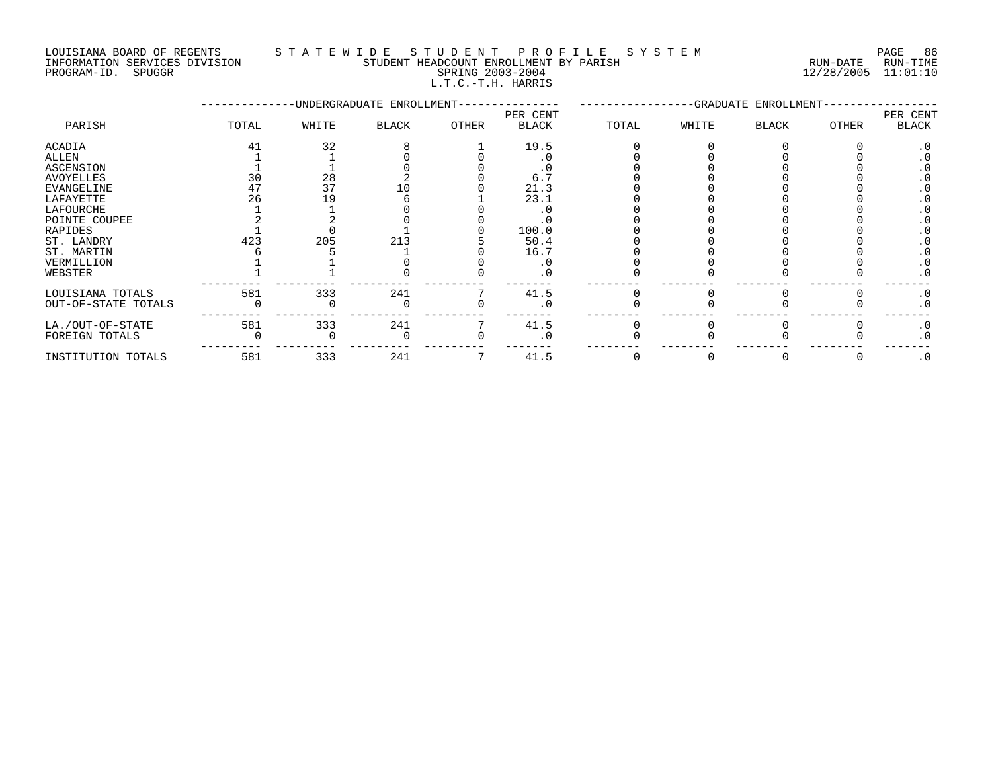LOUISIANA BOARD OF REGENTS S T A T E W I D E S T U D E N T P R O F I L E S Y S T E M PAGE 86 INFORMATION SERVICES DIVISION STUDENT HEADCOUNT ENROLLMENT BY PARISH RUN-DATE RUN-TIME PROGRAM-ID. SPUGGR SPRING 2003-2004 12/28/2005 11:01:10

L.T.C.-T.H. HARRIS

|                     |       |       | -UNDERGRADUATE ENROLLMENT- |              |                          | -GRADUATE ENROLLMENT- |       |              |       |                          |
|---------------------|-------|-------|----------------------------|--------------|--------------------------|-----------------------|-------|--------------|-------|--------------------------|
| PARISH              | TOTAL | WHITE | BLACK                      | <b>OTHER</b> | PER CENT<br><b>BLACK</b> | TOTAL                 | WHITE | <b>BLACK</b> | OTHER | PER CENT<br><b>BLACK</b> |
| ACADIA              | 41    | 32    |                            |              | 19.5                     |                       |       |              |       | . 0                      |
| ALLEN               |       |       |                            |              |                          |                       |       |              |       |                          |
| ASCENSION           |       |       |                            |              |                          |                       |       |              |       |                          |
| AVOYELLES           | 30    | 28    |                            |              | 6.                       |                       |       |              |       |                          |
| EVANGELINE          |       | 37    | 1 ೧                        |              | 21.3                     |                       |       |              |       |                          |
| LAFAYETTE           | 26    | 19    |                            |              | 23.1                     |                       |       |              |       |                          |
| LAFOURCHE           |       |       |                            |              |                          |                       |       |              |       |                          |
| POINTE COUPEE       |       |       |                            |              |                          |                       |       |              |       |                          |
| RAPIDES             |       |       |                            |              | 100.0                    |                       |       |              |       |                          |
| ST. LANDRY          | 423   | 205   | 213                        |              | 50.4                     |                       |       |              |       |                          |
| ST. MARTIN          |       |       |                            |              | 16.7                     |                       |       |              |       |                          |
| VERMILLION          |       |       |                            |              |                          |                       |       |              |       | $\cdot$ 0                |
| WEBSTER             |       |       |                            |              |                          |                       |       |              |       | $\cdot$ 0                |
| LOUISIANA TOTALS    | 581   | 333   | 241                        |              | 41.5                     |                       |       |              |       | $\cdot$ 0                |
| OUT-OF-STATE TOTALS |       |       |                            |              |                          |                       |       |              |       | . 0                      |
| LA./OUT-OF-STATE    | 581   | 333   | 241                        |              | 41.5                     |                       |       |              |       | $\cdot$ 0                |
| FOREIGN TOTALS      |       |       |                            |              |                          |                       |       |              |       | $\cdot$ 0                |
| INSTITUTION TOTALS  | 581   | 333   | 241                        |              | 41.5                     |                       |       |              |       | $\cdot$ 0                |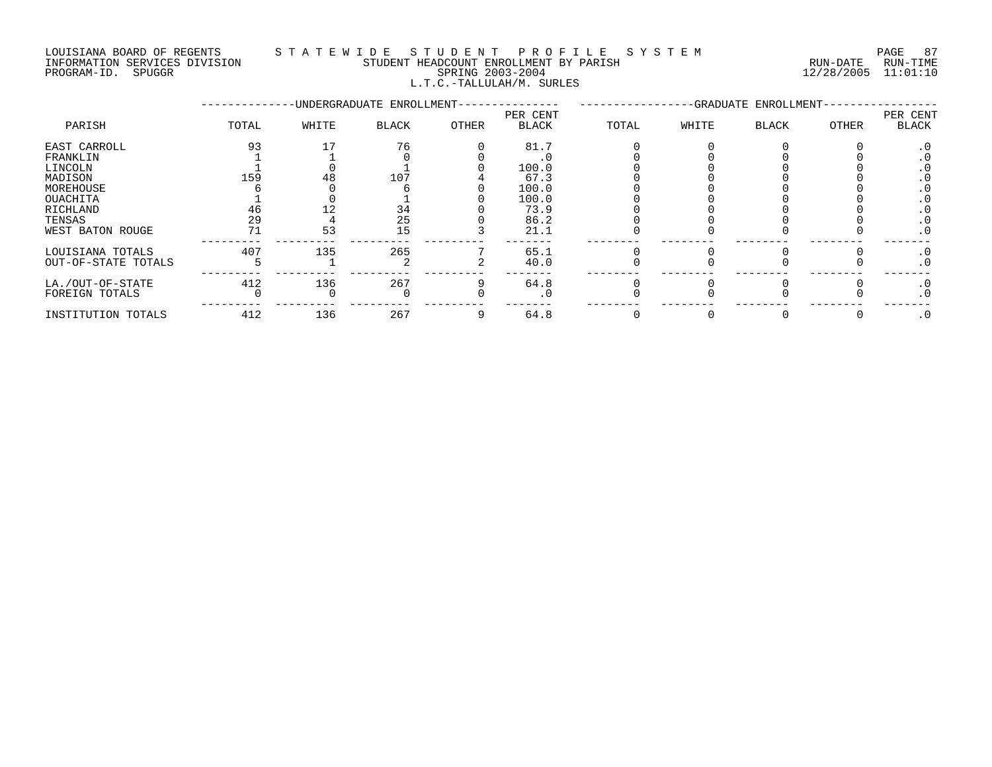#### LOUISIANA BOARD OF REGENTS S T A T E W I D E S T U D E N T P R O F I L E S Y S T E M PAGE 87 INFORMATION SERVICES DIVISION STUDENT HEADCOUNT ENROLLMENT BY PARISH RUN-DATE RUN-TIME DOUSTANA BOARD OF REGENTS<br>INFORMATION SERVICES DIVISION TRANSMITIC SERING 2003-2004 SPRING 2003-2004 12/28/2005 11:01:10 L.T.C.-TALLULAH/M. SURLES

|                     |       |       | -UNDERGRADUATE ENROLLMENT- | -GRADUATE ENROLLMENT- |                   |       |       |       |       |                   |
|---------------------|-------|-------|----------------------------|-----------------------|-------------------|-------|-------|-------|-------|-------------------|
| PARISH              | TOTAL | WHITE | BLACK                      | OTHER                 | PER CENT<br>BLACK | TOTAL | WHITE | BLACK | OTHER | PER CENT<br>BLACK |
| EAST CARROLL        | 93    |       | 76                         |                       | 81.7              |       |       |       |       |                   |
| FRANKLIN            |       |       |                            |                       |                   |       |       |       |       |                   |
| LINCOLN             |       |       |                            |                       | 100.0             |       |       |       |       |                   |
| MADISON             | 159   | 48    | 107                        |                       | 67.3              |       |       |       |       |                   |
| MOREHOUSE           |       |       |                            |                       | 100.0             |       |       |       |       |                   |
| OUACHITA            |       |       |                            |                       | 100.0             |       |       |       |       | . U               |
| RICHLAND            | 46    | 12    | 34                         |                       | 73.9              |       |       |       |       | . U               |
| TENSAS              | 29    |       | 25                         |                       | 86.2              |       |       |       |       | . 0               |
| WEST BATON ROUGE    | 71    | 53    | 15                         |                       | 21.1              |       |       |       |       | $\cdot$ 0         |
| LOUISIANA TOTALS    | 407   | 135   | 265                        |                       | 65.1              |       |       |       |       | . 0               |
| OUT-OF-STATE TOTALS |       |       |                            |                       | 40.0              |       |       |       |       | $\cdot$ 0         |
| LA./OUT-OF-STATE    | 412   | 136   | 267                        |                       | 64.8              |       |       |       |       |                   |
| FOREIGN TOTALS      |       |       |                            |                       | $\cdot$ 0         |       |       |       |       | . 0               |
| INSTITUTION TOTALS  | 412   | 136   | 267                        |                       | 64.8              |       |       |       |       | . 0               |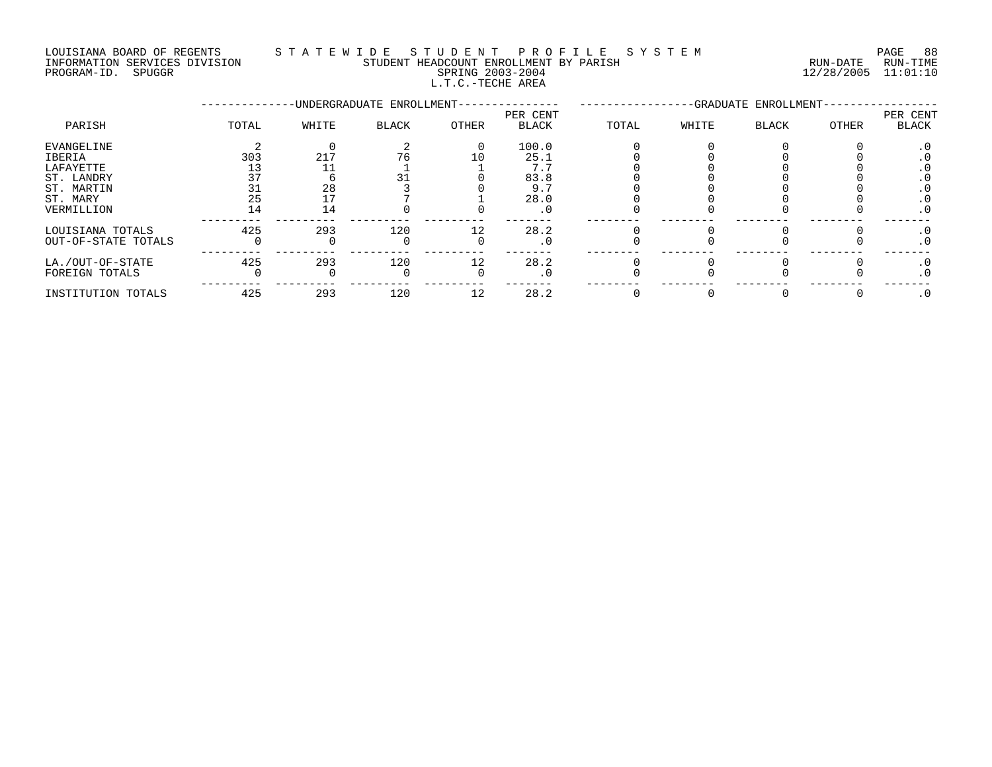#### LOUISIANA BOARD OF REGENTS S T A T E W I D E S T U D E N T P R O F I L E S Y S T E M PAGE 88 INFORMATION SERVICES DIVISION STUDENT HEADCOUNT ENROLLMENT BY PARISH RUN-DATE RUN-TIME

L.T.C.-TECHE AREA

PROGRAM-ID. SPUGGR SPRING 2003-2004 12/28/2005 11:01:10

|                     | -UNDERGRADUATE ENROLLMENT-<br>-GRADUATE ENROLLMENT-<br>PER CENT |       |              |          |              |       |       |              | PER CENT |              |
|---------------------|-----------------------------------------------------------------|-------|--------------|----------|--------------|-------|-------|--------------|----------|--------------|
| PARISH              | TOTAL                                                           | WHITE | <b>BLACK</b> | OTHER    | <b>BLACK</b> | TOTAL | WHITE | <b>BLACK</b> | OTHER    | <b>BLACK</b> |
| EVANGELINE          |                                                                 |       |              | $\Omega$ | 100.0        |       |       |              |          | . ∪          |
| IBERIA              | 303                                                             | 217   | 76           | 10       | 25.1         |       |       |              |          |              |
| LAFAYETTE           |                                                                 |       |              |          | 7.1          |       |       |              |          | . U          |
| ST. LANDRY          |                                                                 |       |              |          | 83.8         |       |       |              |          |              |
| ST. MARTIN          |                                                                 | 28    |              |          | 9.7          |       |       |              |          |              |
| ST. MARY            | 25                                                              |       |              |          | 28.0         |       |       |              |          | . U          |
| VERMILLION          | 14                                                              | 14    |              |          | . 0          |       |       |              |          | . 0          |
| LOUISIANA TOTALS    | 425                                                             | 293   | 120          | 12       | 28.2         |       |       |              |          | . 0          |
| OUT-OF-STATE TOTALS |                                                                 |       |              |          | . 0          |       |       |              |          | . 0          |
| LA./OUT-OF-STATE    | 425                                                             | 293   | 120          | 12       | 28.2         |       |       |              |          | . U          |
| FOREIGN TOTALS      |                                                                 |       |              |          | . 0          |       |       |              |          | . 0          |
| INSTITUTION TOTALS  | 425                                                             | 293   | 120          | 12       | 28.2         |       |       |              |          | . 0          |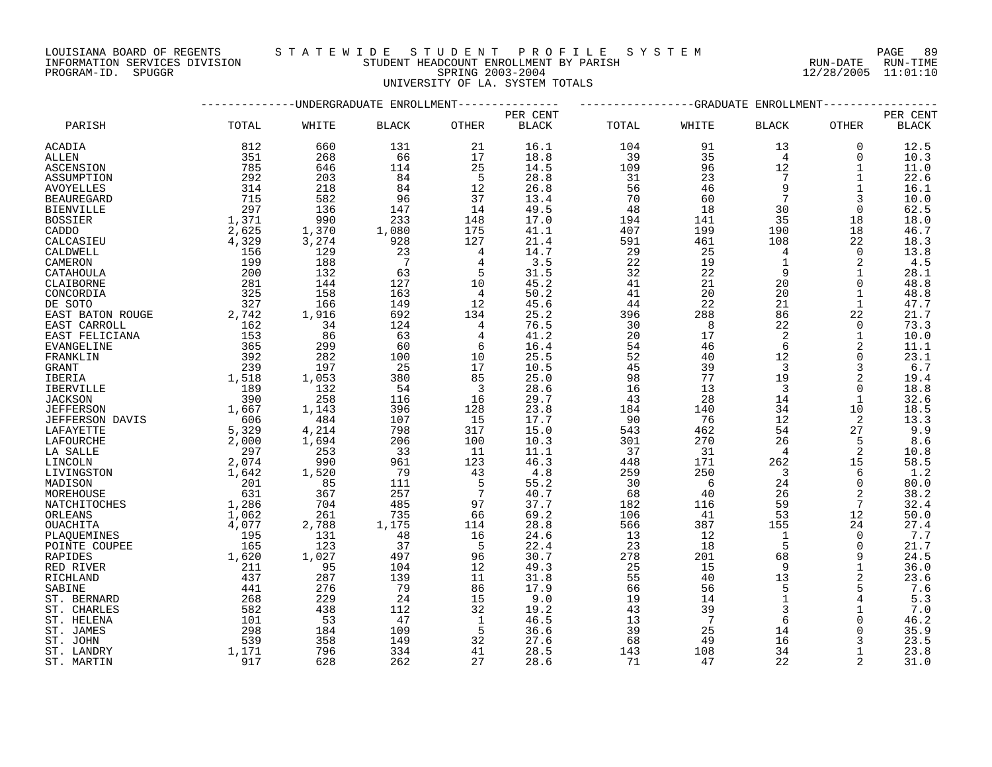### LOUISIANA BOARD OF REGENTS S T A T E W I D E S T U D E N T P R O F I L E S Y S T E M PAGE 89

UNIVERSITY OF LA. SYSTEM TOTALS

INFORMATION SERVICES DIVISION STUDENT HEADCOUNT ENROLLMENT BY PARISH RUN-DATE RUN-TIME PROGRAM-ID. SPUGGR SPRING 2003-2004 12/28/2005 11:01:10

|                          |              |            | ----------UNDERGRADUATE ENROLLMENT--------------- |                     | -GRADUATE ENROLLMENT |           |                 |                |                |              |
|--------------------------|--------------|------------|---------------------------------------------------|---------------------|----------------------|-----------|-----------------|----------------|----------------|--------------|
|                          |              |            |                                                   |                     | PER CENT             |           |                 |                |                | PER CENT     |
| PARISH                   | TOTAL        | WHITE      | <b>BLACK</b>                                      | <b>OTHER</b>        | <b>BLACK</b>         | TOTAL     | WHITE           | <b>BLACK</b>   | <b>OTHER</b>   | <b>BLACK</b> |
| ACADIA                   | 812          | 660        | 131                                               | 21                  | 16.1                 | 104       | 91              | 13             | $\Omega$       | 12.5         |
| ALLEN                    | 351          | 268        | 66                                                | 17                  | 18.8                 | 39        | 35              | $\overline{4}$ | $\Omega$       | 10.3         |
| <b>ASCENSION</b>         | 785          | 646        | 114                                               | 25                  | 14.5                 | 109       | 96              | 12             | $\mathbf{1}$   | 11.0         |
| ASSUMPTION               | 292          | 203        | 84                                                | 5                   | 28.8                 | 31        | 23              | 7              | 1              | 22.6         |
| AVOYELLES                | 314          | 218        | 84                                                | 12                  | 26.8                 | 56        | 46              | 9              | 1              | 16.1         |
| <b>BEAUREGARD</b>        | 715          | 582        | 96                                                | 37                  | 13.4                 | 70        | 60              |                | 3              | 10.0         |
| <b>BIENVILLE</b>         | 297          | 136        | 147                                               | 14                  | 49.5                 | 48        | 18              | 30             | $\Omega$       | 62.5         |
| <b>BOSSIER</b>           | 1,371        | 990        | 233                                               | 148                 | 17.0                 | 194       | 141             | 35             | 18             | 18.0         |
| CADDO                    | 2,625        | 1,370      | 1,080                                             | 175                 | 41.1                 | 407       | 199             | 190            | 18             | 46.7         |
| CALCASIEU                | 4,329        | 3,274      | 928                                               | 127                 | 21.4                 | 591       | 461             | 108            | 22             | 18.3         |
| CALDWELL                 | 156          | 129        | 23                                                | 4                   | 14.7                 | 29        | 25              | $\overline{4}$ | $\Omega$       | 13.8         |
| CAMERON                  | 199          | 188        | $7\phantom{.0}$                                   | $\overline{4}$      | 3.5                  | 22        | 19              | $\mathbf{1}$   | $\overline{2}$ | 4.5          |
| CATAHOULA                | 200          | 132        | 63                                                | 5                   | 31.5                 | 32        | 22              | 9              | 1              | 28.1         |
| CLAIBORNE                | 281          | 144        | 127                                               | 10                  | 45.2                 | 41        | 21              | 20             | $\Omega$       | 48.8         |
| CONCORDIA                | 325          | 158        | 163                                               | $\overline{4}$      | 50.2                 | 41        | 20              | 20             | $\mathbf{1}$   | 48.8         |
| DE SOTO                  | 327          | 166        | 149                                               | 12                  | 45.6                 | 44        | 22              | 21             | 1              | 47.7         |
| EAST BATON ROUGE         | 2,742        | 1,916      | 692                                               | 134                 | 25.2                 | 396       | 288             | 86             | 22             | 21.7         |
| EAST CARROLL             | 162<br>153   | 34<br>86   | 124<br>63                                         | 4<br>$\overline{4}$ | 76.5<br>41.2         | 30<br>20  | 8<br>17         | 22<br>2        | $\Omega$<br>1  | 73.3<br>10.0 |
| EAST FELICIANA           | 365          |            |                                                   |                     | 16.4                 |           |                 | 6              | 2              |              |
| <b>EVANGELINE</b>        | 392          | 299<br>282 | 60<br>100                                         | 6<br>10             | 25.5                 | 54<br>52  | 46<br>40        | 12             | $\Omega$       | 11.1<br>23.1 |
| FRANKLIN<br>GRANT        | 239          | 197        | 25                                                | 17                  | 10.5                 | 45        | 39              | 3              | 3              | 6.7          |
| <b>IBERIA</b>            | 1,518        | 1,053      | 380                                               | 85                  | 25.0                 | 98        | 77              | 19             | $\overline{2}$ | 19.4         |
| IBERVILLE                | 189          | 132        | 54                                                | 3                   | 28.6                 | 16        | 13              | 3              | $\Omega$       | 18.8         |
| <b>JACKSON</b>           | 390          | 258        | 116                                               | 16                  | 29.7                 | 43        | 28              | 14             | $\mathbf{1}$   | 32.6         |
| <b>JEFFERSON</b>         | 1,667        | 1,143      | 396                                               | 128                 | 23.8                 | 184       | 140             | 34             | 10             | 18.5         |
| JEFFERSON DAVIS          | 606          | 484        | 107                                               | 15                  | 17.7                 | 90        | 76              | 12             | 2              | 13.3         |
| LAFAYETTE                | 5,329        | 4,214      | 798                                               | 317                 | 15.0                 | 543       | 462             | 54             | 27             | 9.9          |
| LAFOURCHE                | 2,000        | 1,694      | 206                                               | 100                 | 10.3                 | 301       | 270             | 26             | 5              | 8.6          |
| LA SALLE                 | 297          | 253        | 33                                                | 11                  | 11.1                 | 37        | 31              | 4              | $\overline{2}$ | 10.8         |
| LINCOLN                  | 2,074        | 990        | 961                                               | 123                 | 46.3                 | 448       | 171             | 262            | 15             | 58.5         |
| LIVINGSTON               | 1,642        | 1,520      | 79                                                | 43                  | 4.8                  | 259       | 250             | 3              | 6              | 1.2          |
| MADISON                  | 201          | 85         | 111                                               | 5                   | 55.2                 | 30        | 6               | 24             | $\Omega$       | 80.0         |
| MOREHOUSE                | 631          | 367        | 257                                               | 7                   | 40.7                 | 68        | 40              | 26             | $\overline{a}$ | 38.2         |
| NATCHITOCHES             | 1,286        | 704        | 485                                               | 97                  | 37.7                 | 182       | 116             | 59             | 7              | 32.4         |
| ORLEANS                  | 1,062        | 261        | 735                                               | 66                  | 69.2                 | 106       | 41              | 53             | 12             | 50.0         |
| <b>OUACHITA</b>          | 4,077        | 2,788      | 1,175                                             | 114                 | 28.8                 | 566       | 387             | 155            | 24             | 27.4         |
| PLAQUEMINES              | 195          | 131        | 48                                                | 16                  | 24.6                 | 13        | 12              | $\mathbf{1}$   | $\Omega$       | 7.7          |
| POINTE COUPEE            | 165          | 123        | 37                                                | 5                   | 22.4                 | 23        | 18              | 5              | $\Omega$       | 21.7         |
| RAPIDES                  | 1,620        | 1,027      | 497                                               | 96                  | 30.7                 | 278       | 201             | 68             | 9              | 24.5         |
| RED RIVER                | 211          | 95         | 104                                               | 12                  | 49.3                 | 25        | 15              | 9              | $\mathbf{1}$   | 36.0         |
| RICHLAND                 | 437          | 287        | 139                                               | 11                  | 31.8                 | 55        | 40              | 13             | 2              | 23.6         |
| SABINE                   | 441          | 276        | 79                                                | 86                  | 17.9                 | 66        | 56              | 5              | 5              | 7.6          |
| ST. BERNARD              | 268          | 229        | 24                                                | 15                  | 9.0                  | 19        | 14              | $\mathbf{1}$   | $\overline{4}$ | 5.3          |
| ST. CHARLES              | 582          | 438        | 112                                               | 32                  | 19.2                 | 43        | 39              | 3              |                | 7.0          |
| ST. HELENA               | 101          | 53         | 47                                                | 1                   | 46.5                 | 13        | $7\phantom{.0}$ | $\epsilon$     | $\Omega$       | 46.2         |
| ST. JAMES                | 298          | 184        | 109                                               | 5                   | 36.6                 | 39        | 25              | 14             | $\Omega$       | 35.9         |
| ST. JOHN                 | 539          | 358        | 149                                               | 32                  | 27.6                 | 68        | 49              | 16             | 3<br>1         | 23.5         |
| ST. LANDRY<br>ST. MARTIN | 1,171<br>917 | 796<br>628 | 334<br>262                                        | 41<br>2.7           | 28.5<br>28.6         | 143<br>71 | 108<br>47       | 34<br>2.2.     |                | 23.8<br>31.0 |
|                          |              |            |                                                   |                     |                      |           |                 |                |                |              |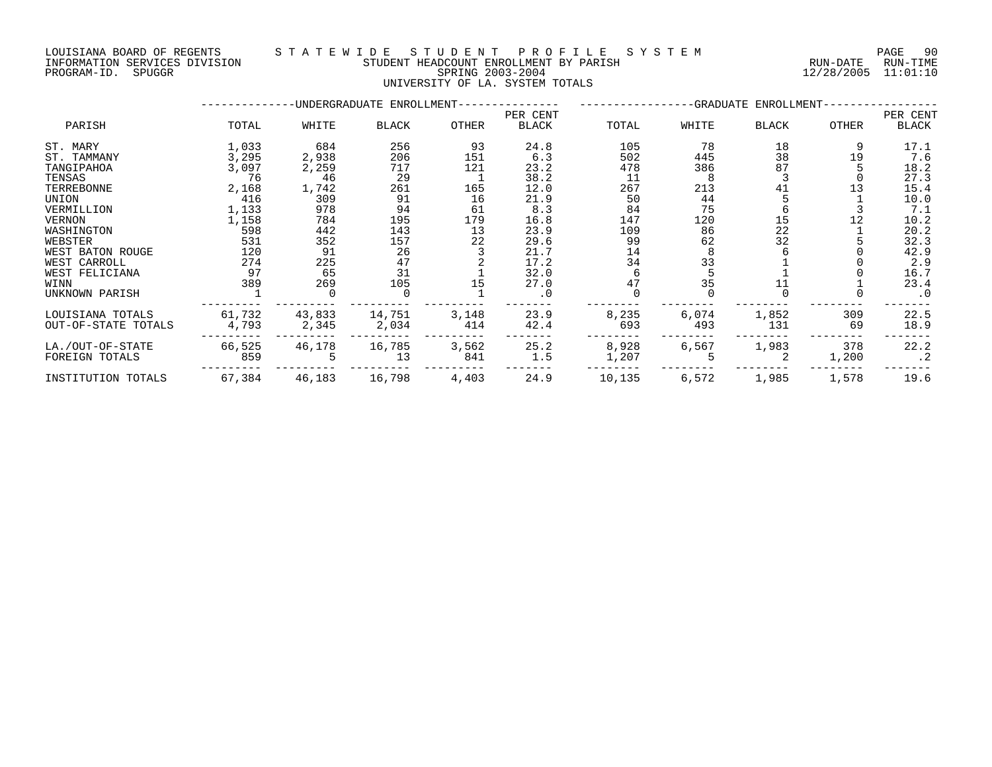PROGRAM-ID. SPUGGR SPRING 2003-2004 12/28/2005 11:01:10

#### LOUISIANA BOARD OF REGENTS S T A T E W I D E S T U D E N T P R O F I L E S Y S T E M PAGE 90 INFORMATION SERVICES DIVISION STUDENT HEADCOUNT ENROLLMENT BY PARISH RUN-DATE RUN-TIME

UNIVERSITY OF LA. SYSTEM TOTALS

|                     |        |        | -UNDERGRADUATE ENROLLMENT- |       |           | -GRADUATE<br>ENROLLMENT- |       |       |       |           |  |
|---------------------|--------|--------|----------------------------|-------|-----------|--------------------------|-------|-------|-------|-----------|--|
|                     |        |        |                            |       | PER CENT  |                          |       |       |       | PER CENT  |  |
| PARISH              | TOTAL  | WHITE  | <b>BLACK</b>               | OTHER | BLACK     | TOTAL                    | WHITE | BLACK | OTHER | BLACK     |  |
| ST. MARY            | 1,033  | 684    | 256                        | 93    | 24.8      | 105                      | 78    | 18    | 9     | 17.1      |  |
| ST. TAMMANY         | 3,295  | 2,938  | 206                        | 151   | 6.3       | 502                      | 445   | 38    | 19    | 7.6       |  |
| TANGIPAHOA          | 3,097  | 2,259  | 717                        | 121   | 23.2      | 478                      | 386   | 87    |       | 18.2      |  |
| TENSAS              | 76     | 46     | 29                         |       | 38.2      | 11                       |       |       |       | 27.3      |  |
| TERREBONNE          | 2,168  | 1,742  | 261                        | 165   | 12.0      | 267                      | 213   | 41    | 13    | 15.4      |  |
| UNION               | 416    | 309    | 91                         | 16    | 21.9      | 50                       | 44    |       |       | 10.0      |  |
| VERMILLION          | 1,133  | 978    | 94                         | 61    | 8.3       | 84                       | 75    |       |       | 7.1       |  |
| VERNON              | 1,158  | 784    | 195                        | 179   | 16.8      | 147                      | 120   | 15    |       | 10.2      |  |
| WASHINGTON          | 598    | 442    | 143                        | 13    | 23.9      | 109                      | 86    | 22    |       | 20.2      |  |
| WEBSTER             | 531    | 352    | 157                        | 22    | 29.6      | 99                       | 62    | 32    |       | 32.3      |  |
| WEST BATON ROUGE    | 120    | 91     | 26                         |       | 21.7      | 14                       |       |       |       | 42.9      |  |
| WEST CARROLL        | 274    | 225    | 47                         |       | 17.2      | 34                       | 33    |       |       | 2.9       |  |
| WEST FELICIANA      | 97     | 65     | 31                         |       | 32.0      |                          |       |       |       | 16.7      |  |
| WINN                | 389    | 269    | 105                        | 15    | 27.0      | 47                       | 35    |       |       | 23.4      |  |
| UNKNOWN PARISH      |        |        |                            |       | $\cdot$ 0 |                          |       |       |       | $\cdot$ 0 |  |
| LOUISIANA TOTALS    | 61,732 | 43,833 | 14,751                     | 3,148 | 23.9      | 8,235                    | 6,074 | 1,852 | 309   | 22.5      |  |
| OUT-OF-STATE TOTALS | 4,793  | 2,345  | 2,034                      | 414   | 42.4      | 693                      | 493   | 131   | 69    | 18.9      |  |
| LA./OUT-OF-STATE    | 66,525 | 46,178 | 16,785                     | 3,562 | 25.2      | 8,928                    | 6,567 | 1,983 | 378   | 22.2      |  |
| FOREIGN TOTALS      | 859    |        | 13                         | 841   | 1.5       | 1,207                    |       |       | 1,200 | . 2       |  |
| INSTITUTION TOTALS  | 67,384 | 46,183 | 16,798                     | 4,403 | 24.9      | 10,135                   | 6,572 | 1,985 | 1,578 | 19.6      |  |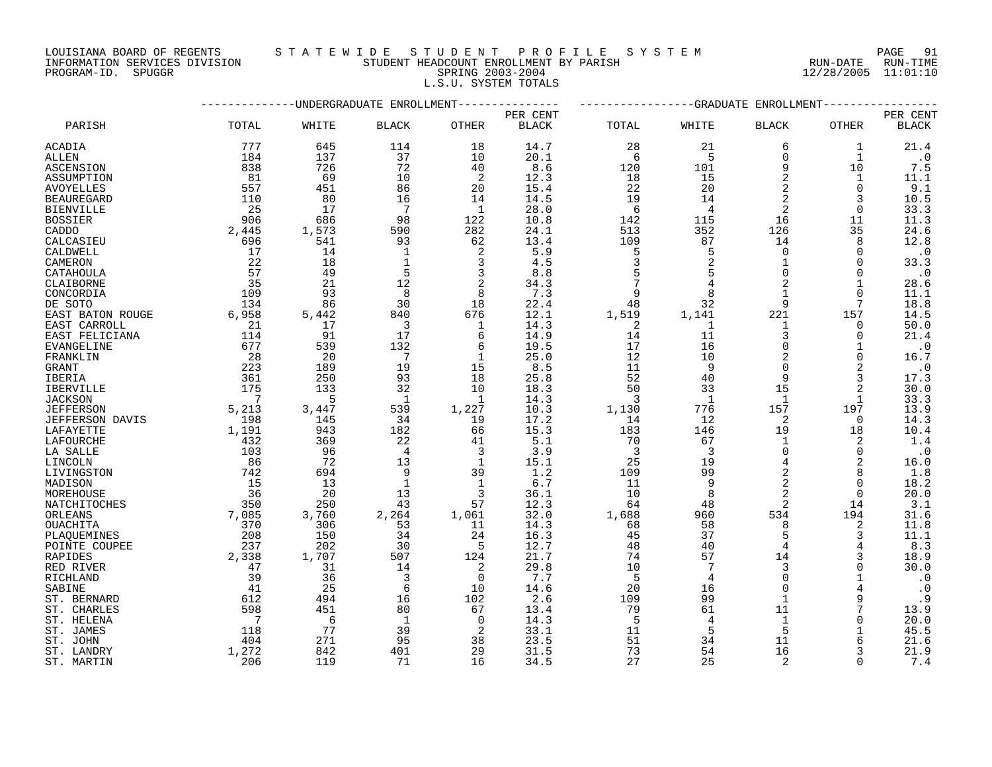## LOUISIANA BOARD OF REGENTS S T A T E W I D E S T U D E N T P R O F I L E S Y S T E M PAGE 91

INFORMATION SERVICES DIVISION STUDENT HEADCOUNT ENROLLMENT BY PARISH RUN-DATE RUN-TIME PROGRAM-ID. SPUGGR SPRING 2003-2004 12/28/2005 11:01:10 L.S.U. SYSTEM TOTALS

|                        |                | ---------UNDERGRADUATE ENROLLMENT- |                 |              |              |                 |                | -GRADUATE ENROLLMENT |              |              |
|------------------------|----------------|------------------------------------|-----------------|--------------|--------------|-----------------|----------------|----------------------|--------------|--------------|
|                        |                |                                    |                 |              | PER CENT     |                 |                |                      |              | PER CENT     |
| PARISH                 | TOTAL          | WHITE                              | <b>BLACK</b>    | <b>OTHER</b> | <b>BLACK</b> | TOTAL           | WHITE          | <b>BLACK</b>         | OTHER        | <b>BLACK</b> |
| ACADIA                 | 777            | 645                                | 114             | 18           | 14.7         | 28              | 21             | 6                    | 1            | 21.4         |
| ALLEN                  | 184            | 137                                | 37              | 10           | 20.1         | 6               | -5             | $\Omega$             | $\mathbf{1}$ | $\cdot$ 0    |
| ASCENSION              | 838            | 726                                | 72              | 40           | 8.6          | 120             | 101            | 9                    | 10           | 7.5          |
| ASSUMPTION             | 81             | 69                                 | 10              | 2            | 12.3         | 18              | 15             | 2                    | 1            | 11.1         |
| <b>AVOYELLES</b>       | 557            | 451                                | 86              | 20           | 15.4         | 22              | 20             | $\overline{2}$       | $\Omega$     | 9.1          |
| <b>BEAUREGARD</b>      | 110            | 80                                 | 16              | 14           | 14.5         | 19              | 14             |                      | 3            | 10.5         |
| <b>BIENVILLE</b>       | - 25           | 17                                 | 7               | -1           | 28.0         | 6               | $\overline{4}$ | 2                    | 0            | 33.3         |
| <b>BOSSIER</b>         | 906            | 686                                | 98              | 122          | 10.8         | 142             | 115            | 16                   | 11           | 11.3         |
| CADDO                  | 2,445          | 1,573                              | 590             | 282          | 24.1         | 513             | 352            | 126                  | 35           | 24.6         |
| CALCASIEU              | 696            | 541                                | 93              | 62           | 13.4         | 109             | 87             | 14                   | 8            | 12.8         |
| CALDWELL               | 17             | 14                                 | $\mathbf{1}$    | 2            | 5.9          | 5               | 5              | $\Omega$             | $\Omega$     | $\cdot$ 0    |
| CAMERON                | 22             | 18                                 | $\mathbf{1}$    | 3            | 4.5          | 3               | $\overline{2}$ |                      | $\Omega$     | 33.3         |
| CATAHOULA              | 57             | 49                                 | 5               | 3            | 8.8          | 5               |                | $\Omega$             | $\Omega$     | $\cdot$ 0    |
| CLAIBORNE              | 35             | 21                                 | 12              | 2            | 34.3         | $7\phantom{.0}$ |                |                      |              | 28.6         |
| CONCORDIA              | 109            | 93                                 | 8               | 8            | 7.3          | 9               | 8              |                      | $\Omega$     | 11.1         |
| DE SOTO                | 134            | 86                                 | 30              | 18           | 22.4         | 48              | 32             | 9                    | 7            | 18.8         |
| EAST BATON ROUGE       | 6,958          | 5,442                              | 840             | 676          | 12.1         | 1,519           | 1,141          | 221                  | 157          | 14.5         |
| EAST CARROLL           | 21             | 17                                 | 3               | 1            | 14.3         | 2               | $\mathbf{1}$   | $\mathbf{1}$         | $\mathbf 0$  | 50.0         |
| EAST FELICIANA         | 114            | 91                                 | 17              | 6            | 14.9         | 14              | 11             | 3                    | $\Omega$     | 21.4         |
| EVANGELINE             | 677            | 539                                | 132             | 6            | 19.5         | 17              | 16             | $\Omega$             | 1            | $\cdot$ 0    |
| FRANKLIN               | 28             | 20                                 | $7\phantom{.0}$ | $\mathbf{1}$ | 25.0         | 12              | 10             | $\overline{2}$       | $\Omega$     | 16.7         |
| <b>GRANT</b>           | 223            | 189                                | 19              | 15           | 8.5          | 11              | 9              | $\Omega$             | 2            | $\cdot$ 0    |
| IBERIA                 | 361            | 250                                | 93              | 18           | 25.8         | 52              | 40             | 9                    | 3            | 17.3         |
| <b>IBERVILLE</b>       | 175            | 133                                | 32              | 10           | 18.3         | 50              | 33             | 15                   | 2            | 30.0         |
| <b>JACKSON</b>         | $\overline{7}$ | 5                                  | $\overline{1}$  | -1           | 14.3         | 3               | $\mathbf{1}$   | 1                    | $\mathbf{1}$ | 33.3         |
| <b>JEFFERSON</b>       | 5,213          | 3,447                              | 539             | 1,227        | 10.3         | 1,130           | 776            | 157                  | 197          | 13.9         |
| <b>JEFFERSON DAVIS</b> | 198            | 145                                | 34              | 19           | 17.2         | 14              | 12             | 2                    | $\Omega$     | 14.3         |
| LAFAYETTE              | 1,191          | 943                                | 182             | 66           | 15.3         | 183             | 146            | 19                   | 18           | 10.4         |
| LAFOURCHE              | 432            | 369                                | 22              | 41           | 5.1          | 70              | 67             | 1                    | 2            | 1.4          |
| LA SALLE               | 103            | 96                                 | $\overline{4}$  | 3            | 3.9          | $\overline{3}$  | 3              | $\Omega$             | $\Omega$     | $\ddotsc 0$  |
| LINCOLN                | 86             | 72                                 | 13              | $\mathbf{1}$ | 15.1         | 25              | 19             | $\overline{4}$       | 2            | 16.0         |
| LIVINGSTON             | 742            | 694                                | 9               | 39           | 1.2          | 109             | 99             | $\overline{2}$       | 8            | 1.8          |
| MADISON                | 15             | 13                                 | $\mathbf{1}$    | $\mathbf{1}$ | 6.7          | 11              | 9              | $\overline{2}$       | $\Omega$     | 18.2         |
| MOREHOUSE              | 36             | 20                                 | 13              | 3            | 36.1         | 10              | 8              | $\overline{a}$       | $\Omega$     | 20.0         |
| NATCHITOCHES           | 350            | 250                                | 43              | 57           | 12.3         | 64              | 48             | 2                    | 14           | 3.1          |
| ORLEANS                | 7,085          | 3,760                              | 2,264           | 1,061        | 32.0         | 1,688           | 960            | 534                  | 194          | 31.6         |
| OUACHITA               | 370            | 306                                | 53              | 11           | 14.3         | 68              | 58             | 8                    | 2            | 11.8         |
| PLAQUEMINES            | 208            | 150                                | 34              | 24           | 16.3         | 45              | 37             | 5                    | 3            | 11.1         |
| POINTE COUPEE          | 237            | 202                                | 30              | 5            | 12.7         | 48              | 40             | 4                    | 4            | 8.3          |
| <b>RAPIDES</b>         | 2,338          | 1,707                              | 507             | 124          | 21.7         | 74              | 57             | 14                   | 3            | 18.9         |
| RED RIVER              | 47             | 31                                 | 14              | 2            | 29.8         | 10              | 7              | 3                    | $\Omega$     | 30.0         |
| RICHLAND               | 39             | 36                                 | 3               | $\Omega$     | 7.7          | 5               | 4              | $\Omega$             |              | $\cdot$ 0    |
| SABINE                 | 41             | 25                                 | 6               | 10           | 14.6         | 20              | 16             | $\Omega$             |              | $\cdot$ 0    |
| ST. BERNARD            | 612            | 494                                | 16              | 102          | 2.6          | 109             | 99             | $\mathbf{1}$         | 9            | .9           |
| ST. CHARLES            | 598            | 451                                | 80              | 67           | 13.4         | 79              | 61             | 11                   |              | 13.9         |
| ST. HELENA             | $\overline{7}$ | 6                                  | 1               | $\Omega$     | 14.3         | 5               | 4              | $\mathbf{1}$         | $\Omega$     | 20.0         |
| ST. JAMES              | 118            | 77                                 | 39              | 2            | 33.1         | 11              | 5              | 5                    |              | 45.5         |
| ST. JOHN               | 404            | 271                                | 95              | 38           | 23.5         | 51              | 34             | 11                   | 6            | 21.6         |
| ST. LANDRY             | 1,272          | 842                                | 401             | 29           | 31.5         | 73              | 54             | 16                   | 3            | 21.9         |
| ST. MARTIN             | 206            | 119                                | 71              | 16           | 34.5         | 27              | 25             | $\overline{a}$       | $\Omega$     | 7.4          |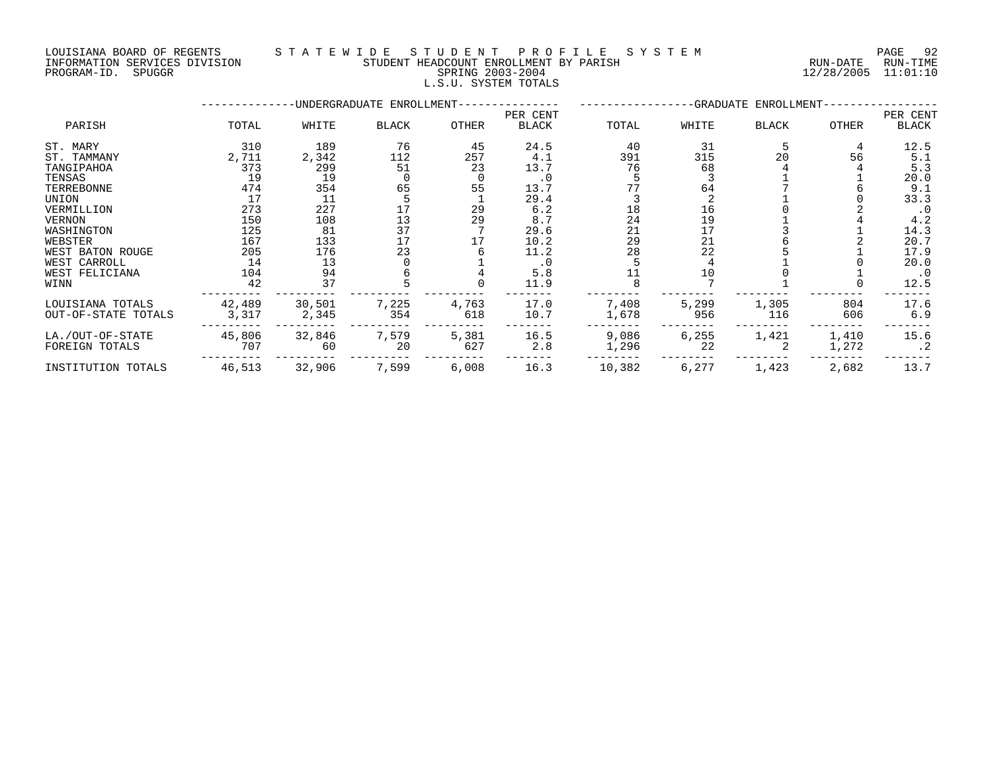#### LOUISIANA BOARD OF REGENTS STATEWIDE STUDENT PROFILE SYSTEM NAGE 92 INFORMATION SERVICES DIVISION STUDENT HEADCOUNT ENROLLMENT BY PARISH RUN-DATE RUN-TIME

| PROGRAM-ID.<br>SPUGGR    |       |        |                            | SPRING 2003-2004<br>L.S.U. SYSTEM TOTALS |              |       |       |                       | 12/28/2005 | 11:01:10      |  |
|--------------------------|-------|--------|----------------------------|------------------------------------------|--------------|-------|-------|-----------------------|------------|---------------|--|
|                          |       |        | -UNDERGRADUATE ENROLLMENT- |                                          |              |       |       | -GRADUATE ENROLLMENT- |            |               |  |
|                          |       |        |                            |                                          |              |       |       |                       | PER CENT   |               |  |
| PARISH                   | TOTAL | WHITE  | BLACK                      | OTHER                                    | <b>BLACK</b> | TOTAL | WHITE | <b>BLACK</b>          | OTHER      | BLACK         |  |
| ST. MARY                 | 310   | 189    | 76                         | 45                                       | 24.5         | 40    | 31    |                       |            | 12.5          |  |
| ST. TAMMANY              | 2,711 | 2,342  | 112                        | 257                                      | 4.1          | 391   | 315   | 20                    | 56         | 5.1           |  |
| TANGIPAHOA               | 373   | 299    |                            | 23                                       | 13.7         |       | 68    |                       |            | 5.3           |  |
| TENSAS                   | 19    | 19     |                            |                                          | . 0          |       |       |                       |            | 20.0          |  |
| TERREBONNE               | 474   | 354    | 65                         | 55                                       | 13.7         |       | 64    |                       |            | 9.1           |  |
| UNION                    |       |        |                            |                                          | 29.4         |       |       |                       |            | 33.3          |  |
| VERMILLION               | 273   | 227    |                            | 29                                       | 6.2          | 18    | 16    |                       |            |               |  |
| VERNON                   | 150   | 108    |                            | 29                                       | 8.7          | 24    | 19    |                       |            | 4.2           |  |
| WASHINGTON               | 125   | 81     |                            |                                          | 29.6         | 21    |       |                       |            | 14.3          |  |
| WEBSTER                  | 167   | 133    |                            |                                          | 10.2         | 29    | 21    |                       |            | 20.7          |  |
| WEST BATON ROUGE         | 205   | 176    |                            |                                          | 11.2         | 28    | 22    |                       |            | 17.9          |  |
| $5.7705$ $0.75007$ $7.7$ |       | $\sim$ |                            |                                          |              |       |       |                       |            | $\cap$ $\cap$ |  |

| .              | .      | ---    | ັ    | --    | _ _ . <i>.</i>         |       | ັ     |      |
|----------------|--------|--------|------|-------|------------------------|-------|-------|------|
|                |        |        |      |       | 29.4                   |       |       |      |
| <b>LON</b>     | 273    | 227    |      | 29    | 6.Z                    |       |       |      |
|                | 150    | 108    |      | 29    |                        |       |       |      |
| ron            | 125    | 81     |      |       | 29.6                   |       |       |      |
|                | ⊥67    |        |      |       | $\overline{10}$<br>. 4 | 29    |       |      |
| TON ROUGE      | 205    | ⊥76    |      |       |                        | 28    | 44    |      |
| RROLL          |        |        |      |       |                        |       |       |      |
| <b>LICIANA</b> | L O 4  |        |      |       |                        |       |       |      |
|                | 42     |        |      |       |                        |       |       |      |
|                |        |        |      |       |                        |       |       |      |
| JA TOTALS      | 42.489 | 30.501 | .225 | 4.763 |                        | 1.408 | 5.299 | .305 |

| WEST CARROLL        |        |        |       |       |      |        |       |       |       | 20.0 |
|---------------------|--------|--------|-------|-------|------|--------|-------|-------|-------|------|
| WEST FELICIANA      | 104    |        |       |       |      |        |       |       |       |      |
| WINN                |        |        |       |       | 11.9 |        |       |       |       | 12.5 |
| LOUISIANA TOTALS    | 42,489 | 30,501 | 7,225 | 4,763 | 17.0 | 7,408  | 5,299 | 1,305 | 804   | 17.6 |
| OUT-OF-STATE TOTALS | 3,317  | 2,345  | 354   | 618   | 10.7 | 1,678  | 956   | 116   | 606   | 6.9  |
| LA./OUT-OF-STATE    | 45,806 | 32,846 | 7,579 | 5,381 | 16.5 | 9,086  | 6,255 | 1,421 | 1,410 | 15.6 |
| FOREIGN TOTALS      | 707    | 60     | 20    | 627   | 2.8  | 1,296  |       |       | 1,272 |      |
| INSTITUTION TOTALS  | 46,513 | 32,906 | 7,599 | 6,008 | 16.3 | 10,382 |       | 1,423 | 2,682 |      |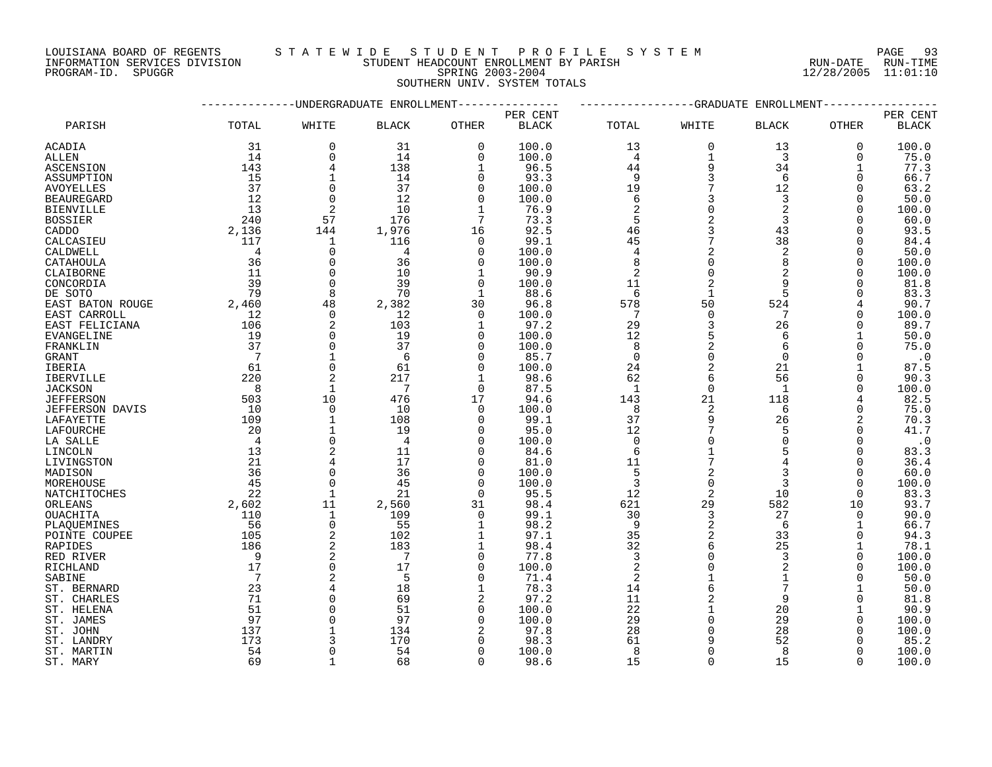LOUISIANA BOARD OF REGENTS S T A T E W I D E S T U D E N T P R O F I L E S Y S T E M PAGE 93

### INFORMATION SERVICES DIVISION STUDENT HEADCOUNT ENROLLMENT BY PARISH RUN-DATE RUN-TIME PROGRAM-ID. SPUGGR SPRING 2003-2004 12/28/2005 11:01:10

# SOUTHERN UNIV. SYSTEM TOTALS

|                     |                 |                | -UNDERGRADUATE ENROLLMENT |               |               |                | -GRADUATE      | ENROLLMENT     |              |                |
|---------------------|-----------------|----------------|---------------------------|---------------|---------------|----------------|----------------|----------------|--------------|----------------|
|                     |                 |                |                           |               | PER CENT      |                |                |                |              | PER CENT       |
| PARISH              | TOTAL           | WHITE          | <b>BLACK</b>              | <b>OTHER</b>  | <b>BLACK</b>  | TOTAL          | WHITE          | <b>BLACK</b>   | <b>OTHER</b> | <b>BLACK</b>   |
| ACADIA              | 31              | 0              | 31                        | 0             | 100.0         | 13             | 0              | 13             | 0            | 100.0          |
| ALLEN               | 14              | 0              | 14                        | $\mathbf 0$   | 100.0         | 4              | $\mathbf{1}$   | 3              | $\Omega$     | 75.0           |
| ASCENSION           | 143             | 4              | 138                       | 1             | 96.5          | 44             | 9              | 34             | -1           | 77.3           |
| ASSUMPTION          | 15              | $\mathbf{1}$   | 14                        | $\Omega$      | 93.3          | 9              | 3              | 6              | $\Omega$     | 66.7           |
| AVOYELLES           | 37              | 0              | 37                        | 0             | 100.0         | 19             | 7              | 12             | O            | 63.2           |
| <b>BEAUREGARD</b>   | 12              | 0              | 12                        | $\Omega$      | 100.0         | 6              | 3              | 3              | O            | 50.0           |
| BIENVILLE           | 13              | 2              | 10                        | 1             | 76.9          | 2              | $\Omega$       | $\overline{2}$ | O            | 100.0          |
| BOSSIER             | 240             | 57             | 176                       | 7             | 73.3          | 5              |                | 3              | $\Omega$     | 60.0           |
| CADDO               | 2,136           | 144            | 1,976                     | 16            | 92.5          | 46             | 3              | 43             | 0            | 93.5           |
| CALCASIEU           | 117             | 1              | 116                       | 0             | 99.1          | 45             | 7              | 38             | O            | 84.4           |
| CALDWELL            | $\overline{4}$  | $\Omega$       | 4                         | $\Omega$      | 100.0         | $\overline{4}$ | 2              | $\overline{2}$ | $\Omega$     | 50.0           |
| CATAHOULA           | 36              | 0              | 36                        | 0             | 100.0         | 8              | $\mathbf 0$    | 8              | 0            | 100.0          |
| CLAIBORNE           | 11              | 0              | 10                        | 1             | 90.9          | $\overline{2}$ |                | 2              | $\Omega$     | 100.0          |
| CONCORDIA           | 39              | $\mathbf 0$    | 39                        | 0             | 100.0         | 11             | 2              | 9              | O            | 81.8           |
| DE SOTO             | 79              | 8              | 70                        | 1             | 88.6          | 6              | $\mathbf{1}$   | 5              | $\Omega$     | 83.3           |
| EAST BATON ROUGE    | 2,460           | 48             | 2,382                     | 30            | 96.8          | 578            | 50             | 524            | 4            | 90.7           |
| EAST CARROLL        | 12              | $\mathbf 0$    | 12                        | $\mathbf 0$   | 100.0         | 7              | $\mathbf 0$    | 7              | $\Omega$     | 100.0          |
| EAST FELICIANA      | 106             | $\overline{2}$ | 103                       | 1             | 97.2          | 29             | 3              | 26             | O            | 89.7           |
| EVANGELINE          | 19              | 0              | 19                        | 0             | 100.0         | 12             | 5              | 6              |              | 50.0           |
| FRANKLIN            | 37              | $\Omega$       | 37                        | $\Omega$      | 100.0         | 8              | 2              | 6              | $\Omega$     | 75.0           |
| GRANT               | -7              | 1              | 6                         | 0             | 85.7          | $\mathbf 0$    | $\mathbf 0$    | $\mathbf 0$    | 0            | $\cdot$ 0      |
| IBERIA              | 61              | $\mathbf 0$    | 61                        | 0             | 100.0         | 24             | 2              | 21             |              | 87.5           |
| <b>IBERVILLE</b>    | 220             | 2              | 217                       |               | 98.6          | 62             | 6              | 56             | $\Omega$     | 90.3           |
| JACKSON             | 8               | $\mathbf{1}$   | 7                         | $\Omega$      | 87.5          | 1              | $\mathbf 0$    | 1              | $\Omega$     | 100.0          |
| <b>JEFFERSON</b>    | 503             | 10             | 476                       | 17            | 94.6          | 143            | 21             | 118            | 4            | 82.5           |
| JEFFERSON DAVIS     | 10              | 0              | 10                        | $\mathbf 0$   | 100.0         | 8              | 2              | 6              | $\Omega$     | 75.0           |
| LAFAYETTE           | 109             | $\mathbf{1}$   | 108                       | $\Omega$      | 99.1          | 37             | 9              | 26             | 2            | 70.3           |
| LAFOURCHE           | 20              | 1              | 19                        | $\Omega$      | 95.0          | 12             | 7              | 5              | O            | 41.7           |
| LA SALLE            | 4               | 0              | $\overline{4}$            | $\Omega$      | 100.0         | 0              | $\Omega$       | 0              | $\Omega$     | $\cdot$ 0      |
| LINCOLN             | 13              | 2              | 11                        | $\Omega$      | 84.6          | 6              |                | 5              | $\Omega$     | 83.3           |
| LIVINGSTON          | 21              | 4              | 17                        | 0             | 81.0          | 11             | 7              | 4              | $\Omega$     | 36.4           |
| MADISON             | 36              | 0              | 36                        | $\Omega$      | 100.0         | 5              | 2              | 3              | $\Omega$     | 60.0           |
| MOREHOUSE           | 45              | $\Omega$       | 45                        | $\Omega$      | 100.0         | 3              | $\mathbf 0$    | 3              | $\Omega$     | 100.0          |
| NATCHITOCHES        | 22              | $\mathbf{1}$   | 21                        | $\Omega$      | 95.5          | 12             | 2              | 10             | $\Omega$     | 83.3           |
|                     | 2,602           | 11             | 2,560                     | 31            | 98.4          | 621            | 29             | 582            | 10           | 93.7           |
| ORLEANS<br>OUACHITA | 110             | 1              | 109                       | 0             | 99.1          | 30             | 3              | 27             | $\Omega$     | 90.0           |
| PLAQUEMINES         | 56              | 0              | 55                        | 1             | 98.2          | 9              | $\overline{2}$ | 6              | 1            | 66.7           |
| POINTE COUPEE       | 105             | 2              | 102                       |               | 97.1          | 35             | 2              | 33             | $\Omega$     | 94.3           |
| RAPIDES             | 186             | 2              | 183                       | 1             | 98.4          | 32             | 6              | 25             | 1            | 78.1           |
| RED RIVER           | 9               | 2              | 7                         | 0             | 77.8          | 3              | $\Omega$       | 3              | $\Omega$     | 100.0          |
| RICHLAND            | 17              | $\mathbf 0$    | 17                        | $\Omega$      | 100.0         | 2              |                | 2              | $\Omega$     | 100.0          |
| SABINE              | $7\phantom{.0}$ | 2              | 5                         | $\Omega$      | 71.4          | 2              |                | 1              | $\Omega$     | 50.0           |
| ST. BERNARD         | 23              | 4              | 18                        | $\mathbf{1}$  | 78.3          | 14             | 6              |                |              | 50.0           |
|                     | 71              | 0              | 69                        | 2             | 97.2          | 11             | 2              | 9              | 0            | 81.8           |
| ST. CHARLES         |                 |                |                           |               |               |                |                |                |              |                |
| ST. HELENA          | 51<br>97        | 0<br>0         | 51<br>97                  | 0<br>$\Omega$ | 100.0         | 22<br>29       | $\Omega$       | 20<br>29       | 0            | 90.9           |
| ST. JAMES           | 137             | $\mathbf{1}$   | 134                       | 2             | 100.0<br>97.8 | 28             | $\Omega$       | 28             | U            | 100.0<br>100.0 |
| ST. JOHN            |                 | ζ              | 170                       | O             | 98.3          | 61             | 9              | 52             | U            |                |
| ST. LANDRY          | 173             | 0              | 54                        |               |               |                | $\Omega$       |                | O            | 85.2           |
| ST. MARTIN          | 54<br>69        | $\mathbf{1}$   | 68                        | 0<br>$\Omega$ | 100.0         | 8<br>15        | $\Omega$       | 8<br>15        | $\Omega$     | 100.0          |
| ST. MARY            |                 |                |                           |               | 98.6          |                |                |                |              | 100.0          |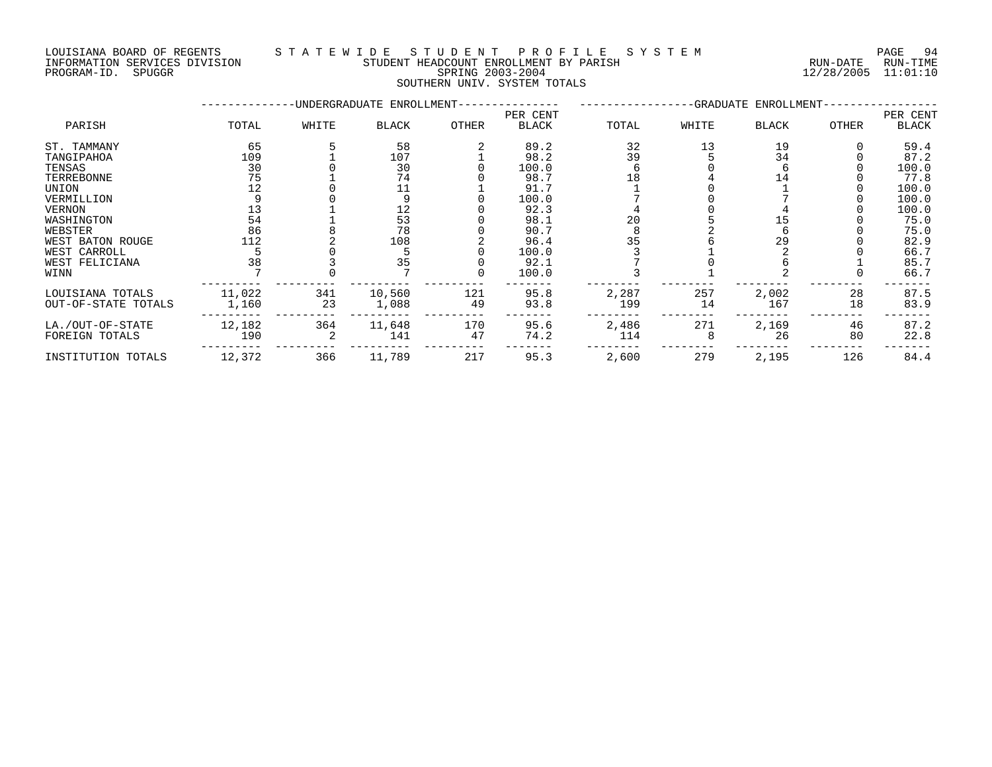INFORMATION SERVICES DIVISION STUDENT HEADCOUNT ENROLLMENT BY PARISH RUN-DATE RUN-TIME PROGRAM-ID. SPUGGR SPRING 2003-2004 12/28/2005 11:01:10

## LOUISIANA BOARD OF REGENTS STA TEWIDE STUDENT PROFILE SYSTEM PAGE 94

SOUTHERN UNIV. SYSTEM TOTALS

| PER CENT |
|----------|
| BLACK    |
| 59.4     |
| 87.2     |
| 100.0    |
| 77.8     |
| 100.0    |
| 100.0    |
| 100.0    |
| 75.0     |
| 75.0     |
| 82.9     |
| 66.7     |
| 85.7     |
| 66.7     |
| 87.5     |
| 83.9     |
| 87.2     |
| 22.8     |
| 84.4     |
|          |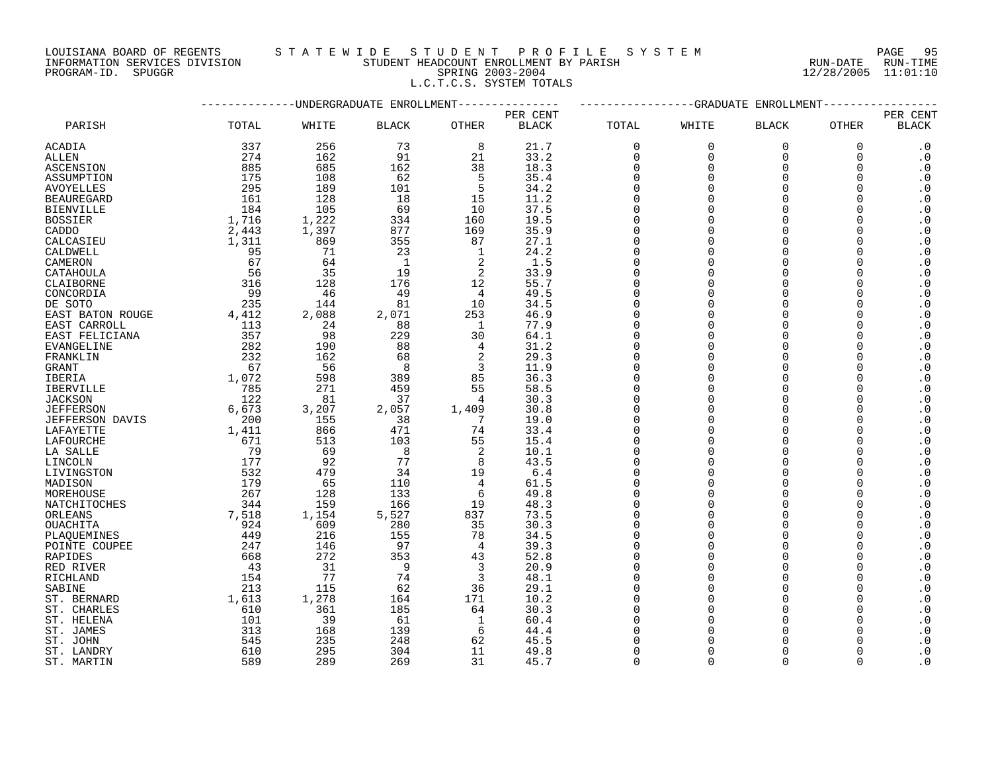#### LOUISIANA BOARD OF REGENTS S T A T E W I D E S T U D E N T P R O F I L E S Y S T E M PAGE 95 INFORMATION SERVICES DIVISION STUDENT HEADCOUNT ENROLLMENT BY PARISH RUN-DATE RUN-TIME PROGRAM-ID. SPUGGR SPRING 2003-2004 12/28/2005 11:01:10 L.C.T.C.S. SYSTEM TOTALS

| PER CENT<br>PER CENT<br>PARISH<br>TOTAL<br>WHITE<br><b>BLACK</b><br><b>OTHER</b><br><b>BLACK</b><br>TOTAL<br>WHITE<br><b>BLACK</b><br><b>OTHER</b><br><b>BLACK</b><br>337<br>256<br>ACADIA<br>73<br>8<br>21.7<br>0<br>0<br>0<br>0<br>$\cdot$ 0<br>274<br>91<br>$\cdot$ 0<br>162<br>21<br>33.2<br>0<br>$\Omega$<br>$\Omega$<br>ALLEN<br>$\Omega$<br>885<br>685<br>162<br>38<br>$\boldsymbol{\cdot}$ 0<br><b>ASCENSION</b><br>18.3<br>$\Omega$<br>$\Omega$<br>$\Omega$<br>∩<br>175<br>5<br>$\cdot$ 0<br>108<br>62<br>35.4<br>$\Omega$<br>$\Omega$<br>ASSUMPTION<br>295<br>189<br>101<br>5<br>34.2<br>$\Omega$<br>$\Omega$<br>$\boldsymbol{\cdot}$ 0<br>AVOYELLES<br>∩<br>$\boldsymbol{\cdot}$ 0<br>161<br>128<br>18<br>11.2<br><b>BEAUREGARD</b><br>15<br>∩<br>∩<br>184<br>105<br>37.5<br>$\cdot$ 0<br><b>BIENVILLE</b><br>69<br>10<br>$\Omega$<br>$\Omega$<br>1,716<br>19.5<br>$\cdot$ 0<br><b>BOSSIER</b><br>1,222<br>334<br>160<br>$\Omega$<br>$\Omega$<br>∩<br>2,443<br>1,397<br>877<br>169<br>35.9<br>$\boldsymbol{\cdot}$ 0<br>CADDO<br>$\Omega$<br>$\Omega$<br>∩<br>355<br>1,311<br>869<br>87<br>27.1<br>$\Omega$<br>$\Omega$<br>$\cdot$ 0<br>CALCASIEU<br>24.2<br>$\boldsymbol{\cdot}$ 0<br>71<br>23<br>$\Omega$<br>$\Omega$<br>CALDWELL<br>95<br>1<br>$\cdot$ 0<br>CAMERON<br>67<br>64<br>1<br>2<br>1.5<br>$\Omega$<br>$\Omega$<br>∩<br>$\overline{c}$<br>$\cdot$ 0<br>56<br>35<br>19<br>33.9<br>$\Omega$<br>$\Omega$<br>CATAHOULA<br>316<br>128<br>176<br>12<br>55.7<br>$\cdot$ 0<br>CLAIBORNE<br>$\Omega$<br>$\Omega$<br>99<br>49<br>$\cdot$ 0<br>46<br>49.5<br>$\Omega$<br>$\Omega$<br>CONCORDIA<br>4<br>235<br>$\cdot$ 0<br>DE SOTO<br>144<br>81<br>10<br>34.5<br>$\Omega$<br>$\Omega$<br>$\cdot$ 0<br>4,412<br>46.9<br>2,088<br>2,071<br>253<br>$\Omega$<br>$\Omega$<br>EAST BATON ROUGE<br>113<br>24<br>88<br>1<br>77.9<br>$\Omega$<br>$\Omega$<br>$\boldsymbol{\cdot}$ 0<br>EAST CARROLL<br>∩<br>357<br>$\boldsymbol{\cdot}$ 0<br>98<br>229<br>30<br>EAST FELICIANA<br>64.1<br>∩<br>∩<br>$\boldsymbol{\cdot}$ 0<br>282<br>190<br>88<br>31.2<br>$\Omega$<br>$\Omega$<br>EVANGELINE<br>4<br>$\cdot$ 0<br>232<br>$\overline{2}$<br>29.3<br>162<br>68<br>$\Omega$<br>$\Omega$<br>FRANKLIN<br>$\Omega$<br>3<br>67<br>56<br>11.9<br>$\Omega$<br>$\boldsymbol{\cdot}$ 0<br>8<br>$\Omega$<br>GRANT<br>∩<br>36.3<br>1,072<br>598<br>389<br>85<br>$\Omega$<br>$\Omega$<br>$\cdot$ 0<br>IBERIA<br>∩<br>785<br>271<br>58.5<br>$\boldsymbol{\cdot}$ 0<br>459<br>55<br>$\Omega$<br>$\Omega$<br><b>IBERVILLE</b><br>∩<br>122<br>81<br>37<br>$\boldsymbol{\cdot}$ 0<br><b>JACKSON</b><br>4<br>30.3<br>$\Omega$<br>$\Omega$<br>6,673<br>$\boldsymbol{\cdot}$ 0<br>2,057<br>30.8<br>$\Omega$<br>$\Omega$<br><b>JEFFERSON</b><br>3,207<br>1,409<br>200<br>155<br>38<br>$\Omega$<br>$\cdot$ 0<br><b>JEFFERSON DAVIS</b><br>7<br>19.0<br>$\Omega$<br>$\boldsymbol{\cdot}$ 0<br>1,411<br>866<br>471<br>74<br>33.4<br>$\Omega$<br>$\Omega$<br>LAFAYETTE<br>103<br>$\cdot$ 0<br>LAFOURCHE<br>671<br>513<br>55<br>15.4<br>$\Omega$<br>$\Omega$<br>$\cdot$ 0<br>79<br>69<br>2<br>LA SALLE<br>8<br>10.1<br>$\Omega$<br>$\Omega$<br>177<br>92<br>77<br>43.5<br>8<br>$\Omega$<br>$\Omega$<br>$\cdot$ 0<br>LINCOLN<br>∩<br>532<br>$\cdot$ 0<br>479<br>34<br>19<br>6.4<br>LIVINGSTON<br>∩<br>∩<br>$\boldsymbol{\cdot}$ 0<br>179<br>65<br>110<br>MADISON<br>4<br>61.5<br>$\Omega$<br>$\Omega$<br>$\boldsymbol{\cdot}$ 0<br>267<br>133<br>MOREHOUSE<br>128<br>6<br>49.8<br>$\Omega$<br>$\Omega$<br>O<br>O<br>$\boldsymbol{\cdot}$ 0<br>344<br>159<br>166<br>19<br>48.3<br>$\Omega$<br>$\Omega$<br>NATCHITOCHES<br>7,518<br>73.5<br>1,154<br>5,527<br>837<br>$\Omega$<br>$\Omega$<br>$\cdot$ 0<br>ORLEANS<br>924<br>609<br>35<br>$\cdot$ 0<br><b>OUACHITA</b><br>280<br>30.3<br>$\Omega$<br>$\cap$<br>$\cdot$ 0<br>449<br>216<br>155<br>78<br>34.5<br>PLAQUEMINES<br>$\Omega$<br>$\Omega$<br>$\boldsymbol{\cdot}$ 0<br>247<br>97<br>39.3<br>$\Omega$<br>$\Omega$<br>146<br>POINTE COUPEE<br>4<br>272<br>353<br>52.8<br>$\cdot$ 0<br><b>RAPIDES</b><br>668<br>43<br>$\Omega$<br>$\Omega$<br>$\boldsymbol{\cdot}$ 0<br>43<br>31<br>9<br>3<br>20.9<br>$\Omega$<br>$\Omega$<br>RED RIVER<br>154<br>77<br>74<br>3<br>48.1<br>$\boldsymbol{\cdot}$ 0<br>RICHLAND<br>$\Omega$<br>$\Omega$<br>$\cdot$ 0<br>213<br>62<br>$\Omega$<br>SABINE<br>115<br>36<br>29.1<br>$\Omega$<br>1,613<br>1,278<br>164<br>171<br>10.2<br>$\Omega$<br>$\Omega$<br>$\cdot$ 0<br>ST. BERNARD<br>∩<br>610<br>361<br>185<br>64<br>30.3<br>$\Omega$<br>$\Omega$<br>$\cdot$ 0<br>ST. CHARLES<br>101<br>39<br>$\boldsymbol{\cdot}$ 0<br>61<br>$\Omega$<br>ST. HELENA<br>1<br>60.4<br>∩<br>$\cdot$ 0<br>ST. JAMES<br>313<br>168<br>139<br>44.4<br>∩<br>6<br>O<br>$\boldsymbol{\cdot}$ 0<br>545<br>235<br>248<br>62<br>45.5<br>ST. JOHN<br>610<br>295<br>304<br>11<br>49.8<br>$\Omega$<br>$\Omega$<br>$\cdot$ 0<br>ST. LANDRY<br>$\Omega$<br>589<br>31<br>$\Omega$<br>289<br>269<br>45.7<br>$\cap$<br>ST. MARTIN |  | -UNDERGRADUATE ENROLLMENT | -GRADUATE ENROLLMENT |  |  |  |  |  |  |
|----------------------------------------------------------------------------------------------------------------------------------------------------------------------------------------------------------------------------------------------------------------------------------------------------------------------------------------------------------------------------------------------------------------------------------------------------------------------------------------------------------------------------------------------------------------------------------------------------------------------------------------------------------------------------------------------------------------------------------------------------------------------------------------------------------------------------------------------------------------------------------------------------------------------------------------------------------------------------------------------------------------------------------------------------------------------------------------------------------------------------------------------------------------------------------------------------------------------------------------------------------------------------------------------------------------------------------------------------------------------------------------------------------------------------------------------------------------------------------------------------------------------------------------------------------------------------------------------------------------------------------------------------------------------------------------------------------------------------------------------------------------------------------------------------------------------------------------------------------------------------------------------------------------------------------------------------------------------------------------------------------------------------------------------------------------------------------------------------------------------------------------------------------------------------------------------------------------------------------------------------------------------------------------------------------------------------------------------------------------------------------------------------------------------------------------------------------------------------------------------------------------------------------------------------------------------------------------------------------------------------------------------------------------------------------------------------------------------------------------------------------------------------------------------------------------------------------------------------------------------------------------------------------------------------------------------------------------------------------------------------------------------------------------------------------------------------------------------------------------------------------------------------------------------------------------------------------------------------------------------------------------------------------------------------------------------------------------------------------------------------------------------------------------------------------------------------------------------------------------------------------------------------------------------------------------------------------------------------------------------------------------------------------------------------------------------------------------------------------------------------------------------------------------------------------------------------------------------------------------------------------------------------------------------------------------------------------------------------------------------------------------------------------------------------------------------------------------------------------------------------------------------------------------------------------------------------------------------------------------------------------------------------------------------------------------------------------------------------------------------------------------------------------------------------------------------------------------------------------------------------------------------------------------------------------------------------------------------------------------------------------------------------------------------------------------------------------------------------------------------------------------------------------------------------------------------------------------------------------------------------------------------------------------------------------------------------------|--|---------------------------|----------------------|--|--|--|--|--|--|
|                                                                                                                                                                                                                                                                                                                                                                                                                                                                                                                                                                                                                                                                                                                                                                                                                                                                                                                                                                                                                                                                                                                                                                                                                                                                                                                                                                                                                                                                                                                                                                                                                                                                                                                                                                                                                                                                                                                                                                                                                                                                                                                                                                                                                                                                                                                                                                                                                                                                                                                                                                                                                                                                                                                                                                                                                                                                                                                                                                                                                                                                                                                                                                                                                                                                                                                                                                                                                                                                                                                                                                                                                                                                                                                                                                                                                                                                                                                                                                                                                                                                                                                                                                                                                                                                                                                                                                                                                                                                                                                                                                                                                                                                                                                                                                                                                                                                                                                                                          |  |                           |                      |  |  |  |  |  |  |
|                                                                                                                                                                                                                                                                                                                                                                                                                                                                                                                                                                                                                                                                                                                                                                                                                                                                                                                                                                                                                                                                                                                                                                                                                                                                                                                                                                                                                                                                                                                                                                                                                                                                                                                                                                                                                                                                                                                                                                                                                                                                                                                                                                                                                                                                                                                                                                                                                                                                                                                                                                                                                                                                                                                                                                                                                                                                                                                                                                                                                                                                                                                                                                                                                                                                                                                                                                                                                                                                                                                                                                                                                                                                                                                                                                                                                                                                                                                                                                                                                                                                                                                                                                                                                                                                                                                                                                                                                                                                                                                                                                                                                                                                                                                                                                                                                                                                                                                                                          |  |                           |                      |  |  |  |  |  |  |
|                                                                                                                                                                                                                                                                                                                                                                                                                                                                                                                                                                                                                                                                                                                                                                                                                                                                                                                                                                                                                                                                                                                                                                                                                                                                                                                                                                                                                                                                                                                                                                                                                                                                                                                                                                                                                                                                                                                                                                                                                                                                                                                                                                                                                                                                                                                                                                                                                                                                                                                                                                                                                                                                                                                                                                                                                                                                                                                                                                                                                                                                                                                                                                                                                                                                                                                                                                                                                                                                                                                                                                                                                                                                                                                                                                                                                                                                                                                                                                                                                                                                                                                                                                                                                                                                                                                                                                                                                                                                                                                                                                                                                                                                                                                                                                                                                                                                                                                                                          |  |                           |                      |  |  |  |  |  |  |
|                                                                                                                                                                                                                                                                                                                                                                                                                                                                                                                                                                                                                                                                                                                                                                                                                                                                                                                                                                                                                                                                                                                                                                                                                                                                                                                                                                                                                                                                                                                                                                                                                                                                                                                                                                                                                                                                                                                                                                                                                                                                                                                                                                                                                                                                                                                                                                                                                                                                                                                                                                                                                                                                                                                                                                                                                                                                                                                                                                                                                                                                                                                                                                                                                                                                                                                                                                                                                                                                                                                                                                                                                                                                                                                                                                                                                                                                                                                                                                                                                                                                                                                                                                                                                                                                                                                                                                                                                                                                                                                                                                                                                                                                                                                                                                                                                                                                                                                                                          |  |                           |                      |  |  |  |  |  |  |
|                                                                                                                                                                                                                                                                                                                                                                                                                                                                                                                                                                                                                                                                                                                                                                                                                                                                                                                                                                                                                                                                                                                                                                                                                                                                                                                                                                                                                                                                                                                                                                                                                                                                                                                                                                                                                                                                                                                                                                                                                                                                                                                                                                                                                                                                                                                                                                                                                                                                                                                                                                                                                                                                                                                                                                                                                                                                                                                                                                                                                                                                                                                                                                                                                                                                                                                                                                                                                                                                                                                                                                                                                                                                                                                                                                                                                                                                                                                                                                                                                                                                                                                                                                                                                                                                                                                                                                                                                                                                                                                                                                                                                                                                                                                                                                                                                                                                                                                                                          |  |                           |                      |  |  |  |  |  |  |
|                                                                                                                                                                                                                                                                                                                                                                                                                                                                                                                                                                                                                                                                                                                                                                                                                                                                                                                                                                                                                                                                                                                                                                                                                                                                                                                                                                                                                                                                                                                                                                                                                                                                                                                                                                                                                                                                                                                                                                                                                                                                                                                                                                                                                                                                                                                                                                                                                                                                                                                                                                                                                                                                                                                                                                                                                                                                                                                                                                                                                                                                                                                                                                                                                                                                                                                                                                                                                                                                                                                                                                                                                                                                                                                                                                                                                                                                                                                                                                                                                                                                                                                                                                                                                                                                                                                                                                                                                                                                                                                                                                                                                                                                                                                                                                                                                                                                                                                                                          |  |                           |                      |  |  |  |  |  |  |
|                                                                                                                                                                                                                                                                                                                                                                                                                                                                                                                                                                                                                                                                                                                                                                                                                                                                                                                                                                                                                                                                                                                                                                                                                                                                                                                                                                                                                                                                                                                                                                                                                                                                                                                                                                                                                                                                                                                                                                                                                                                                                                                                                                                                                                                                                                                                                                                                                                                                                                                                                                                                                                                                                                                                                                                                                                                                                                                                                                                                                                                                                                                                                                                                                                                                                                                                                                                                                                                                                                                                                                                                                                                                                                                                                                                                                                                                                                                                                                                                                                                                                                                                                                                                                                                                                                                                                                                                                                                                                                                                                                                                                                                                                                                                                                                                                                                                                                                                                          |  |                           |                      |  |  |  |  |  |  |
|                                                                                                                                                                                                                                                                                                                                                                                                                                                                                                                                                                                                                                                                                                                                                                                                                                                                                                                                                                                                                                                                                                                                                                                                                                                                                                                                                                                                                                                                                                                                                                                                                                                                                                                                                                                                                                                                                                                                                                                                                                                                                                                                                                                                                                                                                                                                                                                                                                                                                                                                                                                                                                                                                                                                                                                                                                                                                                                                                                                                                                                                                                                                                                                                                                                                                                                                                                                                                                                                                                                                                                                                                                                                                                                                                                                                                                                                                                                                                                                                                                                                                                                                                                                                                                                                                                                                                                                                                                                                                                                                                                                                                                                                                                                                                                                                                                                                                                                                                          |  |                           |                      |  |  |  |  |  |  |
|                                                                                                                                                                                                                                                                                                                                                                                                                                                                                                                                                                                                                                                                                                                                                                                                                                                                                                                                                                                                                                                                                                                                                                                                                                                                                                                                                                                                                                                                                                                                                                                                                                                                                                                                                                                                                                                                                                                                                                                                                                                                                                                                                                                                                                                                                                                                                                                                                                                                                                                                                                                                                                                                                                                                                                                                                                                                                                                                                                                                                                                                                                                                                                                                                                                                                                                                                                                                                                                                                                                                                                                                                                                                                                                                                                                                                                                                                                                                                                                                                                                                                                                                                                                                                                                                                                                                                                                                                                                                                                                                                                                                                                                                                                                                                                                                                                                                                                                                                          |  |                           |                      |  |  |  |  |  |  |
|                                                                                                                                                                                                                                                                                                                                                                                                                                                                                                                                                                                                                                                                                                                                                                                                                                                                                                                                                                                                                                                                                                                                                                                                                                                                                                                                                                                                                                                                                                                                                                                                                                                                                                                                                                                                                                                                                                                                                                                                                                                                                                                                                                                                                                                                                                                                                                                                                                                                                                                                                                                                                                                                                                                                                                                                                                                                                                                                                                                                                                                                                                                                                                                                                                                                                                                                                                                                                                                                                                                                                                                                                                                                                                                                                                                                                                                                                                                                                                                                                                                                                                                                                                                                                                                                                                                                                                                                                                                                                                                                                                                                                                                                                                                                                                                                                                                                                                                                                          |  |                           |                      |  |  |  |  |  |  |
|                                                                                                                                                                                                                                                                                                                                                                                                                                                                                                                                                                                                                                                                                                                                                                                                                                                                                                                                                                                                                                                                                                                                                                                                                                                                                                                                                                                                                                                                                                                                                                                                                                                                                                                                                                                                                                                                                                                                                                                                                                                                                                                                                                                                                                                                                                                                                                                                                                                                                                                                                                                                                                                                                                                                                                                                                                                                                                                                                                                                                                                                                                                                                                                                                                                                                                                                                                                                                                                                                                                                                                                                                                                                                                                                                                                                                                                                                                                                                                                                                                                                                                                                                                                                                                                                                                                                                                                                                                                                                                                                                                                                                                                                                                                                                                                                                                                                                                                                                          |  |                           |                      |  |  |  |  |  |  |
|                                                                                                                                                                                                                                                                                                                                                                                                                                                                                                                                                                                                                                                                                                                                                                                                                                                                                                                                                                                                                                                                                                                                                                                                                                                                                                                                                                                                                                                                                                                                                                                                                                                                                                                                                                                                                                                                                                                                                                                                                                                                                                                                                                                                                                                                                                                                                                                                                                                                                                                                                                                                                                                                                                                                                                                                                                                                                                                                                                                                                                                                                                                                                                                                                                                                                                                                                                                                                                                                                                                                                                                                                                                                                                                                                                                                                                                                                                                                                                                                                                                                                                                                                                                                                                                                                                                                                                                                                                                                                                                                                                                                                                                                                                                                                                                                                                                                                                                                                          |  |                           |                      |  |  |  |  |  |  |
|                                                                                                                                                                                                                                                                                                                                                                                                                                                                                                                                                                                                                                                                                                                                                                                                                                                                                                                                                                                                                                                                                                                                                                                                                                                                                                                                                                                                                                                                                                                                                                                                                                                                                                                                                                                                                                                                                                                                                                                                                                                                                                                                                                                                                                                                                                                                                                                                                                                                                                                                                                                                                                                                                                                                                                                                                                                                                                                                                                                                                                                                                                                                                                                                                                                                                                                                                                                                                                                                                                                                                                                                                                                                                                                                                                                                                                                                                                                                                                                                                                                                                                                                                                                                                                                                                                                                                                                                                                                                                                                                                                                                                                                                                                                                                                                                                                                                                                                                                          |  |                           |                      |  |  |  |  |  |  |
|                                                                                                                                                                                                                                                                                                                                                                                                                                                                                                                                                                                                                                                                                                                                                                                                                                                                                                                                                                                                                                                                                                                                                                                                                                                                                                                                                                                                                                                                                                                                                                                                                                                                                                                                                                                                                                                                                                                                                                                                                                                                                                                                                                                                                                                                                                                                                                                                                                                                                                                                                                                                                                                                                                                                                                                                                                                                                                                                                                                                                                                                                                                                                                                                                                                                                                                                                                                                                                                                                                                                                                                                                                                                                                                                                                                                                                                                                                                                                                                                                                                                                                                                                                                                                                                                                                                                                                                                                                                                                                                                                                                                                                                                                                                                                                                                                                                                                                                                                          |  |                           |                      |  |  |  |  |  |  |
|                                                                                                                                                                                                                                                                                                                                                                                                                                                                                                                                                                                                                                                                                                                                                                                                                                                                                                                                                                                                                                                                                                                                                                                                                                                                                                                                                                                                                                                                                                                                                                                                                                                                                                                                                                                                                                                                                                                                                                                                                                                                                                                                                                                                                                                                                                                                                                                                                                                                                                                                                                                                                                                                                                                                                                                                                                                                                                                                                                                                                                                                                                                                                                                                                                                                                                                                                                                                                                                                                                                                                                                                                                                                                                                                                                                                                                                                                                                                                                                                                                                                                                                                                                                                                                                                                                                                                                                                                                                                                                                                                                                                                                                                                                                                                                                                                                                                                                                                                          |  |                           |                      |  |  |  |  |  |  |
|                                                                                                                                                                                                                                                                                                                                                                                                                                                                                                                                                                                                                                                                                                                                                                                                                                                                                                                                                                                                                                                                                                                                                                                                                                                                                                                                                                                                                                                                                                                                                                                                                                                                                                                                                                                                                                                                                                                                                                                                                                                                                                                                                                                                                                                                                                                                                                                                                                                                                                                                                                                                                                                                                                                                                                                                                                                                                                                                                                                                                                                                                                                                                                                                                                                                                                                                                                                                                                                                                                                                                                                                                                                                                                                                                                                                                                                                                                                                                                                                                                                                                                                                                                                                                                                                                                                                                                                                                                                                                                                                                                                                                                                                                                                                                                                                                                                                                                                                                          |  |                           |                      |  |  |  |  |  |  |
|                                                                                                                                                                                                                                                                                                                                                                                                                                                                                                                                                                                                                                                                                                                                                                                                                                                                                                                                                                                                                                                                                                                                                                                                                                                                                                                                                                                                                                                                                                                                                                                                                                                                                                                                                                                                                                                                                                                                                                                                                                                                                                                                                                                                                                                                                                                                                                                                                                                                                                                                                                                                                                                                                                                                                                                                                                                                                                                                                                                                                                                                                                                                                                                                                                                                                                                                                                                                                                                                                                                                                                                                                                                                                                                                                                                                                                                                                                                                                                                                                                                                                                                                                                                                                                                                                                                                                                                                                                                                                                                                                                                                                                                                                                                                                                                                                                                                                                                                                          |  |                           |                      |  |  |  |  |  |  |
|                                                                                                                                                                                                                                                                                                                                                                                                                                                                                                                                                                                                                                                                                                                                                                                                                                                                                                                                                                                                                                                                                                                                                                                                                                                                                                                                                                                                                                                                                                                                                                                                                                                                                                                                                                                                                                                                                                                                                                                                                                                                                                                                                                                                                                                                                                                                                                                                                                                                                                                                                                                                                                                                                                                                                                                                                                                                                                                                                                                                                                                                                                                                                                                                                                                                                                                                                                                                                                                                                                                                                                                                                                                                                                                                                                                                                                                                                                                                                                                                                                                                                                                                                                                                                                                                                                                                                                                                                                                                                                                                                                                                                                                                                                                                                                                                                                                                                                                                                          |  |                           |                      |  |  |  |  |  |  |
|                                                                                                                                                                                                                                                                                                                                                                                                                                                                                                                                                                                                                                                                                                                                                                                                                                                                                                                                                                                                                                                                                                                                                                                                                                                                                                                                                                                                                                                                                                                                                                                                                                                                                                                                                                                                                                                                                                                                                                                                                                                                                                                                                                                                                                                                                                                                                                                                                                                                                                                                                                                                                                                                                                                                                                                                                                                                                                                                                                                                                                                                                                                                                                                                                                                                                                                                                                                                                                                                                                                                                                                                                                                                                                                                                                                                                                                                                                                                                                                                                                                                                                                                                                                                                                                                                                                                                                                                                                                                                                                                                                                                                                                                                                                                                                                                                                                                                                                                                          |  |                           |                      |  |  |  |  |  |  |
|                                                                                                                                                                                                                                                                                                                                                                                                                                                                                                                                                                                                                                                                                                                                                                                                                                                                                                                                                                                                                                                                                                                                                                                                                                                                                                                                                                                                                                                                                                                                                                                                                                                                                                                                                                                                                                                                                                                                                                                                                                                                                                                                                                                                                                                                                                                                                                                                                                                                                                                                                                                                                                                                                                                                                                                                                                                                                                                                                                                                                                                                                                                                                                                                                                                                                                                                                                                                                                                                                                                                                                                                                                                                                                                                                                                                                                                                                                                                                                                                                                                                                                                                                                                                                                                                                                                                                                                                                                                                                                                                                                                                                                                                                                                                                                                                                                                                                                                                                          |  |                           |                      |  |  |  |  |  |  |
|                                                                                                                                                                                                                                                                                                                                                                                                                                                                                                                                                                                                                                                                                                                                                                                                                                                                                                                                                                                                                                                                                                                                                                                                                                                                                                                                                                                                                                                                                                                                                                                                                                                                                                                                                                                                                                                                                                                                                                                                                                                                                                                                                                                                                                                                                                                                                                                                                                                                                                                                                                                                                                                                                                                                                                                                                                                                                                                                                                                                                                                                                                                                                                                                                                                                                                                                                                                                                                                                                                                                                                                                                                                                                                                                                                                                                                                                                                                                                                                                                                                                                                                                                                                                                                                                                                                                                                                                                                                                                                                                                                                                                                                                                                                                                                                                                                                                                                                                                          |  |                           |                      |  |  |  |  |  |  |
|                                                                                                                                                                                                                                                                                                                                                                                                                                                                                                                                                                                                                                                                                                                                                                                                                                                                                                                                                                                                                                                                                                                                                                                                                                                                                                                                                                                                                                                                                                                                                                                                                                                                                                                                                                                                                                                                                                                                                                                                                                                                                                                                                                                                                                                                                                                                                                                                                                                                                                                                                                                                                                                                                                                                                                                                                                                                                                                                                                                                                                                                                                                                                                                                                                                                                                                                                                                                                                                                                                                                                                                                                                                                                                                                                                                                                                                                                                                                                                                                                                                                                                                                                                                                                                                                                                                                                                                                                                                                                                                                                                                                                                                                                                                                                                                                                                                                                                                                                          |  |                           |                      |  |  |  |  |  |  |
|                                                                                                                                                                                                                                                                                                                                                                                                                                                                                                                                                                                                                                                                                                                                                                                                                                                                                                                                                                                                                                                                                                                                                                                                                                                                                                                                                                                                                                                                                                                                                                                                                                                                                                                                                                                                                                                                                                                                                                                                                                                                                                                                                                                                                                                                                                                                                                                                                                                                                                                                                                                                                                                                                                                                                                                                                                                                                                                                                                                                                                                                                                                                                                                                                                                                                                                                                                                                                                                                                                                                                                                                                                                                                                                                                                                                                                                                                                                                                                                                                                                                                                                                                                                                                                                                                                                                                                                                                                                                                                                                                                                                                                                                                                                                                                                                                                                                                                                                                          |  |                           |                      |  |  |  |  |  |  |
|                                                                                                                                                                                                                                                                                                                                                                                                                                                                                                                                                                                                                                                                                                                                                                                                                                                                                                                                                                                                                                                                                                                                                                                                                                                                                                                                                                                                                                                                                                                                                                                                                                                                                                                                                                                                                                                                                                                                                                                                                                                                                                                                                                                                                                                                                                                                                                                                                                                                                                                                                                                                                                                                                                                                                                                                                                                                                                                                                                                                                                                                                                                                                                                                                                                                                                                                                                                                                                                                                                                                                                                                                                                                                                                                                                                                                                                                                                                                                                                                                                                                                                                                                                                                                                                                                                                                                                                                                                                                                                                                                                                                                                                                                                                                                                                                                                                                                                                                                          |  |                           |                      |  |  |  |  |  |  |
|                                                                                                                                                                                                                                                                                                                                                                                                                                                                                                                                                                                                                                                                                                                                                                                                                                                                                                                                                                                                                                                                                                                                                                                                                                                                                                                                                                                                                                                                                                                                                                                                                                                                                                                                                                                                                                                                                                                                                                                                                                                                                                                                                                                                                                                                                                                                                                                                                                                                                                                                                                                                                                                                                                                                                                                                                                                                                                                                                                                                                                                                                                                                                                                                                                                                                                                                                                                                                                                                                                                                                                                                                                                                                                                                                                                                                                                                                                                                                                                                                                                                                                                                                                                                                                                                                                                                                                                                                                                                                                                                                                                                                                                                                                                                                                                                                                                                                                                                                          |  |                           |                      |  |  |  |  |  |  |
|                                                                                                                                                                                                                                                                                                                                                                                                                                                                                                                                                                                                                                                                                                                                                                                                                                                                                                                                                                                                                                                                                                                                                                                                                                                                                                                                                                                                                                                                                                                                                                                                                                                                                                                                                                                                                                                                                                                                                                                                                                                                                                                                                                                                                                                                                                                                                                                                                                                                                                                                                                                                                                                                                                                                                                                                                                                                                                                                                                                                                                                                                                                                                                                                                                                                                                                                                                                                                                                                                                                                                                                                                                                                                                                                                                                                                                                                                                                                                                                                                                                                                                                                                                                                                                                                                                                                                                                                                                                                                                                                                                                                                                                                                                                                                                                                                                                                                                                                                          |  |                           |                      |  |  |  |  |  |  |
|                                                                                                                                                                                                                                                                                                                                                                                                                                                                                                                                                                                                                                                                                                                                                                                                                                                                                                                                                                                                                                                                                                                                                                                                                                                                                                                                                                                                                                                                                                                                                                                                                                                                                                                                                                                                                                                                                                                                                                                                                                                                                                                                                                                                                                                                                                                                                                                                                                                                                                                                                                                                                                                                                                                                                                                                                                                                                                                                                                                                                                                                                                                                                                                                                                                                                                                                                                                                                                                                                                                                                                                                                                                                                                                                                                                                                                                                                                                                                                                                                                                                                                                                                                                                                                                                                                                                                                                                                                                                                                                                                                                                                                                                                                                                                                                                                                                                                                                                                          |  |                           |                      |  |  |  |  |  |  |
|                                                                                                                                                                                                                                                                                                                                                                                                                                                                                                                                                                                                                                                                                                                                                                                                                                                                                                                                                                                                                                                                                                                                                                                                                                                                                                                                                                                                                                                                                                                                                                                                                                                                                                                                                                                                                                                                                                                                                                                                                                                                                                                                                                                                                                                                                                                                                                                                                                                                                                                                                                                                                                                                                                                                                                                                                                                                                                                                                                                                                                                                                                                                                                                                                                                                                                                                                                                                                                                                                                                                                                                                                                                                                                                                                                                                                                                                                                                                                                                                                                                                                                                                                                                                                                                                                                                                                                                                                                                                                                                                                                                                                                                                                                                                                                                                                                                                                                                                                          |  |                           |                      |  |  |  |  |  |  |
|                                                                                                                                                                                                                                                                                                                                                                                                                                                                                                                                                                                                                                                                                                                                                                                                                                                                                                                                                                                                                                                                                                                                                                                                                                                                                                                                                                                                                                                                                                                                                                                                                                                                                                                                                                                                                                                                                                                                                                                                                                                                                                                                                                                                                                                                                                                                                                                                                                                                                                                                                                                                                                                                                                                                                                                                                                                                                                                                                                                                                                                                                                                                                                                                                                                                                                                                                                                                                                                                                                                                                                                                                                                                                                                                                                                                                                                                                                                                                                                                                                                                                                                                                                                                                                                                                                                                                                                                                                                                                                                                                                                                                                                                                                                                                                                                                                                                                                                                                          |  |                           |                      |  |  |  |  |  |  |
|                                                                                                                                                                                                                                                                                                                                                                                                                                                                                                                                                                                                                                                                                                                                                                                                                                                                                                                                                                                                                                                                                                                                                                                                                                                                                                                                                                                                                                                                                                                                                                                                                                                                                                                                                                                                                                                                                                                                                                                                                                                                                                                                                                                                                                                                                                                                                                                                                                                                                                                                                                                                                                                                                                                                                                                                                                                                                                                                                                                                                                                                                                                                                                                                                                                                                                                                                                                                                                                                                                                                                                                                                                                                                                                                                                                                                                                                                                                                                                                                                                                                                                                                                                                                                                                                                                                                                                                                                                                                                                                                                                                                                                                                                                                                                                                                                                                                                                                                                          |  |                           |                      |  |  |  |  |  |  |
|                                                                                                                                                                                                                                                                                                                                                                                                                                                                                                                                                                                                                                                                                                                                                                                                                                                                                                                                                                                                                                                                                                                                                                                                                                                                                                                                                                                                                                                                                                                                                                                                                                                                                                                                                                                                                                                                                                                                                                                                                                                                                                                                                                                                                                                                                                                                                                                                                                                                                                                                                                                                                                                                                                                                                                                                                                                                                                                                                                                                                                                                                                                                                                                                                                                                                                                                                                                                                                                                                                                                                                                                                                                                                                                                                                                                                                                                                                                                                                                                                                                                                                                                                                                                                                                                                                                                                                                                                                                                                                                                                                                                                                                                                                                                                                                                                                                                                                                                                          |  |                           |                      |  |  |  |  |  |  |
|                                                                                                                                                                                                                                                                                                                                                                                                                                                                                                                                                                                                                                                                                                                                                                                                                                                                                                                                                                                                                                                                                                                                                                                                                                                                                                                                                                                                                                                                                                                                                                                                                                                                                                                                                                                                                                                                                                                                                                                                                                                                                                                                                                                                                                                                                                                                                                                                                                                                                                                                                                                                                                                                                                                                                                                                                                                                                                                                                                                                                                                                                                                                                                                                                                                                                                                                                                                                                                                                                                                                                                                                                                                                                                                                                                                                                                                                                                                                                                                                                                                                                                                                                                                                                                                                                                                                                                                                                                                                                                                                                                                                                                                                                                                                                                                                                                                                                                                                                          |  |                           |                      |  |  |  |  |  |  |
|                                                                                                                                                                                                                                                                                                                                                                                                                                                                                                                                                                                                                                                                                                                                                                                                                                                                                                                                                                                                                                                                                                                                                                                                                                                                                                                                                                                                                                                                                                                                                                                                                                                                                                                                                                                                                                                                                                                                                                                                                                                                                                                                                                                                                                                                                                                                                                                                                                                                                                                                                                                                                                                                                                                                                                                                                                                                                                                                                                                                                                                                                                                                                                                                                                                                                                                                                                                                                                                                                                                                                                                                                                                                                                                                                                                                                                                                                                                                                                                                                                                                                                                                                                                                                                                                                                                                                                                                                                                                                                                                                                                                                                                                                                                                                                                                                                                                                                                                                          |  |                           |                      |  |  |  |  |  |  |
|                                                                                                                                                                                                                                                                                                                                                                                                                                                                                                                                                                                                                                                                                                                                                                                                                                                                                                                                                                                                                                                                                                                                                                                                                                                                                                                                                                                                                                                                                                                                                                                                                                                                                                                                                                                                                                                                                                                                                                                                                                                                                                                                                                                                                                                                                                                                                                                                                                                                                                                                                                                                                                                                                                                                                                                                                                                                                                                                                                                                                                                                                                                                                                                                                                                                                                                                                                                                                                                                                                                                                                                                                                                                                                                                                                                                                                                                                                                                                                                                                                                                                                                                                                                                                                                                                                                                                                                                                                                                                                                                                                                                                                                                                                                                                                                                                                                                                                                                                          |  |                           |                      |  |  |  |  |  |  |
|                                                                                                                                                                                                                                                                                                                                                                                                                                                                                                                                                                                                                                                                                                                                                                                                                                                                                                                                                                                                                                                                                                                                                                                                                                                                                                                                                                                                                                                                                                                                                                                                                                                                                                                                                                                                                                                                                                                                                                                                                                                                                                                                                                                                                                                                                                                                                                                                                                                                                                                                                                                                                                                                                                                                                                                                                                                                                                                                                                                                                                                                                                                                                                                                                                                                                                                                                                                                                                                                                                                                                                                                                                                                                                                                                                                                                                                                                                                                                                                                                                                                                                                                                                                                                                                                                                                                                                                                                                                                                                                                                                                                                                                                                                                                                                                                                                                                                                                                                          |  |                           |                      |  |  |  |  |  |  |
|                                                                                                                                                                                                                                                                                                                                                                                                                                                                                                                                                                                                                                                                                                                                                                                                                                                                                                                                                                                                                                                                                                                                                                                                                                                                                                                                                                                                                                                                                                                                                                                                                                                                                                                                                                                                                                                                                                                                                                                                                                                                                                                                                                                                                                                                                                                                                                                                                                                                                                                                                                                                                                                                                                                                                                                                                                                                                                                                                                                                                                                                                                                                                                                                                                                                                                                                                                                                                                                                                                                                                                                                                                                                                                                                                                                                                                                                                                                                                                                                                                                                                                                                                                                                                                                                                                                                                                                                                                                                                                                                                                                                                                                                                                                                                                                                                                                                                                                                                          |  |                           |                      |  |  |  |  |  |  |
|                                                                                                                                                                                                                                                                                                                                                                                                                                                                                                                                                                                                                                                                                                                                                                                                                                                                                                                                                                                                                                                                                                                                                                                                                                                                                                                                                                                                                                                                                                                                                                                                                                                                                                                                                                                                                                                                                                                                                                                                                                                                                                                                                                                                                                                                                                                                                                                                                                                                                                                                                                                                                                                                                                                                                                                                                                                                                                                                                                                                                                                                                                                                                                                                                                                                                                                                                                                                                                                                                                                                                                                                                                                                                                                                                                                                                                                                                                                                                                                                                                                                                                                                                                                                                                                                                                                                                                                                                                                                                                                                                                                                                                                                                                                                                                                                                                                                                                                                                          |  |                           |                      |  |  |  |  |  |  |
|                                                                                                                                                                                                                                                                                                                                                                                                                                                                                                                                                                                                                                                                                                                                                                                                                                                                                                                                                                                                                                                                                                                                                                                                                                                                                                                                                                                                                                                                                                                                                                                                                                                                                                                                                                                                                                                                                                                                                                                                                                                                                                                                                                                                                                                                                                                                                                                                                                                                                                                                                                                                                                                                                                                                                                                                                                                                                                                                                                                                                                                                                                                                                                                                                                                                                                                                                                                                                                                                                                                                                                                                                                                                                                                                                                                                                                                                                                                                                                                                                                                                                                                                                                                                                                                                                                                                                                                                                                                                                                                                                                                                                                                                                                                                                                                                                                                                                                                                                          |  |                           |                      |  |  |  |  |  |  |
|                                                                                                                                                                                                                                                                                                                                                                                                                                                                                                                                                                                                                                                                                                                                                                                                                                                                                                                                                                                                                                                                                                                                                                                                                                                                                                                                                                                                                                                                                                                                                                                                                                                                                                                                                                                                                                                                                                                                                                                                                                                                                                                                                                                                                                                                                                                                                                                                                                                                                                                                                                                                                                                                                                                                                                                                                                                                                                                                                                                                                                                                                                                                                                                                                                                                                                                                                                                                                                                                                                                                                                                                                                                                                                                                                                                                                                                                                                                                                                                                                                                                                                                                                                                                                                                                                                                                                                                                                                                                                                                                                                                                                                                                                                                                                                                                                                                                                                                                                          |  |                           |                      |  |  |  |  |  |  |
|                                                                                                                                                                                                                                                                                                                                                                                                                                                                                                                                                                                                                                                                                                                                                                                                                                                                                                                                                                                                                                                                                                                                                                                                                                                                                                                                                                                                                                                                                                                                                                                                                                                                                                                                                                                                                                                                                                                                                                                                                                                                                                                                                                                                                                                                                                                                                                                                                                                                                                                                                                                                                                                                                                                                                                                                                                                                                                                                                                                                                                                                                                                                                                                                                                                                                                                                                                                                                                                                                                                                                                                                                                                                                                                                                                                                                                                                                                                                                                                                                                                                                                                                                                                                                                                                                                                                                                                                                                                                                                                                                                                                                                                                                                                                                                                                                                                                                                                                                          |  |                           |                      |  |  |  |  |  |  |
|                                                                                                                                                                                                                                                                                                                                                                                                                                                                                                                                                                                                                                                                                                                                                                                                                                                                                                                                                                                                                                                                                                                                                                                                                                                                                                                                                                                                                                                                                                                                                                                                                                                                                                                                                                                                                                                                                                                                                                                                                                                                                                                                                                                                                                                                                                                                                                                                                                                                                                                                                                                                                                                                                                                                                                                                                                                                                                                                                                                                                                                                                                                                                                                                                                                                                                                                                                                                                                                                                                                                                                                                                                                                                                                                                                                                                                                                                                                                                                                                                                                                                                                                                                                                                                                                                                                                                                                                                                                                                                                                                                                                                                                                                                                                                                                                                                                                                                                                                          |  |                           |                      |  |  |  |  |  |  |
|                                                                                                                                                                                                                                                                                                                                                                                                                                                                                                                                                                                                                                                                                                                                                                                                                                                                                                                                                                                                                                                                                                                                                                                                                                                                                                                                                                                                                                                                                                                                                                                                                                                                                                                                                                                                                                                                                                                                                                                                                                                                                                                                                                                                                                                                                                                                                                                                                                                                                                                                                                                                                                                                                                                                                                                                                                                                                                                                                                                                                                                                                                                                                                                                                                                                                                                                                                                                                                                                                                                                                                                                                                                                                                                                                                                                                                                                                                                                                                                                                                                                                                                                                                                                                                                                                                                                                                                                                                                                                                                                                                                                                                                                                                                                                                                                                                                                                                                                                          |  |                           |                      |  |  |  |  |  |  |
|                                                                                                                                                                                                                                                                                                                                                                                                                                                                                                                                                                                                                                                                                                                                                                                                                                                                                                                                                                                                                                                                                                                                                                                                                                                                                                                                                                                                                                                                                                                                                                                                                                                                                                                                                                                                                                                                                                                                                                                                                                                                                                                                                                                                                                                                                                                                                                                                                                                                                                                                                                                                                                                                                                                                                                                                                                                                                                                                                                                                                                                                                                                                                                                                                                                                                                                                                                                                                                                                                                                                                                                                                                                                                                                                                                                                                                                                                                                                                                                                                                                                                                                                                                                                                                                                                                                                                                                                                                                                                                                                                                                                                                                                                                                                                                                                                                                                                                                                                          |  |                           |                      |  |  |  |  |  |  |
|                                                                                                                                                                                                                                                                                                                                                                                                                                                                                                                                                                                                                                                                                                                                                                                                                                                                                                                                                                                                                                                                                                                                                                                                                                                                                                                                                                                                                                                                                                                                                                                                                                                                                                                                                                                                                                                                                                                                                                                                                                                                                                                                                                                                                                                                                                                                                                                                                                                                                                                                                                                                                                                                                                                                                                                                                                                                                                                                                                                                                                                                                                                                                                                                                                                                                                                                                                                                                                                                                                                                                                                                                                                                                                                                                                                                                                                                                                                                                                                                                                                                                                                                                                                                                                                                                                                                                                                                                                                                                                                                                                                                                                                                                                                                                                                                                                                                                                                                                          |  |                           |                      |  |  |  |  |  |  |
|                                                                                                                                                                                                                                                                                                                                                                                                                                                                                                                                                                                                                                                                                                                                                                                                                                                                                                                                                                                                                                                                                                                                                                                                                                                                                                                                                                                                                                                                                                                                                                                                                                                                                                                                                                                                                                                                                                                                                                                                                                                                                                                                                                                                                                                                                                                                                                                                                                                                                                                                                                                                                                                                                                                                                                                                                                                                                                                                                                                                                                                                                                                                                                                                                                                                                                                                                                                                                                                                                                                                                                                                                                                                                                                                                                                                                                                                                                                                                                                                                                                                                                                                                                                                                                                                                                                                                                                                                                                                                                                                                                                                                                                                                                                                                                                                                                                                                                                                                          |  |                           |                      |  |  |  |  |  |  |
|                                                                                                                                                                                                                                                                                                                                                                                                                                                                                                                                                                                                                                                                                                                                                                                                                                                                                                                                                                                                                                                                                                                                                                                                                                                                                                                                                                                                                                                                                                                                                                                                                                                                                                                                                                                                                                                                                                                                                                                                                                                                                                                                                                                                                                                                                                                                                                                                                                                                                                                                                                                                                                                                                                                                                                                                                                                                                                                                                                                                                                                                                                                                                                                                                                                                                                                                                                                                                                                                                                                                                                                                                                                                                                                                                                                                                                                                                                                                                                                                                                                                                                                                                                                                                                                                                                                                                                                                                                                                                                                                                                                                                                                                                                                                                                                                                                                                                                                                                          |  |                           |                      |  |  |  |  |  |  |
|                                                                                                                                                                                                                                                                                                                                                                                                                                                                                                                                                                                                                                                                                                                                                                                                                                                                                                                                                                                                                                                                                                                                                                                                                                                                                                                                                                                                                                                                                                                                                                                                                                                                                                                                                                                                                                                                                                                                                                                                                                                                                                                                                                                                                                                                                                                                                                                                                                                                                                                                                                                                                                                                                                                                                                                                                                                                                                                                                                                                                                                                                                                                                                                                                                                                                                                                                                                                                                                                                                                                                                                                                                                                                                                                                                                                                                                                                                                                                                                                                                                                                                                                                                                                                                                                                                                                                                                                                                                                                                                                                                                                                                                                                                                                                                                                                                                                                                                                                          |  |                           |                      |  |  |  |  |  |  |
|                                                                                                                                                                                                                                                                                                                                                                                                                                                                                                                                                                                                                                                                                                                                                                                                                                                                                                                                                                                                                                                                                                                                                                                                                                                                                                                                                                                                                                                                                                                                                                                                                                                                                                                                                                                                                                                                                                                                                                                                                                                                                                                                                                                                                                                                                                                                                                                                                                                                                                                                                                                                                                                                                                                                                                                                                                                                                                                                                                                                                                                                                                                                                                                                                                                                                                                                                                                                                                                                                                                                                                                                                                                                                                                                                                                                                                                                                                                                                                                                                                                                                                                                                                                                                                                                                                                                                                                                                                                                                                                                                                                                                                                                                                                                                                                                                                                                                                                                                          |  |                           |                      |  |  |  |  |  |  |
|                                                                                                                                                                                                                                                                                                                                                                                                                                                                                                                                                                                                                                                                                                                                                                                                                                                                                                                                                                                                                                                                                                                                                                                                                                                                                                                                                                                                                                                                                                                                                                                                                                                                                                                                                                                                                                                                                                                                                                                                                                                                                                                                                                                                                                                                                                                                                                                                                                                                                                                                                                                                                                                                                                                                                                                                                                                                                                                                                                                                                                                                                                                                                                                                                                                                                                                                                                                                                                                                                                                                                                                                                                                                                                                                                                                                                                                                                                                                                                                                                                                                                                                                                                                                                                                                                                                                                                                                                                                                                                                                                                                                                                                                                                                                                                                                                                                                                                                                                          |  |                           |                      |  |  |  |  |  |  |
|                                                                                                                                                                                                                                                                                                                                                                                                                                                                                                                                                                                                                                                                                                                                                                                                                                                                                                                                                                                                                                                                                                                                                                                                                                                                                                                                                                                                                                                                                                                                                                                                                                                                                                                                                                                                                                                                                                                                                                                                                                                                                                                                                                                                                                                                                                                                                                                                                                                                                                                                                                                                                                                                                                                                                                                                                                                                                                                                                                                                                                                                                                                                                                                                                                                                                                                                                                                                                                                                                                                                                                                                                                                                                                                                                                                                                                                                                                                                                                                                                                                                                                                                                                                                                                                                                                                                                                                                                                                                                                                                                                                                                                                                                                                                                                                                                                                                                                                                                          |  |                           |                      |  |  |  |  |  |  |
|                                                                                                                                                                                                                                                                                                                                                                                                                                                                                                                                                                                                                                                                                                                                                                                                                                                                                                                                                                                                                                                                                                                                                                                                                                                                                                                                                                                                                                                                                                                                                                                                                                                                                                                                                                                                                                                                                                                                                                                                                                                                                                                                                                                                                                                                                                                                                                                                                                                                                                                                                                                                                                                                                                                                                                                                                                                                                                                                                                                                                                                                                                                                                                                                                                                                                                                                                                                                                                                                                                                                                                                                                                                                                                                                                                                                                                                                                                                                                                                                                                                                                                                                                                                                                                                                                                                                                                                                                                                                                                                                                                                                                                                                                                                                                                                                                                                                                                                                                          |  |                           |                      |  |  |  |  |  |  |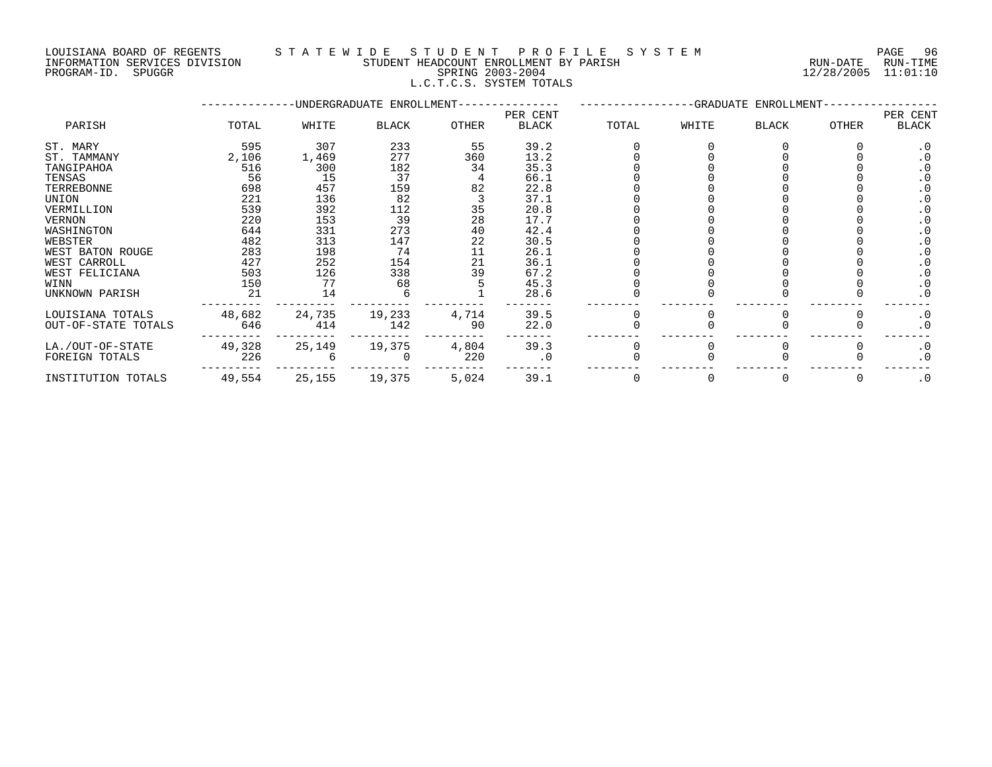#### LOUISIANA BOARD OF REGENTS S T A T E W I D E S T U D E N T P R O F I L E S Y S T E M PAGE 96 INFORMATION SERVICES DIVISION STUDENT HEADCOUNT ENROLLMENT BY PARISH RUN-DATE RUN-TIME PROGRAM-ID. SPUGGR SPRING 2003-2004 12/28/2005 11:01:10 L.C.T.C.S. SYSTEM TOTALS

|                     |        |        | -UNDERGRADUATE ENROLLMENT- |       |                          |       |       |       |        |                   |
|---------------------|--------|--------|----------------------------|-------|--------------------------|-------|-------|-------|--------|-------------------|
| PARISH              | TOTAL  | WHITE  | BLACK                      | OTHER | PER CENT<br><b>BLACK</b> | TOTAL | WHITE | BLACK | OTHER  | PER CENT<br>BLACK |
| ST. MARY            | 595    | 307    | 233                        | 55    | 39.2                     |       |       |       |        | $\cdot$ 0         |
| ST. TAMMANY         | 2,106  | 1,469  | 277                        | 360   | 13.2                     |       |       |       |        |                   |
| TANGIPAHOA          | 516    | 300    | 182                        | 34    | 35.3                     |       |       |       |        |                   |
| TENSAS              | 56     | 15     | 37                         |       | 66.1                     |       |       |       |        |                   |
| TERREBONNE          | 698    | 457    | 159                        | 82    | 22.8                     |       |       |       |        |                   |
| UNION               | 221    | 136    | 82                         |       | 37.1                     |       |       |       |        | $\cdot$ 0         |
| VERMILLION          | 539    | 392    | 112                        | 35    | 20.8                     |       |       |       |        |                   |
| <b>VERNON</b>       | 220    | 153    | 39                         | 28    | 17.7                     |       |       |       |        |                   |
| WASHINGTON          | 644    | 331    | 273                        | 40    | 42.4                     |       |       |       |        |                   |
| WEBSTER             | 482    | 313    | 147                        | 22    | 30.5                     |       |       |       |        |                   |
| WEST BATON ROUGE    | 283    | 198    | 74                         | 11    | 26.1                     |       |       |       |        |                   |
| WEST CARROLL        | 427    | 252    | 154                        | 21    | 36.1                     |       |       |       |        |                   |
| WEST FELICIANA      | 503    | 126    | 338                        | 39    | 67.2                     |       |       |       |        |                   |
| WINN                | 150    | 77     | 68                         |       | 45.3                     |       |       |       |        | $\cdot$ 0         |
| UNKNOWN PARISH      | 21     | 14     |                            |       | 28.6                     |       |       |       |        | $\cdot$ 0         |
| LOUISIANA TOTALS    | 48,682 | 24,735 | 19,233                     | 4,714 | 39.5                     |       |       |       |        | $\cdot$ 0         |
| OUT-OF-STATE TOTALS | 646    | 414    | 142                        | 90    | 22.0                     |       |       |       |        | $\cdot$ 0         |
| LA./OUT-OF-STATE    | 49,328 | 25,149 | 19,375                     | 4,804 | 39.3                     |       |       |       |        | $\cdot$ 0         |
| FOREIGN TOTALS      | 226    |        |                            | 220   | $\cdot$ 0                |       |       |       |        | $\cdot$ 0         |
| INSTITUTION TOTALS  | 49,554 | 25,155 | 19,375                     | 5,024 | 39.1                     |       |       |       | $\cup$ | $\cdot$ 0         |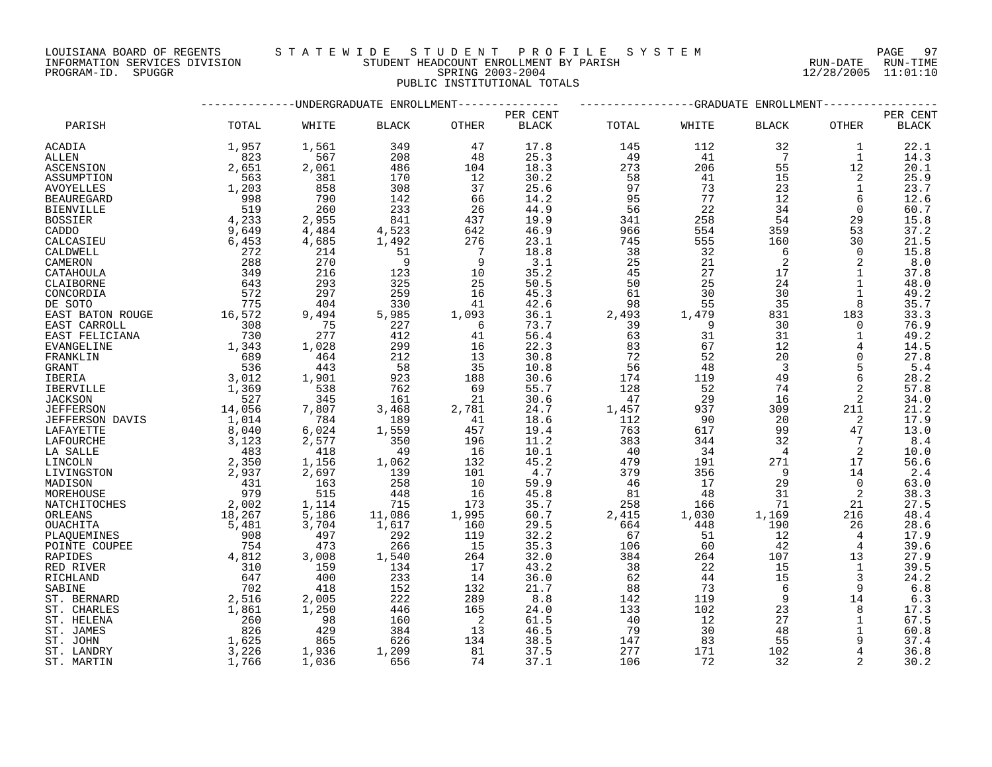LOUISIANA BOARD OF REGENTS STATEWIDE STUDENT PROFILE SYSTEM NAGE 97 INFORMATION SERVICES DIVISION STUDENT HEADCOUNT ENROLLMENT BY PARISH RUN-DATE RUN-TIME

|                   |                                                                                |                                       | ----------UNDERGRADUATE ENROLLMENT--------------                    |                                                    | -----------GRADUATE<br>ENROLLMENT- |              |                                             |                         |                 |              |
|-------------------|--------------------------------------------------------------------------------|---------------------------------------|---------------------------------------------------------------------|----------------------------------------------------|------------------------------------|--------------|---------------------------------------------|-------------------------|-----------------|--------------|
|                   |                                                                                |                                       |                                                                     | PER CENT                                           |                                    |              |                                             |                         |                 |              |
| PARISH            | TOTAL                                                                          | WHITE                                 | BLACK                                                               | OTHER                                              | PER CENT<br><b>BLACK</b>           | TOTAL        | WHITE                                       | <b>BLACK</b>            | OTHER           | <b>BLACK</b> |
| ACADIA            | 1,957                                                                          | 1,561                                 | 349                                                                 | 47                                                 | 17.8                               | 145          | 112                                         | 32                      | 1               | 22.1         |
| ALLEN             | 823                                                                            | 567                                   | 208                                                                 | 48                                                 | 25.3                               | 49           | 41                                          | $\overline{7}$          | 1               | 14.3         |
| ASCENSION         | 2,651                                                                          | 2,061                                 | 486                                                                 | 104                                                | 18.3                               | 273          | 206                                         | 55                      | 12              | 20.1         |
| ASSUMPTION        | 563                                                                            | 381                                   | 170                                                                 | 12                                                 | 30.2                               | 58           | 41                                          | 15                      | 2               | 25.9         |
| <b>AVOYELLES</b>  | 1,203                                                                          | 858                                   | 308                                                                 | 37                                                 | 25.6                               | 97           | 73                                          | 23                      | $\mathbf{1}$    | 23.7         |
| <b>BEAUREGARD</b> | 998                                                                            | 790                                   | 142                                                                 | 66                                                 | 14.2                               | 95           | 77                                          | 12                      | 6               | 12.6         |
| <b>BIENVILLE</b>  | 519                                                                            | 260                                   | 233                                                                 | 26                                                 | 44.9                               | 56           | 22                                          | 34                      | $\Omega$        | 60.7         |
| <b>BOSSIER</b>    | 4,233                                                                          | 2,955                                 | 841                                                                 | 437                                                | 19.9                               | 341          | 258                                         | 54                      | 29              | 15.8         |
| CADDO             | 9,649                                                                          | 4,484                                 | 4,523<br>1,492<br>51                                                | 642                                                | 46.9                               | 966          | 554                                         | 359                     | 53              | 37.2         |
| CALCASIEU         | 6,453                                                                          | 4,685                                 |                                                                     | 276                                                | 23.1                               | 745          | 555                                         | 160                     | 30              | 21.5         |
| CALDWELL          | 272                                                                            | 214                                   |                                                                     | $\overline{7}$                                     | 18.8                               | 38           | 32                                          | 6                       | $\Omega$        | 15.8         |
| CAMERON           | 288                                                                            | 270                                   | $\overline{9}$                                                      | 9                                                  | 3.1                                | 25           | 21                                          | 2                       | 2               | 8.0          |
| CATAHOULA         | 349                                                                            | 216                                   | 123                                                                 | 10                                                 | 35.2                               | 45           | 27                                          | 17                      | $\mathbf{1}$    | 37.8         |
| CLAIBORNE         | 643                                                                            | 293                                   | 325                                                                 | 25                                                 | 50.5                               | 50           | 25                                          | 24                      | $\mathbf{1}$    | 48.0         |
| CONCORDIA         |                                                                                | 297                                   | 259                                                                 | 16                                                 | 45.3                               |              |                                             | 30                      | $\mathbf 1$     | 49.2         |
| DE SOTO           |                                                                                | 404                                   | 330                                                                 | 41                                                 | 42.6                               |              |                                             | 35                      | 8               | 35.7         |
| EAST BATON ROUGE  | $\frac{572}{775}$<br>16,572                                                    | 9,494                                 | 5,985                                                               | 1,093                                              | 36.1                               |              | $2,493$<br>39<br>39<br>39<br>3 <sup>7</sup> | 831                     | 183             | 33.3         |
| EAST CARROLL      |                                                                                |                                       | 227                                                                 |                                                    | 73.7                               |              |                                             | 30                      | $\Omega$        | 76.9         |
| EAST FELICIANA    |                                                                                | $\frac{75}{277}$                      | 412                                                                 |                                                    | 56.4                               |              |                                             | 31                      | $\mathbf{1}$    | 49.2         |
| <b>EVANGELINE</b> |                                                                                | 1,028                                 | 299                                                                 |                                                    | 22.3                               | 83           | 67                                          | 12                      | $4\overline{ }$ | 14.5         |
| FRANKLIN          | $\begin{array}{r} 7.78 \\  308 \\  730 \\  1,343 \\  \end{array}$              | 464                                   | 212                                                                 | $\begin{array}{r} 6 \\ 41 \\ 16 \\ 13 \end{array}$ | 30.8                               | 72           | 52                                          | 20                      | $\overline{0}$  | 27.8         |
| GRANT             | $689$<br>536                                                                   | 443                                   | 58                                                                  | 35                                                 | 10.8                               | 56           | 48                                          | $\overline{\mathbf{3}}$ | 5               | 5.4          |
| <b>IBERIA</b>     |                                                                                | 1,901                                 | 923                                                                 | 188                                                | 30.6                               | 174          | 119                                         | 49                      | 6               | 28.2         |
|                   |                                                                                | 538                                   | 762                                                                 | 69                                                 | 55.7                               | 128          | 52                                          | 74                      | 2               | 57.8         |
| IBERVILLE         | $3,012$<br>1,369<br>527                                                        | 345                                   | 161                                                                 |                                                    | 30.6                               |              | 29                                          | 16                      |                 | 34.0         |
| <b>JACKSON</b>    | $\begin{array}{r} 527 \\ 14,056 \\ 3,040 \\ 3,123 \\ 483 \\ 2,359 \end{array}$ | 7,807                                 | 3,468                                                               | 21                                                 | 24.7                               | 47           | 937                                         | 309                     | 2               | 21.2         |
| <b>JEFFERSON</b>  |                                                                                | 784                                   | 189                                                                 | 2,781                                              | 18.6                               | 1,457<br>112 |                                             | 20                      | 211<br>2        |              |
| JEFFERSON DAVIS   |                                                                                |                                       |                                                                     | $\begin{array}{r} 41 \\ 457 \\ 196 \end{array}$    |                                    |              | 90                                          |                         |                 | 17.9         |
| LAFAYETTE         |                                                                                | 6,024                                 | 1,559                                                               |                                                    | 19.4                               | 763          | 617                                         | 99                      | 47              | 13.0         |
| LAFOURCHE         |                                                                                | 2,577                                 | 350                                                                 |                                                    | 11.2                               | 383          | 344                                         | 32                      | $7\overline{ }$ | 8.4          |
| LA SALLE          |                                                                                | 418                                   | 49                                                                  | 16                                                 | 10.1                               | 40           | 34                                          | $\overline{4}$          | 2               | 10.0         |
| LINCOLN           |                                                                                | 1,156                                 | $\begin{array}{c} 49 \\ 1,062 \\ 139 \end{array}$                   | 132                                                | 45.2                               | 479          | 191                                         | 271                     | 17              | 56.6         |
| LIVINGSTON        |                                                                                | 2,697                                 | 139                                                                 | 101                                                | 4.7                                | 379          | 356                                         | - 9                     | 14              | 2.4          |
| MADISON           | $2,937$<br>431<br>979                                                          | 163                                   | 258                                                                 | 10                                                 | 59.9                               | 46           | 17                                          | 29                      | $\Omega$        | 63.0         |
| MOREHOUSE         |                                                                                | 515                                   | 448                                                                 | 16                                                 | 45.8                               | 81           | 48                                          | 31                      | 2               | 38.3         |
| NATCHITOCHES      | $2,002$<br>$18,267$<br>$5,481$<br>$908$<br>$7,542$                             | 1,114<br>5,186<br>3,704<br>497<br>473 | $\begin{array}{r} 715 \\ 715 \\ 11,086 \\ 1,617 \\ 292 \end{array}$ | 173                                                | 35.7                               | 258          | 166                                         | 71                      | 21              | 27.5         |
| ORLEANS           |                                                                                |                                       |                                                                     | 1,995                                              | 60.7                               | 2,415        | 1,030                                       | 1,169                   | 216             | 48.4         |
| <b>OUACHITA</b>   |                                                                                |                                       |                                                                     | 160                                                | 29.5                               | 664          | 448                                         | 190                     | 26              | 28.6         |
| PLAOUEMINES       |                                                                                |                                       | $\begin{array}{c} 292 \\ 266 \end{array}$                           | 119                                                | 32.2                               | 67           | 51                                          | 12                      | $4\overline{ }$ | 17.9         |
| POINTE COUPEE     |                                                                                |                                       |                                                                     | 15                                                 | 35.3                               | 106          | 60                                          | 42                      | $\overline{4}$  | 39.6         |
| RAPIDES           | 4,812                                                                          | 3,008                                 | 1,540                                                               | 264                                                | 32.0                               | 384          | 264                                         | 107                     | 13              | 27.9         |
| RED RIVER         | 310                                                                            | 159                                   | 134                                                                 | 17                                                 | 43.2                               | 38           | 22                                          | 15                      | $\mathbf{1}$    | 39.5         |
| RICHLAND          | 647                                                                            | 400                                   | 233                                                                 | 14                                                 | 36.0                               | 62           | 44                                          | 15                      | $\mathbf{3}$    | 24.2         |
| SABINE            | 702                                                                            | 418                                   | 152                                                                 | 132                                                | 21.7                               | 88           | 73                                          | 6                       | 9               | 6.8          |
| ST. BERNARD       | $\begin{array}{c} 7.516 \\ 2,516 \\ 1,861 \\ 260 \end{array}$                  | 2,005                                 | 222                                                                 | 289                                                | 8.8                                | 142          | 119                                         | 9                       | 14              | 6.3          |
| ST. CHARLES       |                                                                                | 1,250                                 | 446                                                                 | 165                                                | 24.0                               | 133          | 102                                         | 23                      | 8               | 17.3         |
| ST. HELENA        | 260                                                                            | 98                                    | 160                                                                 | $\overline{\phantom{a}}^2$                         | 61.5                               | - 40         | 12                                          | 27                      | $\mathbf{1}$    | 67.5         |
| ST. JAMES         | 826                                                                            | 429                                   | 384                                                                 | 13                                                 | 46.5                               | 79           | 30                                          | 48                      | $\mathbf{1}$    | 60.8         |
| ST. JOHN          | 1,625                                                                          | 865                                   | 626                                                                 | 134                                                | 38.5                               | 147          | 83                                          | 55                      | 9               | 37.4         |
| ST. LANDRY        | 3,226                                                                          | 1,936                                 | 1,209                                                               | 81                                                 | 37.5                               | 277          | 171                                         | 102                     | $\overline{4}$  | 36.8         |
| ST. MARTIN        | 1,766                                                                          | 1,036                                 | 656                                                                 | 74                                                 | 37.1                               | 106          | 72                                          | 32                      | 2               | 30.2         |